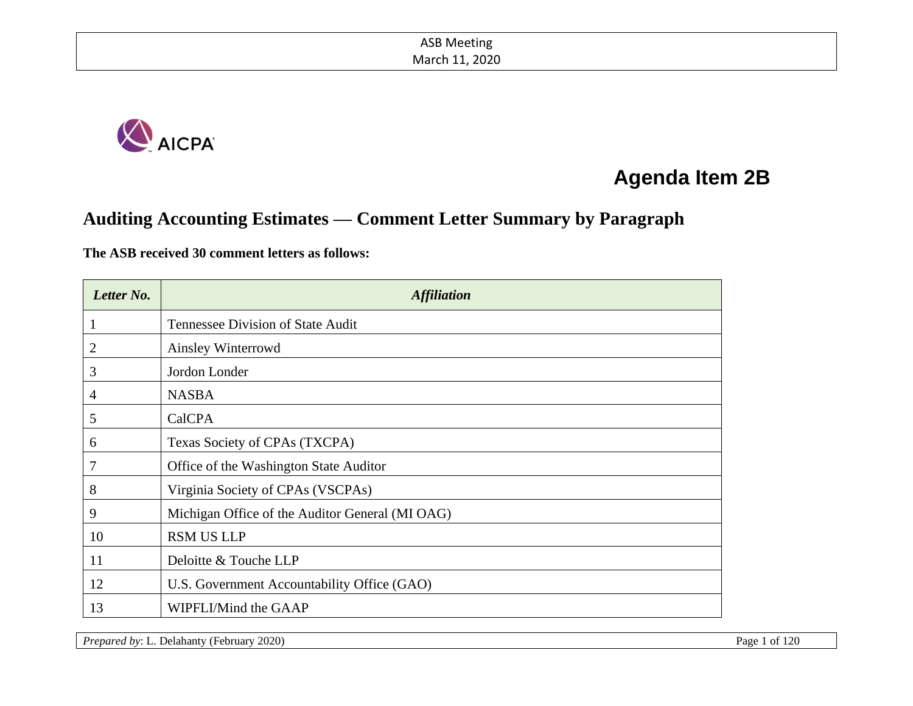

# **Agenda Item 2B**

# **Auditing Accounting Estimates — Comment Letter Summary by Paragraph**

#### **The ASB received 30 comment letters as follows:**

| Letter No. | <i><b>Affiliation</b></i>                       |
|------------|-------------------------------------------------|
| $\perp$    | <b>Tennessee Division of State Audit</b>        |
| 2          | Ainsley Winterrowd                              |
| 3          | Jordon Londer                                   |
| 4          | <b>NASBA</b>                                    |
| 5          | CalCPA                                          |
| 6          | Texas Society of CPAs (TXCPA)                   |
| 7          | Office of the Washington State Auditor          |
| 8          | Virginia Society of CPAs (VSCPAs)               |
| 9          | Michigan Office of the Auditor General (MI OAG) |
| 10         | <b>RSM US LLP</b>                               |
| 11         | Deloitte & Touche LLP                           |
| 12         | U.S. Government Accountability Office (GAO)     |
| 13         | WIPFLI/Mind the GAAP                            |

*Prepared by*: L. Delahanty (February 2020) Page 1 of 120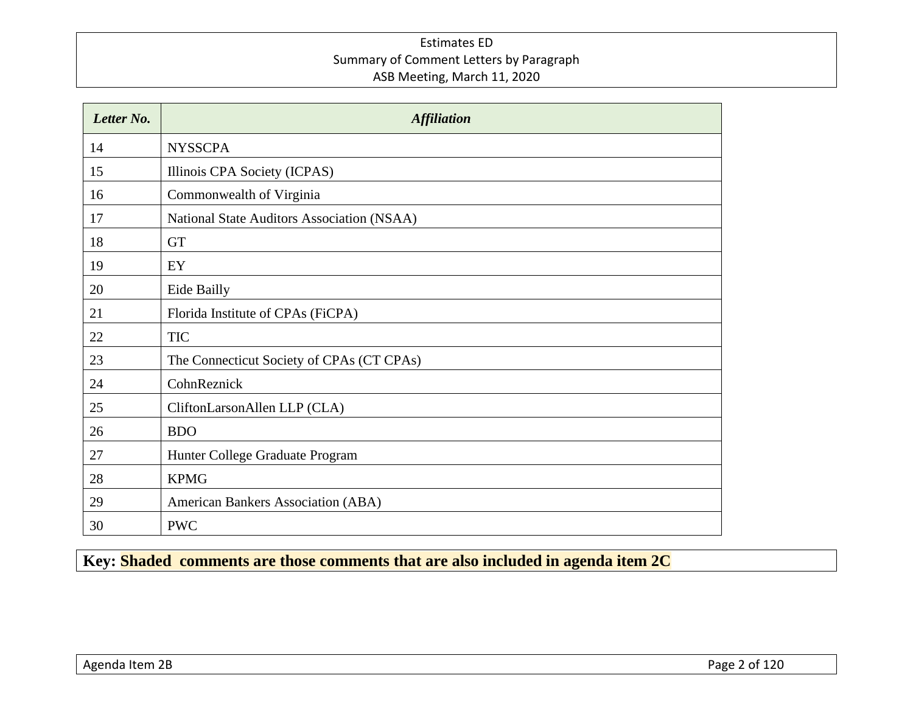| Letter No. | <b>Affiliation</b>                         |
|------------|--------------------------------------------|
| 14         | <b>NYSSCPA</b>                             |
| 15         | Illinois CPA Society (ICPAS)               |
| 16         | Commonwealth of Virginia                   |
| 17         | National State Auditors Association (NSAA) |
| 18         | <b>GT</b>                                  |
| 19         | EY                                         |
| 20         | Eide Bailly                                |
| 21         | Florida Institute of CPAs (FiCPA)          |
| 22         | <b>TIC</b>                                 |
| 23         | The Connecticut Society of CPAs (CT CPAs)  |
| 24         | CohnReznick                                |
| 25         | CliftonLarsonAllen LLP (CLA)               |
| 26         | <b>BDO</b>                                 |
| 27         | Hunter College Graduate Program            |
| 28         | <b>KPMG</b>                                |
| 29         | American Bankers Association (ABA)         |
| 30         | <b>PWC</b>                                 |

**Key: Shaded comments are those comments that are also included in agenda item 2C**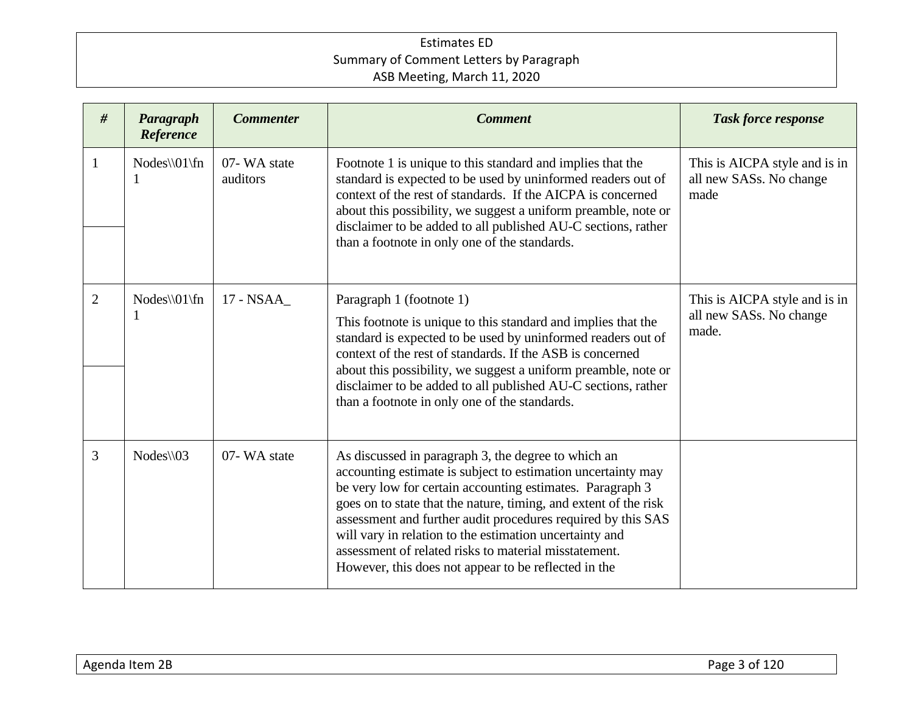| # | Paragraph<br>Reference | <b>Commenter</b>        | <b>Comment</b>                                                                                                                                                                                                                                                                                                                                                                                                                                                                                   | <b>Task force response</b>                                        |
|---|------------------------|-------------------------|--------------------------------------------------------------------------------------------------------------------------------------------------------------------------------------------------------------------------------------------------------------------------------------------------------------------------------------------------------------------------------------------------------------------------------------------------------------------------------------------------|-------------------------------------------------------------------|
| 1 | $Nodes \[01\]$ fn<br>1 | 07-WA state<br>auditors | Footnote 1 is unique to this standard and implies that the<br>standard is expected to be used by uninformed readers out of<br>context of the rest of standards. If the AICPA is concerned<br>about this possibility, we suggest a uniform preamble, note or<br>disclaimer to be added to all published AU-C sections, rather<br>than a footnote in only one of the standards.                                                                                                                    | This is AICPA style and is in<br>all new SASs. No change<br>made  |
| 2 | $Nodes \[01\]fn$<br>1  | 17 - NSAA               | Paragraph 1 (footnote 1)<br>This footnote is unique to this standard and implies that the<br>standard is expected to be used by uninformed readers out of<br>context of the rest of standards. If the ASB is concerned<br>about this possibility, we suggest a uniform preamble, note or<br>disclaimer to be added to all published AU-C sections, rather<br>than a footnote in only one of the standards.                                                                                       | This is AICPA style and is in<br>all new SASs. No change<br>made. |
| 3 | $Nodes \setminus 03$   | 07-WA state             | As discussed in paragraph 3, the degree to which an<br>accounting estimate is subject to estimation uncertainty may<br>be very low for certain accounting estimates. Paragraph 3<br>goes on to state that the nature, timing, and extent of the risk<br>assessment and further audit procedures required by this SAS<br>will vary in relation to the estimation uncertainty and<br>assessment of related risks to material misstatement.<br>However, this does not appear to be reflected in the |                                                                   |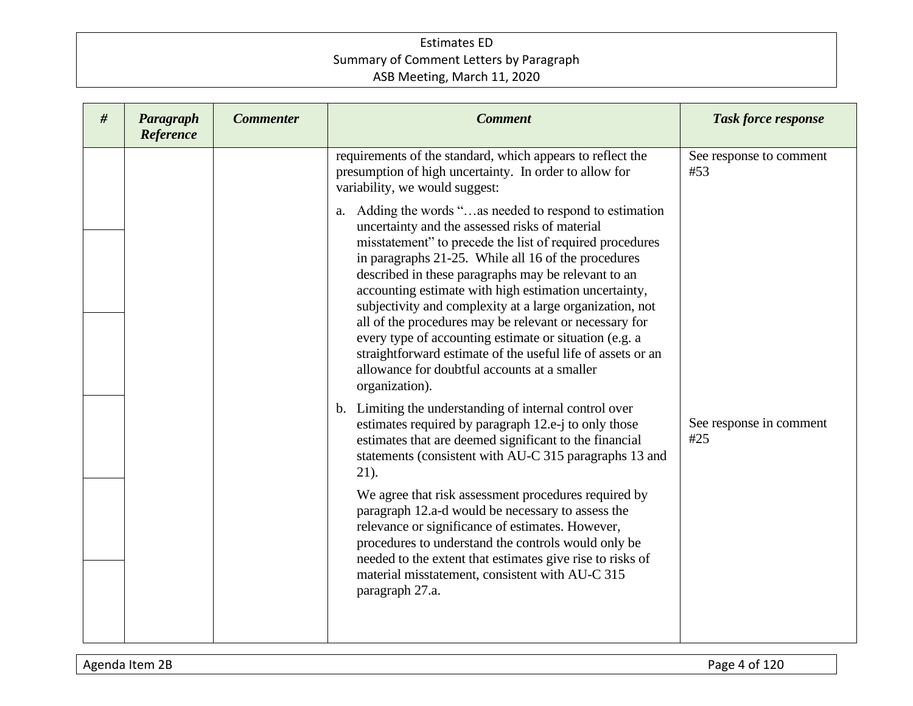| # | Paragraph<br>Reference | <b>Commenter</b> | <b>Comment</b>                                                                                                                                                                                                                                                                                                                                                                                                                                                                                                                                                                                                                                                   | <b>Task force response</b>     |
|---|------------------------|------------------|------------------------------------------------------------------------------------------------------------------------------------------------------------------------------------------------------------------------------------------------------------------------------------------------------------------------------------------------------------------------------------------------------------------------------------------------------------------------------------------------------------------------------------------------------------------------------------------------------------------------------------------------------------------|--------------------------------|
|   |                        |                  | requirements of the standard, which appears to reflect the<br>presumption of high uncertainty. In order to allow for<br>variability, we would suggest:                                                                                                                                                                                                                                                                                                                                                                                                                                                                                                           | See response to comment<br>#53 |
|   |                        |                  | Adding the words "as needed to respond to estimation<br>a.<br>uncertainty and the assessed risks of material<br>misstatement" to precede the list of required procedures<br>in paragraphs 21-25. While all 16 of the procedures<br>described in these paragraphs may be relevant to an<br>accounting estimate with high estimation uncertainty,<br>subjectivity and complexity at a large organization, not<br>all of the procedures may be relevant or necessary for<br>every type of accounting estimate or situation (e.g. a<br>straightforward estimate of the useful life of assets or an<br>allowance for doubtful accounts at a smaller<br>organization). |                                |
|   |                        |                  | b. Limiting the understanding of internal control over<br>estimates required by paragraph 12.e-j to only those<br>estimates that are deemed significant to the financial<br>statements (consistent with AU-C 315 paragraphs 13 and<br>$21$ ).                                                                                                                                                                                                                                                                                                                                                                                                                    | See response in comment<br>#25 |
|   |                        |                  | We agree that risk assessment procedures required by<br>paragraph 12.a-d would be necessary to assess the<br>relevance or significance of estimates. However,<br>procedures to understand the controls would only be<br>needed to the extent that estimates give rise to risks of<br>material misstatement, consistent with AU-C 315<br>paragraph 27.a.                                                                                                                                                                                                                                                                                                          |                                |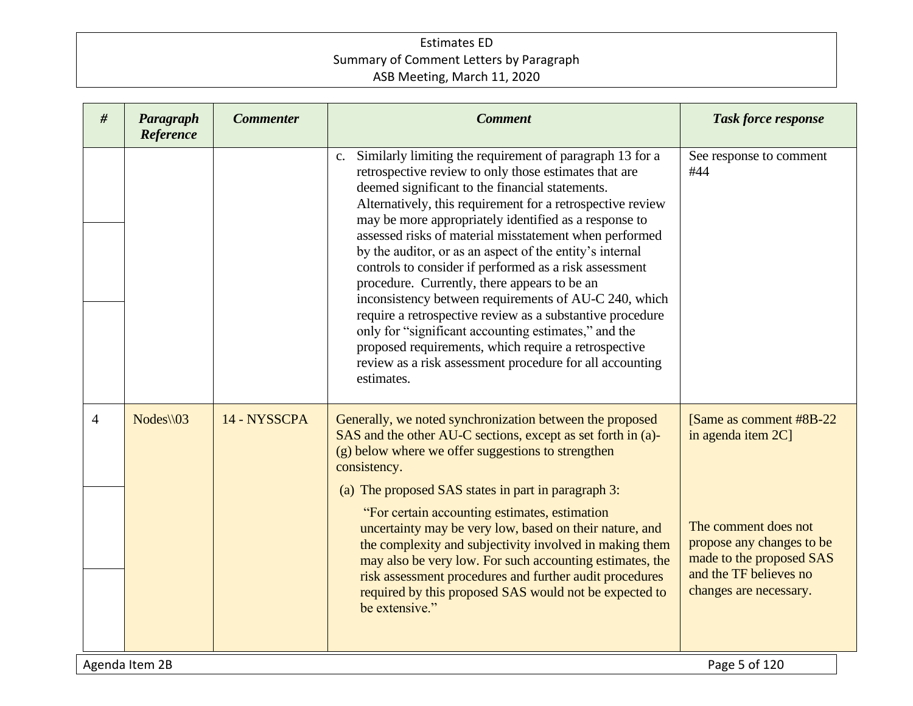| #              | Paragraph<br>Reference | <b>Commenter</b> | <b>Comment</b>                                                                                                                                                                                                                                                                                                                                                                                                                                                                                                                                                                                                                                                                                                                                                                                                                                    | <b>Task force response</b>                                                                                                                                                          |  |
|----------------|------------------------|------------------|---------------------------------------------------------------------------------------------------------------------------------------------------------------------------------------------------------------------------------------------------------------------------------------------------------------------------------------------------------------------------------------------------------------------------------------------------------------------------------------------------------------------------------------------------------------------------------------------------------------------------------------------------------------------------------------------------------------------------------------------------------------------------------------------------------------------------------------------------|-------------------------------------------------------------------------------------------------------------------------------------------------------------------------------------|--|
|                |                        |                  | Similarly limiting the requirement of paragraph 13 for a<br>c.<br>retrospective review to only those estimates that are<br>deemed significant to the financial statements.<br>Alternatively, this requirement for a retrospective review<br>may be more appropriately identified as a response to<br>assessed risks of material misstatement when performed<br>by the auditor, or as an aspect of the entity's internal<br>controls to consider if performed as a risk assessment<br>procedure. Currently, there appears to be an<br>inconsistency between requirements of AU-C 240, which<br>require a retrospective review as a substantive procedure<br>only for "significant accounting estimates," and the<br>proposed requirements, which require a retrospective<br>review as a risk assessment procedure for all accounting<br>estimates. | See response to comment<br>#44                                                                                                                                                      |  |
| $\overline{4}$ | $Nodes \setminus 03$   | 14 - NYSSCPA     | Generally, we noted synchronization between the proposed<br>SAS and the other AU-C sections, except as set forth in (a)-<br>(g) below where we offer suggestions to strengthen<br>consistency.<br>(a) The proposed SAS states in part in paragraph 3:<br>"For certain accounting estimates, estimation<br>uncertainty may be very low, based on their nature, and<br>the complexity and subjectivity involved in making them<br>may also be very low. For such accounting estimates, the<br>risk assessment procedures and further audit procedures<br>required by this proposed SAS would not be expected to<br>be extensive."                                                                                                                                                                                                                   | [Same as comment #8B-22]<br>in agenda item 2C]<br>The comment does not<br>propose any changes to be<br>made to the proposed SAS<br>and the TF believes no<br>changes are necessary. |  |
|                | Agenda Item 2B         |                  |                                                                                                                                                                                                                                                                                                                                                                                                                                                                                                                                                                                                                                                                                                                                                                                                                                                   | Page 5 of 120                                                                                                                                                                       |  |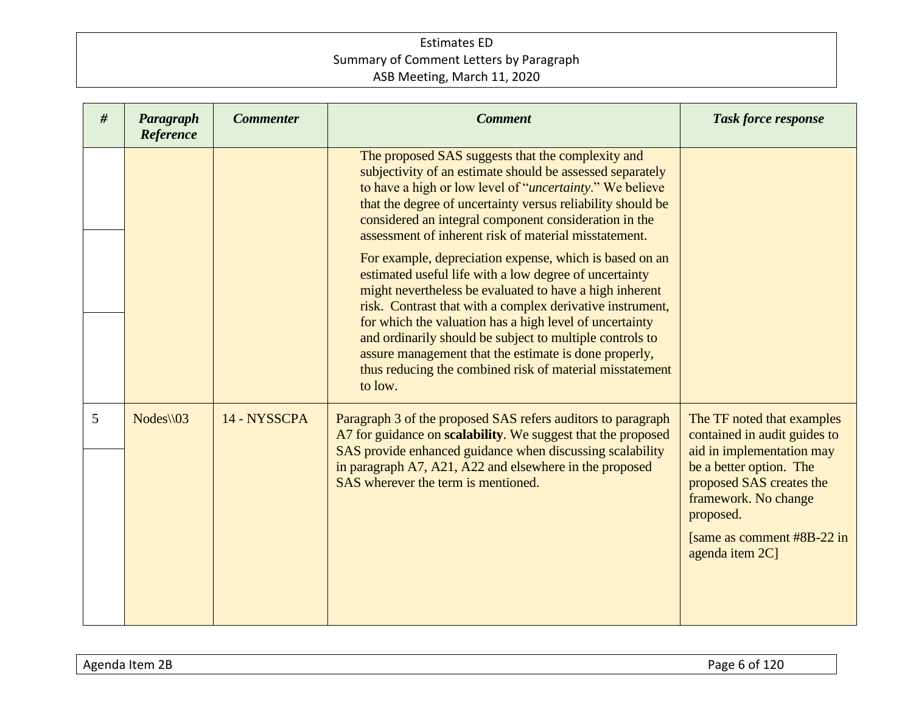| # | Paragraph<br>Reference | <b>Commenter</b> | <b>Comment</b>                                                                                                                                                                                                                                                                                                                                                                                                                                                                                   | <b>Task force response</b>                                                                                                                                                                                                            |
|---|------------------------|------------------|--------------------------------------------------------------------------------------------------------------------------------------------------------------------------------------------------------------------------------------------------------------------------------------------------------------------------------------------------------------------------------------------------------------------------------------------------------------------------------------------------|---------------------------------------------------------------------------------------------------------------------------------------------------------------------------------------------------------------------------------------|
|   |                        |                  | The proposed SAS suggests that the complexity and<br>subjectivity of an estimate should be assessed separately<br>to have a high or low level of " <i>uncertainty</i> ." We believe<br>that the degree of uncertainty versus reliability should be<br>considered an integral component consideration in the<br>assessment of inherent risk of material misstatement.                                                                                                                             |                                                                                                                                                                                                                                       |
|   |                        |                  | For example, depreciation expense, which is based on an<br>estimated useful life with a low degree of uncertainty<br>might nevertheless be evaluated to have a high inherent<br>risk. Contrast that with a complex derivative instrument,<br>for which the valuation has a high level of uncertainty<br>and ordinarily should be subject to multiple controls to<br>assure management that the estimate is done properly,<br>thus reducing the combined risk of material misstatement<br>to low. |                                                                                                                                                                                                                                       |
| 5 | $Nodes \setminus 03$   | 14 - NYSSCPA     | Paragraph 3 of the proposed SAS refers auditors to paragraph<br>A7 for guidance on scalability. We suggest that the proposed<br>SAS provide enhanced guidance when discussing scalability<br>in paragraph A7, A21, A22 and elsewhere in the proposed<br>SAS wherever the term is mentioned.                                                                                                                                                                                                      | The TF noted that examples<br>contained in audit guides to<br>aid in implementation may<br>be a better option. The<br>proposed SAS creates the<br>framework. No change<br>proposed.<br>[same as comment #8B-22 in]<br>agenda item 2C] |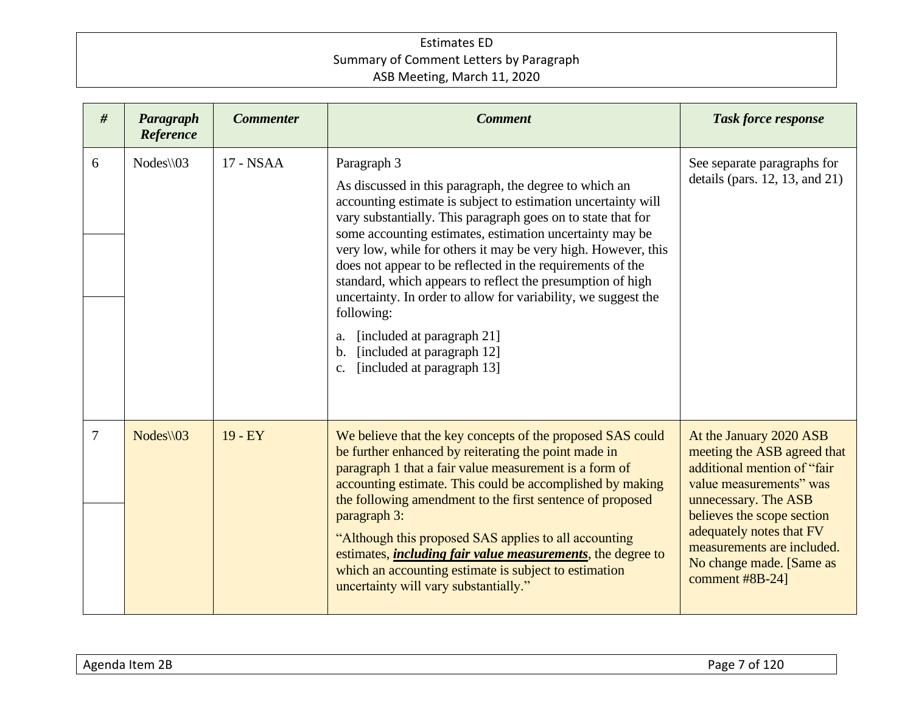| #              | Paragraph<br>Reference | <b>Commenter</b> | <b>Comment</b>                                                                                                                                                                                                                                                                                                                                                                                                                                                                                                                                                                                                                                                          | <b>Task force response</b>                                                                                                                                                                                                                                                      |
|----------------|------------------------|------------------|-------------------------------------------------------------------------------------------------------------------------------------------------------------------------------------------------------------------------------------------------------------------------------------------------------------------------------------------------------------------------------------------------------------------------------------------------------------------------------------------------------------------------------------------------------------------------------------------------------------------------------------------------------------------------|---------------------------------------------------------------------------------------------------------------------------------------------------------------------------------------------------------------------------------------------------------------------------------|
| 6              | $Nodes \setminus 03$   | 17 - NSAA        | Paragraph 3<br>As discussed in this paragraph, the degree to which an<br>accounting estimate is subject to estimation uncertainty will<br>vary substantially. This paragraph goes on to state that for<br>some accounting estimates, estimation uncertainty may be<br>very low, while for others it may be very high. However, this<br>does not appear to be reflected in the requirements of the<br>standard, which appears to reflect the presumption of high<br>uncertainty. In order to allow for variability, we suggest the<br>following:<br>[included at paragraph 21]<br>a.<br>[included at paragraph 12]<br>$\mathbf{b}$ .<br>[included at paragraph 13]<br>C. | See separate paragraphs for<br>details (pars. $12$ , $13$ , and $21$ )                                                                                                                                                                                                          |
| $\overline{7}$ | $Nodes \setminus 03$   | $19 - EY$        | We believe that the key concepts of the proposed SAS could<br>be further enhanced by reiterating the point made in<br>paragraph 1 that a fair value measurement is a form of<br>accounting estimate. This could be accomplished by making<br>the following amendment to the first sentence of proposed<br>paragraph 3:<br>"Although this proposed SAS applies to all accounting<br>estimates, <i>including fair value measurements</i> , the degree to<br>which an accounting estimate is subject to estimation<br>uncertainty will vary substantially."                                                                                                                | At the January 2020 ASB<br>meeting the ASB agreed that<br>additional mention of "fair<br>value measurements" was<br>unnecessary. The ASB<br>believes the scope section<br>adequately notes that FV<br>measurements are included.<br>No change made. [Same as<br>comment #8B-24] |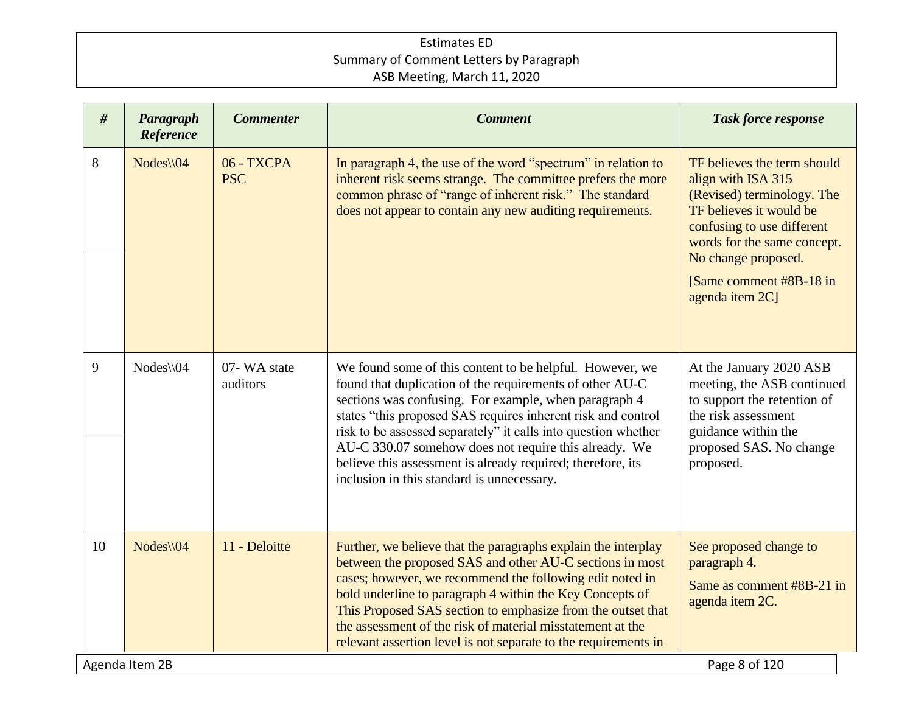| #  | Paragraph<br>Reference | <b>Commenter</b>         | <b>Comment</b>                                                                                                                                                                                                                                                                                                                                                                                                                                                                        | <b>Task force response</b>                                                                                                                                                                                                                    |  |
|----|------------------------|--------------------------|---------------------------------------------------------------------------------------------------------------------------------------------------------------------------------------------------------------------------------------------------------------------------------------------------------------------------------------------------------------------------------------------------------------------------------------------------------------------------------------|-----------------------------------------------------------------------------------------------------------------------------------------------------------------------------------------------------------------------------------------------|--|
| 8  | $Nodes \setminus 04$   | 06 - TXCPA<br><b>PSC</b> | In paragraph 4, the use of the word "spectrum" in relation to<br>inherent risk seems strange. The committee prefers the more<br>common phrase of "range of inherent risk." The standard<br>does not appear to contain any new auditing requirements.                                                                                                                                                                                                                                  | TF believes the term should<br>align with ISA 315<br>(Revised) terminology. The<br>TF believes it would be<br>confusing to use different<br>words for the same concept.<br>No change proposed.<br>[Same comment #8B-18 in]<br>agenda item 2C] |  |
| 9  | Nodes\\04              | 07-WA state<br>auditors  | We found some of this content to be helpful. However, we<br>found that duplication of the requirements of other AU-C<br>sections was confusing. For example, when paragraph 4<br>states "this proposed SAS requires inherent risk and control<br>risk to be assessed separately" it calls into question whether<br>AU-C 330.07 somehow does not require this already. We<br>believe this assessment is already required; therefore, its<br>inclusion in this standard is unnecessary. | At the January 2020 ASB<br>meeting, the ASB continued<br>to support the retention of<br>the risk assessment<br>guidance within the<br>proposed SAS. No change<br>proposed.                                                                    |  |
| 10 | $Nodes \setminus 04$   | 11 - Deloitte            | Further, we believe that the paragraphs explain the interplay<br>between the proposed SAS and other AU-C sections in most<br>cases; however, we recommend the following edit noted in<br>bold underline to paragraph 4 within the Key Concepts of<br>This Proposed SAS section to emphasize from the outset that<br>the assessment of the risk of material misstatement at the<br>relevant assertion level is not separate to the requirements in                                     | See proposed change to<br>paragraph 4.<br>Same as comment #8B-21 in<br>agenda item 2C.                                                                                                                                                        |  |
|    | Agenda Item 2B         |                          |                                                                                                                                                                                                                                                                                                                                                                                                                                                                                       | Page 8 of 120                                                                                                                                                                                                                                 |  |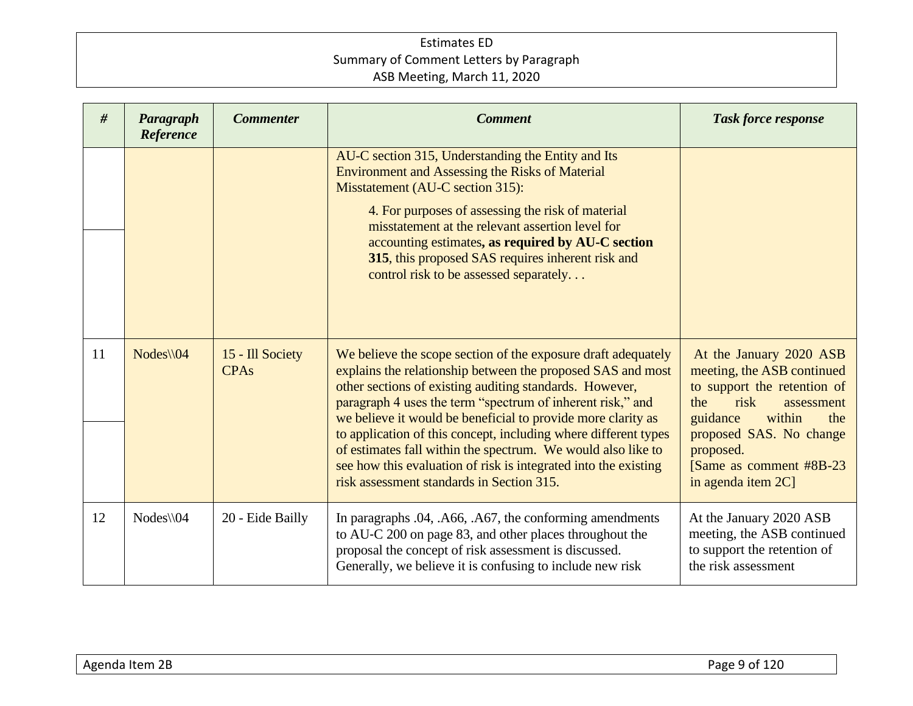| #  | Paragraph<br>Reference | <b>Commenter</b>                | <b>Comment</b>                                                                                                                                                                                                                                                                                                                                                                                                                                                                                                                                                           | <b>Task force response</b>                                                                                                                                                                                                               |
|----|------------------------|---------------------------------|--------------------------------------------------------------------------------------------------------------------------------------------------------------------------------------------------------------------------------------------------------------------------------------------------------------------------------------------------------------------------------------------------------------------------------------------------------------------------------------------------------------------------------------------------------------------------|------------------------------------------------------------------------------------------------------------------------------------------------------------------------------------------------------------------------------------------|
|    |                        |                                 | AU-C section 315, Understanding the Entity and Its<br><b>Environment and Assessing the Risks of Material</b><br>Misstatement (AU-C section 315):<br>4. For purposes of assessing the risk of material<br>misstatement at the relevant assertion level for<br>accounting estimates, as required by AU-C section<br>315, this proposed SAS requires inherent risk and<br>control risk to be assessed separately                                                                                                                                                            |                                                                                                                                                                                                                                          |
|    |                        |                                 |                                                                                                                                                                                                                                                                                                                                                                                                                                                                                                                                                                          |                                                                                                                                                                                                                                          |
| 11 | $Nodes \setminus 04$   | 15 - Ill Society<br><b>CPAs</b> | We believe the scope section of the exposure draft adequately<br>explains the relationship between the proposed SAS and most<br>other sections of existing auditing standards. However,<br>paragraph 4 uses the term "spectrum of inherent risk," and<br>we believe it would be beneficial to provide more clarity as<br>to application of this concept, including where different types<br>of estimates fall within the spectrum. We would also like to<br>see how this evaluation of risk is integrated into the existing<br>risk assessment standards in Section 315. | At the January 2020 ASB<br>meeting, the ASB continued<br>to support the retention of<br>the<br>risk<br>assessment<br>guidance<br>within<br>the<br>proposed SAS. No change<br>proposed.<br>[Same as comment #8B-23]<br>in agenda item 2C] |
| 12 | $Nodes \setminus 04$   | 20 - Eide Bailly                | In paragraphs .04, .A66, .A67, the conforming amendments<br>to AU-C 200 on page 83, and other places throughout the<br>proposal the concept of risk assessment is discussed.<br>Generally, we believe it is confusing to include new risk                                                                                                                                                                                                                                                                                                                                | At the January 2020 ASB<br>meeting, the ASB continued<br>to support the retention of<br>the risk assessment                                                                                                                              |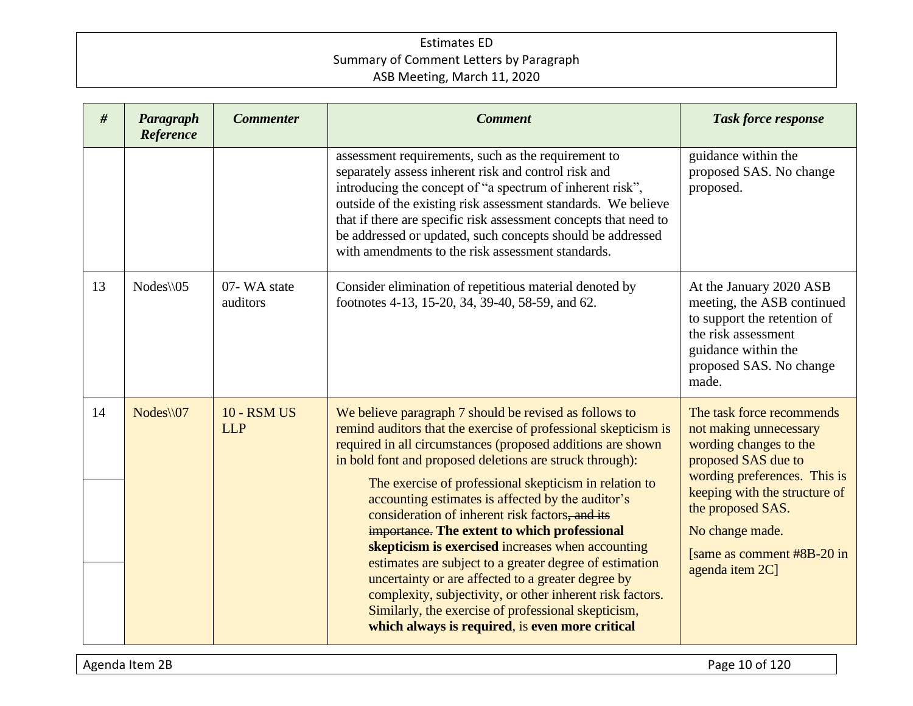| #  | Paragraph<br>Reference | <b>Commenter</b>                 | <b>Comment</b>                                                                                                                                                                                                                                                                                                                                                                                                                                                                                                                                                                                                                                                                                                                                                                                                      | <b>Task force response</b>                                                                                                                                                                                                                                      |
|----|------------------------|----------------------------------|---------------------------------------------------------------------------------------------------------------------------------------------------------------------------------------------------------------------------------------------------------------------------------------------------------------------------------------------------------------------------------------------------------------------------------------------------------------------------------------------------------------------------------------------------------------------------------------------------------------------------------------------------------------------------------------------------------------------------------------------------------------------------------------------------------------------|-----------------------------------------------------------------------------------------------------------------------------------------------------------------------------------------------------------------------------------------------------------------|
|    |                        |                                  | assessment requirements, such as the requirement to<br>separately assess inherent risk and control risk and<br>introducing the concept of "a spectrum of inherent risk",<br>outside of the existing risk assessment standards. We believe<br>that if there are specific risk assessment concepts that need to<br>be addressed or updated, such concepts should be addressed<br>with amendments to the risk assessment standards.                                                                                                                                                                                                                                                                                                                                                                                    | guidance within the<br>proposed SAS. No change<br>proposed.                                                                                                                                                                                                     |
| 13 | $Nodes \setminus 05$   | 07-WA state<br>auditors          | Consider elimination of repetitious material denoted by<br>footnotes 4-13, 15-20, 34, 39-40, 58-59, and 62.                                                                                                                                                                                                                                                                                                                                                                                                                                                                                                                                                                                                                                                                                                         | At the January 2020 ASB<br>meeting, the ASB continued<br>to support the retention of<br>the risk assessment<br>guidance within the<br>proposed SAS. No change<br>made.                                                                                          |
| 14 | $Nodes \setminus 07$   | <b>10 - RSM US</b><br><b>LLP</b> | We believe paragraph 7 should be revised as follows to<br>remind auditors that the exercise of professional skepticism is<br>required in all circumstances (proposed additions are shown<br>in bold font and proposed deletions are struck through):<br>The exercise of professional skepticism in relation to<br>accounting estimates is affected by the auditor's<br>consideration of inherent risk factors, and its<br>importance. The extent to which professional<br>skepticism is exercised increases when accounting<br>estimates are subject to a greater degree of estimation<br>uncertainty or are affected to a greater degree by<br>complexity, subjectivity, or other inherent risk factors.<br>Similarly, the exercise of professional skepticism,<br>which always is required, is even more critical | The task force recommends<br>not making unnecessary<br>wording changes to the<br>proposed SAS due to<br>wording preferences. This is<br>keeping with the structure of<br>the proposed SAS.<br>No change made.<br>[same as comment #8B-20 in]<br>agenda item 2C] |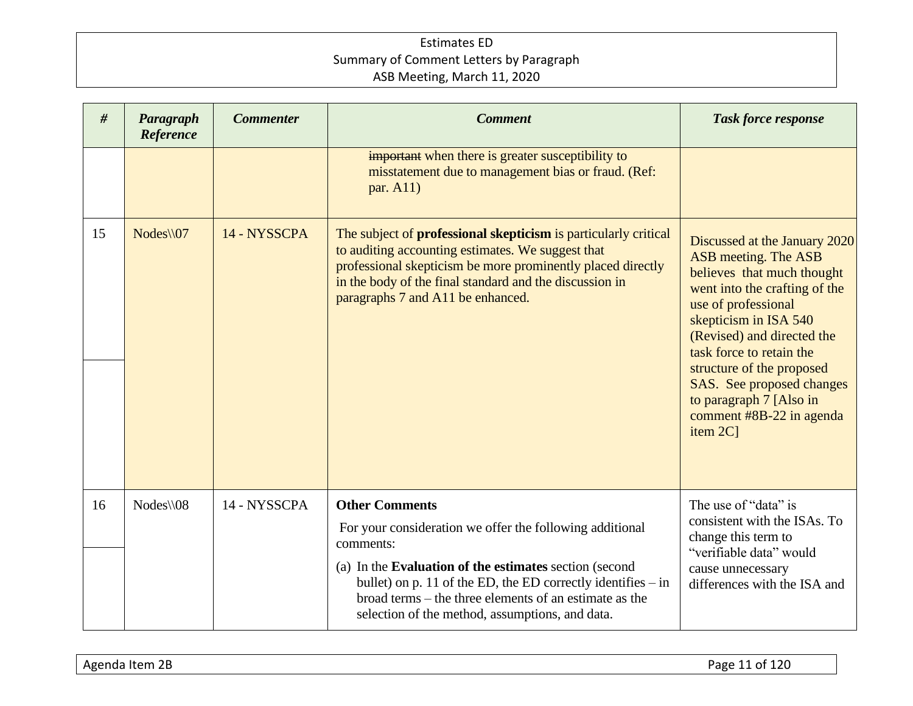| Paragraph<br>Reference | <b>Commenter</b> | <b>Comment</b>                                                                                                                                                                                                                                                                             | <b>Task force response</b>                                                                                                                                                                                                                                                                                                                                  |
|------------------------|------------------|--------------------------------------------------------------------------------------------------------------------------------------------------------------------------------------------------------------------------------------------------------------------------------------------|-------------------------------------------------------------------------------------------------------------------------------------------------------------------------------------------------------------------------------------------------------------------------------------------------------------------------------------------------------------|
|                        |                  | important when there is greater susceptibility to<br>misstatement due to management bias or fraud. (Ref:<br>par. A11)                                                                                                                                                                      |                                                                                                                                                                                                                                                                                                                                                             |
| Nodes\\07              | 14 - NYSSCPA     | The subject of <b>professional skepticism</b> is particularly critical<br>to auditing accounting estimates. We suggest that<br>professional skepticism be more prominently placed directly<br>in the body of the final standard and the discussion in<br>paragraphs 7 and A11 be enhanced. | Discussed at the January 2020<br>ASB meeting. The ASB<br>believes that much thought<br>went into the crafting of the<br>use of professional<br>skepticism in ISA 540<br>(Revised) and directed the<br>task force to retain the<br>structure of the proposed<br>SAS. See proposed changes<br>to paragraph 7 [Also in<br>comment #8B-22 in agenda<br>item 2C1 |
| $Nodes \setminus 08$   | 14 - NYSSCPA     | <b>Other Comments</b><br>For your consideration we offer the following additional<br>comments:<br>(a) In the Evaluation of the estimates section (second<br>bullet) on p. 11 of the ED, the ED correctly identifies $-$ in                                                                 | The use of "data" is<br>consistent with the ISAs. To<br>change this term to<br>"verifiable data" would<br>cause unnecessary<br>differences with the ISA and                                                                                                                                                                                                 |
| #                      |                  |                                                                                                                                                                                                                                                                                            | broad terms – the three elements of an estimate as the<br>selection of the method, assumptions, and data.                                                                                                                                                                                                                                                   |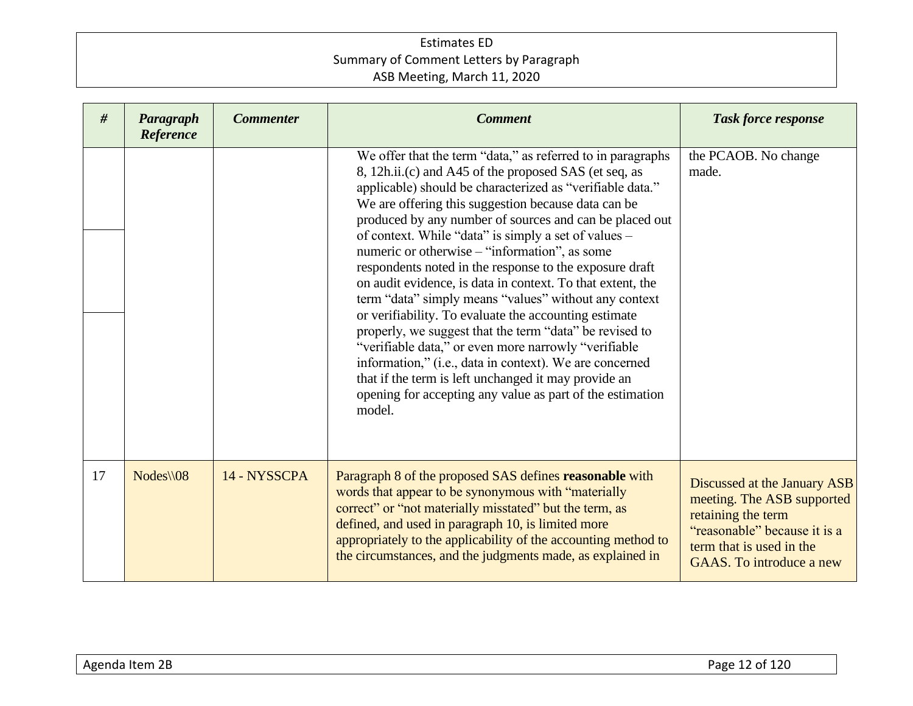| #  | Paragraph<br>Reference | <b>Commenter</b> | <b>Comment</b>                                                                                                                                                                                                                                                                                                                                                                                                                                                                                                                                                                                                                                                                                                                                                                                                                                                                                                                                                       | <b>Task force response</b>                                                                                                                                               |
|----|------------------------|------------------|----------------------------------------------------------------------------------------------------------------------------------------------------------------------------------------------------------------------------------------------------------------------------------------------------------------------------------------------------------------------------------------------------------------------------------------------------------------------------------------------------------------------------------------------------------------------------------------------------------------------------------------------------------------------------------------------------------------------------------------------------------------------------------------------------------------------------------------------------------------------------------------------------------------------------------------------------------------------|--------------------------------------------------------------------------------------------------------------------------------------------------------------------------|
|    |                        |                  | We offer that the term "data," as referred to in paragraphs<br>8, 12h.ii.(c) and A45 of the proposed SAS (et seq, as<br>applicable) should be characterized as "verifiable data."<br>We are offering this suggestion because data can be<br>produced by any number of sources and can be placed out<br>of context. While "data" is simply a set of values -<br>numeric or otherwise – "information", as some<br>respondents noted in the response to the exposure draft<br>on audit evidence, is data in context. To that extent, the<br>term "data" simply means "values" without any context<br>or verifiability. To evaluate the accounting estimate<br>properly, we suggest that the term "data" be revised to<br>"verifiable data," or even more narrowly "verifiable<br>information," (i.e., data in context). We are concerned<br>that if the term is left unchanged it may provide an<br>opening for accepting any value as part of the estimation<br>model. | the PCAOB. No change<br>made.                                                                                                                                            |
| 17 | $Nodes \setminus 08$   | 14 - NYSSCPA     | Paragraph 8 of the proposed SAS defines reasonable with<br>words that appear to be synonymous with "materially<br>correct" or "not materially misstated" but the term, as<br>defined, and used in paragraph 10, is limited more<br>appropriately to the applicability of the accounting method to<br>the circumstances, and the judgments made, as explained in                                                                                                                                                                                                                                                                                                                                                                                                                                                                                                                                                                                                      | Discussed at the January ASB<br>meeting. The ASB supported<br>retaining the term<br>"reasonable" because it is a<br>term that is used in the<br>GAAS. To introduce a new |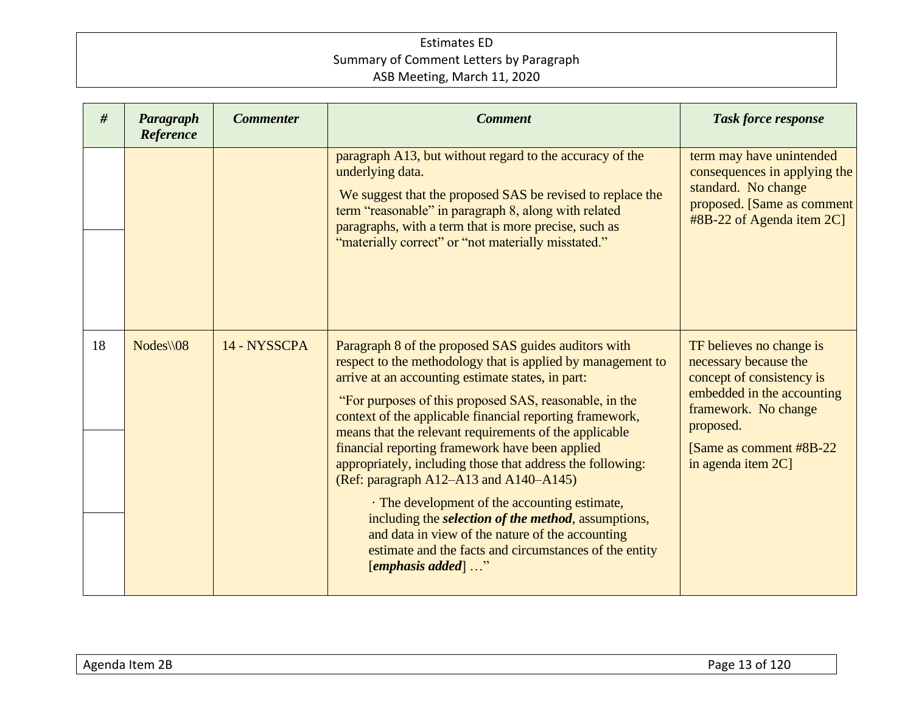| #  | Paragraph<br>Reference | <b>Commenter</b> | <b>Comment</b>                                                                                                                                                                                                                                                                                                                                                                                                                                                                                                                                                                                                                                                                                                                                                  | <b>Task force response</b>                                                                                                                                                                          |
|----|------------------------|------------------|-----------------------------------------------------------------------------------------------------------------------------------------------------------------------------------------------------------------------------------------------------------------------------------------------------------------------------------------------------------------------------------------------------------------------------------------------------------------------------------------------------------------------------------------------------------------------------------------------------------------------------------------------------------------------------------------------------------------------------------------------------------------|-----------------------------------------------------------------------------------------------------------------------------------------------------------------------------------------------------|
|    |                        |                  | paragraph A13, but without regard to the accuracy of the<br>underlying data.<br>We suggest that the proposed SAS be revised to replace the<br>term "reasonable" in paragraph 8, along with related<br>paragraphs, with a term that is more precise, such as<br>"materially correct" or "not materially misstated."                                                                                                                                                                                                                                                                                                                                                                                                                                              | term may have unintended<br>consequences in applying the<br>standard. No change<br>proposed. [Same as comment<br>#8B-22 of Agenda item 2C]                                                          |
| 18 | $Nodes \setminus 08$   | 14 - NYSSCPA     | Paragraph 8 of the proposed SAS guides auditors with<br>respect to the methodology that is applied by management to<br>arrive at an accounting estimate states, in part:<br>"For purposes of this proposed SAS, reasonable, in the<br>context of the applicable financial reporting framework,<br>means that the relevant requirements of the applicable<br>financial reporting framework have been applied<br>appropriately, including those that address the following:<br>(Ref: paragraph A12–A13 and A140–A145)<br>· The development of the accounting estimate,<br>including the selection of the method, assumptions,<br>and data in view of the nature of the accounting<br>estimate and the facts and circumstances of the entity<br>[emphasis added] " | TF believes no change is<br>necessary because the<br>concept of consistency is<br>embedded in the accounting<br>framework. No change<br>proposed.<br>[Same as comment #8B-22]<br>in agenda item 2C] |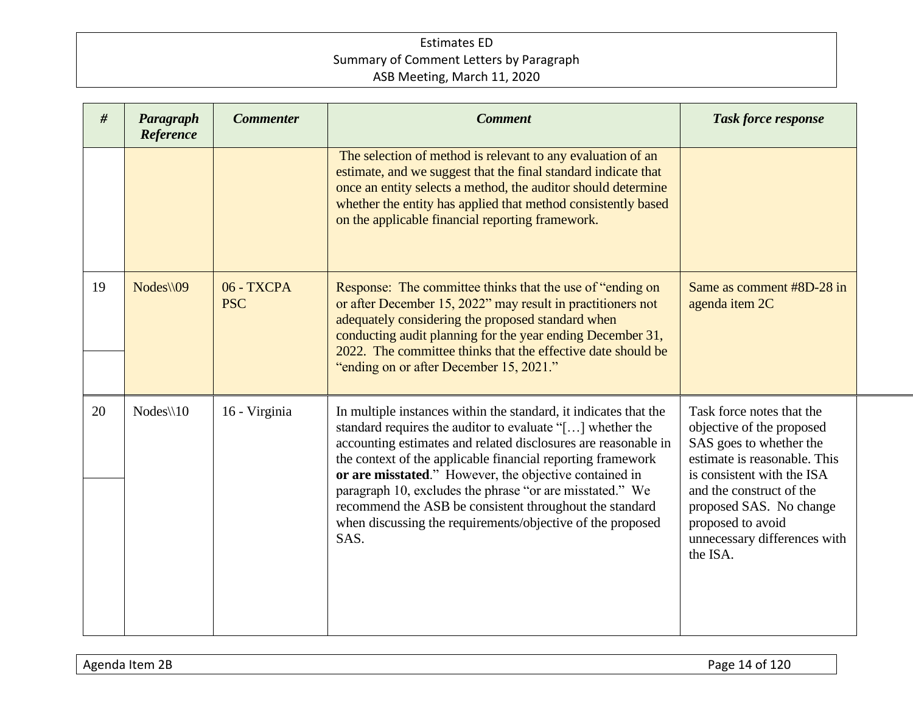| #  | Paragraph<br>Reference | <b>Commenter</b>         | <b>Comment</b>                                                                                                                                                                                                                                                                                                                                                                                                                                                                                                        | <b>Task force response</b>                                                                                                                                                                                                                                              |
|----|------------------------|--------------------------|-----------------------------------------------------------------------------------------------------------------------------------------------------------------------------------------------------------------------------------------------------------------------------------------------------------------------------------------------------------------------------------------------------------------------------------------------------------------------------------------------------------------------|-------------------------------------------------------------------------------------------------------------------------------------------------------------------------------------------------------------------------------------------------------------------------|
|    |                        |                          | The selection of method is relevant to any evaluation of an<br>estimate, and we suggest that the final standard indicate that<br>once an entity selects a method, the auditor should determine<br>whether the entity has applied that method consistently based<br>on the applicable financial reporting framework.                                                                                                                                                                                                   |                                                                                                                                                                                                                                                                         |
| 19 | Nodes\\09              | 06 - TXCPA<br><b>PSC</b> | Response: The committee thinks that the use of "ending on<br>or after December 15, 2022" may result in practitioners not<br>adequately considering the proposed standard when<br>conducting audit planning for the year ending December 31,<br>2022. The committee thinks that the effective date should be<br>"ending on or after December 15, 2021."                                                                                                                                                                | Same as comment #8D-28 in<br>agenda item 2C                                                                                                                                                                                                                             |
| 20 | $Nodes \setminus 10$   | 16 - Virginia            | In multiple instances within the standard, it indicates that the<br>standard requires the auditor to evaluate "[] whether the<br>accounting estimates and related disclosures are reasonable in<br>the context of the applicable financial reporting framework<br>or are misstated." However, the objective contained in<br>paragraph 10, excludes the phrase "or are misstated." We<br>recommend the ASB be consistent throughout the standard<br>when discussing the requirements/objective of the proposed<br>SAS. | Task force notes that the<br>objective of the proposed<br>SAS goes to whether the<br>estimate is reasonable. This<br>is consistent with the ISA<br>and the construct of the<br>proposed SAS. No change<br>proposed to avoid<br>unnecessary differences with<br>the ISA. |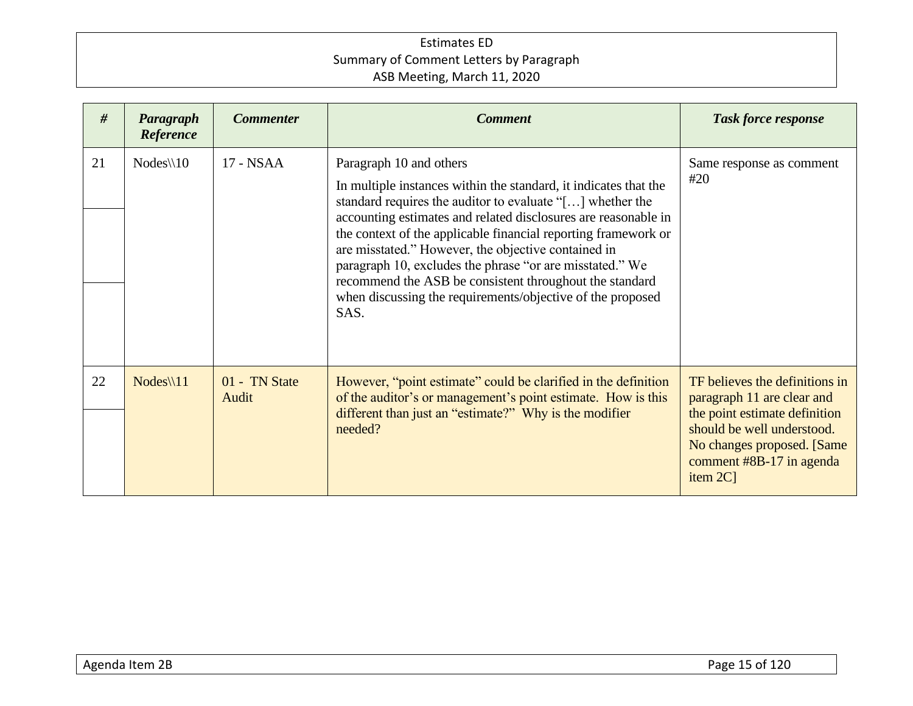| #  | Paragraph<br>Reference | <b>Commenter</b>       | <b>Comment</b>                                                                                                                                                                                                                                                                                                                                                                                                                                                                                                                                   | <b>Task force response</b>                                                                                                                                                                         |
|----|------------------------|------------------------|--------------------------------------------------------------------------------------------------------------------------------------------------------------------------------------------------------------------------------------------------------------------------------------------------------------------------------------------------------------------------------------------------------------------------------------------------------------------------------------------------------------------------------------------------|----------------------------------------------------------------------------------------------------------------------------------------------------------------------------------------------------|
| 21 | $Nodes \setminus 10$   | 17 - NSAA              | Paragraph 10 and others<br>In multiple instances within the standard, it indicates that the<br>standard requires the auditor to evaluate "[] whether the<br>accounting estimates and related disclosures are reasonable in<br>the context of the applicable financial reporting framework or<br>are misstated." However, the objective contained in<br>paragraph 10, excludes the phrase "or are misstated." We<br>recommend the ASB be consistent throughout the standard<br>when discussing the requirements/objective of the proposed<br>SAS. | Same response as comment<br>#20                                                                                                                                                                    |
| 22 | $Nodes \setminus 11$   | 01 - TN State<br>Audit | However, "point estimate" could be clarified in the definition<br>of the auditor's or management's point estimate. How is this<br>different than just an "estimate?" Why is the modifier<br>needed?                                                                                                                                                                                                                                                                                                                                              | TF believes the definitions in<br>paragraph 11 are clear and<br>the point estimate definition<br>should be well understood.<br>No changes proposed. [Same]<br>comment #8B-17 in agenda<br>item 2C] |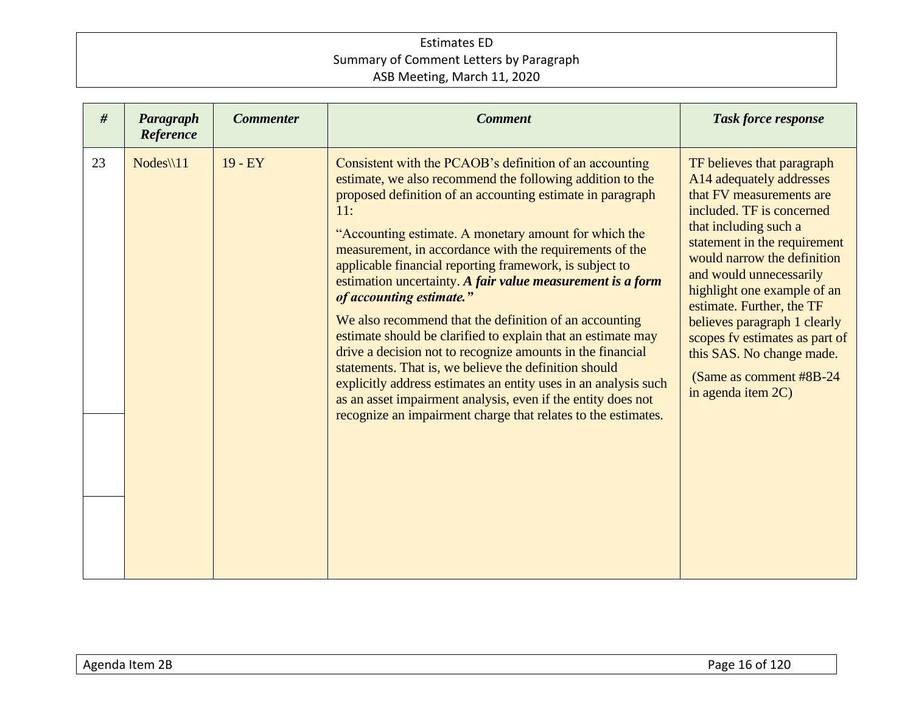| Reference                       | <b>Commenter</b> | <b>Comment</b>                                                                                                                                                                                                                                                                                                                                                                                                                                                                                                                                                                                                                                                                                                                                                                                                                                                                                                   | <b>Task force response</b>                                                                                                                                                                                                                                                                                                                                                                                                                      |
|---------------------------------|------------------|------------------------------------------------------------------------------------------------------------------------------------------------------------------------------------------------------------------------------------------------------------------------------------------------------------------------------------------------------------------------------------------------------------------------------------------------------------------------------------------------------------------------------------------------------------------------------------------------------------------------------------------------------------------------------------------------------------------------------------------------------------------------------------------------------------------------------------------------------------------------------------------------------------------|-------------------------------------------------------------------------------------------------------------------------------------------------------------------------------------------------------------------------------------------------------------------------------------------------------------------------------------------------------------------------------------------------------------------------------------------------|
| 23<br>$Nodes \$ 11<br>$19 - EY$ | 11:              | Consistent with the PCAOB's definition of an accounting<br>estimate, we also recommend the following addition to the<br>proposed definition of an accounting estimate in paragraph<br>"Accounting estimate. A monetary amount for which the<br>measurement, in accordance with the requirements of the<br>applicable financial reporting framework, is subject to<br>estimation uncertainty. A fair value measurement is a form<br>of accounting estimate."<br>We also recommend that the definition of an accounting<br>estimate should be clarified to explain that an estimate may<br>drive a decision not to recognize amounts in the financial<br>statements. That is, we believe the definition should<br>explicitly address estimates an entity uses in an analysis such<br>as an asset impairment analysis, even if the entity does not<br>recognize an impairment charge that relates to the estimates. | TF believes that paragraph<br>A14 adequately addresses<br>that FV measurements are<br>included. TF is concerned<br>that including such a<br>statement in the requirement<br>would narrow the definition<br>and would unnecessarily<br>highlight one example of an<br>estimate. Further, the TF<br>believes paragraph 1 clearly<br>scopes fv estimates as part of<br>this SAS. No change made.<br>(Same as comment #8B-24)<br>in agenda item 2C) |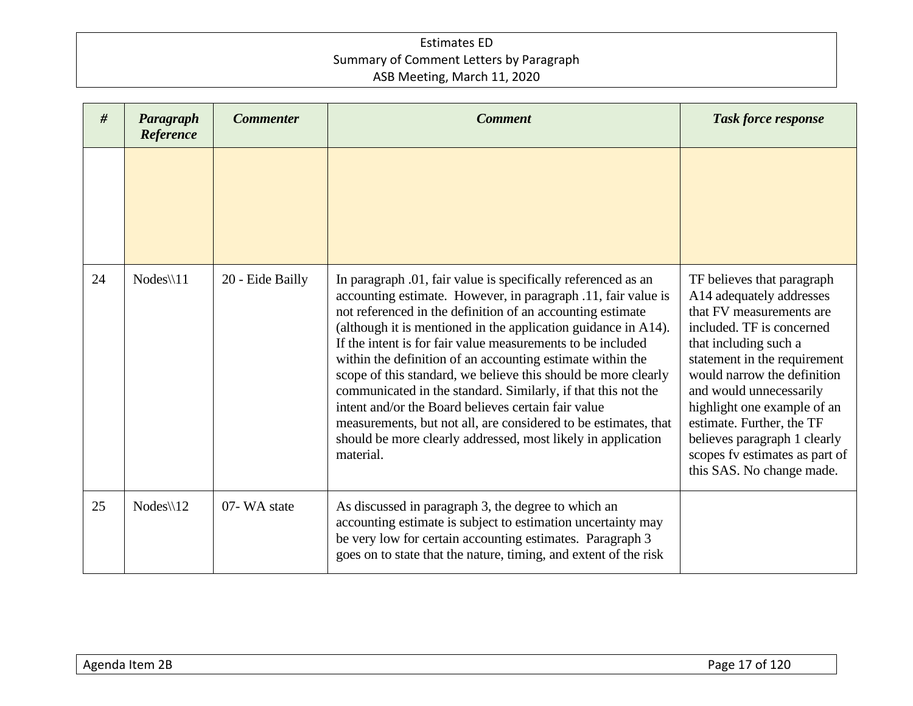| #  | Paragraph<br>Reference | <b>Commenter</b> | <b>Comment</b>                                                                                                                                                                                                                                                                                                                                                                                                                                                                                                                                                                                                                                                                                                                        | <b>Task force response</b>                                                                                                                                                                                                                                                                                                                                                                    |
|----|------------------------|------------------|---------------------------------------------------------------------------------------------------------------------------------------------------------------------------------------------------------------------------------------------------------------------------------------------------------------------------------------------------------------------------------------------------------------------------------------------------------------------------------------------------------------------------------------------------------------------------------------------------------------------------------------------------------------------------------------------------------------------------------------|-----------------------------------------------------------------------------------------------------------------------------------------------------------------------------------------------------------------------------------------------------------------------------------------------------------------------------------------------------------------------------------------------|
|    |                        |                  |                                                                                                                                                                                                                                                                                                                                                                                                                                                                                                                                                                                                                                                                                                                                       |                                                                                                                                                                                                                                                                                                                                                                                               |
| 24 | $Nodes \setminus 11$   | 20 - Eide Bailly | In paragraph .01, fair value is specifically referenced as an<br>accounting estimate. However, in paragraph .11, fair value is<br>not referenced in the definition of an accounting estimate<br>(although it is mentioned in the application guidance in A14).<br>If the intent is for fair value measurements to be included<br>within the definition of an accounting estimate within the<br>scope of this standard, we believe this should be more clearly<br>communicated in the standard. Similarly, if that this not the<br>intent and/or the Board believes certain fair value<br>measurements, but not all, are considered to be estimates, that<br>should be more clearly addressed, most likely in application<br>material. | TF believes that paragraph<br>A14 adequately addresses<br>that FV measurements are<br>included. TF is concerned<br>that including such a<br>statement in the requirement<br>would narrow the definition<br>and would unnecessarily<br>highlight one example of an<br>estimate. Further, the TF<br>believes paragraph 1 clearly<br>scopes fv estimates as part of<br>this SAS. No change made. |
| 25 | $Nodes \setminus 12$   | 07-WA state      | As discussed in paragraph 3, the degree to which an<br>accounting estimate is subject to estimation uncertainty may<br>be very low for certain accounting estimates. Paragraph 3<br>goes on to state that the nature, timing, and extent of the risk                                                                                                                                                                                                                                                                                                                                                                                                                                                                                  |                                                                                                                                                                                                                                                                                                                                                                                               |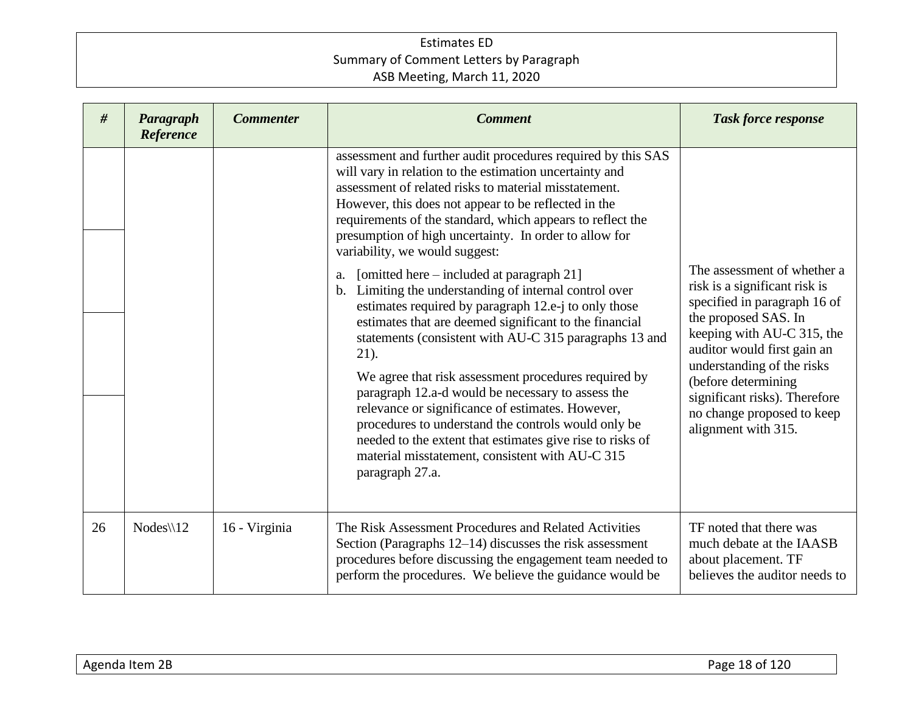| #  | Paragraph<br>Reference | <b>Commenter</b> | <b>Comment</b>                                                                                                                                                                                                                                                                                                                                                                                                                                                                                                                                                                                                                                                                                                                                                                                                                                                                                                                                                                                                                                                            | <b>Task force response</b>                                                                                                                                                                                                                                                                                                   |
|----|------------------------|------------------|---------------------------------------------------------------------------------------------------------------------------------------------------------------------------------------------------------------------------------------------------------------------------------------------------------------------------------------------------------------------------------------------------------------------------------------------------------------------------------------------------------------------------------------------------------------------------------------------------------------------------------------------------------------------------------------------------------------------------------------------------------------------------------------------------------------------------------------------------------------------------------------------------------------------------------------------------------------------------------------------------------------------------------------------------------------------------|------------------------------------------------------------------------------------------------------------------------------------------------------------------------------------------------------------------------------------------------------------------------------------------------------------------------------|
|    |                        |                  | assessment and further audit procedures required by this SAS<br>will vary in relation to the estimation uncertainty and<br>assessment of related risks to material misstatement.<br>However, this does not appear to be reflected in the<br>requirements of the standard, which appears to reflect the<br>presumption of high uncertainty. In order to allow for<br>variability, we would suggest:<br>[omitted here – included at paragraph 21]<br>a.<br>Limiting the understanding of internal control over<br>$b_{1}$<br>estimates required by paragraph 12.e-j to only those<br>estimates that are deemed significant to the financial<br>statements (consistent with AU-C 315 paragraphs 13 and<br>$21$ ).<br>We agree that risk assessment procedures required by<br>paragraph 12.a-d would be necessary to assess the<br>relevance or significance of estimates. However,<br>procedures to understand the controls would only be<br>needed to the extent that estimates give rise to risks of<br>material misstatement, consistent with AU-C 315<br>paragraph 27.a. | The assessment of whether a<br>risk is a significant risk is<br>specified in paragraph 16 of<br>the proposed SAS. In<br>keeping with AU-C 315, the<br>auditor would first gain an<br>understanding of the risks<br>(before determining<br>significant risks). Therefore<br>no change proposed to keep<br>alignment with 315. |
| 26 | $Nodes \setminus 12$   | 16 - Virginia    | The Risk Assessment Procedures and Related Activities<br>Section (Paragraphs 12–14) discusses the risk assessment<br>procedures before discussing the engagement team needed to<br>perform the procedures. We believe the guidance would be                                                                                                                                                                                                                                                                                                                                                                                                                                                                                                                                                                                                                                                                                                                                                                                                                               | TF noted that there was<br>much debate at the IAASB<br>about placement. TF<br>believes the auditor needs to                                                                                                                                                                                                                  |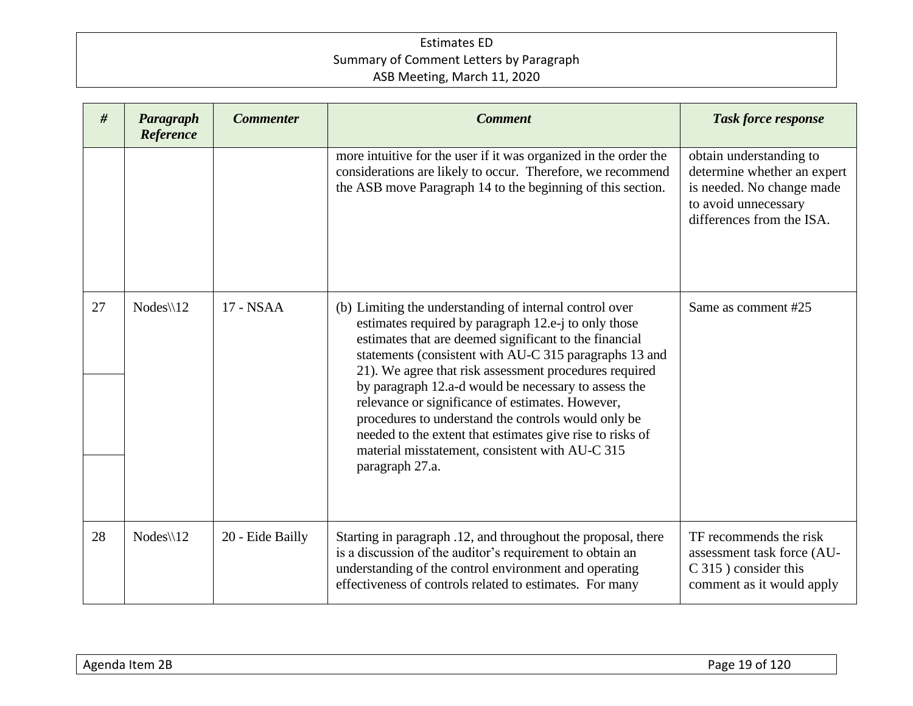| #  | Paragraph<br>Reference | <b>Commenter</b> | <b>Comment</b>                                                                                                                                                                                                                                                                                                                                                                                                                                                                                                                                                                                      | <b>Task force response</b>                                                                                                               |
|----|------------------------|------------------|-----------------------------------------------------------------------------------------------------------------------------------------------------------------------------------------------------------------------------------------------------------------------------------------------------------------------------------------------------------------------------------------------------------------------------------------------------------------------------------------------------------------------------------------------------------------------------------------------------|------------------------------------------------------------------------------------------------------------------------------------------|
|    |                        |                  | more intuitive for the user if it was organized in the order the<br>considerations are likely to occur. Therefore, we recommend<br>the ASB move Paragraph 14 to the beginning of this section.                                                                                                                                                                                                                                                                                                                                                                                                      | obtain understanding to<br>determine whether an expert<br>is needed. No change made<br>to avoid unnecessary<br>differences from the ISA. |
| 27 | $Nodes \setminus 12$   | 17 - NSAA        | (b) Limiting the understanding of internal control over<br>estimates required by paragraph 12.e-j to only those<br>estimates that are deemed significant to the financial<br>statements (consistent with AU-C 315 paragraphs 13 and<br>21). We agree that risk assessment procedures required<br>by paragraph 12.a-d would be necessary to assess the<br>relevance or significance of estimates. However,<br>procedures to understand the controls would only be<br>needed to the extent that estimates give rise to risks of<br>material misstatement, consistent with AU-C 315<br>paragraph 27.a. | Same as comment #25                                                                                                                      |
| 28 | $Nodes \setminus 12$   | 20 - Eide Bailly | Starting in paragraph .12, and throughout the proposal, there<br>is a discussion of the auditor's requirement to obtain an<br>understanding of the control environment and operating<br>effectiveness of controls related to estimates. For many                                                                                                                                                                                                                                                                                                                                                    | TF recommends the risk<br>assessment task force (AU-<br>C 315) consider this<br>comment as it would apply                                |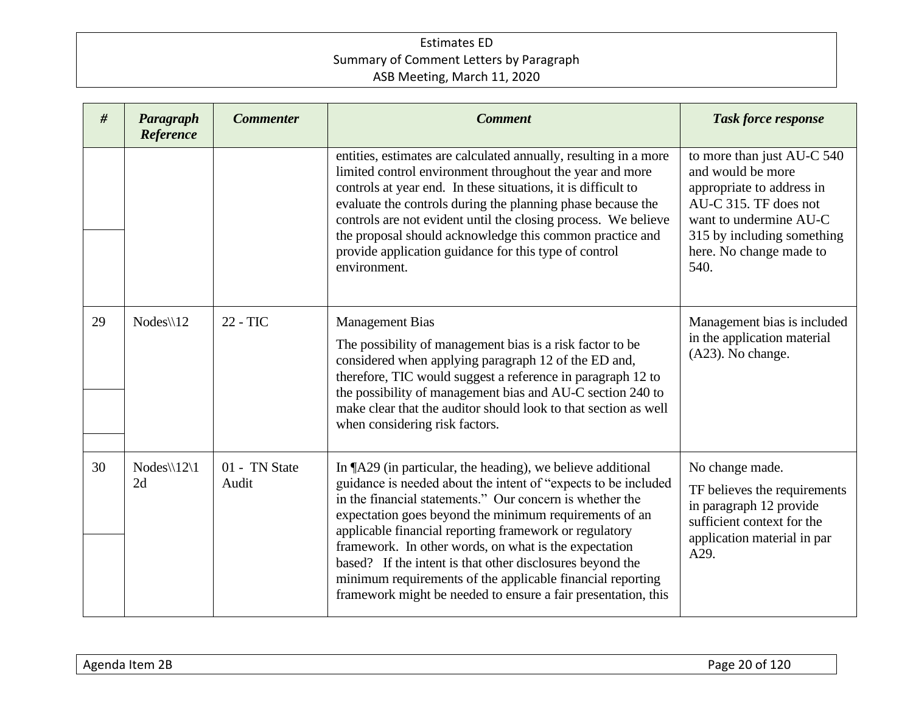| #  | Paragraph<br>Reference                 | <b>Commenter</b>       | <b>Comment</b>                                                                                                                                                                                                                                                                                                                                                                                                                                                                                                                                                     | <b>Task force response</b>                                                                                                                                                                       |
|----|----------------------------------------|------------------------|--------------------------------------------------------------------------------------------------------------------------------------------------------------------------------------------------------------------------------------------------------------------------------------------------------------------------------------------------------------------------------------------------------------------------------------------------------------------------------------------------------------------------------------------------------------------|--------------------------------------------------------------------------------------------------------------------------------------------------------------------------------------------------|
|    |                                        |                        | entities, estimates are calculated annually, resulting in a more<br>limited control environment throughout the year and more<br>controls at year end. In these situations, it is difficult to<br>evaluate the controls during the planning phase because the<br>controls are not evident until the closing process. We believe<br>the proposal should acknowledge this common practice and<br>provide application guidance for this type of control<br>environment.                                                                                                | to more than just AU-C 540<br>and would be more<br>appropriate to address in<br>AU-C 315. TF does not<br>want to undermine AU-C<br>315 by including something<br>here. No change made to<br>540. |
| 29 | $Nodes \setminus 12$                   | 22 - TIC               | <b>Management Bias</b><br>The possibility of management bias is a risk factor to be<br>considered when applying paragraph 12 of the ED and,<br>therefore, TIC would suggest a reference in paragraph 12 to<br>the possibility of management bias and AU-C section 240 to<br>make clear that the auditor should look to that section as well<br>when considering risk factors.                                                                                                                                                                                      | Management bias is included<br>in the application material<br>(A23). No change.                                                                                                                  |
| 30 | $Nodes \setminus 12 \setminus 1$<br>2d | 01 - TN State<br>Audit | In ¶A29 (in particular, the heading), we believe additional<br>guidance is needed about the intent of "expects to be included<br>in the financial statements." Our concern is whether the<br>expectation goes beyond the minimum requirements of an<br>applicable financial reporting framework or regulatory<br>framework. In other words, on what is the expectation<br>based? If the intent is that other disclosures beyond the<br>minimum requirements of the applicable financial reporting<br>framework might be needed to ensure a fair presentation, this | No change made.<br>TF believes the requirements<br>in paragraph 12 provide<br>sufficient context for the<br>application material in par<br>A29.                                                  |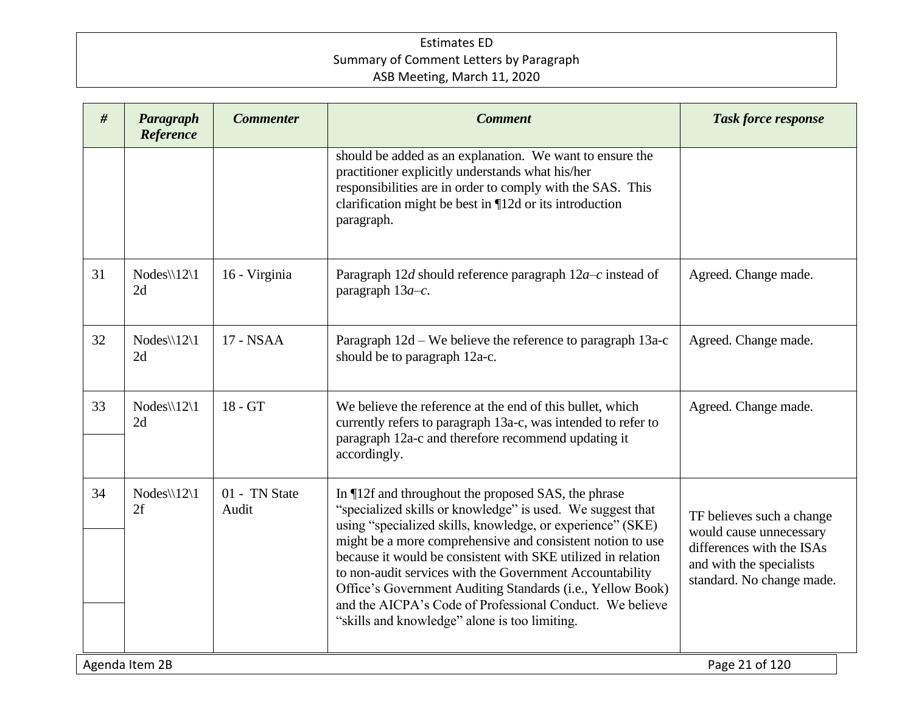| #  | Paragraph<br>Reference                 | <b>Commenter</b>       | <b>Comment</b>                                                                                                                                                                                                                                                                                                                                                                                                                                                                                                                                       | <b>Task force response</b>                                                                                                                 |  |
|----|----------------------------------------|------------------------|------------------------------------------------------------------------------------------------------------------------------------------------------------------------------------------------------------------------------------------------------------------------------------------------------------------------------------------------------------------------------------------------------------------------------------------------------------------------------------------------------------------------------------------------------|--------------------------------------------------------------------------------------------------------------------------------------------|--|
|    |                                        |                        | should be added as an explanation. We want to ensure the<br>practitioner explicitly understands what his/her<br>responsibilities are in order to comply with the SAS. This<br>clarification might be best in $\P$ 12d or its introduction<br>paragraph.                                                                                                                                                                                                                                                                                              |                                                                                                                                            |  |
| 31 | $Nodes \setminus 12 \setminus 1$<br>2d | 16 - Virginia          | Paragraph 12d should reference paragraph $12a-c$ instead of<br>paragraph $13a-c$ .                                                                                                                                                                                                                                                                                                                                                                                                                                                                   | Agreed. Change made.                                                                                                                       |  |
| 32 | $Nodes \setminus 12 \setminus 1$<br>2d | 17 - NSAA              | Paragraph 12d – We believe the reference to paragraph 13a-c<br>should be to paragraph 12a-c.                                                                                                                                                                                                                                                                                                                                                                                                                                                         | Agreed. Change made.                                                                                                                       |  |
| 33 | $Nodes \setminus 12 \setminus 1$<br>2d | 18 - GT                | We believe the reference at the end of this bullet, which<br>currently refers to paragraph 13a-c, was intended to refer to<br>paragraph 12a-c and therefore recommend updating it<br>accordingly.                                                                                                                                                                                                                                                                                                                                                    | Agreed. Change made.                                                                                                                       |  |
| 34 | $Nodes \12 \1$<br>2f                   | 01 - TN State<br>Audit | In ¶12f and throughout the proposed SAS, the phrase<br>"specialized skills or knowledge" is used. We suggest that<br>using "specialized skills, knowledge, or experience" (SKE)<br>might be a more comprehensive and consistent notion to use<br>because it would be consistent with SKE utilized in relation<br>to non-audit services with the Government Accountability<br>Office's Government Auditing Standards (i.e., Yellow Book)<br>and the AICPA's Code of Professional Conduct. We believe<br>"skills and knowledge" alone is too limiting. | TF believes such a change<br>would cause unnecessary<br>differences with the ISAs<br>and with the specialists<br>standard. No change made. |  |
|    | Agenda Item 2B                         |                        |                                                                                                                                                                                                                                                                                                                                                                                                                                                                                                                                                      | Page 21 of 120                                                                                                                             |  |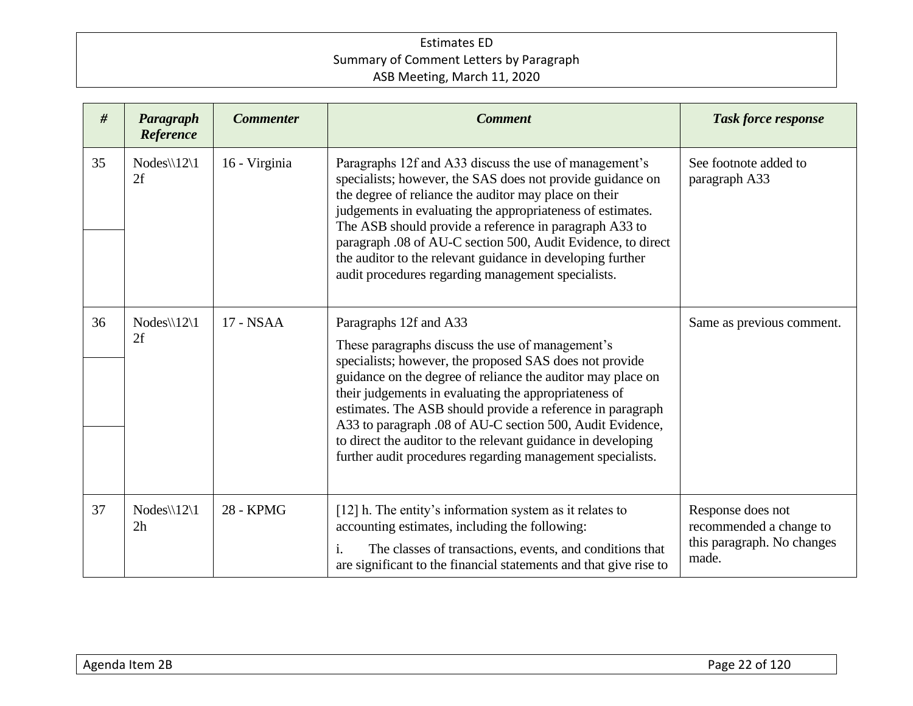| #  | Paragraph<br>Reference                 | <b>Commenter</b> | <b>Comment</b>                                                                                                                                                                                                                                                                                                                                                                                                                                                                                                         | <b>Task force response</b>                                                          |
|----|----------------------------------------|------------------|------------------------------------------------------------------------------------------------------------------------------------------------------------------------------------------------------------------------------------------------------------------------------------------------------------------------------------------------------------------------------------------------------------------------------------------------------------------------------------------------------------------------|-------------------------------------------------------------------------------------|
| 35 | Nodes\\12\1<br>2f                      | 16 - Virginia    | Paragraphs 12f and A33 discuss the use of management's<br>specialists; however, the SAS does not provide guidance on<br>the degree of reliance the auditor may place on their<br>judgements in evaluating the appropriateness of estimates.<br>The ASB should provide a reference in paragraph A33 to<br>paragraph .08 of AU-C section 500, Audit Evidence, to direct<br>the auditor to the relevant guidance in developing further<br>audit procedures regarding management specialists.                              | See footnote added to<br>paragraph A33                                              |
| 36 | $Nodes \setminus 12 \setminus 1$<br>2f | 17 - NSAA        | Paragraphs 12f and A33<br>These paragraphs discuss the use of management's<br>specialists; however, the proposed SAS does not provide<br>guidance on the degree of reliance the auditor may place on<br>their judgements in evaluating the appropriateness of<br>estimates. The ASB should provide a reference in paragraph<br>A33 to paragraph .08 of AU-C section 500, Audit Evidence,<br>to direct the auditor to the relevant guidance in developing<br>further audit procedures regarding management specialists. | Same as previous comment.                                                           |
| 37 | $Nodes \setminus 12 \setminus 1$<br>2h | 28 - KPMG        | [12] h. The entity's information system as it relates to<br>accounting estimates, including the following:<br>The classes of transactions, events, and conditions that<br>i.<br>are significant to the financial statements and that give rise to                                                                                                                                                                                                                                                                      | Response does not<br>recommended a change to<br>this paragraph. No changes<br>made. |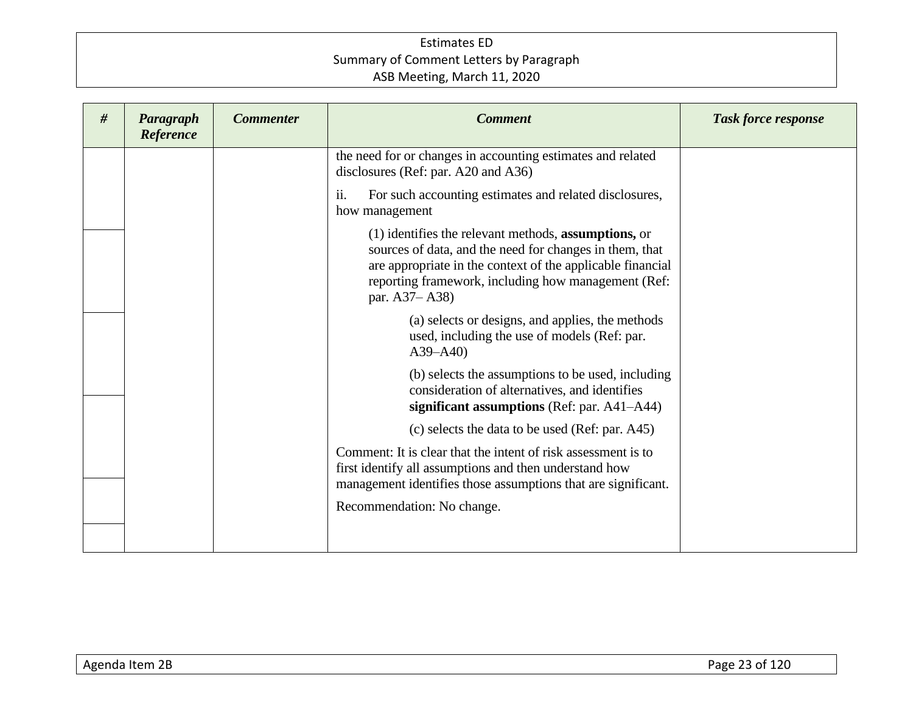| Paragraph<br>Reference | <b>Commenter</b> | <b>Comment</b>                                                                                                                                                                                                                                        | <b>Task force response</b> |
|------------------------|------------------|-------------------------------------------------------------------------------------------------------------------------------------------------------------------------------------------------------------------------------------------------------|----------------------------|
|                        |                  | the need for or changes in accounting estimates and related<br>disclosures (Ref: par. A20 and A36)                                                                                                                                                    |                            |
|                        |                  | ii.<br>For such accounting estimates and related disclosures,<br>how management                                                                                                                                                                       |                            |
|                        |                  | (1) identifies the relevant methods, assumptions, or<br>sources of data, and the need for changes in them, that<br>are appropriate in the context of the applicable financial<br>reporting framework, including how management (Ref:<br>par. A37–A38) |                            |
|                        |                  | (a) selects or designs, and applies, the methods<br>used, including the use of models (Ref: par.<br>$A39 - A40$                                                                                                                                       |                            |
|                        |                  | (b) selects the assumptions to be used, including<br>consideration of alternatives, and identifies<br>significant assumptions (Ref: par. A41-A44)                                                                                                     |                            |
|                        |                  | (c) selects the data to be used (Ref: par. A45)                                                                                                                                                                                                       |                            |
|                        |                  | Comment: It is clear that the intent of risk assessment is to<br>first identify all assumptions and then understand how<br>management identifies those assumptions that are significant.                                                              |                            |
|                        |                  | Recommendation: No change.                                                                                                                                                                                                                            |                            |
|                        |                  |                                                                                                                                                                                                                                                       |                            |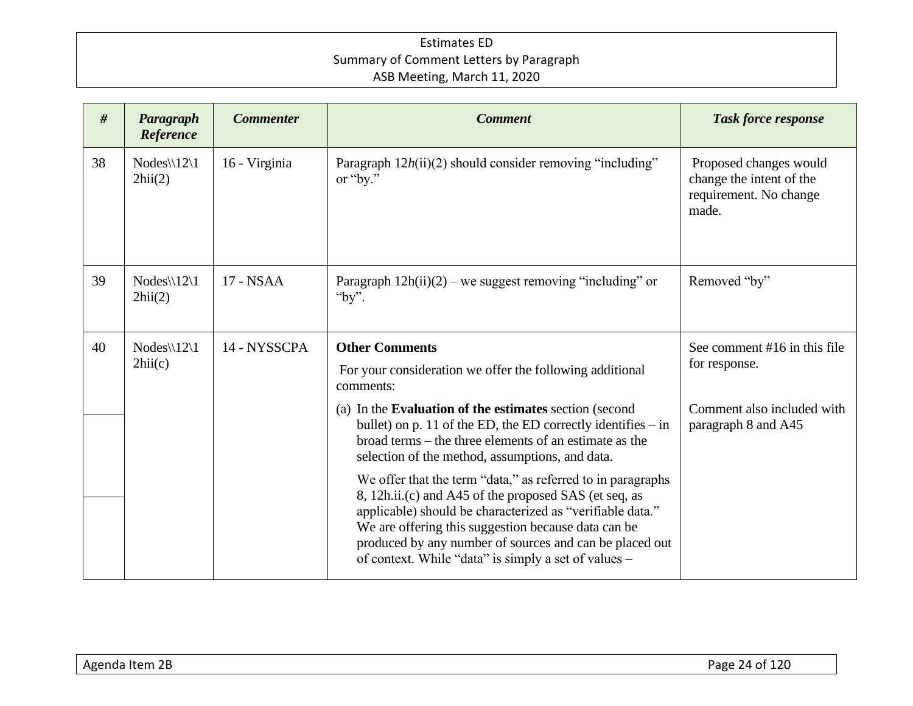| #  | Paragraph<br>Reference                           | <b>Commenter</b>      | <b>Comment</b>                                                                                                                                                                                                                                                                                                                                              | <b>Task force response</b>                                                            |
|----|--------------------------------------------------|-----------------------|-------------------------------------------------------------------------------------------------------------------------------------------------------------------------------------------------------------------------------------------------------------------------------------------------------------------------------------------------------------|---------------------------------------------------------------------------------------|
| 38 | $Nodes \setminus 12 \setminus 1$<br>2hii(2)      | 16 - Virginia         | Paragraph $12h(ii)(2)$ should consider removing "including"<br>or "by."                                                                                                                                                                                                                                                                                     | Proposed changes would<br>change the intent of the<br>requirement. No change<br>made. |
| 39 | $Nodes \setminus 12 \setminus 1$<br>2hii(2)      | 17 - NSAA             | Paragraph $12h(ii)(2)$ – we suggest removing "including" or<br>"by".                                                                                                                                                                                                                                                                                        | Removed "by"                                                                          |
| 40 | 14 - NYSSCPA<br>$Nodes \setminus 12 \setminus 1$ | <b>Other Comments</b> | See comment #16 in this file                                                                                                                                                                                                                                                                                                                                |                                                                                       |
|    | 2hii(c)                                          |                       | For your consideration we offer the following additional<br>comments:                                                                                                                                                                                                                                                                                       | for response.                                                                         |
|    |                                                  |                       | (a) In the Evaluation of the estimates section (second<br>bullet) on p. 11 of the ED, the ED correctly identifies $-$ in<br>broad terms – the three elements of an estimate as the<br>selection of the method, assumptions, and data.                                                                                                                       | Comment also included with<br>paragraph 8 and A45                                     |
|    |                                                  |                       | We offer that the term "data," as referred to in paragraphs<br>8, 12h.ii.(c) and A45 of the proposed SAS (et seq, as<br>applicable) should be characterized as "verifiable data."<br>We are offering this suggestion because data can be<br>produced by any number of sources and can be placed out<br>of context. While "data" is simply a set of values - |                                                                                       |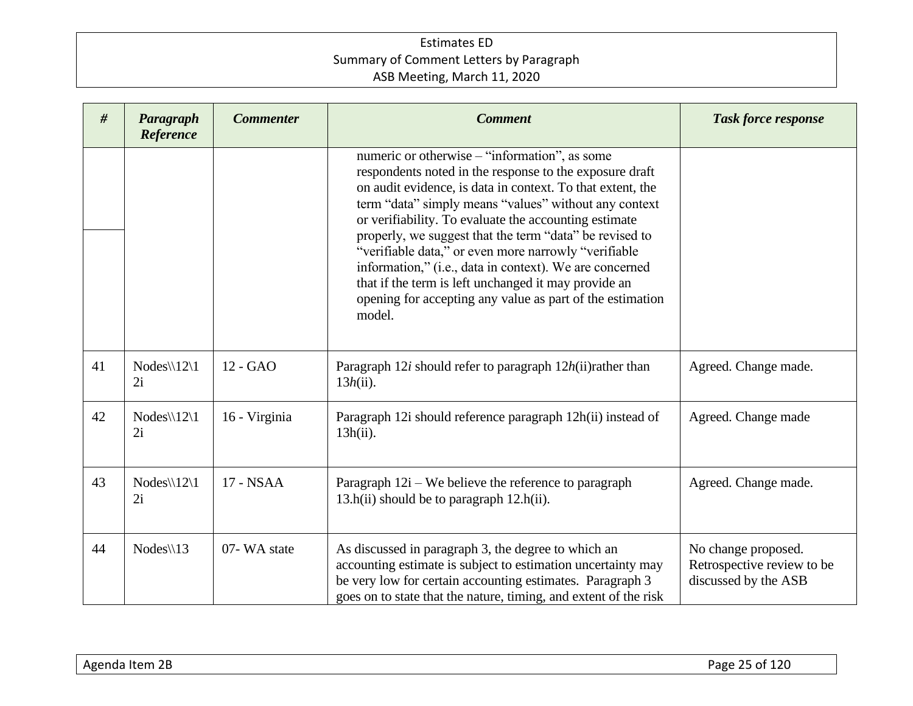| #  | Paragraph<br>Reference                 | <b>Commenter</b> | <b>Comment</b>                                                                                                                                                                                                                                                                                                                                                                                                                                                                                                                                                                                        | <b>Task force response</b>                                                |
|----|----------------------------------------|------------------|-------------------------------------------------------------------------------------------------------------------------------------------------------------------------------------------------------------------------------------------------------------------------------------------------------------------------------------------------------------------------------------------------------------------------------------------------------------------------------------------------------------------------------------------------------------------------------------------------------|---------------------------------------------------------------------------|
|    |                                        |                  | numeric or otherwise – "information", as some<br>respondents noted in the response to the exposure draft<br>on audit evidence, is data in context. To that extent, the<br>term "data" simply means "values" without any context<br>or verifiability. To evaluate the accounting estimate<br>properly, we suggest that the term "data" be revised to<br>"verifiable data," or even more narrowly "verifiable<br>information," (i.e., data in context). We are concerned<br>that if the term is left unchanged it may provide an<br>opening for accepting any value as part of the estimation<br>model. |                                                                           |
| 41 | $Nodes \setminus 12 \setminus 1$<br>2i | 12 - GAO         | Paragraph 12i should refer to paragraph 12h(ii)rather than<br>$13h(ii)$ .                                                                                                                                                                                                                                                                                                                                                                                                                                                                                                                             | Agreed. Change made.                                                      |
| 42 | $Nodes \setminus 12 \setminus 1$<br>2i | 16 - Virginia    | Paragraph 12i should reference paragraph 12h(ii) instead of<br>$13h(ii)$ .                                                                                                                                                                                                                                                                                                                                                                                                                                                                                                                            | Agreed. Change made                                                       |
| 43 | $Nodes \setminus 12 \setminus 1$<br>2i | 17 - NSAA        | Paragraph $12i$ – We believe the reference to paragraph<br>$13.h(ii)$ should be to paragraph $12.h(ii)$ .                                                                                                                                                                                                                                                                                                                                                                                                                                                                                             | Agreed. Change made.                                                      |
| 44 | $Nodes \setminus 13$                   | 07-WA state      | As discussed in paragraph 3, the degree to which an<br>accounting estimate is subject to estimation uncertainty may<br>be very low for certain accounting estimates. Paragraph 3<br>goes on to state that the nature, timing, and extent of the risk                                                                                                                                                                                                                                                                                                                                                  | No change proposed.<br>Retrospective review to be<br>discussed by the ASB |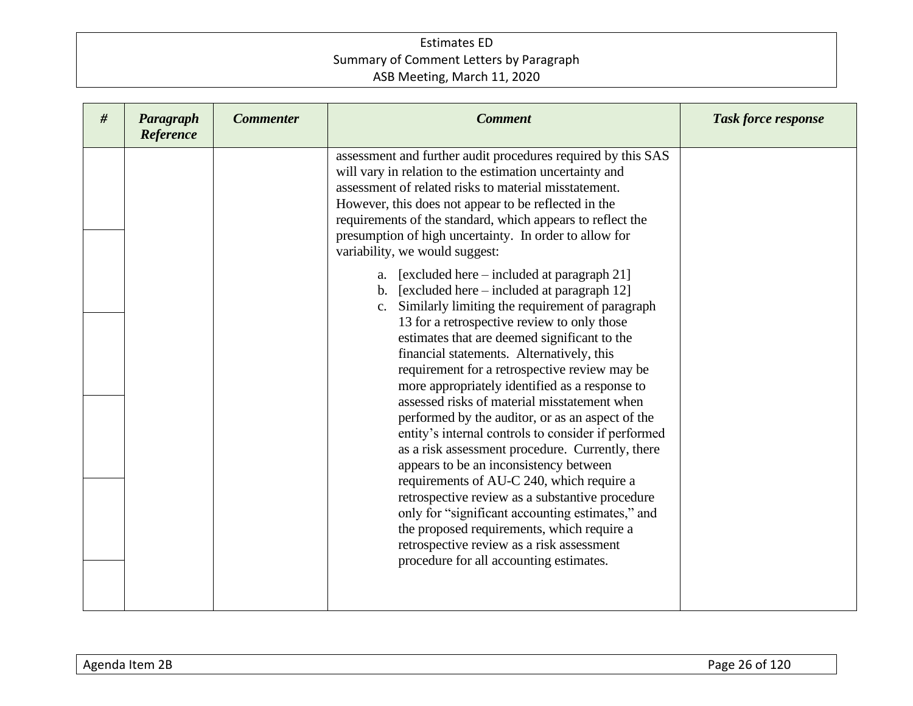| # | Paragraph<br>Reference | <b>Commenter</b> | <b>Comment</b>                                                                                                                                                                                                                                                                                                                                                                                                                                                                                           | <b>Task force response</b> |
|---|------------------------|------------------|----------------------------------------------------------------------------------------------------------------------------------------------------------------------------------------------------------------------------------------------------------------------------------------------------------------------------------------------------------------------------------------------------------------------------------------------------------------------------------------------------------|----------------------------|
|   |                        |                  | assessment and further audit procedures required by this SAS<br>will vary in relation to the estimation uncertainty and<br>assessment of related risks to material misstatement.<br>However, this does not appear to be reflected in the<br>requirements of the standard, which appears to reflect the<br>presumption of high uncertainty. In order to allow for<br>variability, we would suggest:                                                                                                       |                            |
|   |                        |                  | a. [excluded here $-$ included at paragraph 21]<br>b. [excluded here $-$ included at paragraph 12]<br>Similarly limiting the requirement of paragraph<br>13 for a retrospective review to only those<br>estimates that are deemed significant to the<br>financial statements. Alternatively, this<br>requirement for a retrospective review may be<br>more appropriately identified as a response to<br>assessed risks of material misstatement when<br>performed by the auditor, or as an aspect of the |                            |
|   |                        |                  | entity's internal controls to consider if performed<br>as a risk assessment procedure. Currently, there<br>appears to be an inconsistency between<br>requirements of AU-C 240, which require a<br>retrospective review as a substantive procedure<br>only for "significant accounting estimates," and<br>the proposed requirements, which require a<br>retrospective review as a risk assessment<br>procedure for all accounting estimates.                                                              |                            |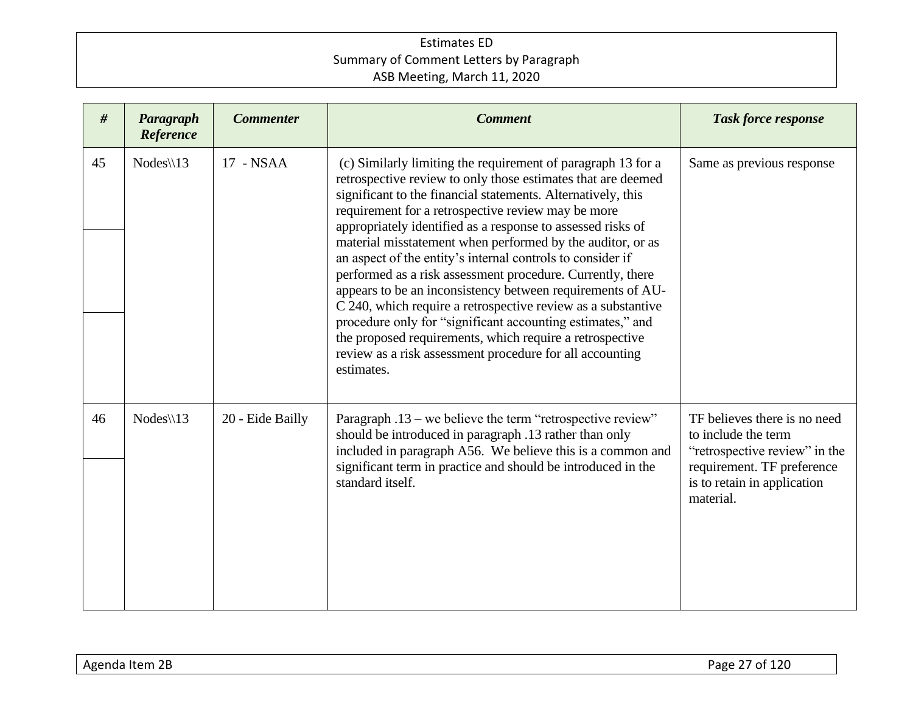| #  | Paragraph<br>Reference | <b>Commenter</b> | <b>Comment</b>                                                                                                                                                                                                                                                                                                                                                                                                                                                                                                                                                                                                                                                                                                                                                                                                                                | <b>Task force response</b>                                                                                                                                     |
|----|------------------------|------------------|-----------------------------------------------------------------------------------------------------------------------------------------------------------------------------------------------------------------------------------------------------------------------------------------------------------------------------------------------------------------------------------------------------------------------------------------------------------------------------------------------------------------------------------------------------------------------------------------------------------------------------------------------------------------------------------------------------------------------------------------------------------------------------------------------------------------------------------------------|----------------------------------------------------------------------------------------------------------------------------------------------------------------|
| 45 | $Nodes \setminus 13$   | 17 - NSAA        | (c) Similarly limiting the requirement of paragraph 13 for a<br>retrospective review to only those estimates that are deemed<br>significant to the financial statements. Alternatively, this<br>requirement for a retrospective review may be more<br>appropriately identified as a response to assessed risks of<br>material misstatement when performed by the auditor, or as<br>an aspect of the entity's internal controls to consider if<br>performed as a risk assessment procedure. Currently, there<br>appears to be an inconsistency between requirements of AU-<br>C 240, which require a retrospective review as a substantive<br>procedure only for "significant accounting estimates," and<br>the proposed requirements, which require a retrospective<br>review as a risk assessment procedure for all accounting<br>estimates. | Same as previous response                                                                                                                                      |
| 46 | $Nodes \setminus 13$   | 20 - Eide Bailly | Paragraph .13 – we believe the term "retrospective review"<br>should be introduced in paragraph .13 rather than only<br>included in paragraph A56. We believe this is a common and<br>significant term in practice and should be introduced in the<br>standard itself.                                                                                                                                                                                                                                                                                                                                                                                                                                                                                                                                                                        | TF believes there is no need<br>to include the term<br>"retrospective review" in the<br>requirement. TF preference<br>is to retain in application<br>material. |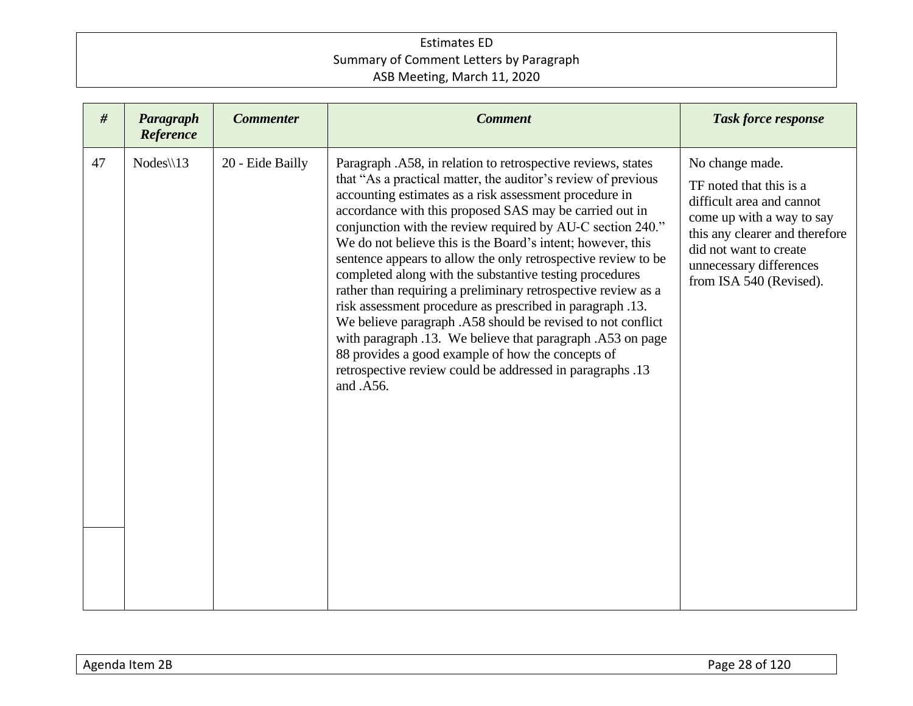| #  | Paragraph<br>Reference | <b>Commenter</b> | <b>Comment</b>                                                                                                                                                                                                                                                                                                                                                                                                                                                                                                                                                                                                                                                                                                                                                                                                                                                                                        | <b>Task force response</b>                                                                                                                                                                                             |
|----|------------------------|------------------|-------------------------------------------------------------------------------------------------------------------------------------------------------------------------------------------------------------------------------------------------------------------------------------------------------------------------------------------------------------------------------------------------------------------------------------------------------------------------------------------------------------------------------------------------------------------------------------------------------------------------------------------------------------------------------------------------------------------------------------------------------------------------------------------------------------------------------------------------------------------------------------------------------|------------------------------------------------------------------------------------------------------------------------------------------------------------------------------------------------------------------------|
| 47 | $Nodes \setminus 13$   | 20 - Eide Bailly | Paragraph .A58, in relation to retrospective reviews, states<br>that "As a practical matter, the auditor's review of previous<br>accounting estimates as a risk assessment procedure in<br>accordance with this proposed SAS may be carried out in<br>conjunction with the review required by AU-C section 240."<br>We do not believe this is the Board's intent; however, this<br>sentence appears to allow the only retrospective review to be<br>completed along with the substantive testing procedures<br>rather than requiring a preliminary retrospective review as a<br>risk assessment procedure as prescribed in paragraph .13.<br>We believe paragraph .A58 should be revised to not conflict<br>with paragraph .13. We believe that paragraph .A53 on page<br>88 provides a good example of how the concepts of<br>retrospective review could be addressed in paragraphs .13<br>and .A56. | No change made.<br>TF noted that this is a<br>difficult area and cannot<br>come up with a way to say<br>this any clearer and therefore<br>did not want to create<br>unnecessary differences<br>from ISA 540 (Revised). |
|    |                        |                  |                                                                                                                                                                                                                                                                                                                                                                                                                                                                                                                                                                                                                                                                                                                                                                                                                                                                                                       |                                                                                                                                                                                                                        |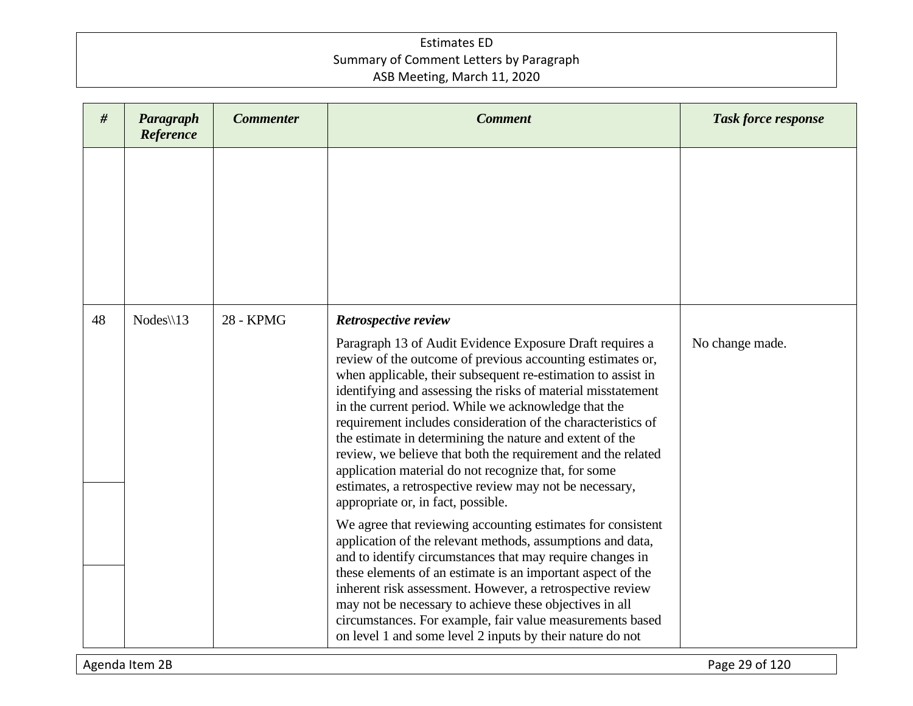| #  | Paragraph<br>Reference | <b>Commenter</b> | <b>Comment</b>                                                                                                                                                                                                                                                                                                                                                                                                                                                                                                                                                                                                                                                                              | <b>Task force response</b> |
|----|------------------------|------------------|---------------------------------------------------------------------------------------------------------------------------------------------------------------------------------------------------------------------------------------------------------------------------------------------------------------------------------------------------------------------------------------------------------------------------------------------------------------------------------------------------------------------------------------------------------------------------------------------------------------------------------------------------------------------------------------------|----------------------------|
|    |                        |                  |                                                                                                                                                                                                                                                                                                                                                                                                                                                                                                                                                                                                                                                                                             |                            |
| 48 | $Nodes \$ 13           | 28 - KPMG        | Retrospective review<br>Paragraph 13 of Audit Evidence Exposure Draft requires a<br>review of the outcome of previous accounting estimates or,<br>when applicable, their subsequent re-estimation to assist in<br>identifying and assessing the risks of material misstatement<br>in the current period. While we acknowledge that the<br>requirement includes consideration of the characteristics of<br>the estimate in determining the nature and extent of the<br>review, we believe that both the requirement and the related<br>application material do not recognize that, for some<br>estimates, a retrospective review may not be necessary,<br>appropriate or, in fact, possible. | No change made.            |
|    |                        |                  | We agree that reviewing accounting estimates for consistent<br>application of the relevant methods, assumptions and data,<br>and to identify circumstances that may require changes in<br>these elements of an estimate is an important aspect of the<br>inherent risk assessment. However, a retrospective review<br>may not be necessary to achieve these objectives in all<br>circumstances. For example, fair value measurements based<br>on level 1 and some level 2 inputs by their nature do not                                                                                                                                                                                     |                            |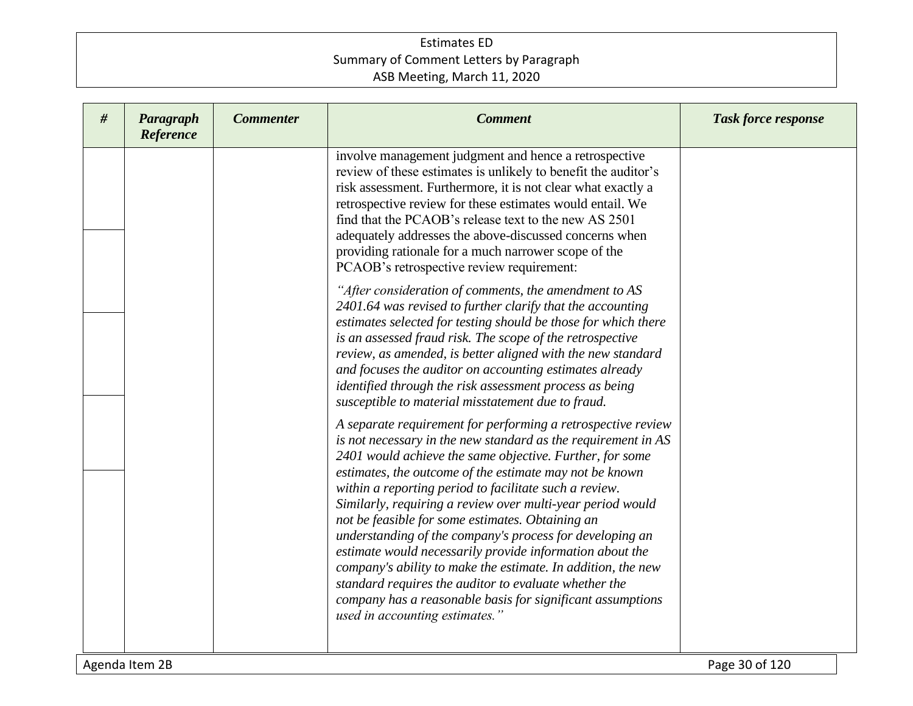| # | Paragraph<br>Reference | <b>Commenter</b> | <b>Comment</b>                                                                                                                                                                                                                                                                                                                                                                                                                                                                                                                                                                                                                                                                                                                                                                    | <b>Task force response</b> |
|---|------------------------|------------------|-----------------------------------------------------------------------------------------------------------------------------------------------------------------------------------------------------------------------------------------------------------------------------------------------------------------------------------------------------------------------------------------------------------------------------------------------------------------------------------------------------------------------------------------------------------------------------------------------------------------------------------------------------------------------------------------------------------------------------------------------------------------------------------|----------------------------|
|   |                        |                  | involve management judgment and hence a retrospective<br>review of these estimates is unlikely to benefit the auditor's<br>risk assessment. Furthermore, it is not clear what exactly a<br>retrospective review for these estimates would entail. We<br>find that the PCAOB's release text to the new AS 2501<br>adequately addresses the above-discussed concerns when<br>providing rationale for a much narrower scope of the<br>PCAOB's retrospective review requirement:                                                                                                                                                                                                                                                                                                      |                            |
|   |                        |                  | "After consideration of comments, the amendment to AS<br>2401.64 was revised to further clarify that the accounting<br>estimates selected for testing should be those for which there<br>is an assessed fraud risk. The scope of the retrospective<br>review, as amended, is better aligned with the new standard<br>and focuses the auditor on accounting estimates already<br>identified through the risk assessment process as being<br>susceptible to material misstatement due to fraud.                                                                                                                                                                                                                                                                                     |                            |
|   |                        |                  | A separate requirement for performing a retrospective review<br>is not necessary in the new standard as the requirement in AS<br>2401 would achieve the same objective. Further, for some<br>estimates, the outcome of the estimate may not be known<br>within a reporting period to facilitate such a review.<br>Similarly, requiring a review over multi-year period would<br>not be feasible for some estimates. Obtaining an<br>understanding of the company's process for developing an<br>estimate would necessarily provide information about the<br>company's ability to make the estimate. In addition, the new<br>standard requires the auditor to evaluate whether the<br>company has a reasonable basis for significant assumptions<br>used in accounting estimates." |                            |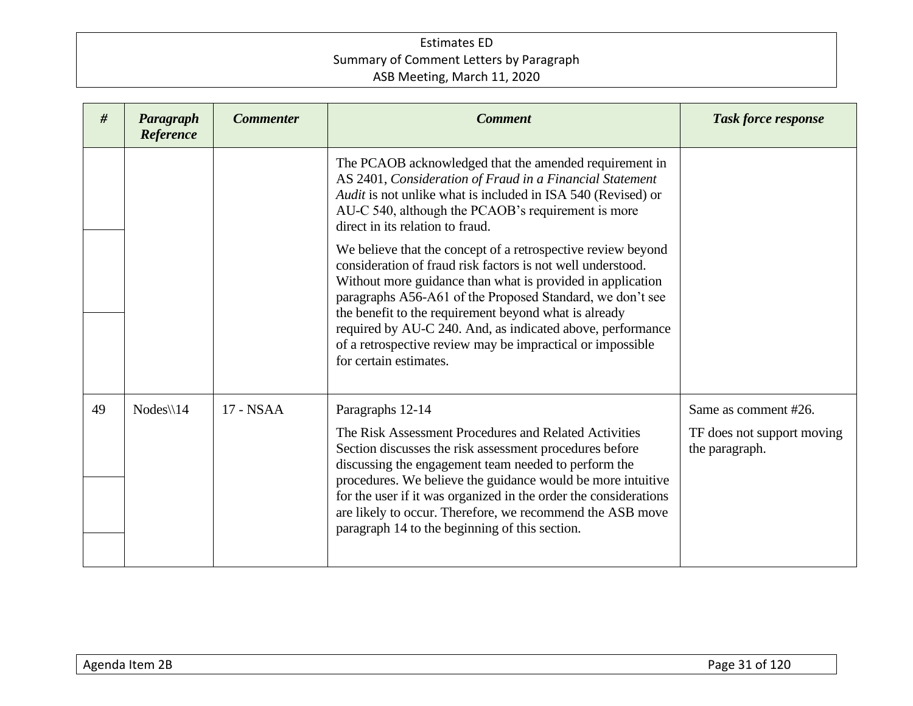| #  | Paragraph<br>Reference | <b>Commenter</b> | <b>Comment</b>                                                                                                                                                                                                                                                                                                                                                                                                                                                        | <b>Task force response</b>                                           |
|----|------------------------|------------------|-----------------------------------------------------------------------------------------------------------------------------------------------------------------------------------------------------------------------------------------------------------------------------------------------------------------------------------------------------------------------------------------------------------------------------------------------------------------------|----------------------------------------------------------------------|
|    |                        |                  | The PCAOB acknowledged that the amended requirement in<br>AS 2401, Consideration of Fraud in a Financial Statement<br>Audit is not unlike what is included in ISA 540 (Revised) or<br>AU-C 540, although the PCAOB's requirement is more<br>direct in its relation to fraud.                                                                                                                                                                                          |                                                                      |
|    |                        |                  | We believe that the concept of a retrospective review beyond<br>consideration of fraud risk factors is not well understood.<br>Without more guidance than what is provided in application<br>paragraphs A56-A61 of the Proposed Standard, we don't see<br>the benefit to the requirement beyond what is already<br>required by AU-C 240. And, as indicated above, performance<br>of a retrospective review may be impractical or impossible<br>for certain estimates. |                                                                      |
| 49 | $Nodes \setminus 14$   | 17 - NSAA        | Paragraphs 12-14<br>The Risk Assessment Procedures and Related Activities<br>Section discusses the risk assessment procedures before<br>discussing the engagement team needed to perform the<br>procedures. We believe the guidance would be more intuitive<br>for the user if it was organized in the order the considerations<br>are likely to occur. Therefore, we recommend the ASB move<br>paragraph 14 to the beginning of this section.                        | Same as comment #26.<br>TF does not support moving<br>the paragraph. |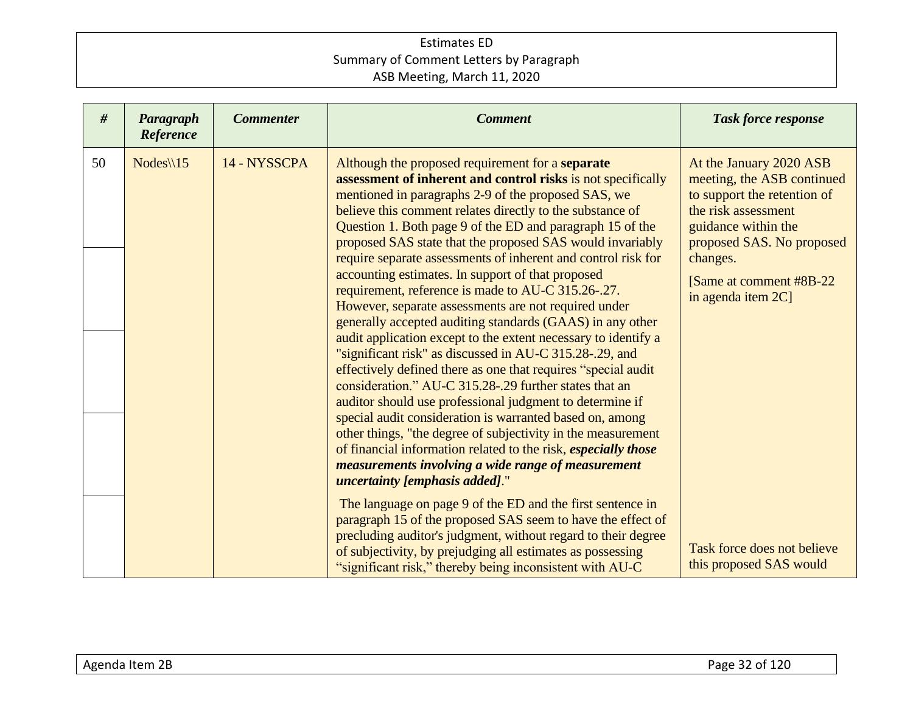| #  | Paragraph<br>Reference | <b>Commenter</b> | <b>Comment</b>                                                                                                                                                                                                                                                                                                                                                                                                                                                                                                                                                                                                                                                                                                                                                                                                                                                                                                                                                                                                                                                                                                                                                                                                                                                                     | <b>Task force response</b>                                                                                                                                                                                                    |
|----|------------------------|------------------|------------------------------------------------------------------------------------------------------------------------------------------------------------------------------------------------------------------------------------------------------------------------------------------------------------------------------------------------------------------------------------------------------------------------------------------------------------------------------------------------------------------------------------------------------------------------------------------------------------------------------------------------------------------------------------------------------------------------------------------------------------------------------------------------------------------------------------------------------------------------------------------------------------------------------------------------------------------------------------------------------------------------------------------------------------------------------------------------------------------------------------------------------------------------------------------------------------------------------------------------------------------------------------|-------------------------------------------------------------------------------------------------------------------------------------------------------------------------------------------------------------------------------|
| 50 | $Nodes \setminus 15$   | 14 - NYSSCPA     | Although the proposed requirement for a separate<br>assessment of inherent and control risks is not specifically<br>mentioned in paragraphs 2-9 of the proposed SAS, we<br>believe this comment relates directly to the substance of<br>Question 1. Both page 9 of the ED and paragraph 15 of the<br>proposed SAS state that the proposed SAS would invariably<br>require separate assessments of inherent and control risk for<br>accounting estimates. In support of that proposed<br>requirement, reference is made to AU-C 315.26-.27.<br>However, separate assessments are not required under<br>generally accepted auditing standards (GAAS) in any other<br>audit application except to the extent necessary to identify a<br>"significant risk" as discussed in AU-C 315.28-.29, and<br>effectively defined there as one that requires "special audit"<br>consideration." AU-C 315.28-.29 further states that an<br>auditor should use professional judgment to determine if<br>special audit consideration is warranted based on, among<br>other things, "the degree of subjectivity in the measurement<br>of financial information related to the risk, especially those<br>measurements involving a wide range of measurement<br><i>uncertainty [emphasis added].</i> " | At the January 2020 ASB<br>meeting, the ASB continued<br>to support the retention of<br>the risk assessment<br>guidance within the<br>proposed SAS. No proposed<br>changes.<br>[Same at comment #8B-22]<br>in agenda item 2C] |
|    |                        |                  | The language on page 9 of the ED and the first sentence in<br>paragraph 15 of the proposed SAS seem to have the effect of<br>precluding auditor's judgment, without regard to their degree<br>of subjectivity, by prejudging all estimates as possessing<br>"significant risk," thereby being inconsistent with AU-C                                                                                                                                                                                                                                                                                                                                                                                                                                                                                                                                                                                                                                                                                                                                                                                                                                                                                                                                                               | Task force does not believe<br>this proposed SAS would                                                                                                                                                                        |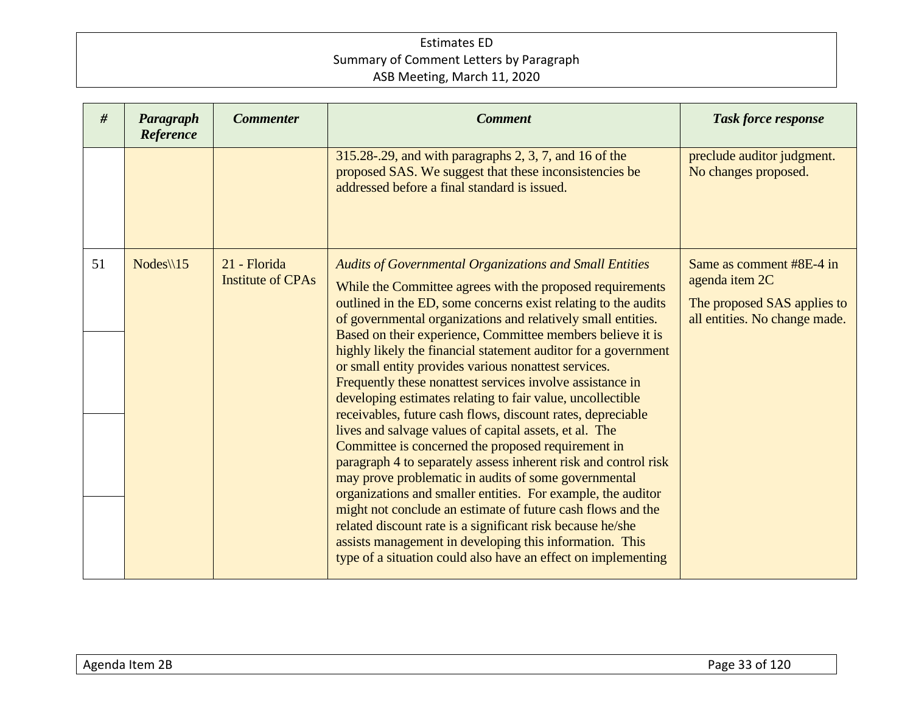| #  | Paragraph<br>Reference | <b>Commenter</b>                         | <b>Comment</b>                                                                                                                                                                                                                                                                                                                                                                                                                                                                                                                                                                                                                                                                                                                                                                                                                                                                                                                                                                                                                                                                                                                                                                                                      | <b>Task force response</b>                                                                                 |
|----|------------------------|------------------------------------------|---------------------------------------------------------------------------------------------------------------------------------------------------------------------------------------------------------------------------------------------------------------------------------------------------------------------------------------------------------------------------------------------------------------------------------------------------------------------------------------------------------------------------------------------------------------------------------------------------------------------------------------------------------------------------------------------------------------------------------------------------------------------------------------------------------------------------------------------------------------------------------------------------------------------------------------------------------------------------------------------------------------------------------------------------------------------------------------------------------------------------------------------------------------------------------------------------------------------|------------------------------------------------------------------------------------------------------------|
|    |                        |                                          | 315.28-.29, and with paragraphs 2, 3, 7, and 16 of the<br>proposed SAS. We suggest that these inconsistencies be<br>addressed before a final standard is issued.                                                                                                                                                                                                                                                                                                                                                                                                                                                                                                                                                                                                                                                                                                                                                                                                                                                                                                                                                                                                                                                    | preclude auditor judgment.<br>No changes proposed.                                                         |
| 51 | Nodes $\sqrt{15}$      | 21 - Florida<br><b>Institute of CPAs</b> | <b>Audits of Governmental Organizations and Small Entities</b><br>While the Committee agrees with the proposed requirements<br>outlined in the ED, some concerns exist relating to the audits<br>of governmental organizations and relatively small entities.<br>Based on their experience, Committee members believe it is<br>highly likely the financial statement auditor for a government<br>or small entity provides various nonattest services.<br>Frequently these nonattest services involve assistance in<br>developing estimates relating to fair value, uncollectible<br>receivables, future cash flows, discount rates, depreciable<br>lives and salvage values of capital assets, et al. The<br>Committee is concerned the proposed requirement in<br>paragraph 4 to separately assess inherent risk and control risk<br>may prove problematic in audits of some governmental<br>organizations and smaller entities. For example, the auditor<br>might not conclude an estimate of future cash flows and the<br>related discount rate is a significant risk because he/she<br>assists management in developing this information. This<br>type of a situation could also have an effect on implementing | Same as comment #8E-4 in<br>agenda item 2C<br>The proposed SAS applies to<br>all entities. No change made. |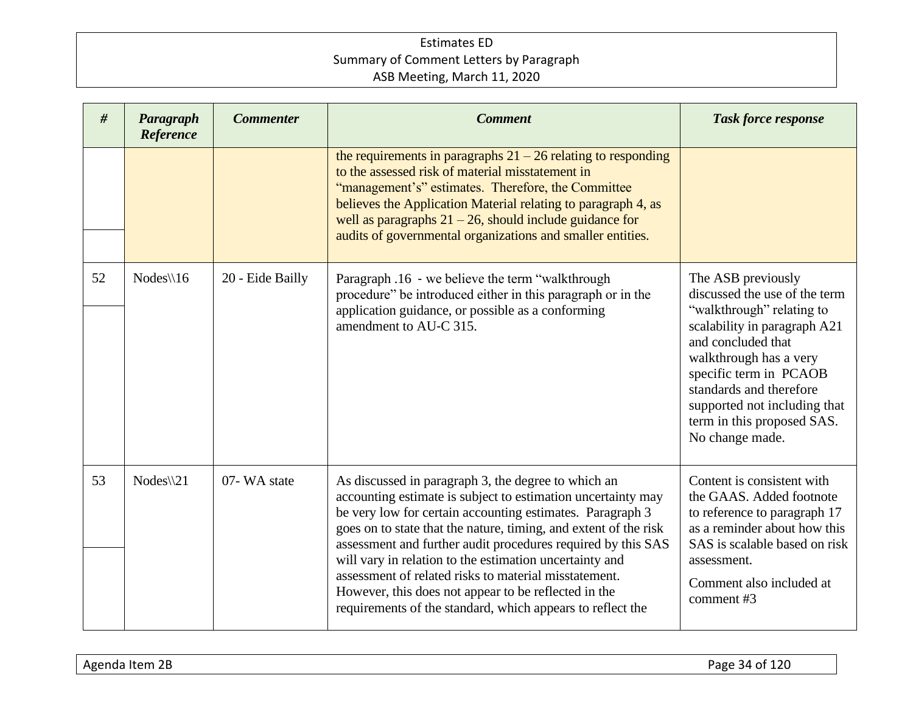| #  | Paragraph<br>Reference | <b>Commenter</b> | <b>Comment</b>                                                                                                                                                                                                                                                                                                                                                                                                                                                                                                                                                 | <b>Task force response</b>                                                                                                                                                                                                                                                                             |
|----|------------------------|------------------|----------------------------------------------------------------------------------------------------------------------------------------------------------------------------------------------------------------------------------------------------------------------------------------------------------------------------------------------------------------------------------------------------------------------------------------------------------------------------------------------------------------------------------------------------------------|--------------------------------------------------------------------------------------------------------------------------------------------------------------------------------------------------------------------------------------------------------------------------------------------------------|
|    |                        |                  | the requirements in paragraphs $21 - 26$ relating to responding<br>to the assessed risk of material misstatement in<br>"management's" estimates. Therefore, the Committee<br>believes the Application Material relating to paragraph 4, as<br>well as paragraphs $21 - 26$ , should include guidance for<br>audits of governmental organizations and smaller entities.                                                                                                                                                                                         |                                                                                                                                                                                                                                                                                                        |
| 52 | $Nodes \setminus 16$   | 20 - Eide Bailly | Paragraph .16 - we believe the term "walkthrough<br>procedure" be introduced either in this paragraph or in the<br>application guidance, or possible as a conforming<br>amendment to AU-C 315.                                                                                                                                                                                                                                                                                                                                                                 | The ASB previously<br>discussed the use of the term<br>"walkthrough" relating to<br>scalability in paragraph A21<br>and concluded that<br>walkthrough has a very<br>specific term in PCAOB<br>standards and therefore<br>supported not including that<br>term in this proposed SAS.<br>No change made. |
| 53 | $Nodes \$ 21           | 07-WA state      | As discussed in paragraph 3, the degree to which an<br>accounting estimate is subject to estimation uncertainty may<br>be very low for certain accounting estimates. Paragraph 3<br>goes on to state that the nature, timing, and extent of the risk<br>assessment and further audit procedures required by this SAS<br>will vary in relation to the estimation uncertainty and<br>assessment of related risks to material misstatement.<br>However, this does not appear to be reflected in the<br>requirements of the standard, which appears to reflect the | Content is consistent with<br>the GAAS. Added footnote<br>to reference to paragraph 17<br>as a reminder about how this<br>SAS is scalable based on risk<br>assessment.<br>Comment also included at<br>comment #3                                                                                       |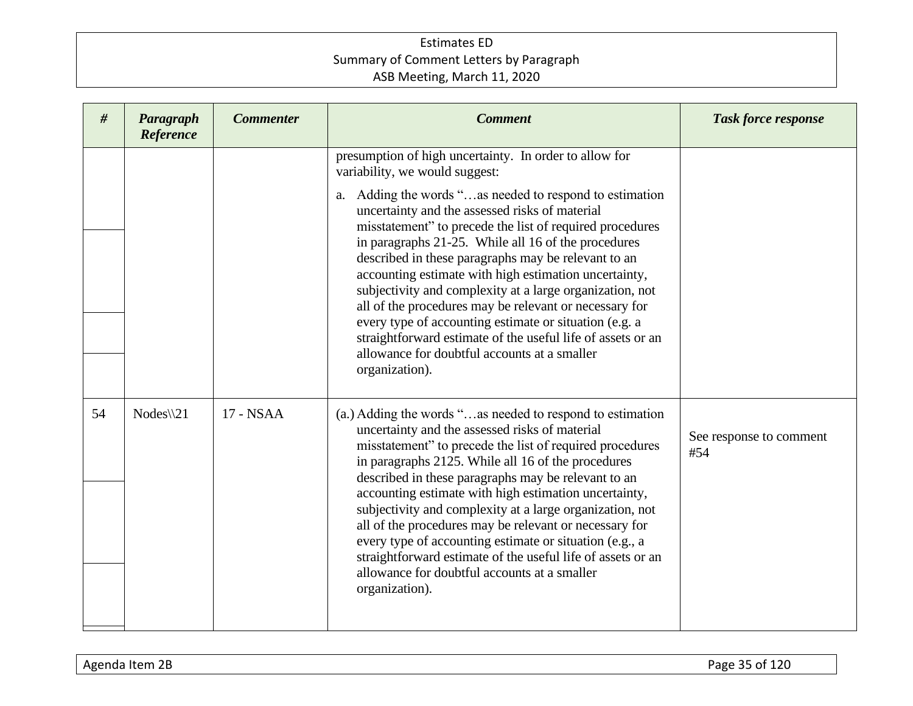| #  | Paragraph<br>Reference | <b>Commenter</b> | <b>Comment</b>                                                                                                                                                                                                                                                                                                                                                                                                                                                                                                                                                                                                                                                                                                                                               | <b>Task force response</b>     |
|----|------------------------|------------------|--------------------------------------------------------------------------------------------------------------------------------------------------------------------------------------------------------------------------------------------------------------------------------------------------------------------------------------------------------------------------------------------------------------------------------------------------------------------------------------------------------------------------------------------------------------------------------------------------------------------------------------------------------------------------------------------------------------------------------------------------------------|--------------------------------|
|    |                        |                  | presumption of high uncertainty. In order to allow for<br>variability, we would suggest:<br>Adding the words "as needed to respond to estimation<br>a.<br>uncertainty and the assessed risks of material<br>misstatement" to precede the list of required procedures<br>in paragraphs 21-25. While all 16 of the procedures<br>described in these paragraphs may be relevant to an<br>accounting estimate with high estimation uncertainty,<br>subjectivity and complexity at a large organization, not<br>all of the procedures may be relevant or necessary for<br>every type of accounting estimate or situation (e.g. a<br>straightforward estimate of the useful life of assets or an<br>allowance for doubtful accounts at a smaller<br>organization). |                                |
| 54 | $Nodes \setminus 21$   | 17 - NSAA        | (a.) Adding the words "as needed to respond to estimation<br>uncertainty and the assessed risks of material<br>misstatement" to precede the list of required procedures<br>in paragraphs 2125. While all 16 of the procedures<br>described in these paragraphs may be relevant to an<br>accounting estimate with high estimation uncertainty,<br>subjectivity and complexity at a large organization, not<br>all of the procedures may be relevant or necessary for<br>every type of accounting estimate or situation (e.g., a<br>straightforward estimate of the useful life of assets or an<br>allowance for doubtful accounts at a smaller<br>organization).                                                                                              | See response to comment<br>#54 |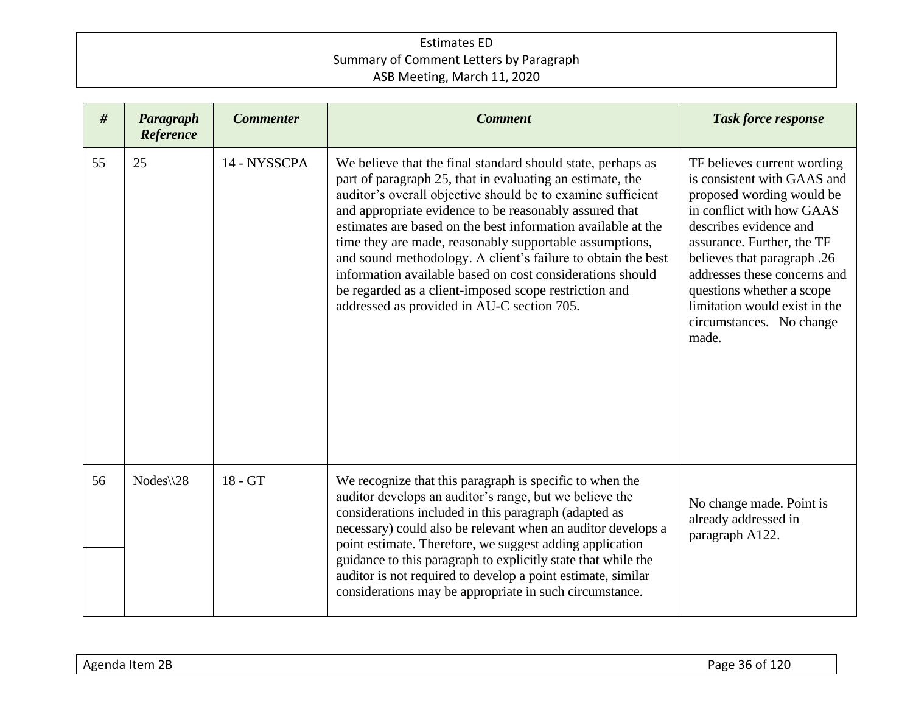| #  | Paragraph<br>Reference | <b>Commenter</b> | <b>Comment</b>                                                                                                                                                                                                                                                                                                                                                                                                                                                                                                                                                                                                   | <b>Task force response</b>                                                                                                                                                                                                                                                                                                                     |
|----|------------------------|------------------|------------------------------------------------------------------------------------------------------------------------------------------------------------------------------------------------------------------------------------------------------------------------------------------------------------------------------------------------------------------------------------------------------------------------------------------------------------------------------------------------------------------------------------------------------------------------------------------------------------------|------------------------------------------------------------------------------------------------------------------------------------------------------------------------------------------------------------------------------------------------------------------------------------------------------------------------------------------------|
| 55 | 25                     | 14 - NYSSCPA     | We believe that the final standard should state, perhaps as<br>part of paragraph 25, that in evaluating an estimate, the<br>auditor's overall objective should be to examine sufficient<br>and appropriate evidence to be reasonably assured that<br>estimates are based on the best information available at the<br>time they are made, reasonably supportable assumptions,<br>and sound methodology. A client's failure to obtain the best<br>information available based on cost considerations should<br>be regarded as a client-imposed scope restriction and<br>addressed as provided in AU-C section 705. | TF believes current wording<br>is consistent with GAAS and<br>proposed wording would be<br>in conflict with how GAAS<br>describes evidence and<br>assurance. Further, the TF<br>believes that paragraph .26<br>addresses these concerns and<br>questions whether a scope<br>limitation would exist in the<br>circumstances. No change<br>made. |
| 56 | $Nodes \& 28$          | 18 - GT          | We recognize that this paragraph is specific to when the<br>auditor develops an auditor's range, but we believe the<br>considerations included in this paragraph (adapted as<br>necessary) could also be relevant when an auditor develops a<br>point estimate. Therefore, we suggest adding application<br>guidance to this paragraph to explicitly state that while the<br>auditor is not required to develop a point estimate, similar<br>considerations may be appropriate in such circumstance.                                                                                                             | No change made. Point is<br>already addressed in<br>paragraph A122.                                                                                                                                                                                                                                                                            |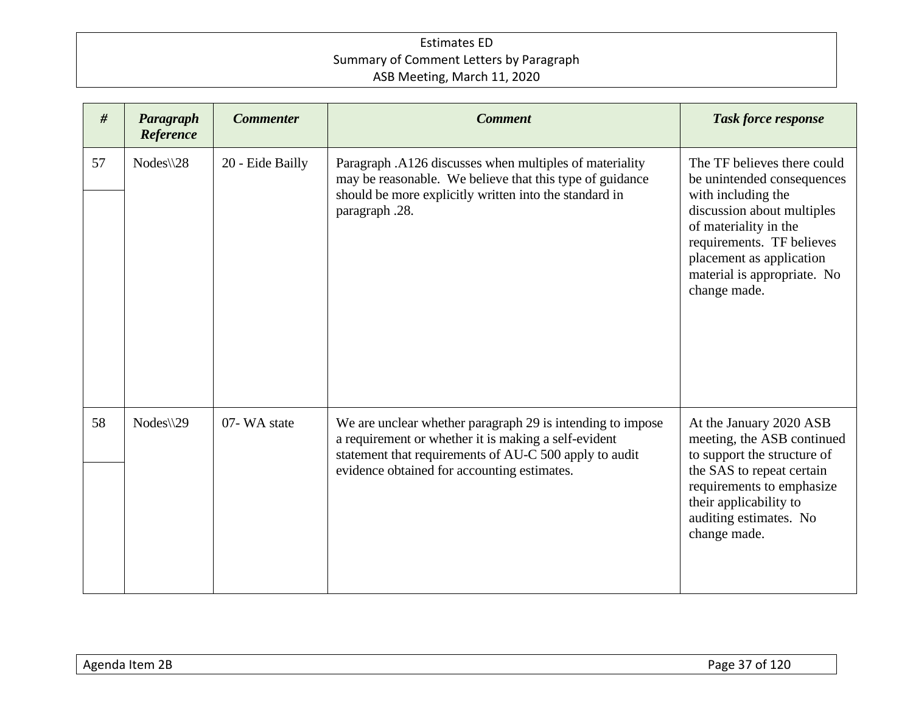| #  | Paragraph<br>Reference | <b>Commenter</b> | <b>Comment</b>                                                                                                                                                                                                              | <b>Task force response</b>                                                                                                                                                                                                                     |
|----|------------------------|------------------|-----------------------------------------------------------------------------------------------------------------------------------------------------------------------------------------------------------------------------|------------------------------------------------------------------------------------------------------------------------------------------------------------------------------------------------------------------------------------------------|
| 57 | $Nodes \& 28$          | 20 - Eide Bailly | Paragraph .A126 discusses when multiples of materiality<br>may be reasonable. We believe that this type of guidance<br>should be more explicitly written into the standard in<br>paragraph .28.                             | The TF believes there could<br>be unintended consequences<br>with including the<br>discussion about multiples<br>of materiality in the<br>requirements. TF believes<br>placement as application<br>material is appropriate. No<br>change made. |
| 58 | $Nodes \$ 29           | 07-WA state      | We are unclear whether paragraph 29 is intending to impose<br>a requirement or whether it is making a self-evident<br>statement that requirements of AU-C 500 apply to audit<br>evidence obtained for accounting estimates. | At the January 2020 ASB<br>meeting, the ASB continued<br>to support the structure of<br>the SAS to repeat certain<br>requirements to emphasize<br>their applicability to<br>auditing estimates. No<br>change made.                             |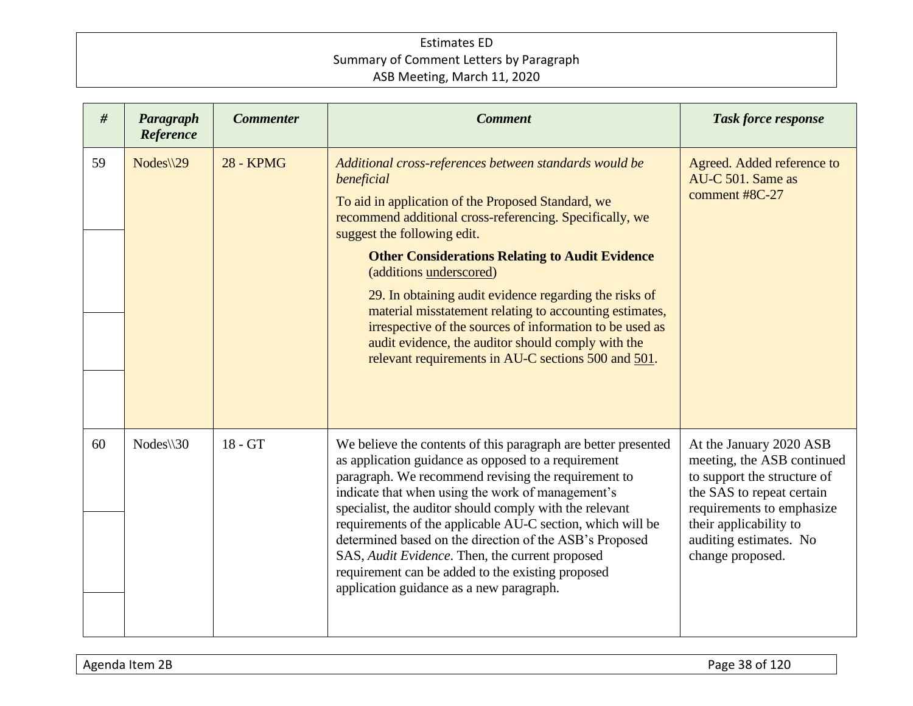| #  | Paragraph<br>Reference | <b>Commenter</b> | <b>Comment</b>                                                                                                                                                                                                                                                                                                                                                                                                                                                                                                                                                                                           | <b>Task force response</b>                                                                                                                                                                                             |
|----|------------------------|------------------|----------------------------------------------------------------------------------------------------------------------------------------------------------------------------------------------------------------------------------------------------------------------------------------------------------------------------------------------------------------------------------------------------------------------------------------------------------------------------------------------------------------------------------------------------------------------------------------------------------|------------------------------------------------------------------------------------------------------------------------------------------------------------------------------------------------------------------------|
| 59 | $Nodes \$ 29           | <b>28 - KPMG</b> | Additional cross-references between standards would be<br>beneficial<br>To aid in application of the Proposed Standard, we<br>recommend additional cross-referencing. Specifically, we<br>suggest the following edit.<br><b>Other Considerations Relating to Audit Evidence</b><br>(additions underscored)<br>29. In obtaining audit evidence regarding the risks of<br>material misstatement relating to accounting estimates,<br>irrespective of the sources of information to be used as<br>audit evidence, the auditor should comply with the<br>relevant requirements in AU-C sections 500 and 501. | Agreed. Added reference to<br>AU-C 501. Same as<br>comment #8C-27                                                                                                                                                      |
| 60 | $Nodes \$ 30           | 18 - GT          | We believe the contents of this paragraph are better presented<br>as application guidance as opposed to a requirement<br>paragraph. We recommend revising the requirement to<br>indicate that when using the work of management's<br>specialist, the auditor should comply with the relevant<br>requirements of the applicable AU-C section, which will be<br>determined based on the direction of the ASB's Proposed<br>SAS, Audit Evidence. Then, the current proposed<br>requirement can be added to the existing proposed<br>application guidance as a new paragraph.                                | At the January 2020 ASB<br>meeting, the ASB continued<br>to support the structure of<br>the SAS to repeat certain<br>requirements to emphasize<br>their applicability to<br>auditing estimates. No<br>change proposed. |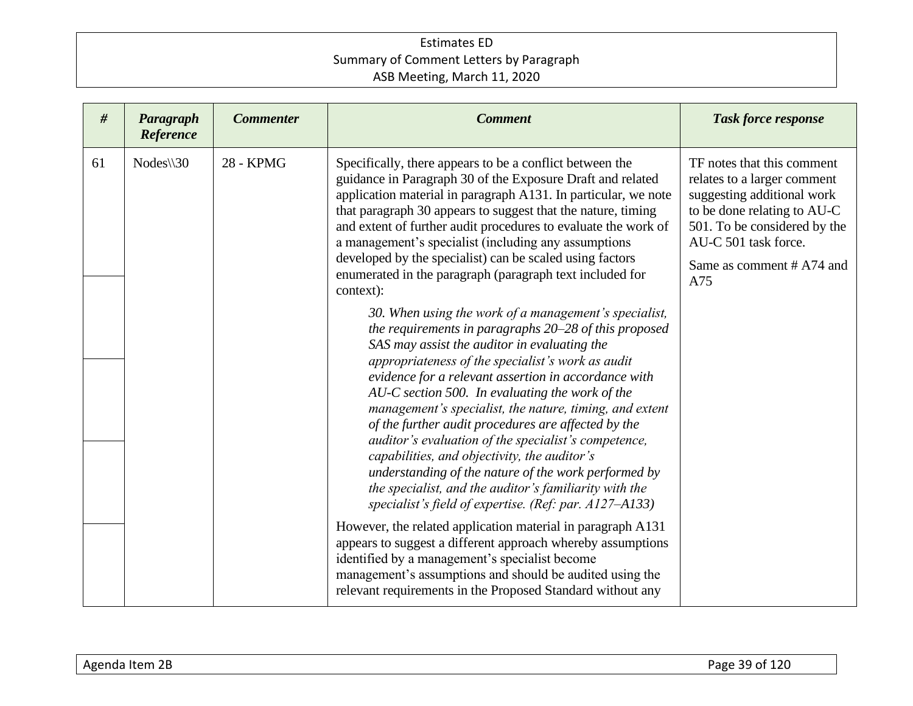| #  | Paragraph<br>Reference | <b>Commenter</b>                                                                                                                                                                                                                                                                                                                                                                                                                                                                                                                     | <b>Comment</b>                                                                                                                                                                                                                                                                                                                                                                                                                                                                                                                                                                                                                                                                                                                         | <b>Task force response</b> |
|----|------------------------|--------------------------------------------------------------------------------------------------------------------------------------------------------------------------------------------------------------------------------------------------------------------------------------------------------------------------------------------------------------------------------------------------------------------------------------------------------------------------------------------------------------------------------------|----------------------------------------------------------------------------------------------------------------------------------------------------------------------------------------------------------------------------------------------------------------------------------------------------------------------------------------------------------------------------------------------------------------------------------------------------------------------------------------------------------------------------------------------------------------------------------------------------------------------------------------------------------------------------------------------------------------------------------------|----------------------------|
| 61 | $Nodes \$ 30           | 28 - KPMG<br>Specifically, there appears to be a conflict between the<br>guidance in Paragraph 30 of the Exposure Draft and related<br>application material in paragraph A131. In particular, we note<br>that paragraph 30 appears to suggest that the nature, timing<br>and extent of further audit procedures to evaluate the work of<br>a management's specialist (including any assumptions<br>developed by the specialist) can be scaled using factors<br>enumerated in the paragraph (paragraph text included for<br>context): | TF notes that this comment<br>relates to a larger comment<br>suggesting additional work<br>to be done relating to AU-C<br>501. To be considered by the<br>AU-C 501 task force.<br>Same as comment # A74 and<br>A75                                                                                                                                                                                                                                                                                                                                                                                                                                                                                                                     |                            |
|    |                        |                                                                                                                                                                                                                                                                                                                                                                                                                                                                                                                                      | 30. When using the work of a management's specialist,<br>the requirements in paragraphs 20–28 of this proposed<br>SAS may assist the auditor in evaluating the<br>appropriateness of the specialist's work as audit<br>evidence for a relevant assertion in accordance with<br>$AU-C$ section 500. In evaluating the work of the<br>management's specialist, the nature, timing, and extent<br>of the further audit procedures are affected by the<br>auditor's evaluation of the specialist's competence,<br>capabilities, and objectivity, the auditor's<br>understanding of the nature of the work performed by<br>the specialist, and the auditor's familiarity with the<br>specialist's field of expertise. (Ref: par. A127-A133) |                            |
|    |                        |                                                                                                                                                                                                                                                                                                                                                                                                                                                                                                                                      | However, the related application material in paragraph A131<br>appears to suggest a different approach whereby assumptions<br>identified by a management's specialist become<br>management's assumptions and should be audited using the<br>relevant requirements in the Proposed Standard without any                                                                                                                                                                                                                                                                                                                                                                                                                                 |                            |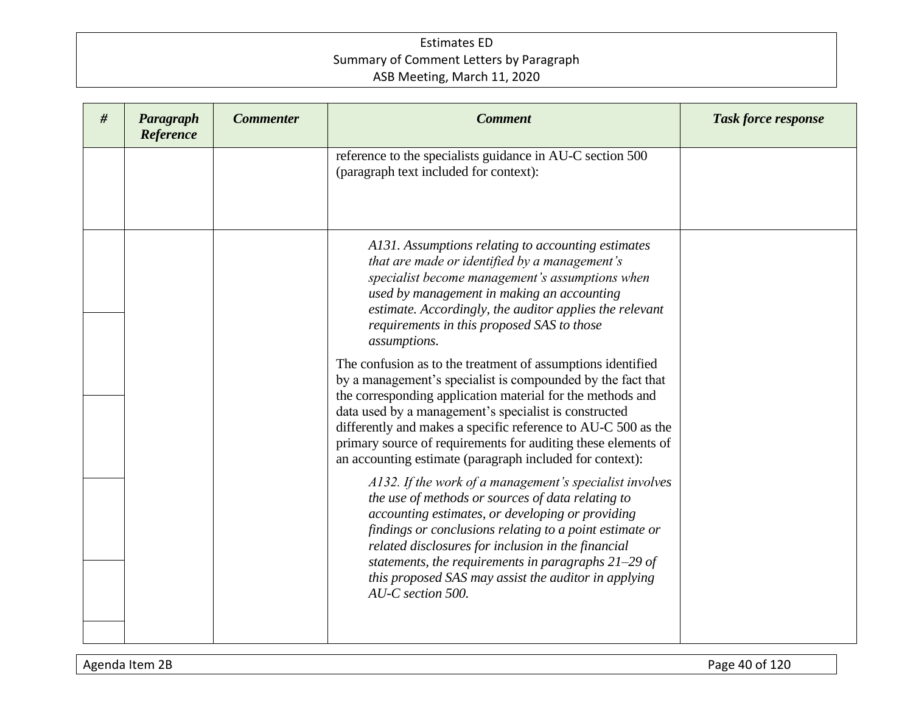| # | Paragraph<br>Reference | <b>Commenter</b> | <b>Comment</b>                                                                                                                                                                                                                                                                                                                                                                                                                                  | <b>Task force response</b> |
|---|------------------------|------------------|-------------------------------------------------------------------------------------------------------------------------------------------------------------------------------------------------------------------------------------------------------------------------------------------------------------------------------------------------------------------------------------------------------------------------------------------------|----------------------------|
|   |                        |                  | reference to the specialists guidance in AU-C section 500<br>(paragraph text included for context):                                                                                                                                                                                                                                                                                                                                             |                            |
|   |                        |                  | A131. Assumptions relating to accounting estimates<br>that are made or identified by a management's<br>specialist become management's assumptions when<br>used by management in making an accounting<br>estimate. Accordingly, the auditor applies the relevant<br>requirements in this proposed SAS to those<br>assumptions.                                                                                                                   |                            |
|   |                        |                  | The confusion as to the treatment of assumptions identified<br>by a management's specialist is compounded by the fact that<br>the corresponding application material for the methods and<br>data used by a management's specialist is constructed<br>differently and makes a specific reference to AU-C 500 as the<br>primary source of requirements for auditing these elements of<br>an accounting estimate (paragraph included for context): |                            |
|   |                        |                  | A132. If the work of a management's specialist involves<br>the use of methods or sources of data relating to<br>accounting estimates, or developing or providing<br>findings or conclusions relating to a point estimate or<br>related disclosures for inclusion in the financial<br>statements, the requirements in paragraphs $21-29$ of<br>this proposed SAS may assist the auditor in applying<br>AU-C section 500.                         |                            |
|   |                        |                  |                                                                                                                                                                                                                                                                                                                                                                                                                                                 |                            |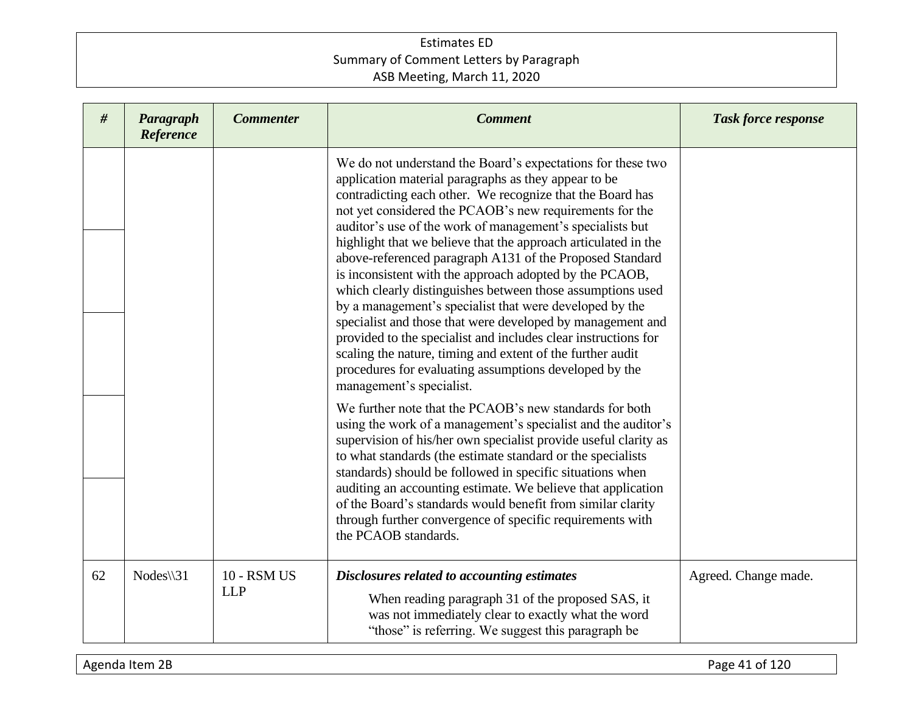| #  | Paragraph<br>Reference | <b>Commenter</b>                 | <b>Comment</b>                                                                                                                                                                                                                                                                                                                                                                                                                                                                                                                                                                                                                                                                                                                                                                                                                                                                                                 | <b>Task force response</b> |
|----|------------------------|----------------------------------|----------------------------------------------------------------------------------------------------------------------------------------------------------------------------------------------------------------------------------------------------------------------------------------------------------------------------------------------------------------------------------------------------------------------------------------------------------------------------------------------------------------------------------------------------------------------------------------------------------------------------------------------------------------------------------------------------------------------------------------------------------------------------------------------------------------------------------------------------------------------------------------------------------------|----------------------------|
|    |                        |                                  | We do not understand the Board's expectations for these two<br>application material paragraphs as they appear to be<br>contradicting each other. We recognize that the Board has<br>not yet considered the PCAOB's new requirements for the<br>auditor's use of the work of management's specialists but<br>highlight that we believe that the approach articulated in the<br>above-referenced paragraph A131 of the Proposed Standard<br>is inconsistent with the approach adopted by the PCAOB,<br>which clearly distinguishes between those assumptions used<br>by a management's specialist that were developed by the<br>specialist and those that were developed by management and<br>provided to the specialist and includes clear instructions for<br>scaling the nature, timing and extent of the further audit<br>procedures for evaluating assumptions developed by the<br>management's specialist. |                            |
|    |                        |                                  | We further note that the PCAOB's new standards for both<br>using the work of a management's specialist and the auditor's<br>supervision of his/her own specialist provide useful clarity as<br>to what standards (the estimate standard or the specialists<br>standards) should be followed in specific situations when<br>auditing an accounting estimate. We believe that application<br>of the Board's standards would benefit from similar clarity<br>through further convergence of specific requirements with<br>the PCAOB standards.                                                                                                                                                                                                                                                                                                                                                                    |                            |
| 62 | $Nodes \$ 31           | <b>10 - RSM US</b><br><b>LLP</b> | Disclosures related to accounting estimates<br>When reading paragraph 31 of the proposed SAS, it<br>was not immediately clear to exactly what the word<br>"those" is referring. We suggest this paragraph be                                                                                                                                                                                                                                                                                                                                                                                                                                                                                                                                                                                                                                                                                                   | Agreed. Change made.       |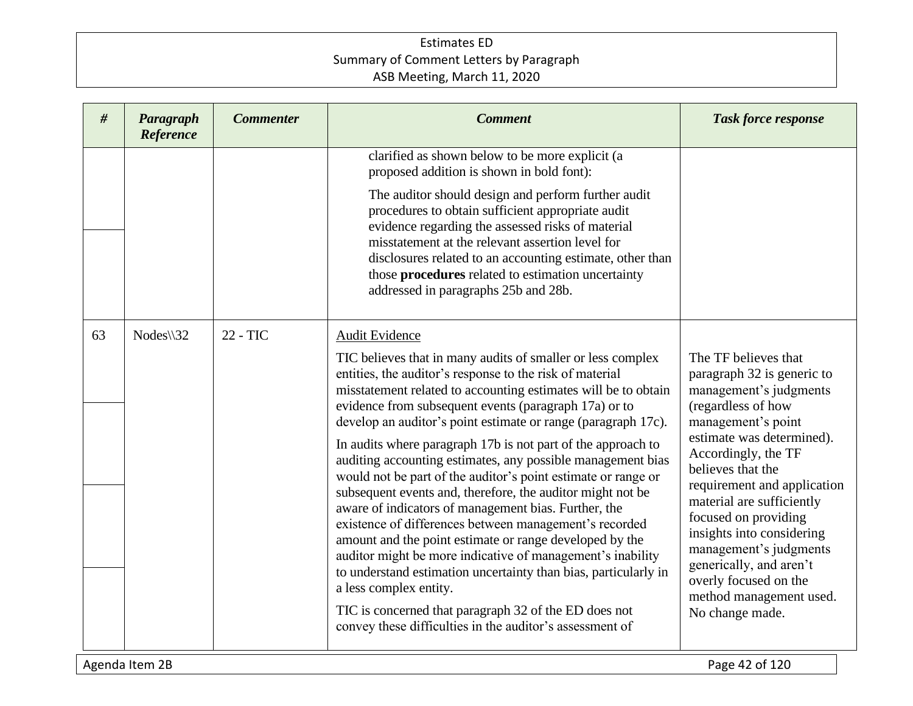| #  | Paragraph<br>Reference | <b>Commenter</b> | <b>Comment</b>                                                                                                                                                                                                                                                                                                                                                                                                                                                                                                                                                                                                                                                                                                                                                                                                                                                                                                                                                                                                                                                   | <b>Task force response</b>                                                                                                                                                                                                                                                                                                                                                                                                                     |  |
|----|------------------------|------------------|------------------------------------------------------------------------------------------------------------------------------------------------------------------------------------------------------------------------------------------------------------------------------------------------------------------------------------------------------------------------------------------------------------------------------------------------------------------------------------------------------------------------------------------------------------------------------------------------------------------------------------------------------------------------------------------------------------------------------------------------------------------------------------------------------------------------------------------------------------------------------------------------------------------------------------------------------------------------------------------------------------------------------------------------------------------|------------------------------------------------------------------------------------------------------------------------------------------------------------------------------------------------------------------------------------------------------------------------------------------------------------------------------------------------------------------------------------------------------------------------------------------------|--|
|    |                        |                  | clarified as shown below to be more explicit (a<br>proposed addition is shown in bold font):<br>The auditor should design and perform further audit<br>procedures to obtain sufficient appropriate audit<br>evidence regarding the assessed risks of material<br>misstatement at the relevant assertion level for<br>disclosures related to an accounting estimate, other than<br>those procedures related to estimation uncertainty<br>addressed in paragraphs 25b and 28b.                                                                                                                                                                                                                                                                                                                                                                                                                                                                                                                                                                                     |                                                                                                                                                                                                                                                                                                                                                                                                                                                |  |
| 63 | $Nodes \$ 32           | 22 - TIC         | Audit Evidence<br>TIC believes that in many audits of smaller or less complex<br>entities, the auditor's response to the risk of material<br>misstatement related to accounting estimates will be to obtain<br>evidence from subsequent events (paragraph 17a) or to<br>develop an auditor's point estimate or range (paragraph 17c).<br>In audits where paragraph 17b is not part of the approach to<br>auditing accounting estimates, any possible management bias<br>would not be part of the auditor's point estimate or range or<br>subsequent events and, therefore, the auditor might not be<br>aware of indicators of management bias. Further, the<br>existence of differences between management's recorded<br>amount and the point estimate or range developed by the<br>auditor might be more indicative of management's inability<br>to understand estimation uncertainty than bias, particularly in<br>a less complex entity.<br>TIC is concerned that paragraph 32 of the ED does not<br>convey these difficulties in the auditor's assessment of | The TF believes that<br>paragraph 32 is generic to<br>management's judgments<br>(regardless of how<br>management's point<br>estimate was determined).<br>Accordingly, the TF<br>believes that the<br>requirement and application<br>material are sufficiently<br>focused on providing<br>insights into considering<br>management's judgments<br>generically, and aren't<br>overly focused on the<br>method management used.<br>No change made. |  |
|    | Agenda Item 2B         |                  |                                                                                                                                                                                                                                                                                                                                                                                                                                                                                                                                                                                                                                                                                                                                                                                                                                                                                                                                                                                                                                                                  | Page 42 of 120                                                                                                                                                                                                                                                                                                                                                                                                                                 |  |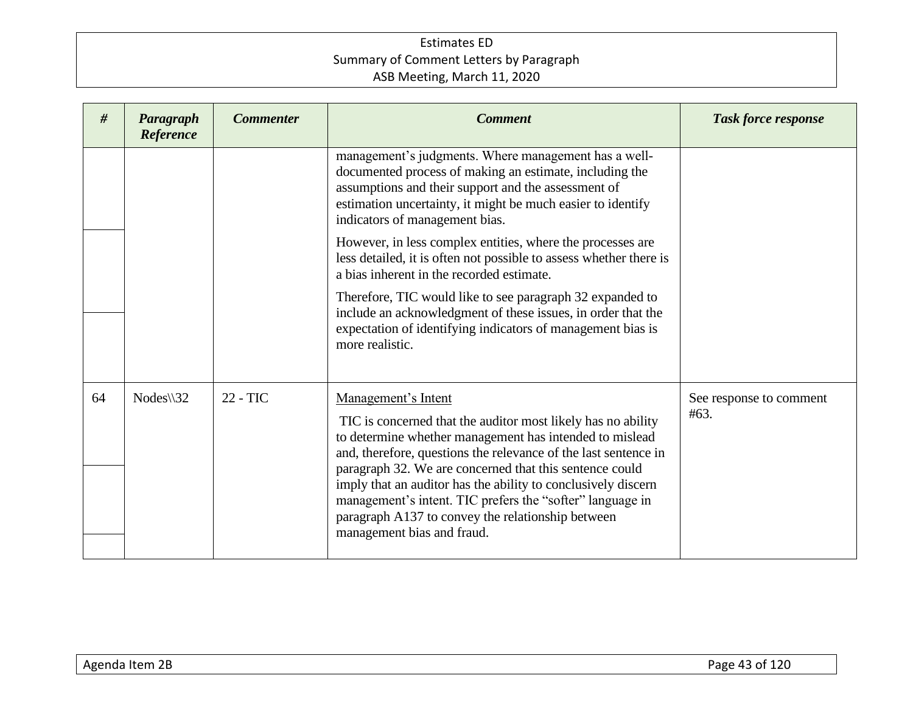| #  | Paragraph<br>Reference | <b>Commenter</b> | <b>Comment</b>                                                                                                                                                                                                                                                                                                                                                                                                                                                                                                                                                                                                                                                          | <b>Task force response</b>      |
|----|------------------------|------------------|-------------------------------------------------------------------------------------------------------------------------------------------------------------------------------------------------------------------------------------------------------------------------------------------------------------------------------------------------------------------------------------------------------------------------------------------------------------------------------------------------------------------------------------------------------------------------------------------------------------------------------------------------------------------------|---------------------------------|
|    |                        |                  | management's judgments. Where management has a well-<br>documented process of making an estimate, including the<br>assumptions and their support and the assessment of<br>estimation uncertainty, it might be much easier to identify<br>indicators of management bias.<br>However, in less complex entities, where the processes are<br>less detailed, it is often not possible to assess whether there is<br>a bias inherent in the recorded estimate.<br>Therefore, TIC would like to see paragraph 32 expanded to<br>include an acknowledgment of these issues, in order that the<br>expectation of identifying indicators of management bias is<br>more realistic. |                                 |
| 64 | $Nodes \$ 32           | 22 - TIC         | Management's Intent<br>TIC is concerned that the auditor most likely has no ability<br>to determine whether management has intended to mislead<br>and, therefore, questions the relevance of the last sentence in<br>paragraph 32. We are concerned that this sentence could<br>imply that an auditor has the ability to conclusively discern<br>management's intent. TIC prefers the "softer" language in<br>paragraph A137 to convey the relationship between<br>management bias and fraud.                                                                                                                                                                           | See response to comment<br>#63. |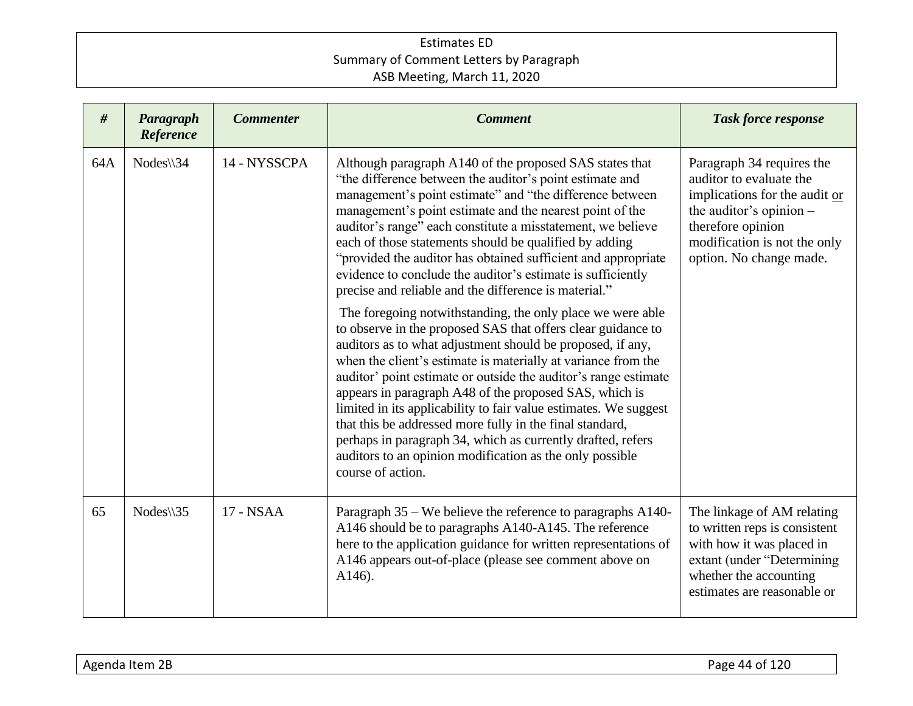| #   | Paragraph<br>Reference               | <b>Commenter</b> | <b>Comment</b>                                                                                                                                                                                                                                                                                                                                                                                                                                                                                                                                                                                                                                                         | <b>Task force response</b>                                                                                                                                                                       |
|-----|--------------------------------------|------------------|------------------------------------------------------------------------------------------------------------------------------------------------------------------------------------------------------------------------------------------------------------------------------------------------------------------------------------------------------------------------------------------------------------------------------------------------------------------------------------------------------------------------------------------------------------------------------------------------------------------------------------------------------------------------|--------------------------------------------------------------------------------------------------------------------------------------------------------------------------------------------------|
| 64A | $Nodes \setminus 34$<br>14 - NYSSCPA |                  | Although paragraph A140 of the proposed SAS states that<br>"the difference between the auditor's point estimate and<br>management's point estimate" and "the difference between<br>management's point estimate and the nearest point of the<br>auditor's range" each constitute a misstatement, we believe<br>each of those statements should be qualified by adding<br>"provided the auditor has obtained sufficient and appropriate<br>evidence to conclude the auditor's estimate is sufficiently<br>precise and reliable and the difference is material."                                                                                                          | Paragraph 34 requires the<br>auditor to evaluate the<br>implications for the audit or<br>the auditor's opinion -<br>therefore opinion<br>modification is not the only<br>option. No change made. |
|     |                                      |                  | The foregoing notwithstanding, the only place we were able<br>to observe in the proposed SAS that offers clear guidance to<br>auditors as to what adjustment should be proposed, if any,<br>when the client's estimate is materially at variance from the<br>auditor' point estimate or outside the auditor's range estimate<br>appears in paragraph A48 of the proposed SAS, which is<br>limited in its applicability to fair value estimates. We suggest<br>that this be addressed more fully in the final standard,<br>perhaps in paragraph 34, which as currently drafted, refers<br>auditors to an opinion modification as the only possible<br>course of action. |                                                                                                                                                                                                  |
| 65  | $Nodes \$ 35                         | 17 - NSAA        | Paragraph 35 – We believe the reference to paragraphs A140-<br>A146 should be to paragraphs A140-A145. The reference<br>here to the application guidance for written representations of<br>A146 appears out-of-place (please see comment above on<br>A146).                                                                                                                                                                                                                                                                                                                                                                                                            | The linkage of AM relating<br>to written reps is consistent<br>with how it was placed in<br>extant (under "Determining<br>whether the accounting<br>estimates are reasonable or                  |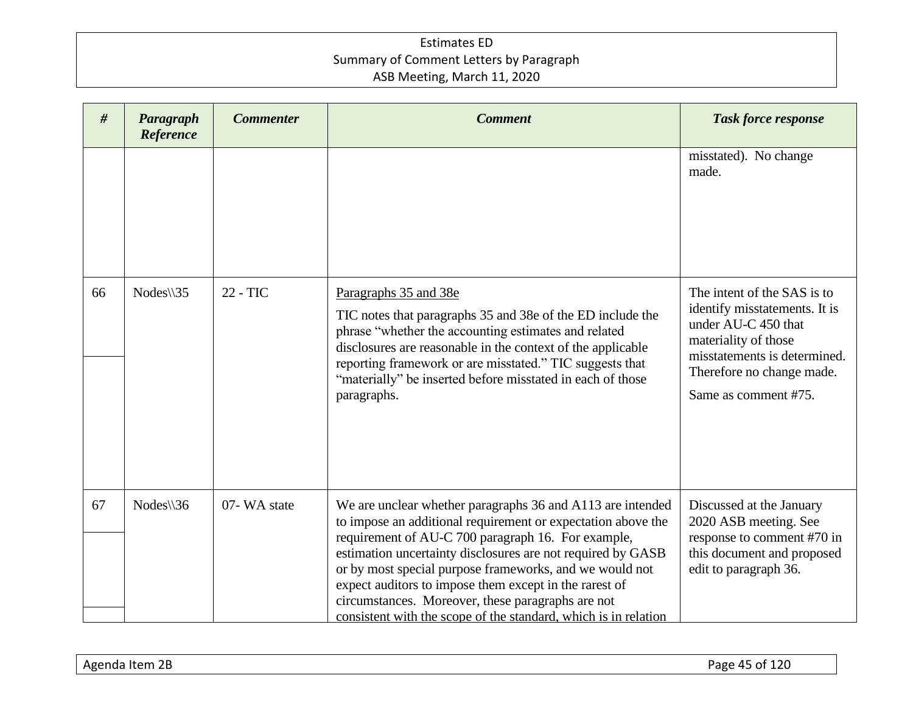| #  | Paragraph<br>Reference | <b>Commenter</b> | <b>Comment</b>                                                                                                                                                                                                                                                                                                                                                                                                                                                                               | <b>Task force response</b>                                                                                                                                                                       |
|----|------------------------|------------------|----------------------------------------------------------------------------------------------------------------------------------------------------------------------------------------------------------------------------------------------------------------------------------------------------------------------------------------------------------------------------------------------------------------------------------------------------------------------------------------------|--------------------------------------------------------------------------------------------------------------------------------------------------------------------------------------------------|
|    |                        |                  |                                                                                                                                                                                                                                                                                                                                                                                                                                                                                              | misstated). No change<br>made.                                                                                                                                                                   |
| 66 | Nodes\\35              | 22 - TIC         | Paragraphs 35 and 38e<br>TIC notes that paragraphs 35 and 38e of the ED include the<br>phrase "whether the accounting estimates and related<br>disclosures are reasonable in the context of the applicable<br>reporting framework or are misstated." TIC suggests that<br>"materially" be inserted before misstated in each of those<br>paragraphs.                                                                                                                                          | The intent of the SAS is to<br>identify misstatements. It is<br>under AU-C 450 that<br>materiality of those<br>misstatements is determined.<br>Therefore no change made.<br>Same as comment #75. |
| 67 | $Nodes \$ 36           | 07-WA state      | We are unclear whether paragraphs 36 and A113 are intended<br>to impose an additional requirement or expectation above the<br>requirement of AU-C 700 paragraph 16. For example,<br>estimation uncertainty disclosures are not required by GASB<br>or by most special purpose frameworks, and we would not<br>expect auditors to impose them except in the rarest of<br>circumstances. Moreover, these paragraphs are not<br>consistent with the scope of the standard, which is in relation | Discussed at the January<br>2020 ASB meeting. See<br>response to comment #70 in<br>this document and proposed<br>edit to paragraph 36.                                                           |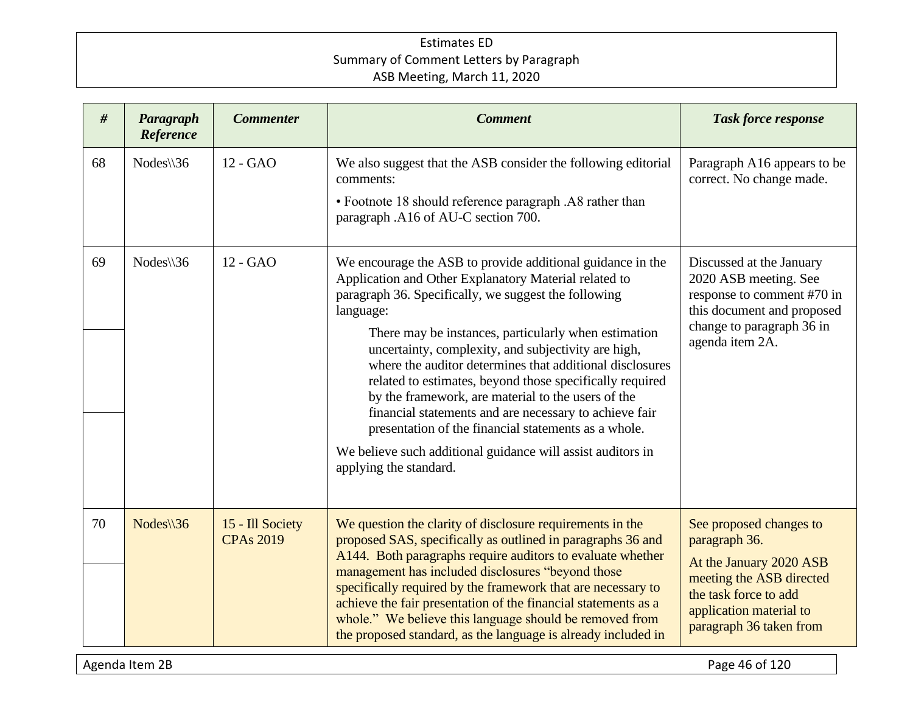| #  | Paragraph<br>Reference | <b>Commenter</b>                     | <b>Comment</b>                                                                                                                                                                                                                                                                                                                                                                                                                                                                                                                                                                                                                                                                                   | <b>Task force response</b>                                                                                                                                                     |
|----|------------------------|--------------------------------------|--------------------------------------------------------------------------------------------------------------------------------------------------------------------------------------------------------------------------------------------------------------------------------------------------------------------------------------------------------------------------------------------------------------------------------------------------------------------------------------------------------------------------------------------------------------------------------------------------------------------------------------------------------------------------------------------------|--------------------------------------------------------------------------------------------------------------------------------------------------------------------------------|
| 68 | $Nodes \$ 36           | $12 - GAO$                           | We also suggest that the ASB consider the following editorial<br>comments:<br>• Footnote 18 should reference paragraph .A8 rather than<br>paragraph .A16 of AU-C section 700.                                                                                                                                                                                                                                                                                                                                                                                                                                                                                                                    | Paragraph A16 appears to be<br>correct. No change made.                                                                                                                        |
| 69 | $Nodes \$ 36           | 12 - GAO                             | We encourage the ASB to provide additional guidance in the<br>Application and Other Explanatory Material related to<br>paragraph 36. Specifically, we suggest the following<br>language:<br>There may be instances, particularly when estimation<br>uncertainty, complexity, and subjectivity are high,<br>where the auditor determines that additional disclosures<br>related to estimates, beyond those specifically required<br>by the framework, are material to the users of the<br>financial statements and are necessary to achieve fair<br>presentation of the financial statements as a whole.<br>We believe such additional guidance will assist auditors in<br>applying the standard. | Discussed at the January<br>2020 ASB meeting. See<br>response to comment #70 in<br>this document and proposed<br>change to paragraph 36 in<br>agenda item 2A.                  |
| 70 | $Nodes \$ 36           | 15 - Ill Society<br><b>CPAs 2019</b> | We question the clarity of disclosure requirements in the<br>proposed SAS, specifically as outlined in paragraphs 36 and<br>A144. Both paragraphs require auditors to evaluate whether<br>management has included disclosures "beyond those<br>specifically required by the framework that are necessary to<br>achieve the fair presentation of the financial statements as a<br>whole." We believe this language should be removed from<br>the proposed standard, as the language is already included in                                                                                                                                                                                        | See proposed changes to<br>paragraph 36.<br>At the January 2020 ASB<br>meeting the ASB directed<br>the task force to add<br>application material to<br>paragraph 36 taken from |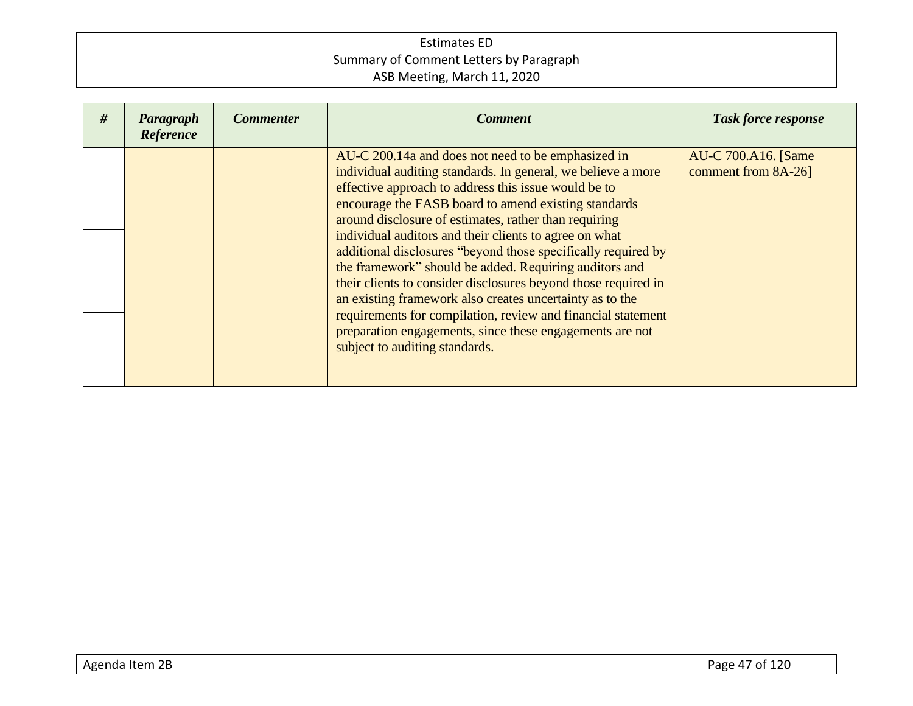| # | Paragraph<br>Reference | <b>Commenter</b> | <b>Comment</b>                                                                                                                                                                                                                                                                                                                                                                                                                                                                                                                                                                                                                                                                                                                                                               | <b>Task force response</b>                 |
|---|------------------------|------------------|------------------------------------------------------------------------------------------------------------------------------------------------------------------------------------------------------------------------------------------------------------------------------------------------------------------------------------------------------------------------------------------------------------------------------------------------------------------------------------------------------------------------------------------------------------------------------------------------------------------------------------------------------------------------------------------------------------------------------------------------------------------------------|--------------------------------------------|
|   |                        |                  | AU-C 200.14a and does not need to be emphasized in<br>individual auditing standards. In general, we believe a more<br>effective approach to address this issue would be to<br>encourage the FASB board to amend existing standards<br>around disclosure of estimates, rather than requiring<br>individual auditors and their clients to agree on what<br>additional disclosures "beyond those specifically required by<br>the framework" should be added. Requiring auditors and<br>their clients to consider disclosures beyond those required in<br>an existing framework also creates uncertainty as to the<br>requirements for compilation, review and financial statement<br>preparation engagements, since these engagements are not<br>subject to auditing standards. | AU-C 700.A16. [Same<br>comment from 8A-26] |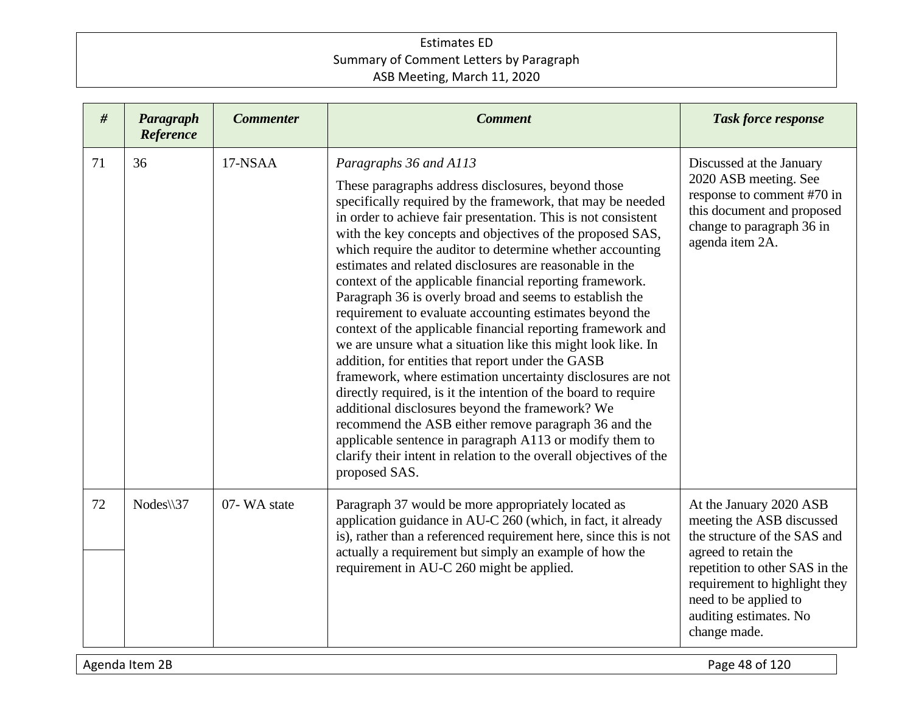| #  | Paragraph<br>Reference | <b>Commenter</b> | <b>Comment</b>                                                                                                                                                                                                                                                                                                                                                                                                                                                                                                                                                                                                                                                                                                                                                                                                                                                                                                                                                                                                                                                                                                                                                      | <b>Task force response</b>                                                                                                                                                                                                                         |
|----|------------------------|------------------|---------------------------------------------------------------------------------------------------------------------------------------------------------------------------------------------------------------------------------------------------------------------------------------------------------------------------------------------------------------------------------------------------------------------------------------------------------------------------------------------------------------------------------------------------------------------------------------------------------------------------------------------------------------------------------------------------------------------------------------------------------------------------------------------------------------------------------------------------------------------------------------------------------------------------------------------------------------------------------------------------------------------------------------------------------------------------------------------------------------------------------------------------------------------|----------------------------------------------------------------------------------------------------------------------------------------------------------------------------------------------------------------------------------------------------|
| 71 | 36                     | 17-NSAA          | Paragraphs 36 and A113<br>These paragraphs address disclosures, beyond those<br>specifically required by the framework, that may be needed<br>in order to achieve fair presentation. This is not consistent<br>with the key concepts and objectives of the proposed SAS,<br>which require the auditor to determine whether accounting<br>estimates and related disclosures are reasonable in the<br>context of the applicable financial reporting framework.<br>Paragraph 36 is overly broad and seems to establish the<br>requirement to evaluate accounting estimates beyond the<br>context of the applicable financial reporting framework and<br>we are unsure what a situation like this might look like. In<br>addition, for entities that report under the GASB<br>framework, where estimation uncertainty disclosures are not<br>directly required, is it the intention of the board to require<br>additional disclosures beyond the framework? We<br>recommend the ASB either remove paragraph 36 and the<br>applicable sentence in paragraph A113 or modify them to<br>clarify their intent in relation to the overall objectives of the<br>proposed SAS. | Discussed at the January<br>2020 ASB meeting. See<br>response to comment #70 in<br>this document and proposed<br>change to paragraph 36 in<br>agenda item 2A.                                                                                      |
| 72 | $Nodes \setminus 37$   | 07-WA state      | Paragraph 37 would be more appropriately located as<br>application guidance in AU-C 260 (which, in fact, it already<br>is), rather than a referenced requirement here, since this is not<br>actually a requirement but simply an example of how the<br>requirement in AU-C 260 might be applied.                                                                                                                                                                                                                                                                                                                                                                                                                                                                                                                                                                                                                                                                                                                                                                                                                                                                    | At the January 2020 ASB<br>meeting the ASB discussed<br>the structure of the SAS and<br>agreed to retain the<br>repetition to other SAS in the<br>requirement to highlight they<br>need to be applied to<br>auditing estimates. No<br>change made. |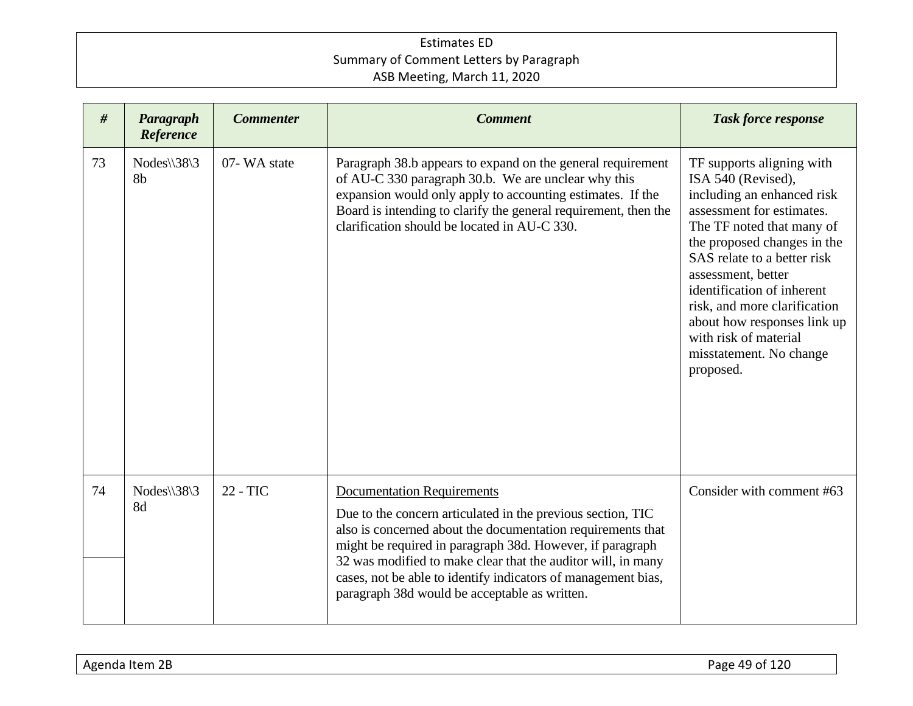| #  | Paragraph<br>Reference                             | <b>Commenter</b> | <b>Comment</b>                                                                                                                                                                                                                                                                                                                                                                                                 | <b>Task force response</b>                                                                                                                                                                                                                                                                                                                                                                |
|----|----------------------------------------------------|------------------|----------------------------------------------------------------------------------------------------------------------------------------------------------------------------------------------------------------------------------------------------------------------------------------------------------------------------------------------------------------------------------------------------------------|-------------------------------------------------------------------------------------------------------------------------------------------------------------------------------------------------------------------------------------------------------------------------------------------------------------------------------------------------------------------------------------------|
| 73 | $Nodes \setminus 38 \setminus 3$<br>8 <sub>b</sub> | 07-WA state      | Paragraph 38.b appears to expand on the general requirement<br>of AU-C 330 paragraph 30.b. We are unclear why this<br>expansion would only apply to accounting estimates. If the<br>Board is intending to clarify the general requirement, then the<br>clarification should be located in AU-C 330.                                                                                                            | TF supports aligning with<br>ISA 540 (Revised),<br>including an enhanced risk<br>assessment for estimates.<br>The TF noted that many of<br>the proposed changes in the<br>SAS relate to a better risk<br>assessment, better<br>identification of inherent<br>risk, and more clarification<br>about how responses link up<br>with risk of material<br>misstatement. No change<br>proposed. |
| 74 | Nodes\\38\3<br>8d                                  | 22 - TIC         | <b>Documentation Requirements</b><br>Due to the concern articulated in the previous section, TIC<br>also is concerned about the documentation requirements that<br>might be required in paragraph 38d. However, if paragraph<br>32 was modified to make clear that the auditor will, in many<br>cases, not be able to identify indicators of management bias,<br>paragraph 38d would be acceptable as written. | Consider with comment #63                                                                                                                                                                                                                                                                                                                                                                 |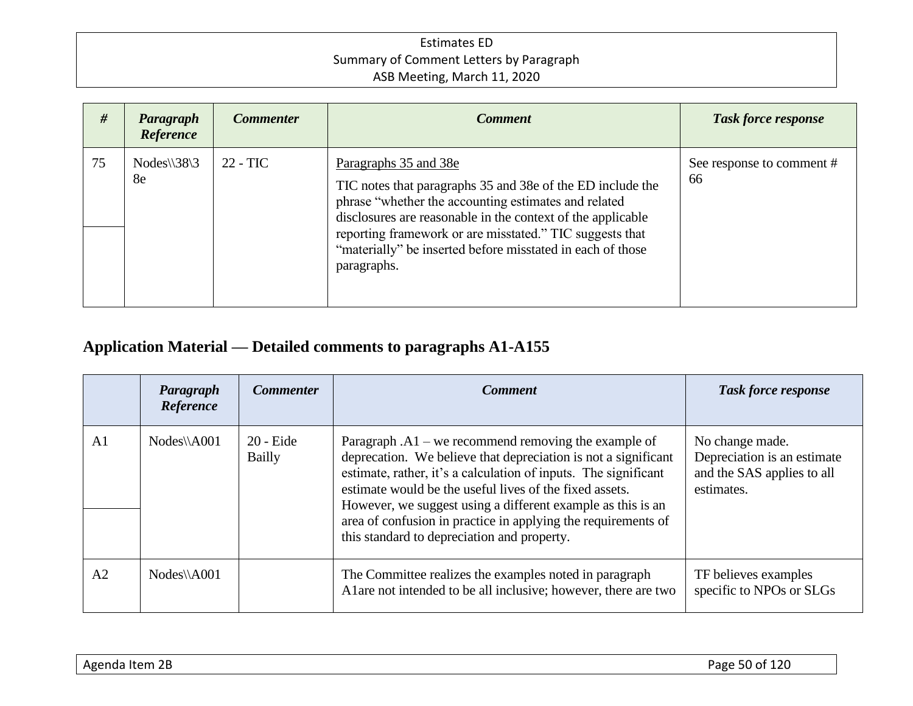| #  | Paragraph<br><b>Reference</b>          | <b>Commenter</b> | <b>Comment</b>                                                                                                                                                                                                                                                                                                                                      | <b>Task force response</b>      |
|----|----------------------------------------|------------------|-----------------------------------------------------------------------------------------------------------------------------------------------------------------------------------------------------------------------------------------------------------------------------------------------------------------------------------------------------|---------------------------------|
| 75 | $Nodes \setminus 38 \setminus 3$<br>8e | $22 - TIC$       | Paragraphs 35 and 38e<br>TIC notes that paragraphs 35 and 38e of the ED include the<br>phrase "whether the accounting estimates and related<br>disclosures are reasonable in the context of the applicable<br>reporting framework or are misstated." TIC suggests that<br>"materially" be inserted before misstated in each of those<br>paragraphs. | See response to comment #<br>66 |

# **Application Material — Detailed comments to paragraphs A1-A155**

|                | Paragraph<br>Reference | <b>Commenter</b>      | <b>Comment</b>                                                                                                                                                                                                                                                                                                                                                                                                                        | <b>Task force response</b>                                                                 |
|----------------|------------------------|-----------------------|---------------------------------------------------------------------------------------------------------------------------------------------------------------------------------------------------------------------------------------------------------------------------------------------------------------------------------------------------------------------------------------------------------------------------------------|--------------------------------------------------------------------------------------------|
| A <sub>1</sub> | $Nodes\A001$           | $20 -$ Eide<br>Bailly | Paragraph $.A1$ – we recommend removing the example of<br>deprecation. We believe that depreciation is not a significant<br>estimate, rather, it's a calculation of inputs. The significant<br>estimate would be the useful lives of the fixed assets.<br>However, we suggest using a different example as this is an<br>area of confusion in practice in applying the requirements of<br>this standard to depreciation and property. | No change made.<br>Depreciation is an estimate<br>and the SAS applies to all<br>estimates. |
| A <sub>2</sub> | $Nodes\A001$           |                       | The Committee realizes the examples noted in paragraph<br>A lare not intended to be all inclusive; however, there are two                                                                                                                                                                                                                                                                                                             | TF believes examples<br>specific to NPOs or SLGs                                           |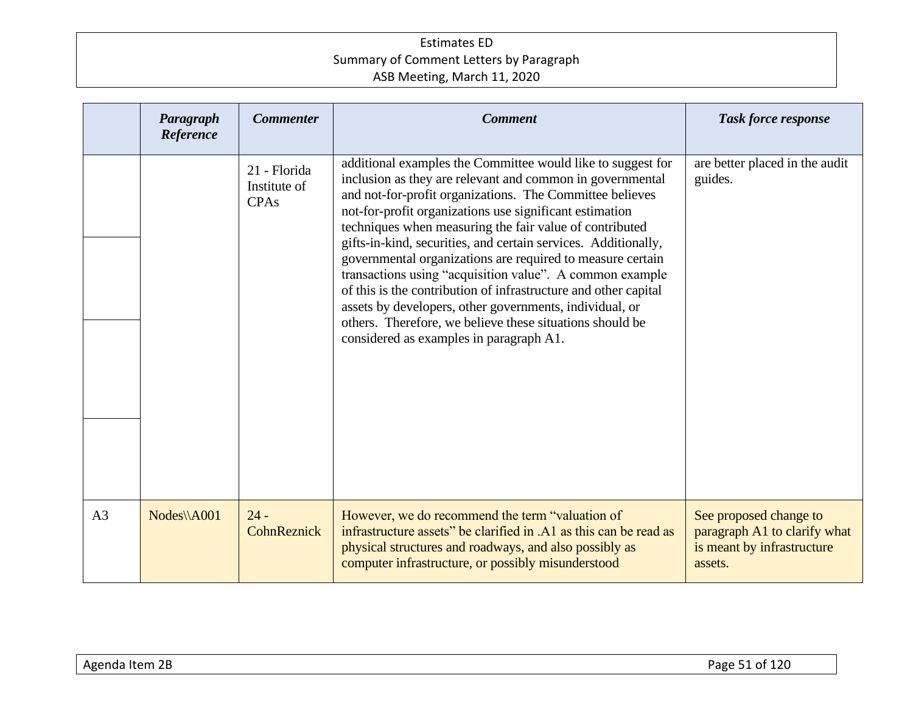|                | Paragraph<br>Reference | <b>Commenter</b>                            | <b>Comment</b>                                                                                                                                                                                                                                                                                                                                                                                                                                                                                                                                                                                                                                                                                                                              | <b>Task force response</b>                                                                      |
|----------------|------------------------|---------------------------------------------|---------------------------------------------------------------------------------------------------------------------------------------------------------------------------------------------------------------------------------------------------------------------------------------------------------------------------------------------------------------------------------------------------------------------------------------------------------------------------------------------------------------------------------------------------------------------------------------------------------------------------------------------------------------------------------------------------------------------------------------------|-------------------------------------------------------------------------------------------------|
|                |                        | 21 - Florida<br>Institute of<br><b>CPAs</b> | additional examples the Committee would like to suggest for<br>inclusion as they are relevant and common in governmental<br>and not-for-profit organizations. The Committee believes<br>not-for-profit organizations use significant estimation<br>techniques when measuring the fair value of contributed<br>gifts-in-kind, securities, and certain services. Additionally,<br>governmental organizations are required to measure certain<br>transactions using "acquisition value". A common example<br>of this is the contribution of infrastructure and other capital<br>assets by developers, other governments, individual, or<br>others. Therefore, we believe these situations should be<br>considered as examples in paragraph A1. | are better placed in the audit<br>guides.                                                       |
| A <sub>3</sub> | $Nodes \A001$          | $24 -$<br>CohnReznick                       | However, we do recommend the term "valuation of<br>infrastructure assets" be clarified in .A1 as this can be read as<br>physical structures and roadways, and also possibly as<br>computer infrastructure, or possibly misunderstood                                                                                                                                                                                                                                                                                                                                                                                                                                                                                                        | See proposed change to<br>paragraph A1 to clarify what<br>is meant by infrastructure<br>assets. |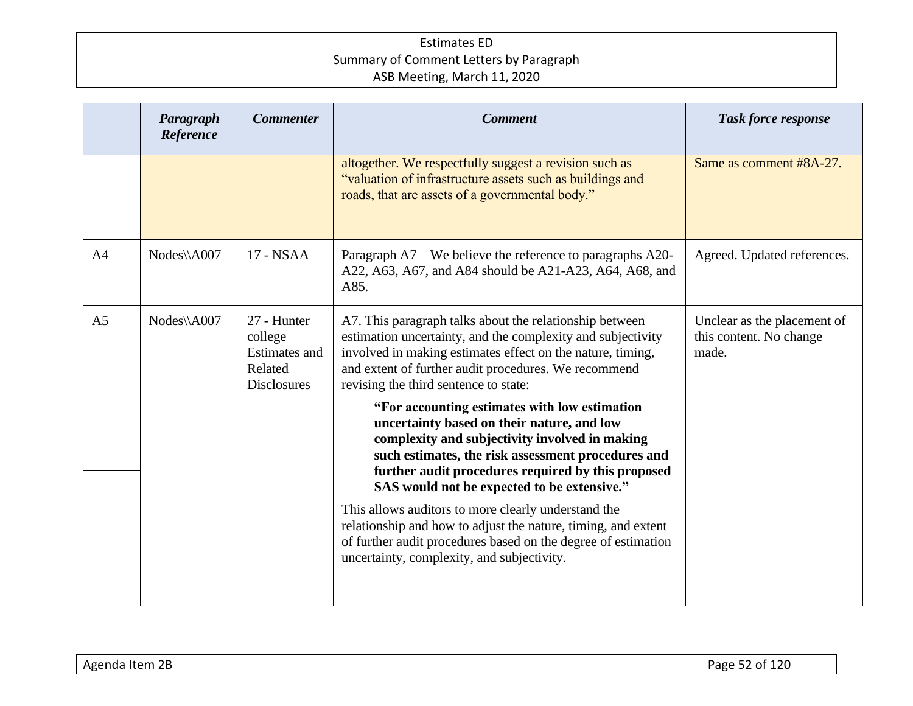|                | Paragraph<br>Reference | <b>Commenter</b>                                                         | <b>Comment</b>                                                                                                                                                                                                                                                                                           | <b>Task force response</b>                                      |
|----------------|------------------------|--------------------------------------------------------------------------|----------------------------------------------------------------------------------------------------------------------------------------------------------------------------------------------------------------------------------------------------------------------------------------------------------|-----------------------------------------------------------------|
|                |                        |                                                                          | altogether. We respectfully suggest a revision such as<br>"valuation of infrastructure assets such as buildings and<br>roads, that are assets of a governmental body."                                                                                                                                   | Same as comment #8A-27.                                         |
| A <sub>4</sub> | Nodes\\A007            | 17 - NSAA                                                                | Paragraph A7 – We believe the reference to paragraphs A20-<br>A22, A63, A67, and A84 should be A21-A23, A64, A68, and<br>A85.                                                                                                                                                                            | Agreed. Updated references.                                     |
| A <sub>5</sub> | Nodes\\A007            | 27 - Hunter<br>college<br>Estimates and<br>Related<br><b>Disclosures</b> | A7. This paragraph talks about the relationship between<br>estimation uncertainty, and the complexity and subjectivity<br>involved in making estimates effect on the nature, timing,<br>and extent of further audit procedures. We recommend<br>revising the third sentence to state:                    | Unclear as the placement of<br>this content. No change<br>made. |
|                |                        |                                                                          | "For accounting estimates with low estimation<br>uncertainty based on their nature, and low<br>complexity and subjectivity involved in making<br>such estimates, the risk assessment procedures and<br>further audit procedures required by this proposed<br>SAS would not be expected to be extensive." |                                                                 |
|                |                        |                                                                          | This allows auditors to more clearly understand the<br>relationship and how to adjust the nature, timing, and extent<br>of further audit procedures based on the degree of estimation<br>uncertainty, complexity, and subjectivity.                                                                      |                                                                 |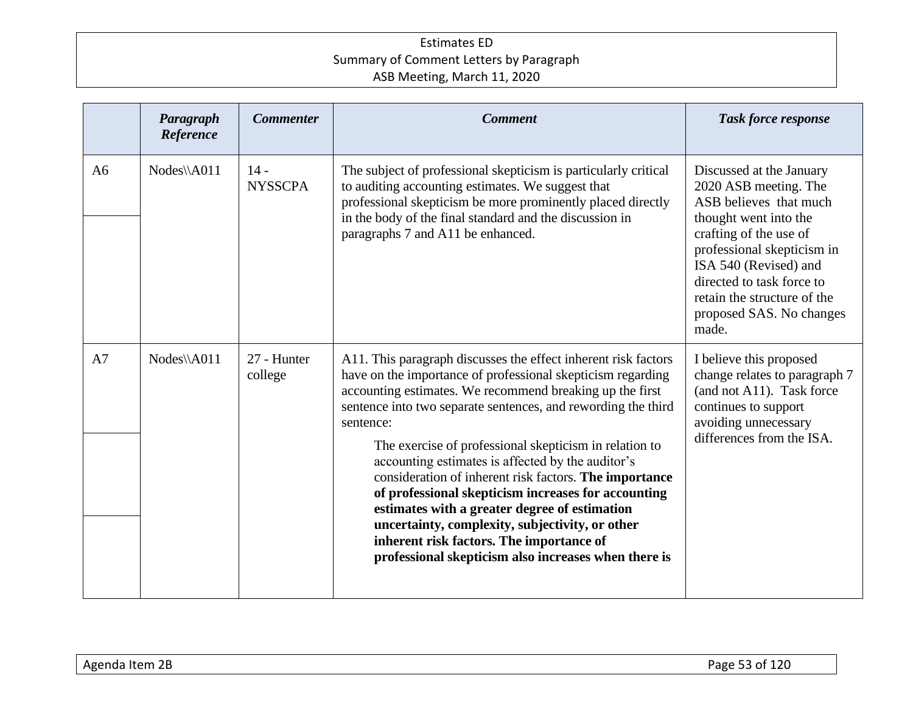|                | Paragraph<br>Reference | <b>Commenter</b>         | <b>Comment</b>                                                                                                                                                                                                                                                                                                                                                                                                                                                                                                                                                                                                                                                                                                  | <b>Task force response</b>                                                                                                                                                                                                                                                             |
|----------------|------------------------|--------------------------|-----------------------------------------------------------------------------------------------------------------------------------------------------------------------------------------------------------------------------------------------------------------------------------------------------------------------------------------------------------------------------------------------------------------------------------------------------------------------------------------------------------------------------------------------------------------------------------------------------------------------------------------------------------------------------------------------------------------|----------------------------------------------------------------------------------------------------------------------------------------------------------------------------------------------------------------------------------------------------------------------------------------|
| A <sub>6</sub> | Nodes\\A011            | $14 -$<br><b>NYSSCPA</b> | The subject of professional skepticism is particularly critical<br>to auditing accounting estimates. We suggest that<br>professional skepticism be more prominently placed directly<br>in the body of the final standard and the discussion in<br>paragraphs 7 and A11 be enhanced.                                                                                                                                                                                                                                                                                                                                                                                                                             | Discussed at the January<br>2020 ASB meeting. The<br>ASB believes that much<br>thought went into the<br>crafting of the use of<br>professional skepticism in<br>ISA 540 (Revised) and<br>directed to task force to<br>retain the structure of the<br>proposed SAS. No changes<br>made. |
| A7             | Nodes\\A011            | 27 - Hunter<br>college   | A11. This paragraph discusses the effect inherent risk factors<br>have on the importance of professional skepticism regarding<br>accounting estimates. We recommend breaking up the first<br>sentence into two separate sentences, and rewording the third<br>sentence:<br>The exercise of professional skepticism in relation to<br>accounting estimates is affected by the auditor's<br>consideration of inherent risk factors. The importance<br>of professional skepticism increases for accounting<br>estimates with a greater degree of estimation<br>uncertainty, complexity, subjectivity, or other<br>inherent risk factors. The importance of<br>professional skepticism also increases when there is | I believe this proposed<br>change relates to paragraph 7<br>(and not A11). Task force<br>continues to support<br>avoiding unnecessary<br>differences from the ISA.                                                                                                                     |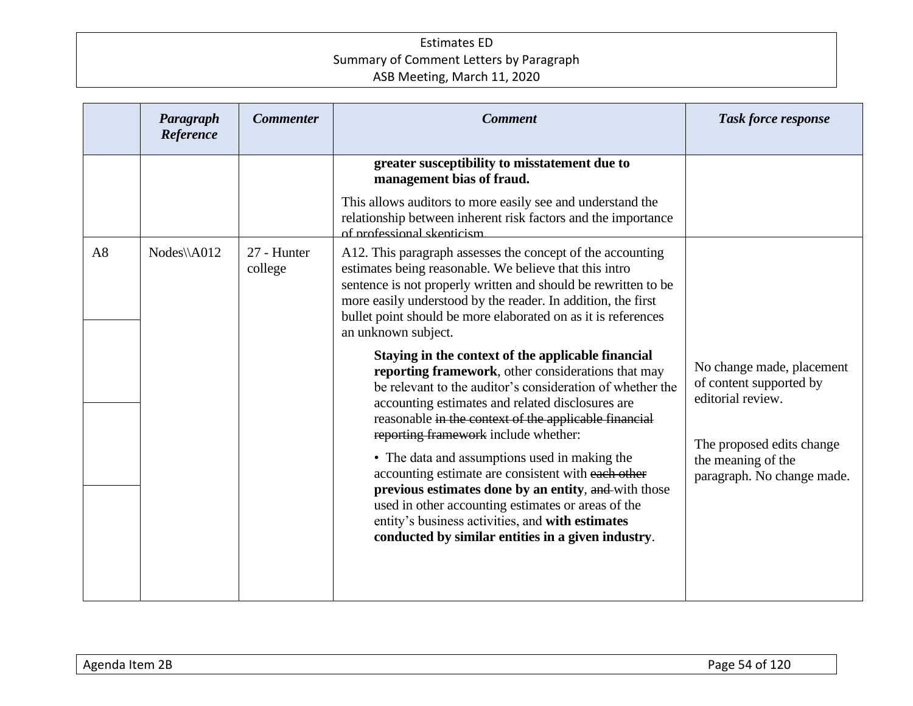|    | Paragraph<br>Reference | <b>Commenter</b>       | <b>Comment</b>                                                                                                                                                                                                                                                                                                                                                                                                                                                                                                                                                                                                                                            | <b>Task force response</b>                                                                                                                                 |
|----|------------------------|------------------------|-----------------------------------------------------------------------------------------------------------------------------------------------------------------------------------------------------------------------------------------------------------------------------------------------------------------------------------------------------------------------------------------------------------------------------------------------------------------------------------------------------------------------------------------------------------------------------------------------------------------------------------------------------------|------------------------------------------------------------------------------------------------------------------------------------------------------------|
|    |                        |                        | greater susceptibility to misstatement due to<br>management bias of fraud.                                                                                                                                                                                                                                                                                                                                                                                                                                                                                                                                                                                |                                                                                                                                                            |
|    |                        |                        | This allows auditors to more easily see and understand the<br>relationship between inherent risk factors and the importance<br>of professional skepticism                                                                                                                                                                                                                                                                                                                                                                                                                                                                                                 |                                                                                                                                                            |
| A8 | Nodes\\A012            | 27 - Hunter<br>college | A12. This paragraph assesses the concept of the accounting<br>estimates being reasonable. We believe that this intro<br>sentence is not properly written and should be rewritten to be<br>more easily understood by the reader. In addition, the first<br>bullet point should be more elaborated on as it is references<br>an unknown subject.                                                                                                                                                                                                                                                                                                            |                                                                                                                                                            |
|    |                        |                        | Staying in the context of the applicable financial<br>reporting framework, other considerations that may<br>be relevant to the auditor's consideration of whether the<br>accounting estimates and related disclosures are<br>reasonable in the context of the applicable financial<br>reporting framework include whether:<br>• The data and assumptions used in making the<br>accounting estimate are consistent with each other<br>previous estimates done by an entity, and with those<br>used in other accounting estimates or areas of the<br>entity's business activities, and with estimates<br>conducted by similar entities in a given industry. | No change made, placement<br>of content supported by<br>editorial review.<br>The proposed edits change<br>the meaning of the<br>paragraph. No change made. |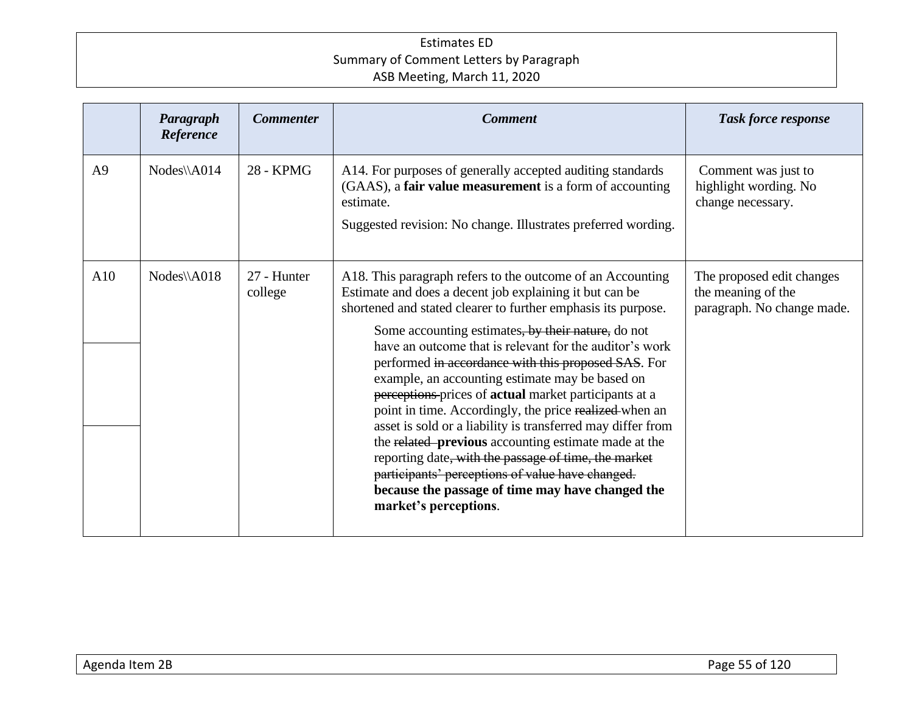|                | Paragraph<br>Reference | <b>Commenter</b>       | <b>Comment</b>                                                                                                                                                                                                                                                                                                                                                                                                                                                                                                                                                                                                                                                                                                                                                                                                                                       | <b>Task force response</b>                                                    |
|----------------|------------------------|------------------------|------------------------------------------------------------------------------------------------------------------------------------------------------------------------------------------------------------------------------------------------------------------------------------------------------------------------------------------------------------------------------------------------------------------------------------------------------------------------------------------------------------------------------------------------------------------------------------------------------------------------------------------------------------------------------------------------------------------------------------------------------------------------------------------------------------------------------------------------------|-------------------------------------------------------------------------------|
| A <sup>9</sup> | Nodes\\A014            | 28 - KPMG              | A14. For purposes of generally accepted auditing standards<br>(GAAS), a fair value measurement is a form of accounting<br>estimate.<br>Suggested revision: No change. Illustrates preferred wording.                                                                                                                                                                                                                                                                                                                                                                                                                                                                                                                                                                                                                                                 | Comment was just to<br>highlight wording. No<br>change necessary.             |
| A10            | Nodes\\A018            | 27 - Hunter<br>college | A18. This paragraph refers to the outcome of an Accounting<br>Estimate and does a decent job explaining it but can be<br>shortened and stated clearer to further emphasis its purpose.<br>Some accounting estimates, by their nature, do not<br>have an outcome that is relevant for the auditor's work<br>performed in accordance with this proposed SAS. For<br>example, an accounting estimate may be based on<br>perceptions prices of actual market participants at a<br>point in time. Accordingly, the price realized-when an<br>asset is sold or a liability is transferred may differ from<br>the related previous accounting estimate made at the<br>reporting date, with the passage of time, the market<br>participants' perceptions of value have changed.<br>because the passage of time may have changed the<br>market's perceptions. | The proposed edit changes<br>the meaning of the<br>paragraph. No change made. |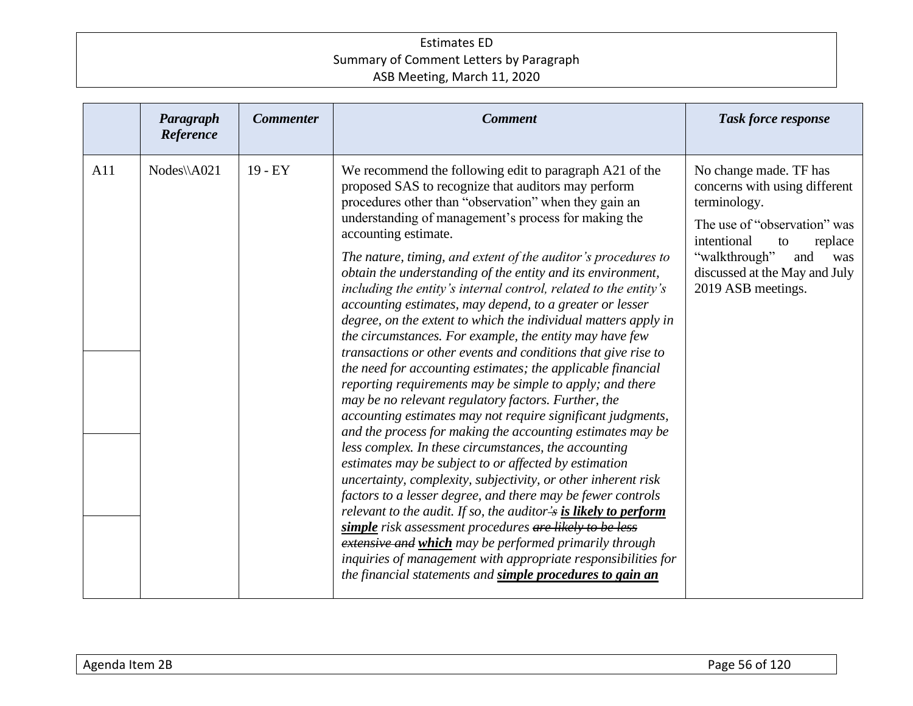|     | Paragraph<br>Reference | <b>Commenter</b> | <b>Comment</b>                                                                                                                                                                                                                                                                                                                                                                                                                                                                                                                                                                                                                                                                                                                                                                                                                                                                                                                                                                                                                                                                                                                                                                                                                                                                                                                                                                                                                                                                                                                                                                                               | <b>Task force response</b>                                                                                                                                                                                                    |
|-----|------------------------|------------------|--------------------------------------------------------------------------------------------------------------------------------------------------------------------------------------------------------------------------------------------------------------------------------------------------------------------------------------------------------------------------------------------------------------------------------------------------------------------------------------------------------------------------------------------------------------------------------------------------------------------------------------------------------------------------------------------------------------------------------------------------------------------------------------------------------------------------------------------------------------------------------------------------------------------------------------------------------------------------------------------------------------------------------------------------------------------------------------------------------------------------------------------------------------------------------------------------------------------------------------------------------------------------------------------------------------------------------------------------------------------------------------------------------------------------------------------------------------------------------------------------------------------------------------------------------------------------------------------------------------|-------------------------------------------------------------------------------------------------------------------------------------------------------------------------------------------------------------------------------|
| A11 | $Nodes\A021$           | $19 - EY$        | We recommend the following edit to paragraph A21 of the<br>proposed SAS to recognize that auditors may perform<br>procedures other than "observation" when they gain an<br>understanding of management's process for making the<br>accounting estimate.<br>The nature, timing, and extent of the auditor's procedures to<br>obtain the understanding of the entity and its environment,<br>including the entity's internal control, related to the entity's<br>accounting estimates, may depend, to a greater or lesser<br>degree, on the extent to which the individual matters apply in<br>the circumstances. For example, the entity may have few<br>transactions or other events and conditions that give rise to<br>the need for accounting estimates; the applicable financial<br>reporting requirements may be simple to apply; and there<br>may be no relevant regulatory factors. Further, the<br>accounting estimates may not require significant judgments,<br>and the process for making the accounting estimates may be<br>less complex. In these circumstances, the accounting<br>estimates may be subject to or affected by estimation<br>uncertainty, complexity, subjectivity, or other inherent risk<br>factors to a lesser degree, and there may be fewer controls<br>relevant to the audit. If so, the auditor's is likely to perform<br>simple risk assessment procedures are likely to be less<br>extensive and which may be performed primarily through<br>inquiries of management with appropriate responsibilities for<br>the financial statements and simple procedures to gain an | No change made. TF has<br>concerns with using different<br>terminology.<br>The use of "observation" was<br>intentional<br>replace<br>to<br>"walkthrough"<br>and<br>was<br>discussed at the May and July<br>2019 ASB meetings. |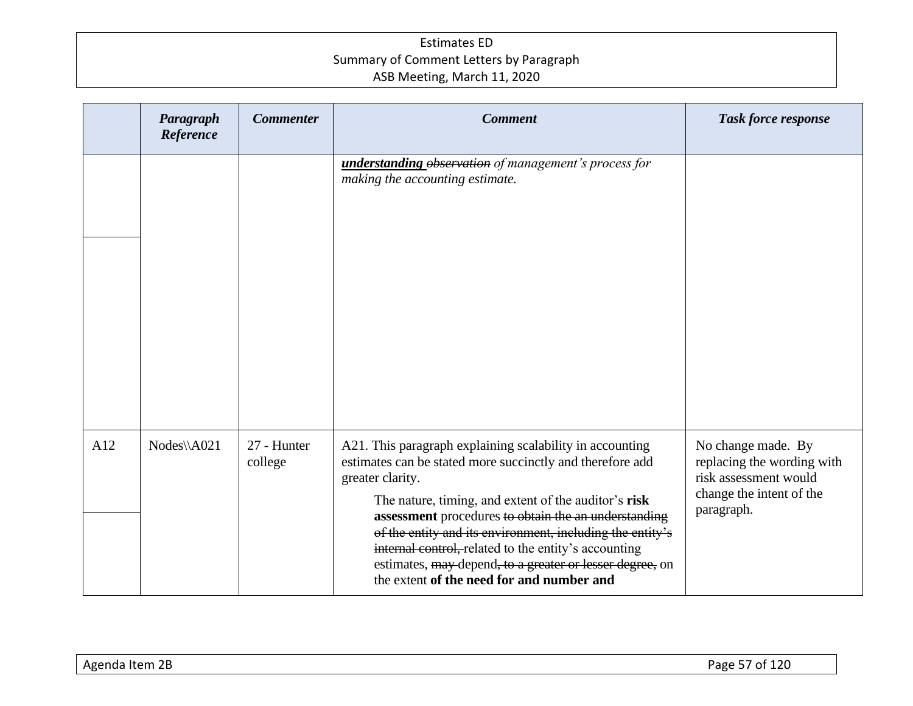|     | Paragraph<br>Reference | <b>Commenter</b>       | <b>Comment</b>                                                                                                                                                                                                                                                                                                                                                                                                                                                                          | Task force response                                                                                                 |
|-----|------------------------|------------------------|-----------------------------------------------------------------------------------------------------------------------------------------------------------------------------------------------------------------------------------------------------------------------------------------------------------------------------------------------------------------------------------------------------------------------------------------------------------------------------------------|---------------------------------------------------------------------------------------------------------------------|
|     |                        |                        | understanding observation of management's process for<br>making the accounting estimate.                                                                                                                                                                                                                                                                                                                                                                                                |                                                                                                                     |
| A12 | $Nodes\A021$           | 27 - Hunter<br>college | A21. This paragraph explaining scalability in accounting<br>estimates can be stated more succinctly and therefore add<br>greater clarity.<br>The nature, timing, and extent of the auditor's risk<br>assessment procedures to obtain the an understanding<br>of the entity and its environment, including the entity's<br>internal control, related to the entity's accounting<br>estimates, may depend, to a greater or lesser degree, on<br>the extent of the need for and number and | No change made. By<br>replacing the wording with<br>risk assessment would<br>change the intent of the<br>paragraph. |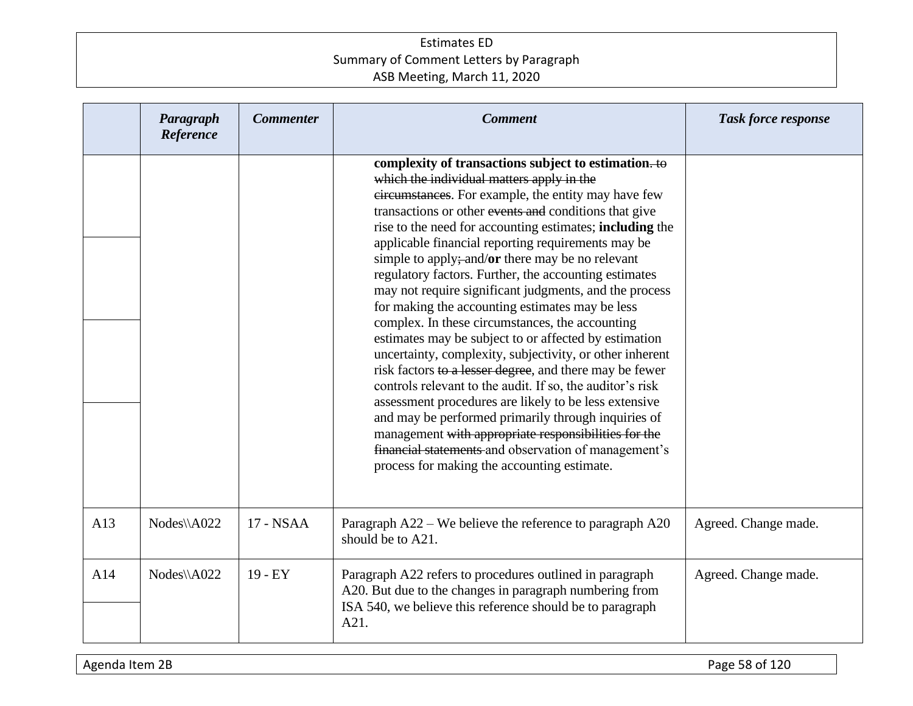|     | Paragraph<br>Reference | <b>Commenter</b> | <b>Comment</b>                                                                                                                                                                                                                                                                                                                                                                                                                                                                                                                                                                                                                                                                                                                                                                                                                                                                                                                                                                                                                                                                                                                                      | Task force response  |
|-----|------------------------|------------------|-----------------------------------------------------------------------------------------------------------------------------------------------------------------------------------------------------------------------------------------------------------------------------------------------------------------------------------------------------------------------------------------------------------------------------------------------------------------------------------------------------------------------------------------------------------------------------------------------------------------------------------------------------------------------------------------------------------------------------------------------------------------------------------------------------------------------------------------------------------------------------------------------------------------------------------------------------------------------------------------------------------------------------------------------------------------------------------------------------------------------------------------------------|----------------------|
|     |                        |                  | complexity of transactions subject to estimation. to<br>which the individual matters apply in the<br>eircumstances. For example, the entity may have few<br>transactions or other events and conditions that give<br>rise to the need for accounting estimates; <b>including</b> the<br>applicable financial reporting requirements may be<br>simple to apply;-and/or there may be no relevant<br>regulatory factors. Further, the accounting estimates<br>may not require significant judgments, and the process<br>for making the accounting estimates may be less<br>complex. In these circumstances, the accounting<br>estimates may be subject to or affected by estimation<br>uncertainty, complexity, subjectivity, or other inherent<br>risk factors to a lesser degree, and there may be fewer<br>controls relevant to the audit. If so, the auditor's risk<br>assessment procedures are likely to be less extensive<br>and may be performed primarily through inquiries of<br>management with appropriate responsibilities for the<br>financial statements and observation of management's<br>process for making the accounting estimate. |                      |
| A13 | Nodes\\A022            | 17 - NSAA        | Paragraph A22 – We believe the reference to paragraph A20<br>should be to A21.                                                                                                                                                                                                                                                                                                                                                                                                                                                                                                                                                                                                                                                                                                                                                                                                                                                                                                                                                                                                                                                                      | Agreed. Change made. |
| A14 | Nodes\\A022            | $19 - EY$        | Paragraph A22 refers to procedures outlined in paragraph<br>A20. But due to the changes in paragraph numbering from<br>ISA 540, we believe this reference should be to paragraph<br>A21.                                                                                                                                                                                                                                                                                                                                                                                                                                                                                                                                                                                                                                                                                                                                                                                                                                                                                                                                                            | Agreed. Change made. |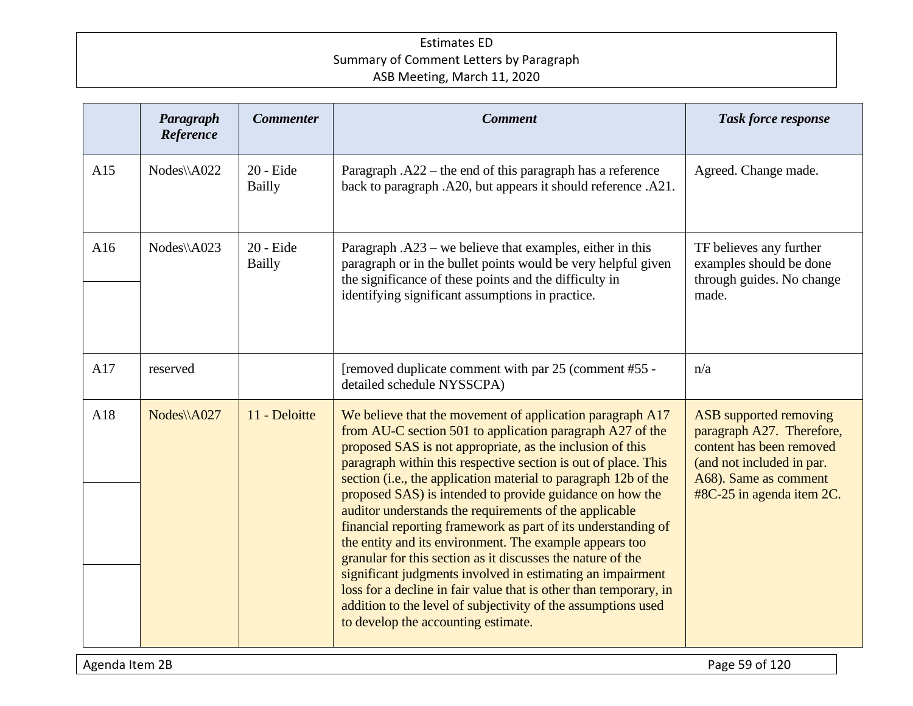|     | Paragraph<br>Reference | <b>Commenter</b>           | <b>Comment</b>                                                                                                                                                                                                                                                                                                                                                                                                                                                                                                                                                                                                                                                                                                                                                                                                                                                                       | <b>Task force response</b>                                                                                                                                                  |
|-----|------------------------|----------------------------|--------------------------------------------------------------------------------------------------------------------------------------------------------------------------------------------------------------------------------------------------------------------------------------------------------------------------------------------------------------------------------------------------------------------------------------------------------------------------------------------------------------------------------------------------------------------------------------------------------------------------------------------------------------------------------------------------------------------------------------------------------------------------------------------------------------------------------------------------------------------------------------|-----------------------------------------------------------------------------------------------------------------------------------------------------------------------------|
| A15 | Nodes\\A022            | 20 - Eide<br><b>Bailly</b> | Paragraph $. A22$ – the end of this paragraph has a reference<br>back to paragraph .A20, but appears it should reference .A21.                                                                                                                                                                                                                                                                                                                                                                                                                                                                                                                                                                                                                                                                                                                                                       | Agreed. Change made.                                                                                                                                                        |
| A16 | $Nodes\A023$           | 20 - Eide<br><b>Bailly</b> | Paragraph .A23 – we believe that examples, either in this<br>paragraph or in the bullet points would be very helpful given<br>the significance of these points and the difficulty in<br>identifying significant assumptions in practice.                                                                                                                                                                                                                                                                                                                                                                                                                                                                                                                                                                                                                                             | TF believes any further<br>examples should be done<br>through guides. No change<br>made.                                                                                    |
| A17 | reserved               |                            | [removed duplicate comment with par 25 (comment #55 -<br>detailed schedule NYSSCPA)                                                                                                                                                                                                                                                                                                                                                                                                                                                                                                                                                                                                                                                                                                                                                                                                  | n/a                                                                                                                                                                         |
| A18 | Nodes\\A027            | 11 - Deloitte              | We believe that the movement of application paragraph A17<br>from AU-C section 501 to application paragraph A27 of the<br>proposed SAS is not appropriate, as the inclusion of this<br>paragraph within this respective section is out of place. This<br>section (i.e., the application material to paragraph 12b of the<br>proposed SAS) is intended to provide guidance on how the<br>auditor understands the requirements of the applicable<br>financial reporting framework as part of its understanding of<br>the entity and its environment. The example appears too<br>granular for this section as it discusses the nature of the<br>significant judgments involved in estimating an impairment<br>loss for a decline in fair value that is other than temporary, in<br>addition to the level of subjectivity of the assumptions used<br>to develop the accounting estimate. | <b>ASB</b> supported removing<br>paragraph A27. Therefore,<br>content has been removed<br>(and not included in par.<br>A68). Same as comment<br>$#8C-25$ in agenda item 2C. |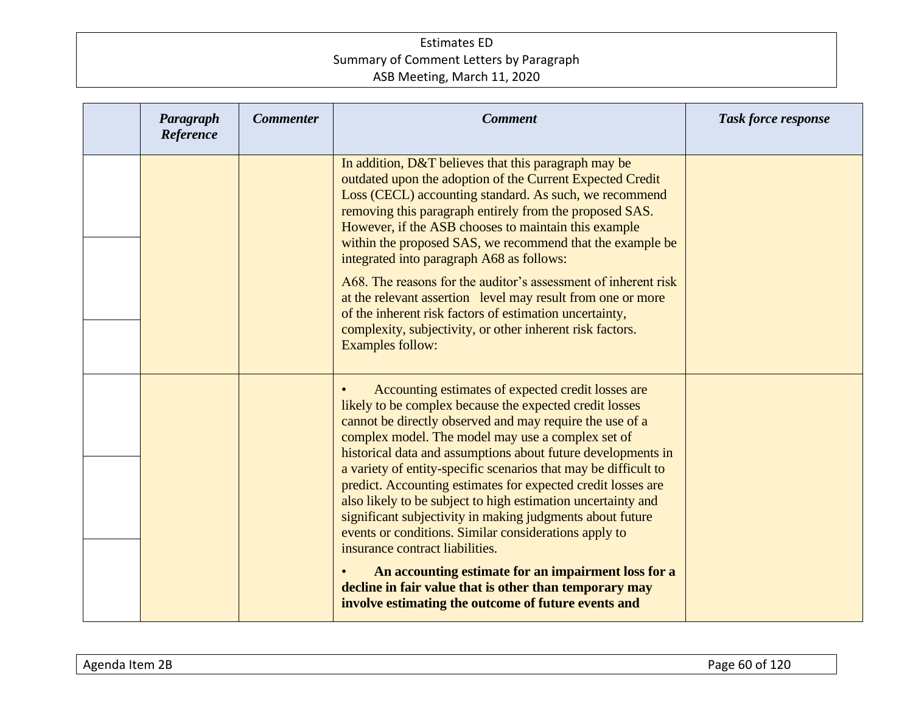| Paragraph<br>Reference | <b>Commenter</b> | <b>Comment</b>                                                                                                                                                                                                                                                                                                                                                                                                                                                                                                                                                                                                                                                                                                                                                                                                                     | <b>Task force response</b> |
|------------------------|------------------|------------------------------------------------------------------------------------------------------------------------------------------------------------------------------------------------------------------------------------------------------------------------------------------------------------------------------------------------------------------------------------------------------------------------------------------------------------------------------------------------------------------------------------------------------------------------------------------------------------------------------------------------------------------------------------------------------------------------------------------------------------------------------------------------------------------------------------|----------------------------|
|                        |                  | In addition, D&T believes that this paragraph may be<br>outdated upon the adoption of the Current Expected Credit<br>Loss (CECL) accounting standard. As such, we recommend<br>removing this paragraph entirely from the proposed SAS.<br>However, if the ASB chooses to maintain this example<br>within the proposed SAS, we recommend that the example be<br>integrated into paragraph A68 as follows:<br>A68. The reasons for the auditor's assessment of inherent risk<br>at the relevant assertion level may result from one or more<br>of the inherent risk factors of estimation uncertainty,<br>complexity, subjectivity, or other inherent risk factors.<br><b>Examples follow:</b>                                                                                                                                       |                            |
|                        |                  | Accounting estimates of expected credit losses are<br>likely to be complex because the expected credit losses<br>cannot be directly observed and may require the use of a<br>complex model. The model may use a complex set of<br>historical data and assumptions about future developments in<br>a variety of entity-specific scenarios that may be difficult to<br>predict. Accounting estimates for expected credit losses are<br>also likely to be subject to high estimation uncertainty and<br>significant subjectivity in making judgments about future<br>events or conditions. Similar considerations apply to<br>insurance contract liabilities.<br>An accounting estimate for an impairment loss for a<br>decline in fair value that is other than temporary may<br>involve estimating the outcome of future events and |                            |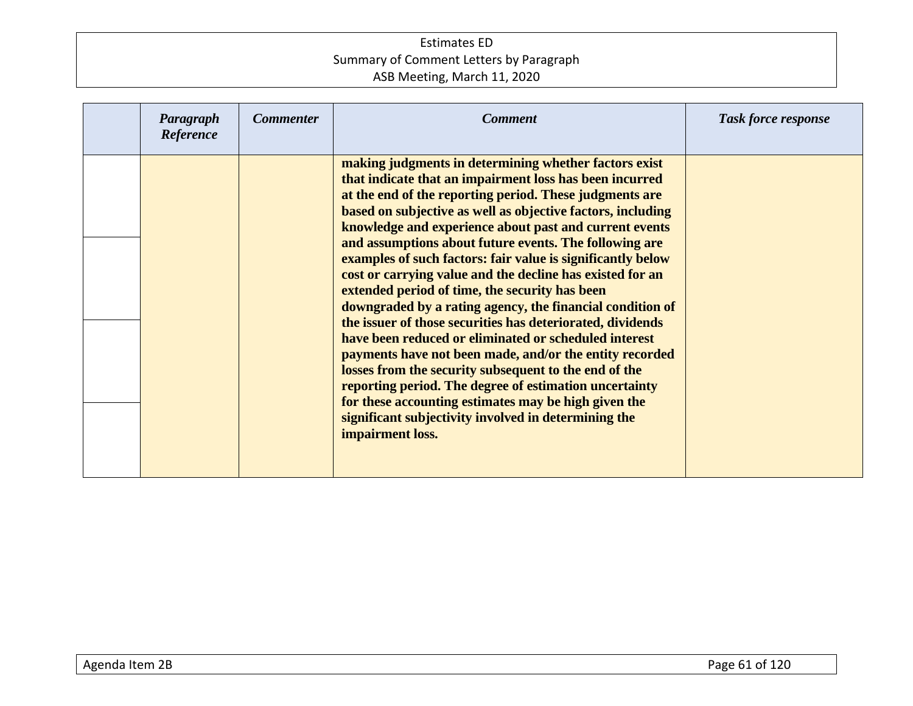| Paragraph<br>Reference | <b>Commenter</b> | <b>Comment</b>                                                                                                                                                                                                                                                                                                                                                                                                                                                                                                                                                                                                                                                                                                                                                                                                                                                                                                                                                                                                                                     | Task force response |
|------------------------|------------------|----------------------------------------------------------------------------------------------------------------------------------------------------------------------------------------------------------------------------------------------------------------------------------------------------------------------------------------------------------------------------------------------------------------------------------------------------------------------------------------------------------------------------------------------------------------------------------------------------------------------------------------------------------------------------------------------------------------------------------------------------------------------------------------------------------------------------------------------------------------------------------------------------------------------------------------------------------------------------------------------------------------------------------------------------|---------------------|
|                        |                  | making judgments in determining whether factors exist<br>that indicate that an impairment loss has been incurred<br>at the end of the reporting period. These judgments are<br>based on subjective as well as objective factors, including<br>knowledge and experience about past and current events<br>and assumptions about future events. The following are<br>examples of such factors: fair value is significantly below<br>cost or carrying value and the decline has existed for an<br>extended period of time, the security has been<br>downgraded by a rating agency, the financial condition of<br>the issuer of those securities has deteriorated, dividends<br>have been reduced or eliminated or scheduled interest<br>payments have not been made, and/or the entity recorded<br>losses from the security subsequent to the end of the<br>reporting period. The degree of estimation uncertainty<br>for these accounting estimates may be high given the<br>significant subjectivity involved in determining the<br>impairment loss. |                     |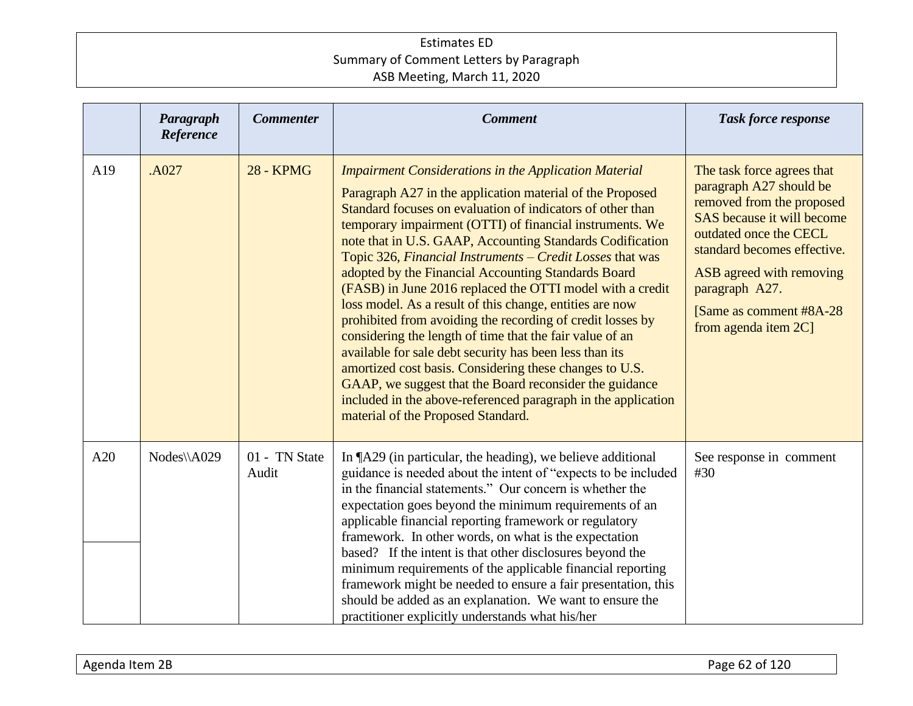|     | Paragraph<br>Reference | <b>Commenter</b>       | <b>Comment</b>                                                                                                                                                                                                                                                                                                                                                                                                                                                                                                                                                                                                                                                                                                                                                                                                                                                                                                                                                                  | <b>Task force response</b>                                                                                                                                                                                                                                                  |
|-----|------------------------|------------------------|---------------------------------------------------------------------------------------------------------------------------------------------------------------------------------------------------------------------------------------------------------------------------------------------------------------------------------------------------------------------------------------------------------------------------------------------------------------------------------------------------------------------------------------------------------------------------------------------------------------------------------------------------------------------------------------------------------------------------------------------------------------------------------------------------------------------------------------------------------------------------------------------------------------------------------------------------------------------------------|-----------------------------------------------------------------------------------------------------------------------------------------------------------------------------------------------------------------------------------------------------------------------------|
| A19 | .A027                  | <b>28 - KPMG</b>       | <b>Impairment Considerations in the Application Material</b><br>Paragraph A27 in the application material of the Proposed<br>Standard focuses on evaluation of indicators of other than<br>temporary impairment (OTTI) of financial instruments. We<br>note that in U.S. GAAP, Accounting Standards Codification<br>Topic 326, Financial Instruments - Credit Losses that was<br>adopted by the Financial Accounting Standards Board<br>(FASB) in June 2016 replaced the OTTI model with a credit<br>loss model. As a result of this change, entities are now<br>prohibited from avoiding the recording of credit losses by<br>considering the length of time that the fair value of an<br>available for sale debt security has been less than its<br>amortized cost basis. Considering these changes to U.S.<br>GAAP, we suggest that the Board reconsider the guidance<br>included in the above-referenced paragraph in the application<br>material of the Proposed Standard. | The task force agrees that<br>paragraph A27 should be<br>removed from the proposed<br>SAS because it will become<br>outdated once the CECL<br>standard becomes effective.<br>ASB agreed with removing<br>paragraph A27.<br>[Same as comment #8A-28]<br>from agenda item 2C] |
| A20 | Nodes\\A029            | 01 - TN State<br>Audit | In ¶A29 (in particular, the heading), we believe additional<br>guidance is needed about the intent of "expects to be included<br>in the financial statements." Our concern is whether the<br>expectation goes beyond the minimum requirements of an<br>applicable financial reporting framework or regulatory<br>framework. In other words, on what is the expectation<br>based? If the intent is that other disclosures beyond the<br>minimum requirements of the applicable financial reporting<br>framework might be needed to ensure a fair presentation, this<br>should be added as an explanation. We want to ensure the<br>practitioner explicitly understands what his/her                                                                                                                                                                                                                                                                                              | See response in comment<br>#30                                                                                                                                                                                                                                              |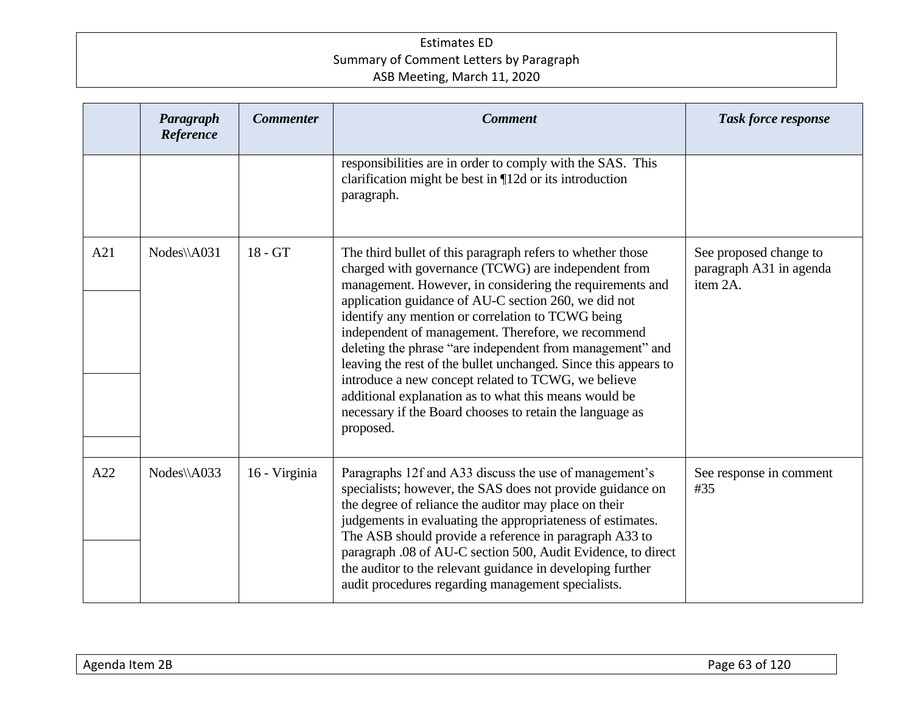|     | Paragraph<br>Reference | <b>Commenter</b> | <b>Comment</b>                                                                                                                                                                                                                                                                                                                                                                                                                                                                                                                                                                                                                                                            | <b>Task force response</b>                                    |
|-----|------------------------|------------------|---------------------------------------------------------------------------------------------------------------------------------------------------------------------------------------------------------------------------------------------------------------------------------------------------------------------------------------------------------------------------------------------------------------------------------------------------------------------------------------------------------------------------------------------------------------------------------------------------------------------------------------------------------------------------|---------------------------------------------------------------|
|     |                        |                  | responsibilities are in order to comply with the SAS. This<br>clarification might be best in $\P$ 12d or its introduction<br>paragraph.                                                                                                                                                                                                                                                                                                                                                                                                                                                                                                                                   |                                                               |
| A21 | Nodes\\A031            | $18 - GT$        | The third bullet of this paragraph refers to whether those<br>charged with governance (TCWG) are independent from<br>management. However, in considering the requirements and<br>application guidance of AU-C section 260, we did not<br>identify any mention or correlation to TCWG being<br>independent of management. Therefore, we recommend<br>deleting the phrase "are independent from management" and<br>leaving the rest of the bullet unchanged. Since this appears to<br>introduce a new concept related to TCWG, we believe<br>additional explanation as to what this means would be<br>necessary if the Board chooses to retain the language as<br>proposed. | See proposed change to<br>paragraph A31 in agenda<br>item 2A. |
| A22 | Nodes\\A033            | 16 - Virginia    | Paragraphs 12f and A33 discuss the use of management's<br>specialists; however, the SAS does not provide guidance on<br>the degree of reliance the auditor may place on their<br>judgements in evaluating the appropriateness of estimates.<br>The ASB should provide a reference in paragraph A33 to<br>paragraph .08 of AU-C section 500, Audit Evidence, to direct<br>the auditor to the relevant guidance in developing further<br>audit procedures regarding management specialists.                                                                                                                                                                                 | See response in comment<br>#35                                |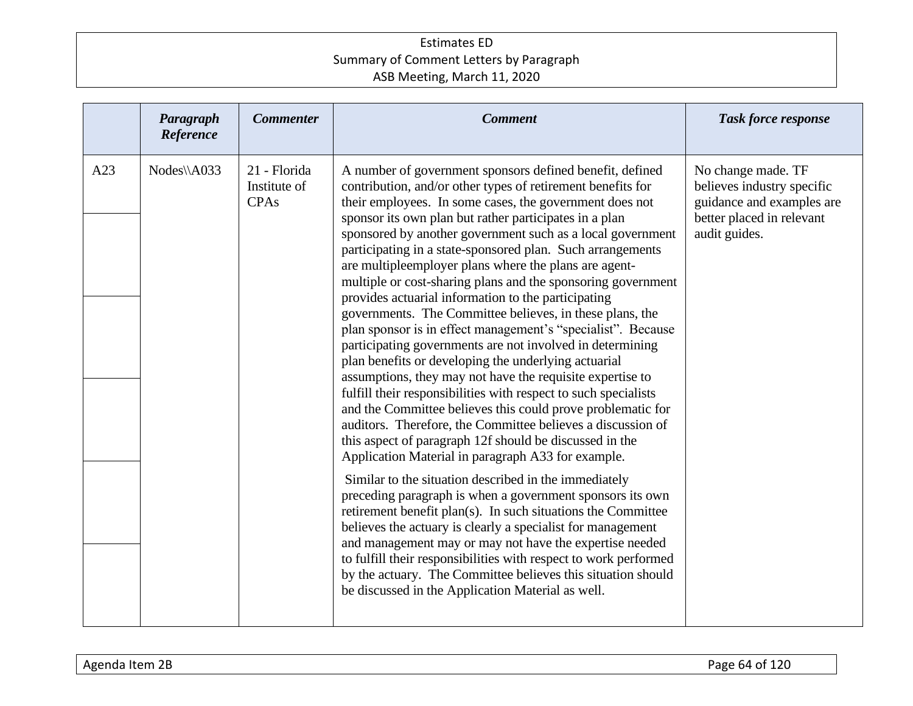|     | Paragraph<br>Reference | <b>Commenter</b>                            | <b>Comment</b>                                                                                                                                                                                                                                                                                                                                                                                                                                                                                                                                                                                                                                                                                                                                                                                                                                                                                                                                                                                                                                                                                                                                                                                                                                                                                                                                                                                                                                                                                                                                                                                                                                                                                    | <b>Task force response</b>                                                                                                  |
|-----|------------------------|---------------------------------------------|---------------------------------------------------------------------------------------------------------------------------------------------------------------------------------------------------------------------------------------------------------------------------------------------------------------------------------------------------------------------------------------------------------------------------------------------------------------------------------------------------------------------------------------------------------------------------------------------------------------------------------------------------------------------------------------------------------------------------------------------------------------------------------------------------------------------------------------------------------------------------------------------------------------------------------------------------------------------------------------------------------------------------------------------------------------------------------------------------------------------------------------------------------------------------------------------------------------------------------------------------------------------------------------------------------------------------------------------------------------------------------------------------------------------------------------------------------------------------------------------------------------------------------------------------------------------------------------------------------------------------------------------------------------------------------------------------|-----------------------------------------------------------------------------------------------------------------------------|
| A23 | Nodes\\A033            | 21 - Florida<br>Institute of<br><b>CPAs</b> | A number of government sponsors defined benefit, defined<br>contribution, and/or other types of retirement benefits for<br>their employees. In some cases, the government does not<br>sponsor its own plan but rather participates in a plan<br>sponsored by another government such as a local government<br>participating in a state-sponsored plan. Such arrangements<br>are multipleemployer plans where the plans are agent-<br>multiple or cost-sharing plans and the sponsoring government<br>provides actuarial information to the participating<br>governments. The Committee believes, in these plans, the<br>plan sponsor is in effect management's "specialist". Because<br>participating governments are not involved in determining<br>plan benefits or developing the underlying actuarial<br>assumptions, they may not have the requisite expertise to<br>fulfill their responsibilities with respect to such specialists<br>and the Committee believes this could prove problematic for<br>auditors. Therefore, the Committee believes a discussion of<br>this aspect of paragraph 12f should be discussed in the<br>Application Material in paragraph A33 for example.<br>Similar to the situation described in the immediately<br>preceding paragraph is when a government sponsors its own<br>retirement benefit plan(s). In such situations the Committee<br>believes the actuary is clearly a specialist for management<br>and management may or may not have the expertise needed<br>to fulfill their responsibilities with respect to work performed<br>by the actuary. The Committee believes this situation should<br>be discussed in the Application Material as well. | No change made. TF<br>believes industry specific<br>guidance and examples are<br>better placed in relevant<br>audit guides. |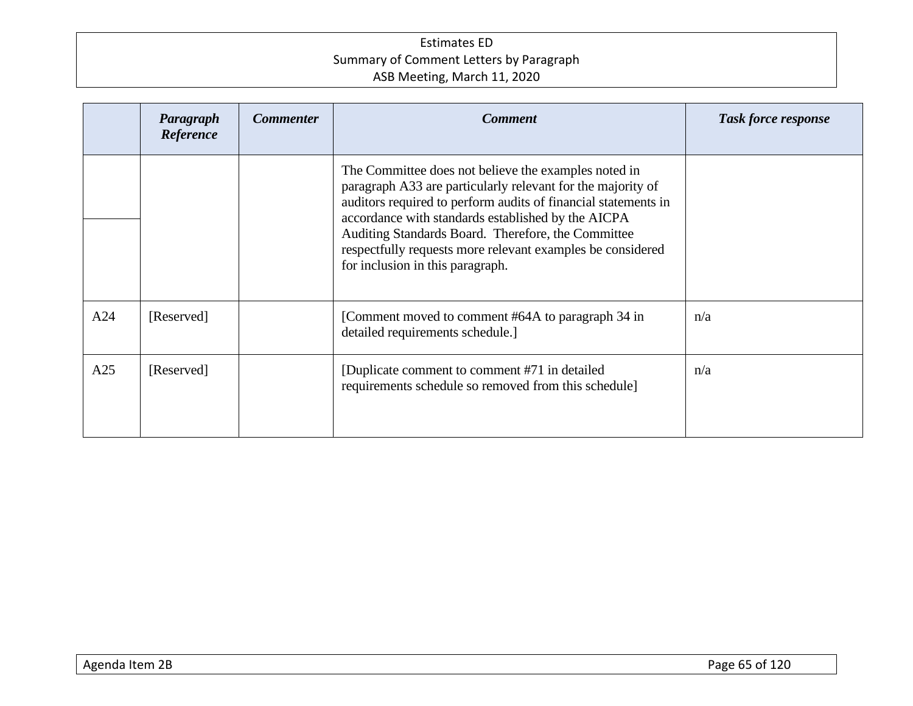|     | Paragraph<br>Reference | <b>Commenter</b> | <b>Comment</b>                                                                                                                                                                                                                                                                                                                                                                                      | <b>Task force response</b> |
|-----|------------------------|------------------|-----------------------------------------------------------------------------------------------------------------------------------------------------------------------------------------------------------------------------------------------------------------------------------------------------------------------------------------------------------------------------------------------------|----------------------------|
|     |                        |                  | The Committee does not believe the examples noted in<br>paragraph A33 are particularly relevant for the majority of<br>auditors required to perform audits of financial statements in<br>accordance with standards established by the AICPA<br>Auditing Standards Board. Therefore, the Committee<br>respectfully requests more relevant examples be considered<br>for inclusion in this paragraph. |                            |
| A24 | [Reserved]             |                  | [Comment moved to comment #64A to paragraph 34 in<br>detailed requirements schedule.]                                                                                                                                                                                                                                                                                                               | n/a                        |
| A25 | [Reserved]             |                  | [Duplicate comment to comment #71 in detailed]<br>requirements schedule so removed from this schedule]                                                                                                                                                                                                                                                                                              | n/a                        |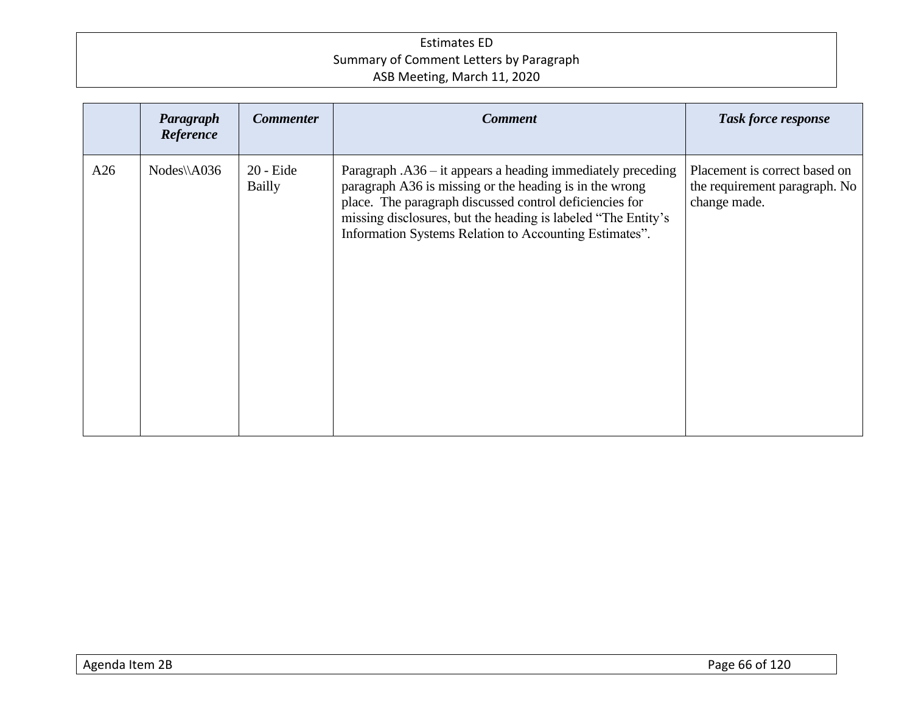|     | Paragraph<br>Reference | <b>Commenter</b>             | <b>Comment</b>                                                                                                                                                                                                                                                                                                  | <b>Task force response</b>                                                     |
|-----|------------------------|------------------------------|-----------------------------------------------------------------------------------------------------------------------------------------------------------------------------------------------------------------------------------------------------------------------------------------------------------------|--------------------------------------------------------------------------------|
| A26 | $Nodes\A036$           | $20$ - Eide<br><b>Bailly</b> | Paragraph $. A36 - it$ appears a heading immediately preceding<br>paragraph A36 is missing or the heading is in the wrong<br>place. The paragraph discussed control deficiencies for<br>missing disclosures, but the heading is labeled "The Entity's<br>Information Systems Relation to Accounting Estimates". | Placement is correct based on<br>the requirement paragraph. No<br>change made. |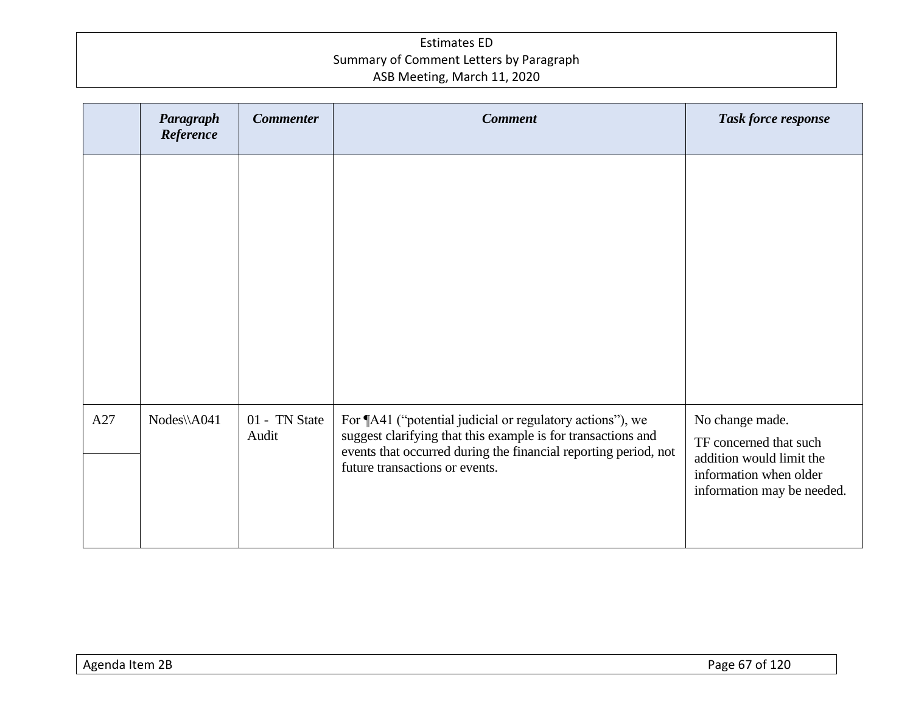|     | Paragraph<br>Reference | <b>Commenter</b>       | <b>Comment</b>                                                                                                                                                                                                                 | Task force response                                                                             |
|-----|------------------------|------------------------|--------------------------------------------------------------------------------------------------------------------------------------------------------------------------------------------------------------------------------|-------------------------------------------------------------------------------------------------|
|     |                        |                        |                                                                                                                                                                                                                                |                                                                                                 |
|     |                        |                        |                                                                                                                                                                                                                                |                                                                                                 |
|     |                        |                        |                                                                                                                                                                                                                                |                                                                                                 |
|     |                        |                        |                                                                                                                                                                                                                                |                                                                                                 |
|     |                        |                        |                                                                                                                                                                                                                                |                                                                                                 |
| A27 | $Nodes\A041$           | 01 - TN State<br>Audit | For ¶A41 ("potential judicial or regulatory actions"), we<br>suggest clarifying that this example is for transactions and<br>events that occurred during the financial reporting period, not<br>future transactions or events. | No change made.<br>TF concerned that such<br>addition would limit the<br>information when older |
|     |                        |                        |                                                                                                                                                                                                                                | information may be needed.                                                                      |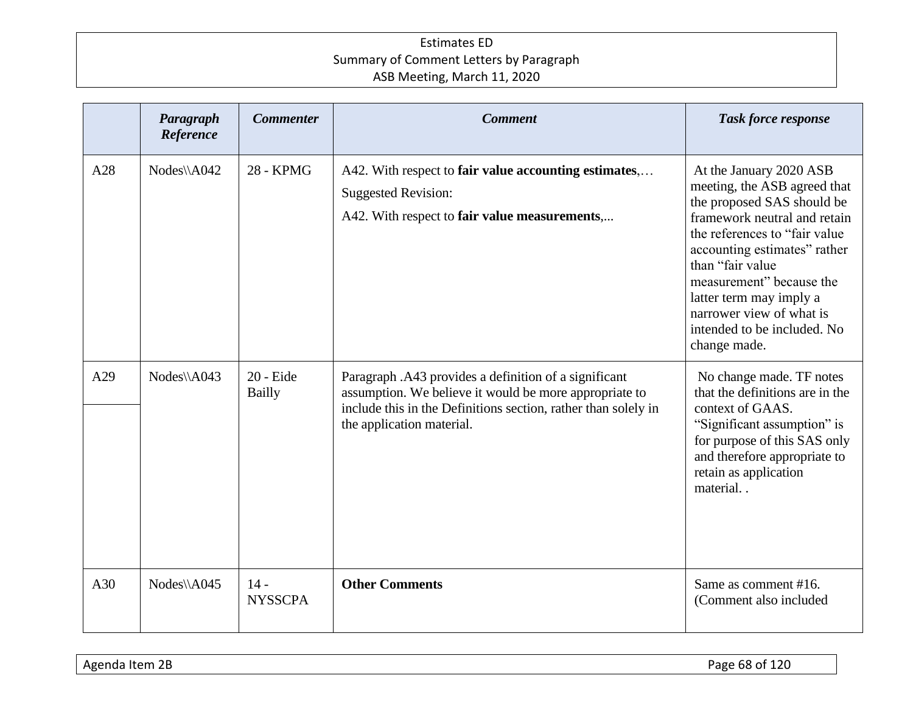|     | Paragraph<br>Reference | <b>Commenter</b>             | <b>Comment</b>                                                                                                                                                                                                 | <b>Task force response</b>                                                                                                                                                                                                                                                                                                                    |
|-----|------------------------|------------------------------|----------------------------------------------------------------------------------------------------------------------------------------------------------------------------------------------------------------|-----------------------------------------------------------------------------------------------------------------------------------------------------------------------------------------------------------------------------------------------------------------------------------------------------------------------------------------------|
| A28 | $Nodes\A042$           | 28 - KPMG                    | A42. With respect to fair value accounting estimates,<br><b>Suggested Revision:</b><br>A42. With respect to fair value measurements,                                                                           | At the January 2020 ASB<br>meeting, the ASB agreed that<br>the proposed SAS should be<br>framework neutral and retain<br>the references to "fair value"<br>accounting estimates" rather<br>than "fair value<br>measurement" because the<br>latter term may imply a<br>narrower view of what is<br>intended to be included. No<br>change made. |
| A29 | Nodes\\A043            | $20 -$ Eide<br><b>Bailly</b> | Paragraph .A43 provides a definition of a significant<br>assumption. We believe it would be more appropriate to<br>include this in the Definitions section, rather than solely in<br>the application material. | No change made. TF notes<br>that the definitions are in the<br>context of GAAS.<br>"Significant assumption" is<br>for purpose of this SAS only<br>and therefore appropriate to<br>retain as application<br>material                                                                                                                           |
| A30 | Nodes\\A045            | $14 -$<br><b>NYSSCPA</b>     | <b>Other Comments</b>                                                                                                                                                                                          | Same as comment #16.<br>(Comment also included                                                                                                                                                                                                                                                                                                |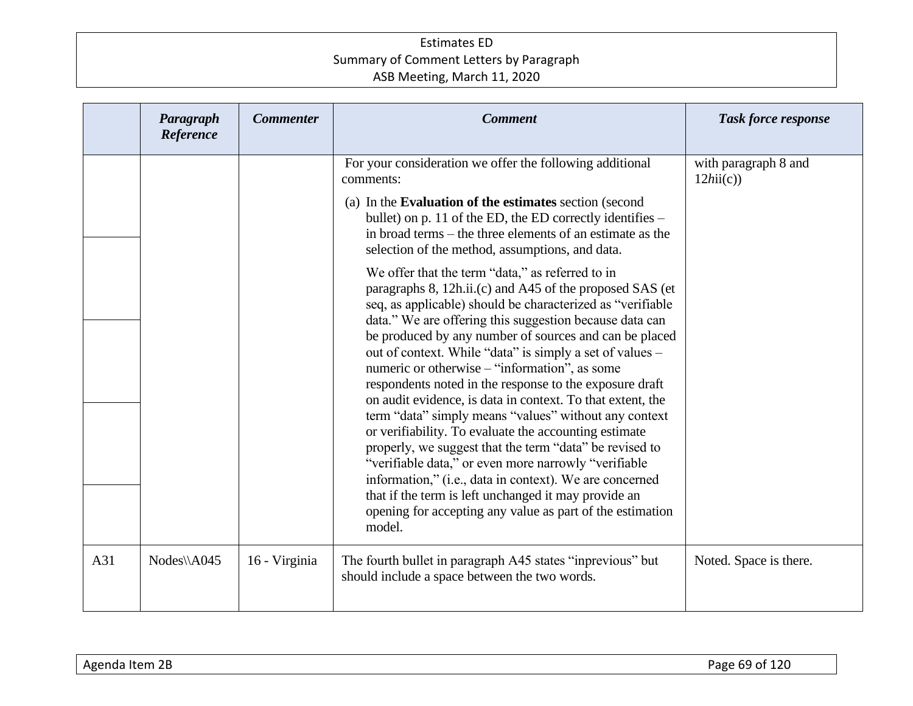|     | Paragraph<br>Reference | <b>Commenter</b> | <b>Comment</b>                                                                                                                                                                                                                                                                                                                                                                                                                                                                                                                          | <b>Task force response</b>       |
|-----|------------------------|------------------|-----------------------------------------------------------------------------------------------------------------------------------------------------------------------------------------------------------------------------------------------------------------------------------------------------------------------------------------------------------------------------------------------------------------------------------------------------------------------------------------------------------------------------------------|----------------------------------|
|     |                        |                  | For your consideration we offer the following additional<br>comments:<br>(a) In the Evaluation of the estimates section (second<br>bullet) on p. 11 of the ED, the ED correctly identifies -                                                                                                                                                                                                                                                                                                                                            | with paragraph 8 and<br>12hii(c) |
|     |                        |                  | in broad terms – the three elements of an estimate as the<br>selection of the method, assumptions, and data.<br>We offer that the term "data," as referred to in<br>paragraphs 8, 12h.ii.(c) and A45 of the proposed SAS (et                                                                                                                                                                                                                                                                                                            |                                  |
|     |                        |                  | seq, as applicable) should be characterized as "verifiable<br>data." We are offering this suggestion because data can<br>be produced by any number of sources and can be placed<br>out of context. While "data" is simply a set of values -<br>numeric or otherwise – "information", as some<br>respondents noted in the response to the exposure draft<br>on audit evidence, is data in context. To that extent, the<br>term "data" simply means "values" without any context<br>or verifiability. To evaluate the accounting estimate |                                  |
|     |                        |                  | properly, we suggest that the term "data" be revised to<br>"verifiable data," or even more narrowly "verifiable<br>information," (i.e., data in context). We are concerned<br>that if the term is left unchanged it may provide an<br>opening for accepting any value as part of the estimation<br>model.                                                                                                                                                                                                                               |                                  |
| A31 | Nodes\\A045            | 16 - Virginia    | The fourth bullet in paragraph A45 states "inprevious" but<br>should include a space between the two words.                                                                                                                                                                                                                                                                                                                                                                                                                             | Noted. Space is there.           |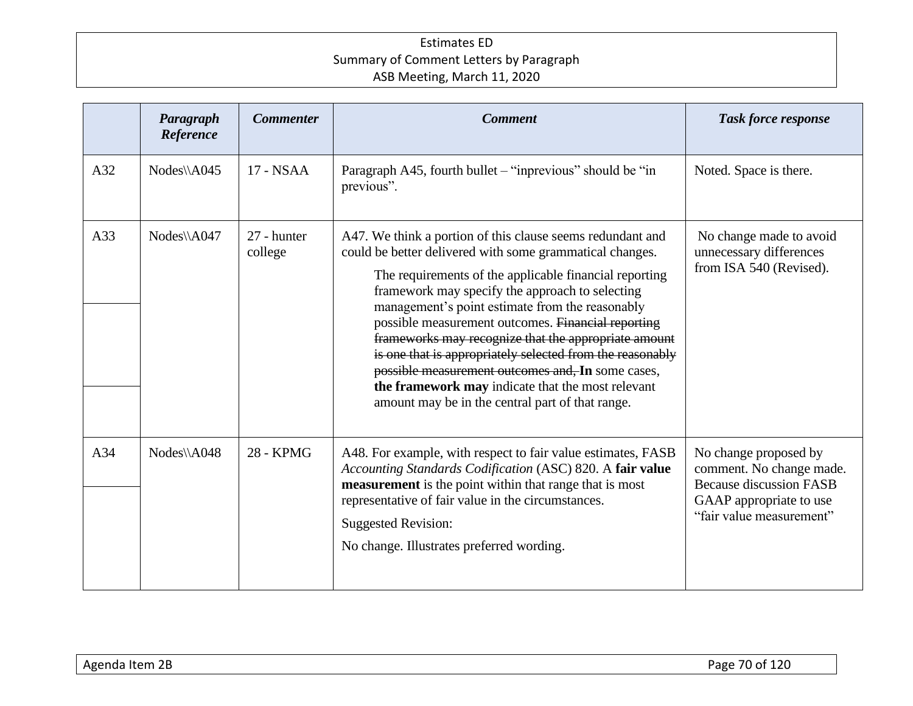|     | Paragraph<br>Reference | <b>Commenter</b>       | <b>Comment</b>                                                                                                                                                                                                                                                                                                                                                                                                                                                                                                                                                                                                                  | <b>Task force response</b>                                                                                                                 |
|-----|------------------------|------------------------|---------------------------------------------------------------------------------------------------------------------------------------------------------------------------------------------------------------------------------------------------------------------------------------------------------------------------------------------------------------------------------------------------------------------------------------------------------------------------------------------------------------------------------------------------------------------------------------------------------------------------------|--------------------------------------------------------------------------------------------------------------------------------------------|
| A32 | $Nodes\A045$           | 17 - NSAA              | Paragraph A45, fourth bullet – "inprevious" should be "in<br>previous".                                                                                                                                                                                                                                                                                                                                                                                                                                                                                                                                                         | Noted. Space is there.                                                                                                                     |
| A33 | Nodes\\A047            | 27 - hunter<br>college | A47. We think a portion of this clause seems redundant and<br>could be better delivered with some grammatical changes.<br>The requirements of the applicable financial reporting<br>framework may specify the approach to selecting<br>management's point estimate from the reasonably<br>possible measurement outcomes. Financial reporting<br>frameworks may recognize that the appropriate amount<br>is one that is appropriately selected from the reasonably<br>possible measurement outcomes and, In some cases,<br>the framework may indicate that the most relevant<br>amount may be in the central part of that range. | No change made to avoid<br>unnecessary differences<br>from ISA 540 (Revised).                                                              |
| A34 | Nodes\\A048            | 28 - KPMG              | A48. For example, with respect to fair value estimates, FASB<br>Accounting Standards Codification (ASC) 820. A fair value<br>measurement is the point within that range that is most<br>representative of fair value in the circumstances.<br><b>Suggested Revision:</b><br>No change. Illustrates preferred wording.                                                                                                                                                                                                                                                                                                           | No change proposed by<br>comment. No change made.<br><b>Because discussion FASB</b><br>GAAP appropriate to use<br>"fair value measurement" |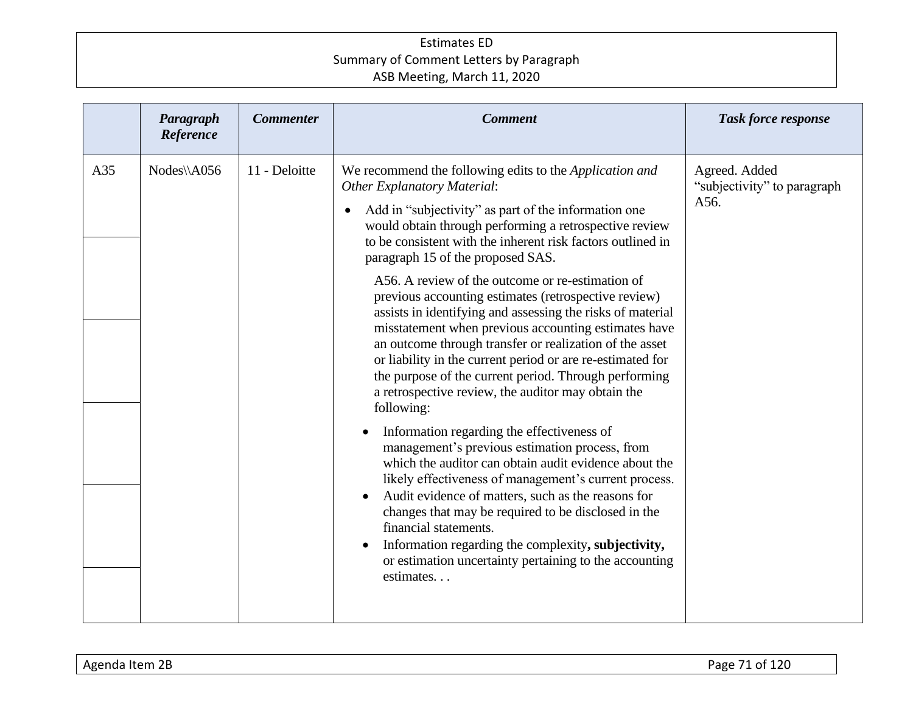|     | Paragraph<br>Reference | <b>Commenter</b> | <b>Comment</b>                                                                                                                                                                                                                                                                                                                                                                                                                                                                                                                                                                                                                                                                                                                                                                                                                                                                                                                                                                                                                                                                                                                                                                                                                                                                                    | <b>Task force response</b>                           |
|-----|------------------------|------------------|---------------------------------------------------------------------------------------------------------------------------------------------------------------------------------------------------------------------------------------------------------------------------------------------------------------------------------------------------------------------------------------------------------------------------------------------------------------------------------------------------------------------------------------------------------------------------------------------------------------------------------------------------------------------------------------------------------------------------------------------------------------------------------------------------------------------------------------------------------------------------------------------------------------------------------------------------------------------------------------------------------------------------------------------------------------------------------------------------------------------------------------------------------------------------------------------------------------------------------------------------------------------------------------------------|------------------------------------------------------|
| A35 | Nodes\\A056            | 11 - Deloitte    | We recommend the following edits to the Application and<br><b>Other Explanatory Material:</b><br>Add in "subjectivity" as part of the information one<br>would obtain through performing a retrospective review<br>to be consistent with the inherent risk factors outlined in<br>paragraph 15 of the proposed SAS.<br>A56. A review of the outcome or re-estimation of<br>previous accounting estimates (retrospective review)<br>assists in identifying and assessing the risks of material<br>misstatement when previous accounting estimates have<br>an outcome through transfer or realization of the asset<br>or liability in the current period or are re-estimated for<br>the purpose of the current period. Through performing<br>a retrospective review, the auditor may obtain the<br>following:<br>Information regarding the effectiveness of<br>management's previous estimation process, from<br>which the auditor can obtain audit evidence about the<br>likely effectiveness of management's current process.<br>Audit evidence of matters, such as the reasons for<br>changes that may be required to be disclosed in the<br>financial statements.<br>Information regarding the complexity, subjectivity,<br>or estimation uncertainty pertaining to the accounting<br>estimates | Agreed. Added<br>"subjectivity" to paragraph<br>A56. |
|     |                        |                  |                                                                                                                                                                                                                                                                                                                                                                                                                                                                                                                                                                                                                                                                                                                                                                                                                                                                                                                                                                                                                                                                                                                                                                                                                                                                                                   |                                                      |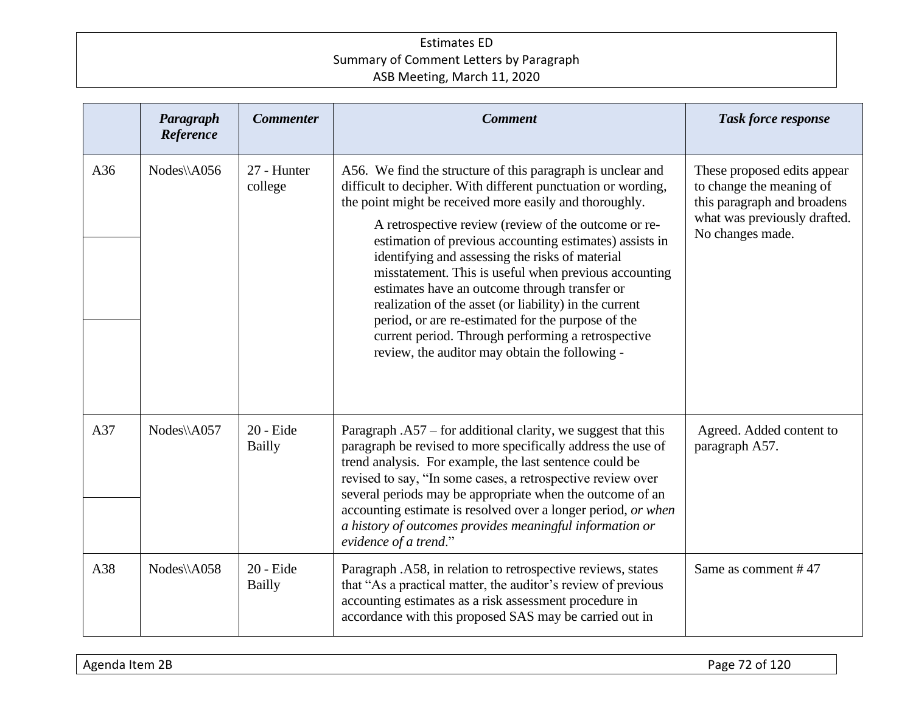|     | Paragraph<br>Reference | <b>Commenter</b>           | <b>Comment</b>                                                                                                                                                                                                                                                                                                                                                                                                                                                                                                                                                                                                                                                                                  | <b>Task force response</b>                                                                                                                 |
|-----|------------------------|----------------------------|-------------------------------------------------------------------------------------------------------------------------------------------------------------------------------------------------------------------------------------------------------------------------------------------------------------------------------------------------------------------------------------------------------------------------------------------------------------------------------------------------------------------------------------------------------------------------------------------------------------------------------------------------------------------------------------------------|--------------------------------------------------------------------------------------------------------------------------------------------|
| A36 | Nodes\\A056            | 27 - Hunter<br>college     | A56. We find the structure of this paragraph is unclear and<br>difficult to decipher. With different punctuation or wording,<br>the point might be received more easily and thoroughly.<br>A retrospective review (review of the outcome or re-<br>estimation of previous accounting estimates) assists in<br>identifying and assessing the risks of material<br>misstatement. This is useful when previous accounting<br>estimates have an outcome through transfer or<br>realization of the asset (or liability) in the current<br>period, or are re-estimated for the purpose of the<br>current period. Through performing a retrospective<br>review, the auditor may obtain the following - | These proposed edits appear<br>to change the meaning of<br>this paragraph and broadens<br>what was previously drafted.<br>No changes made. |
| A37 | Nodes\\A057            | 20 - Eide<br><b>Bailly</b> | Paragraph $. A57$ – for additional clarity, we suggest that this<br>paragraph be revised to more specifically address the use of<br>trend analysis. For example, the last sentence could be<br>revised to say, "In some cases, a retrospective review over<br>several periods may be appropriate when the outcome of an<br>accounting estimate is resolved over a longer period, or when<br>a history of outcomes provides meaningful information or<br>evidence of a trend."                                                                                                                                                                                                                   | Agreed. Added content to<br>paragraph A57.                                                                                                 |
| A38 | Nodes\\A058            | 20 - Eide<br><b>Bailly</b> | Paragraph .A58, in relation to retrospective reviews, states<br>that "As a practical matter, the auditor's review of previous<br>accounting estimates as a risk assessment procedure in<br>accordance with this proposed SAS may be carried out in                                                                                                                                                                                                                                                                                                                                                                                                                                              | Same as comment #47                                                                                                                        |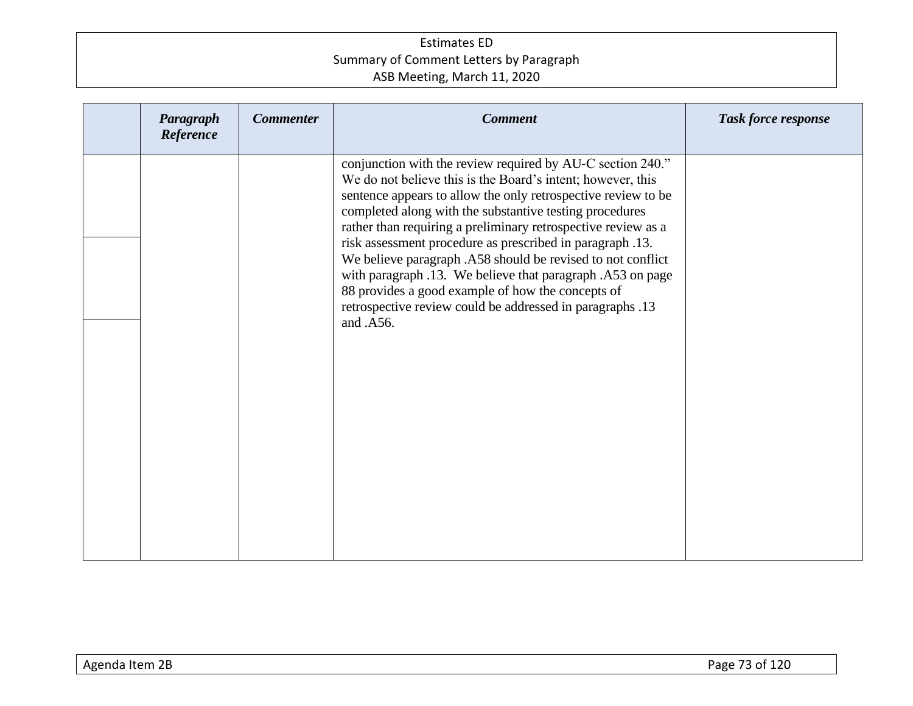| Paragraph<br>Reference | <b>Commenter</b> | <b>Comment</b>                                                                                                                                                                                                                                                                                                                                                                                                                                                                                                                                                                                                                                  | <b>Task force response</b> |
|------------------------|------------------|-------------------------------------------------------------------------------------------------------------------------------------------------------------------------------------------------------------------------------------------------------------------------------------------------------------------------------------------------------------------------------------------------------------------------------------------------------------------------------------------------------------------------------------------------------------------------------------------------------------------------------------------------|----------------------------|
|                        |                  | conjunction with the review required by AU-C section 240."<br>We do not believe this is the Board's intent; however, this<br>sentence appears to allow the only retrospective review to be<br>completed along with the substantive testing procedures<br>rather than requiring a preliminary retrospective review as a<br>risk assessment procedure as prescribed in paragraph .13.<br>We believe paragraph .A58 should be revised to not conflict<br>with paragraph .13. We believe that paragraph .A53 on page<br>88 provides a good example of how the concepts of<br>retrospective review could be addressed in paragraphs .13<br>and .A56. |                            |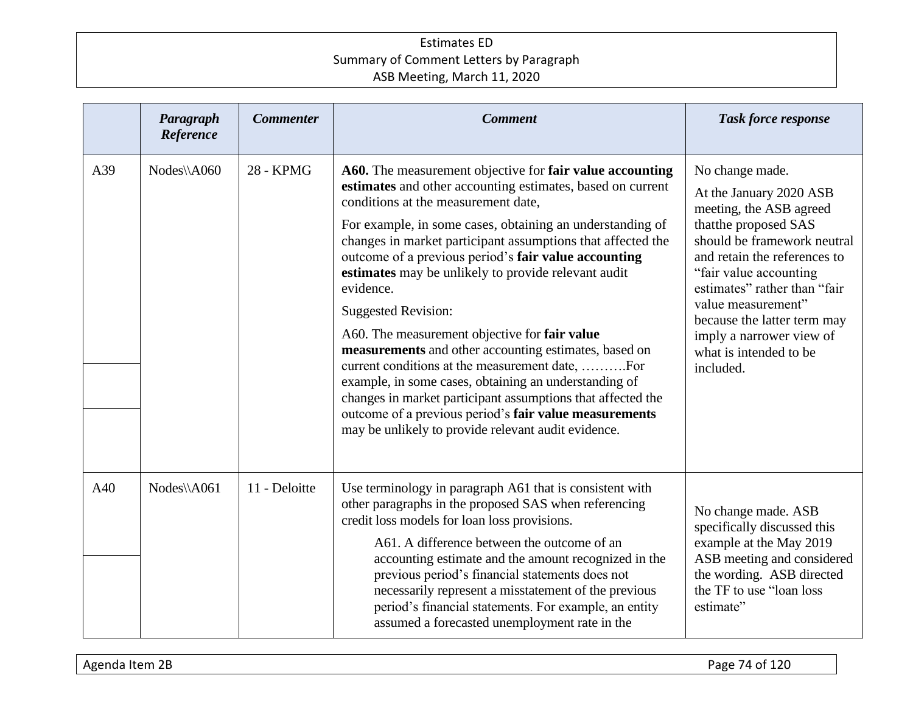|     | Paragraph<br>Reference | <b>Commenter</b> | <b>Comment</b>                                                                                                                                                                                                                                                                                                                                                                                                                                                                                                                                                                                                                                                                                                                                                                                                                                            | <b>Task force response</b>                                                                                                                                                                                                                                                                                                                     |
|-----|------------------------|------------------|-----------------------------------------------------------------------------------------------------------------------------------------------------------------------------------------------------------------------------------------------------------------------------------------------------------------------------------------------------------------------------------------------------------------------------------------------------------------------------------------------------------------------------------------------------------------------------------------------------------------------------------------------------------------------------------------------------------------------------------------------------------------------------------------------------------------------------------------------------------|------------------------------------------------------------------------------------------------------------------------------------------------------------------------------------------------------------------------------------------------------------------------------------------------------------------------------------------------|
| A39 | Nodes\\A060            | 28 - KPMG        | A60. The measurement objective for fair value accounting<br>estimates and other accounting estimates, based on current<br>conditions at the measurement date,<br>For example, in some cases, obtaining an understanding of<br>changes in market participant assumptions that affected the<br>outcome of a previous period's fair value accounting<br>estimates may be unlikely to provide relevant audit<br>evidence.<br><b>Suggested Revision:</b><br>A60. The measurement objective for fair value<br>measurements and other accounting estimates, based on<br>current conditions at the measurement date, For<br>example, in some cases, obtaining an understanding of<br>changes in market participant assumptions that affected the<br>outcome of a previous period's fair value measurements<br>may be unlikely to provide relevant audit evidence. | No change made.<br>At the January 2020 ASB<br>meeting, the ASB agreed<br>thatthe proposed SAS<br>should be framework neutral<br>and retain the references to<br>"fair value accounting<br>estimates" rather than "fair<br>value measurement"<br>because the latter term may<br>imply a narrower view of<br>what is intended to be<br>included. |
| A40 | Nodes\\A061            | 11 - Deloitte    | Use terminology in paragraph A61 that is consistent with<br>other paragraphs in the proposed SAS when referencing<br>credit loss models for loan loss provisions.<br>A61. A difference between the outcome of an<br>accounting estimate and the amount recognized in the<br>previous period's financial statements does not<br>necessarily represent a misstatement of the previous<br>period's financial statements. For example, an entity<br>assumed a forecasted unemployment rate in the                                                                                                                                                                                                                                                                                                                                                             | No change made. ASB<br>specifically discussed this<br>example at the May 2019<br>ASB meeting and considered<br>the wording. ASB directed<br>the TF to use "loan loss"<br>estimate"                                                                                                                                                             |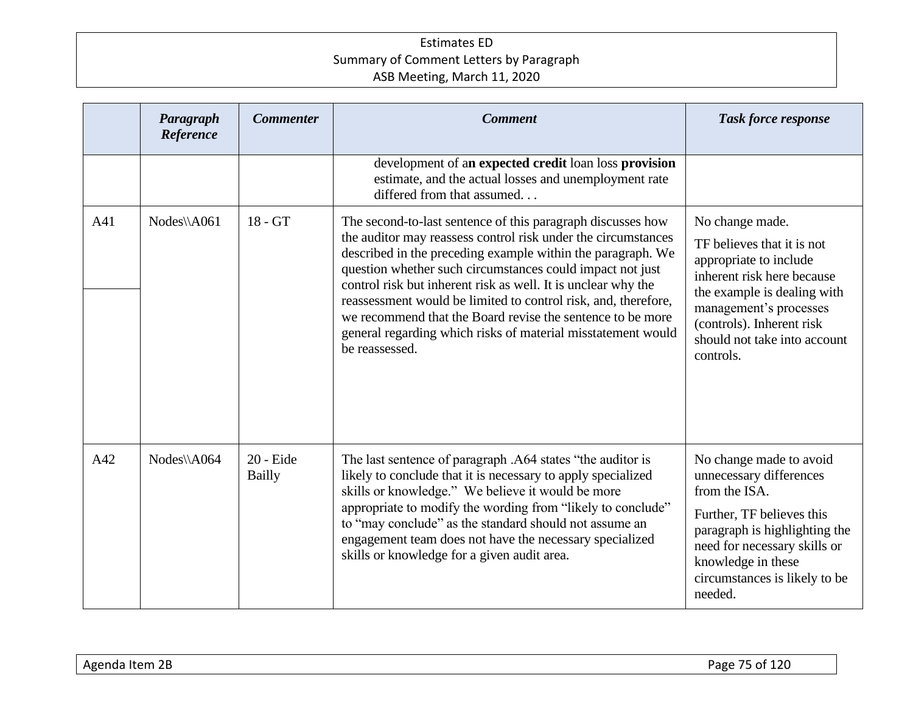|     | Paragraph<br>Reference | <b>Commenter</b>           | <b>Comment</b>                                                                                                                                                                                                                                                                                                                                                                                                                                                                                                                              | <b>Task force response</b>                                                                                                                                                                                                               |
|-----|------------------------|----------------------------|---------------------------------------------------------------------------------------------------------------------------------------------------------------------------------------------------------------------------------------------------------------------------------------------------------------------------------------------------------------------------------------------------------------------------------------------------------------------------------------------------------------------------------------------|------------------------------------------------------------------------------------------------------------------------------------------------------------------------------------------------------------------------------------------|
|     |                        |                            | development of an expected credit loan loss provision<br>estimate, and the actual losses and unemployment rate<br>differed from that assumed                                                                                                                                                                                                                                                                                                                                                                                                |                                                                                                                                                                                                                                          |
| A41 | Nodes\\A061            | $18 - GT$                  | The second-to-last sentence of this paragraph discusses how<br>the auditor may reassess control risk under the circumstances<br>described in the preceding example within the paragraph. We<br>question whether such circumstances could impact not just<br>control risk but inherent risk as well. It is unclear why the<br>reassessment would be limited to control risk, and, therefore,<br>we recommend that the Board revise the sentence to be more<br>general regarding which risks of material misstatement would<br>be reassessed. | No change made.<br>TF believes that it is not<br>appropriate to include<br>inherent risk here because<br>the example is dealing with<br>management's processes<br>(controls). Inherent risk<br>should not take into account<br>controls. |
| A42 | Nodes\\A064            | 20 - Eide<br><b>Bailly</b> | The last sentence of paragraph .A64 states "the auditor is<br>likely to conclude that it is necessary to apply specialized<br>skills or knowledge." We believe it would be more<br>appropriate to modify the wording from "likely to conclude"<br>to "may conclude" as the standard should not assume an<br>engagement team does not have the necessary specialized<br>skills or knowledge for a given audit area.                                                                                                                          | No change made to avoid<br>unnecessary differences<br>from the ISA.<br>Further, TF believes this<br>paragraph is highlighting the<br>need for necessary skills or<br>knowledge in these<br>circumstances is likely to be<br>needed.      |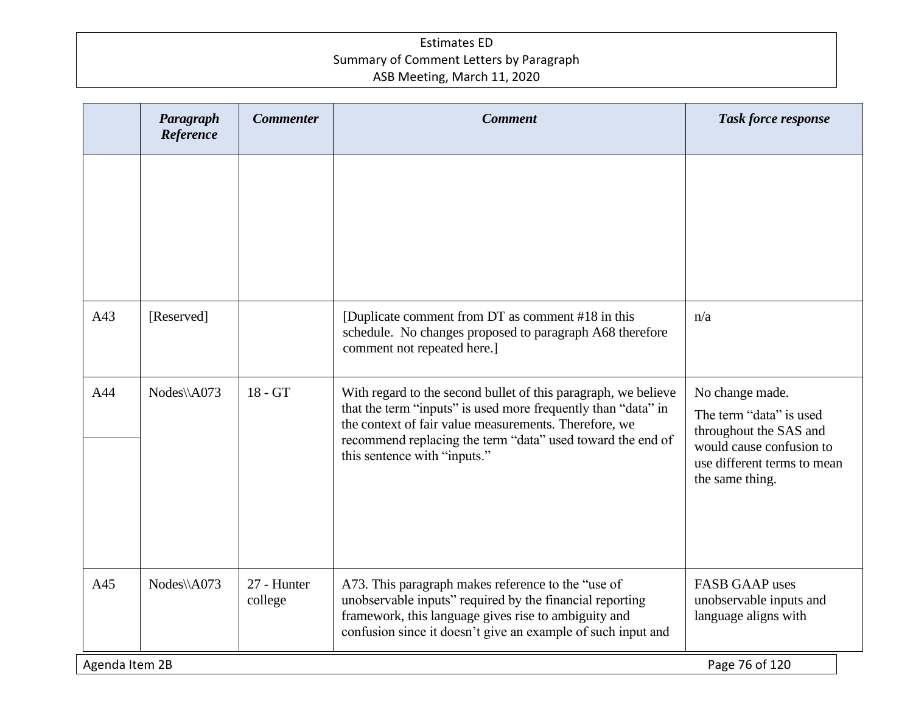|                | Paragraph<br>Reference | <b>Commenter</b>       | <b>Comment</b>                                                                                                                                                                                                                                                                         | Task force response                                                                                                                                |  |
|----------------|------------------------|------------------------|----------------------------------------------------------------------------------------------------------------------------------------------------------------------------------------------------------------------------------------------------------------------------------------|----------------------------------------------------------------------------------------------------------------------------------------------------|--|
|                |                        |                        |                                                                                                                                                                                                                                                                                        |                                                                                                                                                    |  |
| A43            | [Reserved]             |                        | [Duplicate comment from DT as comment #18 in this<br>schedule. No changes proposed to paragraph A68 therefore<br>comment not repeated here.]                                                                                                                                           | n/a                                                                                                                                                |  |
| A44            | Nodes\\A073            | 18 - GT                | With regard to the second bullet of this paragraph, we believe<br>that the term "inputs" is used more frequently than "data" in<br>the context of fair value measurements. Therefore, we<br>recommend replacing the term "data" used toward the end of<br>this sentence with "inputs." | No change made.<br>The term "data" is used<br>throughout the SAS and<br>would cause confusion to<br>use different terms to mean<br>the same thing. |  |
| A45            | Nodes\\A073            | 27 - Hunter<br>college | A73. This paragraph makes reference to the "use of<br>unobservable inputs" required by the financial reporting<br>framework, this language gives rise to ambiguity and<br>confusion since it doesn't give an example of such input and                                                 | <b>FASB GAAP</b> uses<br>unobservable inputs and<br>language aligns with                                                                           |  |
| Agenda Item 2B |                        |                        |                                                                                                                                                                                                                                                                                        | Page 76 of 120                                                                                                                                     |  |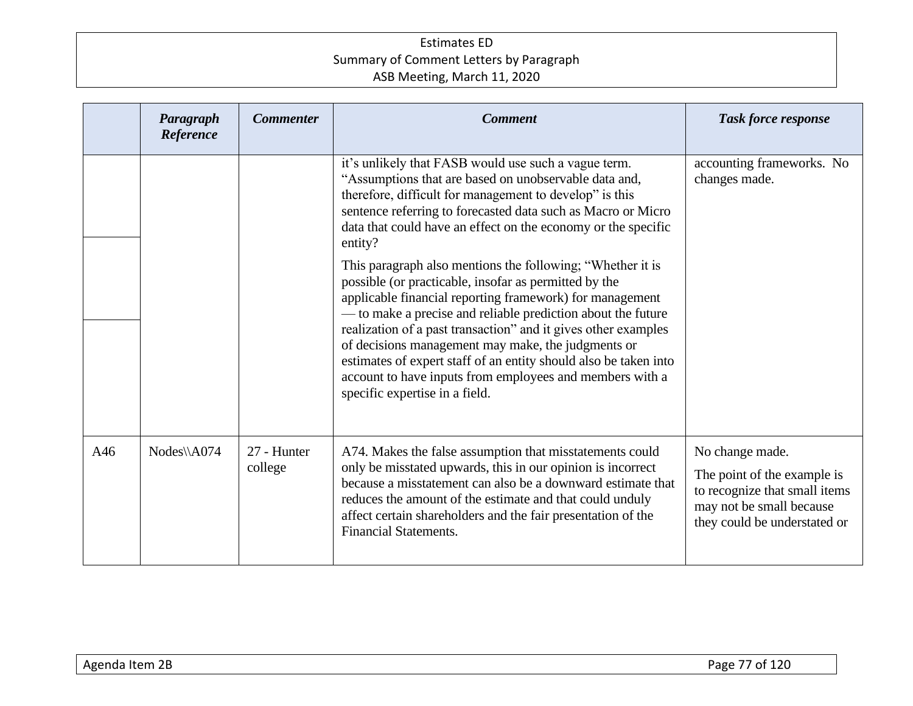|     | Paragraph<br>Reference | <b>Commenter</b>       | <b>Comment</b>                                                                                                                                                                                                                                                                                                                                                                                                                                                                                                                                                                                                                                                                                                                                                                                                                                                    | <b>Task force response</b>                                                                                                                  |
|-----|------------------------|------------------------|-------------------------------------------------------------------------------------------------------------------------------------------------------------------------------------------------------------------------------------------------------------------------------------------------------------------------------------------------------------------------------------------------------------------------------------------------------------------------------------------------------------------------------------------------------------------------------------------------------------------------------------------------------------------------------------------------------------------------------------------------------------------------------------------------------------------------------------------------------------------|---------------------------------------------------------------------------------------------------------------------------------------------|
|     |                        |                        | it's unlikely that FASB would use such a vague term.<br>"Assumptions that are based on unobservable data and,<br>therefore, difficult for management to develop" is this<br>sentence referring to forecasted data such as Macro or Micro<br>data that could have an effect on the economy or the specific<br>entity?<br>This paragraph also mentions the following; "Whether it is<br>possible (or practicable, insofar as permitted by the<br>applicable financial reporting framework) for management<br>- to make a precise and reliable prediction about the future<br>realization of a past transaction" and it gives other examples<br>of decisions management may make, the judgments or<br>estimates of expert staff of an entity should also be taken into<br>account to have inputs from employees and members with a<br>specific expertise in a field. | accounting frameworks. No<br>changes made.                                                                                                  |
| A46 | Nodes\\A074            | 27 - Hunter<br>college | A74. Makes the false assumption that misstatements could<br>only be misstated upwards, this in our opinion is incorrect<br>because a misstatement can also be a downward estimate that<br>reduces the amount of the estimate and that could unduly<br>affect certain shareholders and the fair presentation of the<br><b>Financial Statements.</b>                                                                                                                                                                                                                                                                                                                                                                                                                                                                                                                | No change made.<br>The point of the example is<br>to recognize that small items<br>may not be small because<br>they could be understated or |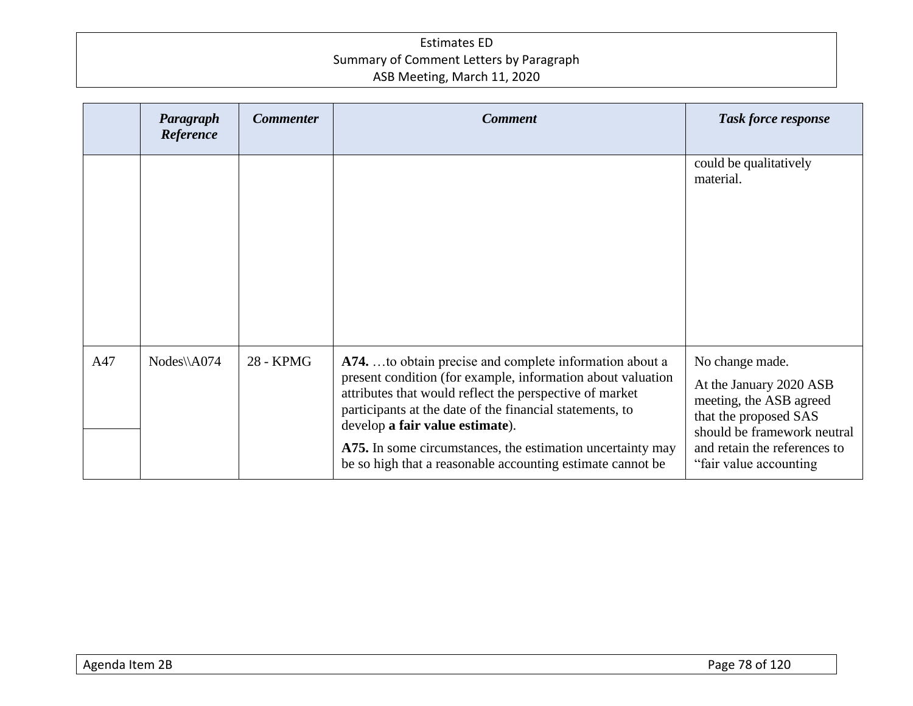|     | Paragraph<br>Reference | <b>Commenter</b> | <b>Comment</b>                                                                                                                                                                                                                                                                                                                                                                                               | <b>Task force response</b>                                                                                                                                                               |
|-----|------------------------|------------------|--------------------------------------------------------------------------------------------------------------------------------------------------------------------------------------------------------------------------------------------------------------------------------------------------------------------------------------------------------------------------------------------------------------|------------------------------------------------------------------------------------------------------------------------------------------------------------------------------------------|
|     |                        |                  |                                                                                                                                                                                                                                                                                                                                                                                                              | could be qualitatively<br>material.                                                                                                                                                      |
| A47 | Nodes\\A074            | 28 - KPMG        | A74. to obtain precise and complete information about a<br>present condition (for example, information about valuation<br>attributes that would reflect the perspective of market<br>participants at the date of the financial statements, to<br>develop a fair value estimate).<br>A75. In some circumstances, the estimation uncertainty may<br>be so high that a reasonable accounting estimate cannot be | No change made.<br>At the January 2020 ASB<br>meeting, the ASB agreed<br>that the proposed SAS<br>should be framework neutral<br>and retain the references to<br>"fair value accounting" |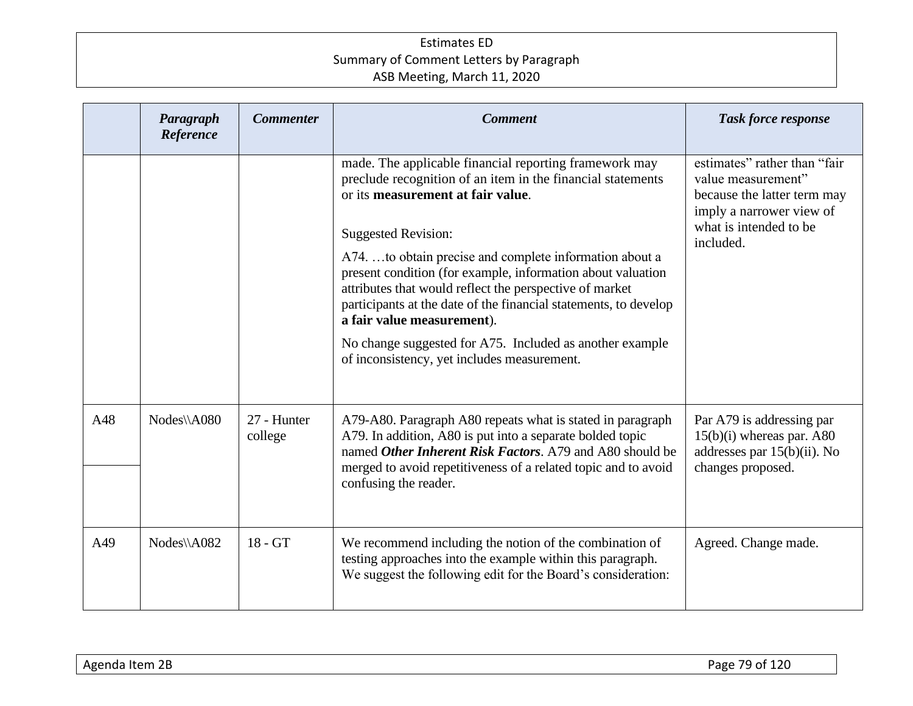|     | Paragraph<br>Reference | <b>Commenter</b>       | <b>Comment</b>                                                                                                                                                                                                                                                                                                                                                                                                                                                                                                                                                                             | <b>Task force response</b>                                                                                                                           |
|-----|------------------------|------------------------|--------------------------------------------------------------------------------------------------------------------------------------------------------------------------------------------------------------------------------------------------------------------------------------------------------------------------------------------------------------------------------------------------------------------------------------------------------------------------------------------------------------------------------------------------------------------------------------------|------------------------------------------------------------------------------------------------------------------------------------------------------|
|     |                        |                        | made. The applicable financial reporting framework may<br>preclude recognition of an item in the financial statements<br>or its measurement at fair value.<br><b>Suggested Revision:</b><br>A74. to obtain precise and complete information about a<br>present condition (for example, information about valuation<br>attributes that would reflect the perspective of market<br>participants at the date of the financial statements, to develop<br>a fair value measurement).<br>No change suggested for A75. Included as another example<br>of inconsistency, yet includes measurement. | estimates" rather than "fair<br>value measurement"<br>because the latter term may<br>imply a narrower view of<br>what is intended to be<br>included. |
| A48 | Nodes\\A080            | 27 - Hunter<br>college | A79-A80. Paragraph A80 repeats what is stated in paragraph<br>A79. In addition, A80 is put into a separate bolded topic<br>named <i>Other Inherent Risk Factors</i> . A <sub>79</sub> and A <sub>80</sub> should be<br>merged to avoid repetitiveness of a related topic and to avoid<br>confusing the reader.                                                                                                                                                                                                                                                                             | Par A79 is addressing par<br>$15(b)(i)$ whereas par. A80<br>addresses par 15(b)(ii). No<br>changes proposed.                                         |
| A49 | Nodes\\A082            | $18 - GT$              | We recommend including the notion of the combination of<br>testing approaches into the example within this paragraph.<br>We suggest the following edit for the Board's consideration:                                                                                                                                                                                                                                                                                                                                                                                                      | Agreed. Change made.                                                                                                                                 |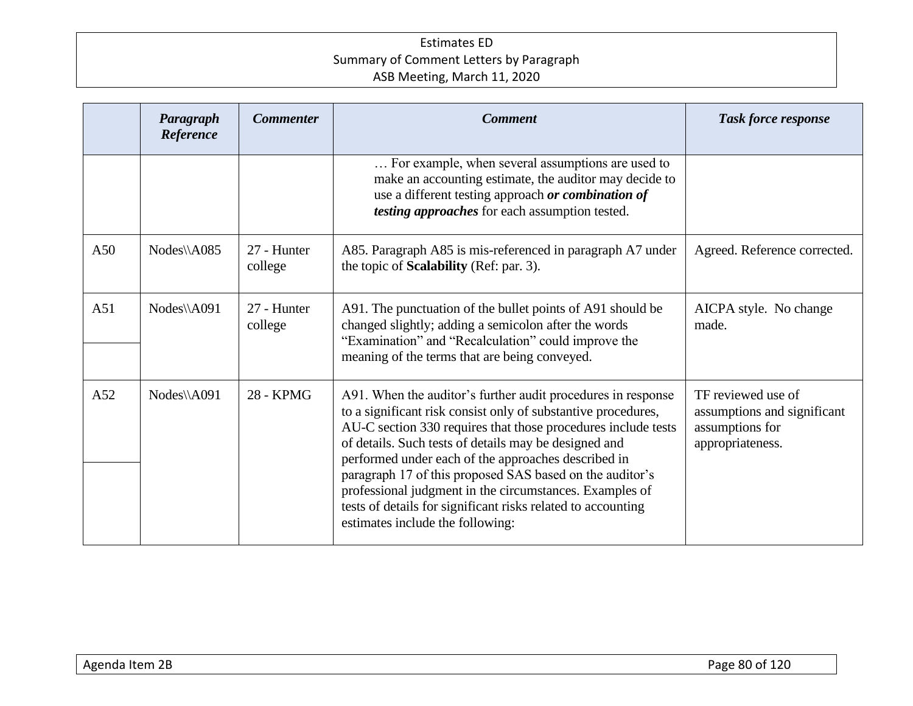|     | Paragraph<br>Reference | <b>Commenter</b>       | <b>Comment</b>                                                                                                                                                                                                                                                                                                                                                                                                                                                                                                                            | <b>Task force response</b>                                                               |
|-----|------------------------|------------------------|-------------------------------------------------------------------------------------------------------------------------------------------------------------------------------------------------------------------------------------------------------------------------------------------------------------------------------------------------------------------------------------------------------------------------------------------------------------------------------------------------------------------------------------------|------------------------------------------------------------------------------------------|
|     |                        |                        | For example, when several assumptions are used to<br>make an accounting estimate, the auditor may decide to<br>use a different testing approach or combination of<br>testing approaches for each assumption tested.                                                                                                                                                                                                                                                                                                                       |                                                                                          |
| A50 | Nodes\\A085            | 27 - Hunter<br>college | A85. Paragraph A85 is mis-referenced in paragraph A7 under<br>the topic of <b>Scalability</b> (Ref: par. 3).                                                                                                                                                                                                                                                                                                                                                                                                                              | Agreed. Reference corrected.                                                             |
| A51 | Nodes\\A091            | 27 - Hunter<br>college | A91. The punctuation of the bullet points of A91 should be<br>changed slightly; adding a semicolon after the words<br>"Examination" and "Recalculation" could improve the<br>meaning of the terms that are being conveyed.                                                                                                                                                                                                                                                                                                                | AICPA style. No change<br>made.                                                          |
| A52 | Nodes\\A091            | 28 - KPMG              | A91. When the auditor's further audit procedures in response<br>to a significant risk consist only of substantive procedures,<br>AU-C section 330 requires that those procedures include tests<br>of details. Such tests of details may be designed and<br>performed under each of the approaches described in<br>paragraph 17 of this proposed SAS based on the auditor's<br>professional judgment in the circumstances. Examples of<br>tests of details for significant risks related to accounting<br>estimates include the following: | TF reviewed use of<br>assumptions and significant<br>assumptions for<br>appropriateness. |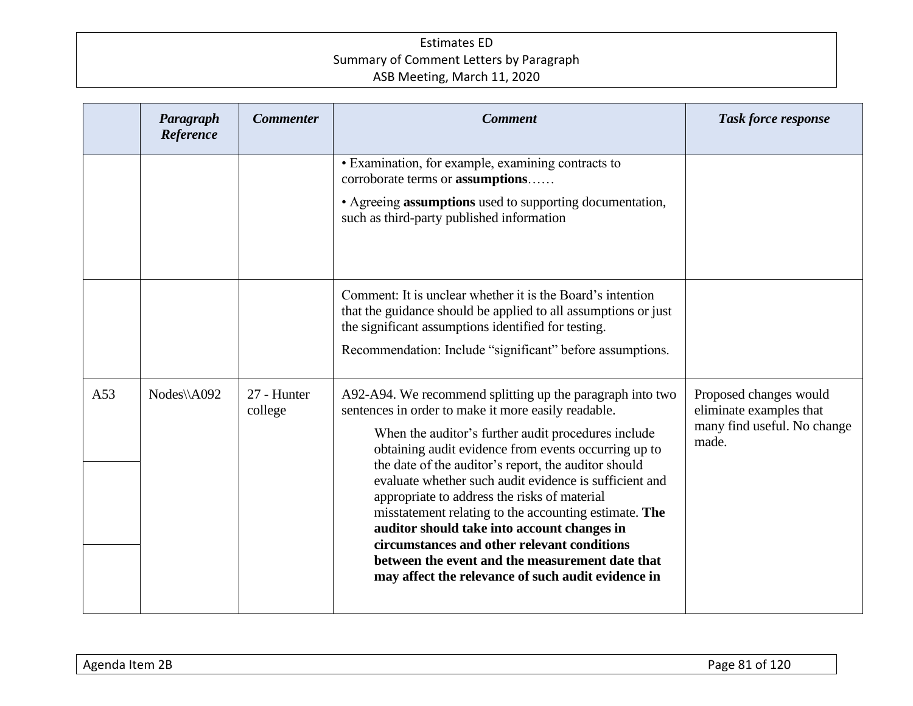|     | Paragraph<br>Reference | <b>Commenter</b>       | <b>Comment</b>                                                                                                                                                                                                                                                                                                                                                                                                                                                                                                                                                                                                                                                    | <b>Task force response</b>                                                                |
|-----|------------------------|------------------------|-------------------------------------------------------------------------------------------------------------------------------------------------------------------------------------------------------------------------------------------------------------------------------------------------------------------------------------------------------------------------------------------------------------------------------------------------------------------------------------------------------------------------------------------------------------------------------------------------------------------------------------------------------------------|-------------------------------------------------------------------------------------------|
|     |                        |                        | • Examination, for example, examining contracts to<br>corroborate terms or <b>assumptions</b><br>• Agreeing assumptions used to supporting documentation,<br>such as third-party published information                                                                                                                                                                                                                                                                                                                                                                                                                                                            |                                                                                           |
|     |                        |                        | Comment: It is unclear whether it is the Board's intention<br>that the guidance should be applied to all assumptions or just<br>the significant assumptions identified for testing.<br>Recommendation: Include "significant" before assumptions.                                                                                                                                                                                                                                                                                                                                                                                                                  |                                                                                           |
| A53 | Nodes\\A092            | 27 - Hunter<br>college | A92-A94. We recommend splitting up the paragraph into two<br>sentences in order to make it more easily readable.<br>When the auditor's further audit procedures include<br>obtaining audit evidence from events occurring up to<br>the date of the auditor's report, the auditor should<br>evaluate whether such audit evidence is sufficient and<br>appropriate to address the risks of material<br>misstatement relating to the accounting estimate. The<br>auditor should take into account changes in<br>circumstances and other relevant conditions<br>between the event and the measurement date that<br>may affect the relevance of such audit evidence in | Proposed changes would<br>eliminate examples that<br>many find useful. No change<br>made. |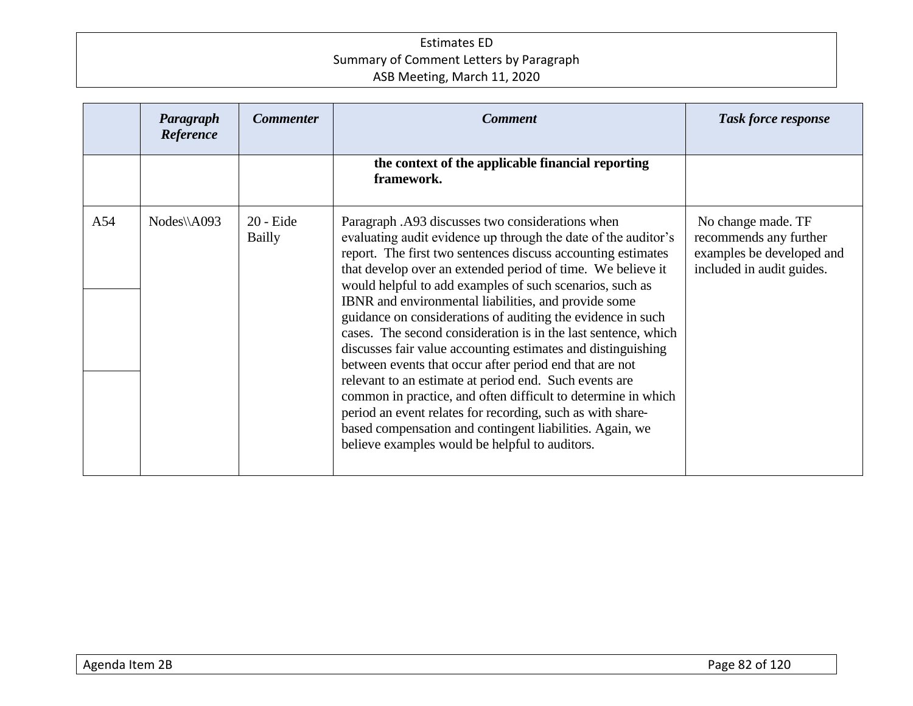|     | Paragraph<br>Reference | <b>Commenter</b>             | <b>Comment</b>                                                                                                                                                                                                                                                                                                                                                                                                                                                                                                                                                                                                                                                                                                                                                                                                                                                                                                                           | <b>Task force response</b>                                                                             |
|-----|------------------------|------------------------------|------------------------------------------------------------------------------------------------------------------------------------------------------------------------------------------------------------------------------------------------------------------------------------------------------------------------------------------------------------------------------------------------------------------------------------------------------------------------------------------------------------------------------------------------------------------------------------------------------------------------------------------------------------------------------------------------------------------------------------------------------------------------------------------------------------------------------------------------------------------------------------------------------------------------------------------|--------------------------------------------------------------------------------------------------------|
|     |                        |                              | the context of the applicable financial reporting<br>framework.                                                                                                                                                                                                                                                                                                                                                                                                                                                                                                                                                                                                                                                                                                                                                                                                                                                                          |                                                                                                        |
| A54 | $Nodes\A093$           | $20 -$ Eide<br><b>Bailly</b> | Paragraph .A93 discusses two considerations when<br>evaluating audit evidence up through the date of the auditor's<br>report. The first two sentences discuss accounting estimates<br>that develop over an extended period of time. We believe it<br>would helpful to add examples of such scenarios, such as<br>IBNR and environmental liabilities, and provide some<br>guidance on considerations of auditing the evidence in such<br>cases. The second consideration is in the last sentence, which<br>discusses fair value accounting estimates and distinguishing<br>between events that occur after period end that are not<br>relevant to an estimate at period end. Such events are<br>common in practice, and often difficult to determine in which<br>period an event relates for recording, such as with share-<br>based compensation and contingent liabilities. Again, we<br>believe examples would be helpful to auditors. | No change made. TF<br>recommends any further<br>examples be developed and<br>included in audit guides. |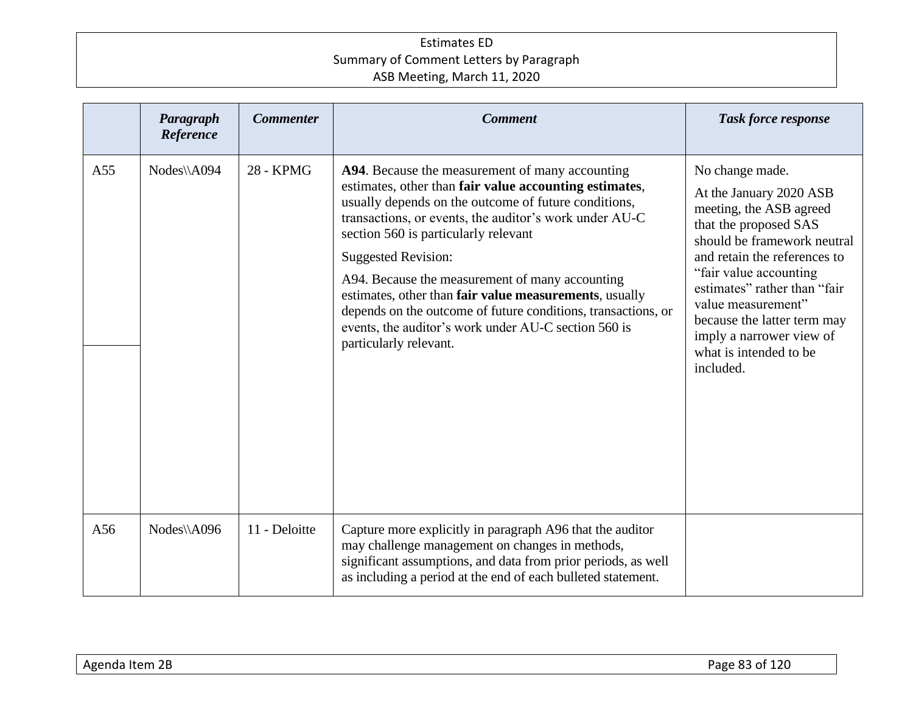|     | Paragraph<br>Reference | <b>Commenter</b> | <b>Comment</b>                                                                                                                                                                                                                                                                                                                                                                                                                                                                                                                                                    | <b>Task force response</b>                                                                                                                                                                                                                                                                                                                      |
|-----|------------------------|------------------|-------------------------------------------------------------------------------------------------------------------------------------------------------------------------------------------------------------------------------------------------------------------------------------------------------------------------------------------------------------------------------------------------------------------------------------------------------------------------------------------------------------------------------------------------------------------|-------------------------------------------------------------------------------------------------------------------------------------------------------------------------------------------------------------------------------------------------------------------------------------------------------------------------------------------------|
| A55 | Nodes\\A094            | <b>28 - KPMG</b> | A94. Because the measurement of many accounting<br>estimates, other than fair value accounting estimates,<br>usually depends on the outcome of future conditions,<br>transactions, or events, the auditor's work under AU-C<br>section 560 is particularly relevant<br><b>Suggested Revision:</b><br>A94. Because the measurement of many accounting<br>estimates, other than fair value measurements, usually<br>depends on the outcome of future conditions, transactions, or<br>events, the auditor's work under AU-C section 560 is<br>particularly relevant. | No change made.<br>At the January 2020 ASB<br>meeting, the ASB agreed<br>that the proposed SAS<br>should be framework neutral<br>and retain the references to<br>"fair value accounting<br>estimates" rather than "fair<br>value measurement"<br>because the latter term may<br>imply a narrower view of<br>what is intended to be<br>included. |
| A56 | Nodes\\A096            | 11 - Deloitte    | Capture more explicitly in paragraph A96 that the auditor<br>may challenge management on changes in methods,<br>significant assumptions, and data from prior periods, as well<br>as including a period at the end of each bulleted statement.                                                                                                                                                                                                                                                                                                                     |                                                                                                                                                                                                                                                                                                                                                 |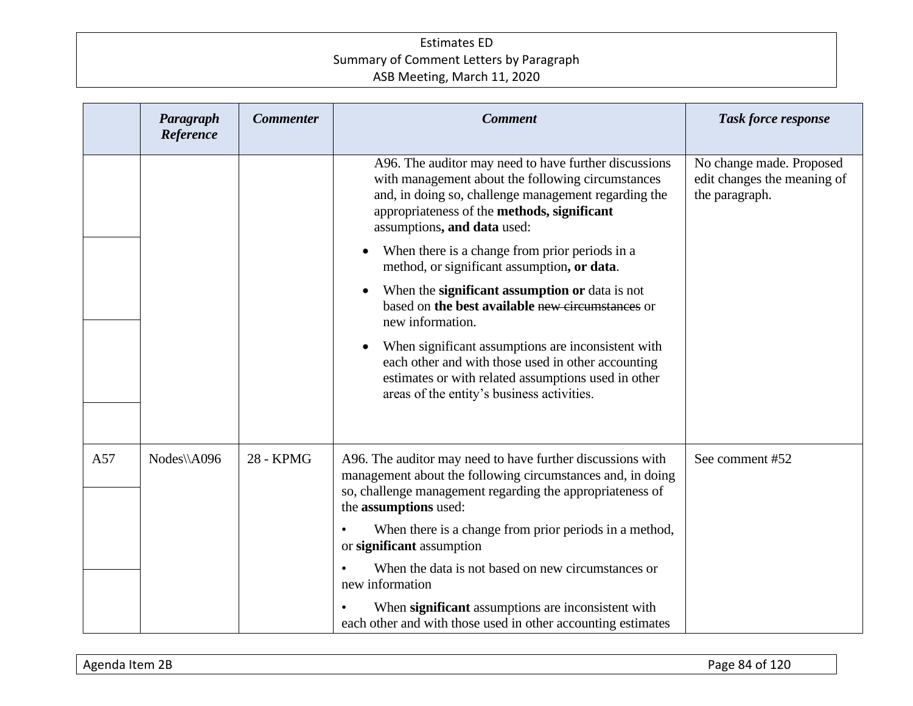|     | Paragraph<br>Reference | <b>Commenter</b> | <b>Comment</b>                                                                                                                                                                                                                                   | <b>Task force response</b>                                                |
|-----|------------------------|------------------|--------------------------------------------------------------------------------------------------------------------------------------------------------------------------------------------------------------------------------------------------|---------------------------------------------------------------------------|
|     |                        |                  | A96. The auditor may need to have further discussions<br>with management about the following circumstances<br>and, in doing so, challenge management regarding the<br>appropriateness of the methods, significant<br>assumptions, and data used: | No change made. Proposed<br>edit changes the meaning of<br>the paragraph. |
|     |                        |                  | When there is a change from prior periods in a<br>method, or significant assumption, or data.                                                                                                                                                    |                                                                           |
|     |                        |                  | When the significant assumption or data is not<br>based on the best available new circumstances or<br>new information.                                                                                                                           |                                                                           |
|     |                        |                  | When significant assumptions are inconsistent with<br>each other and with those used in other accounting<br>estimates or with related assumptions used in other<br>areas of the entity's business activities.                                    |                                                                           |
|     |                        |                  |                                                                                                                                                                                                                                                  |                                                                           |
| A57 | Nodes\\A096            | <b>28 - KPMG</b> | A96. The auditor may need to have further discussions with<br>management about the following circumstances and, in doing<br>so, challenge management regarding the appropriateness of<br>the assumptions used:                                   | See comment #52                                                           |
|     |                        |                  | When there is a change from prior periods in a method,<br>or significant assumption                                                                                                                                                              |                                                                           |
|     |                        |                  | When the data is not based on new circumstances or<br>new information                                                                                                                                                                            |                                                                           |
|     |                        |                  | When significant assumptions are inconsistent with<br>each other and with those used in other accounting estimates                                                                                                                               |                                                                           |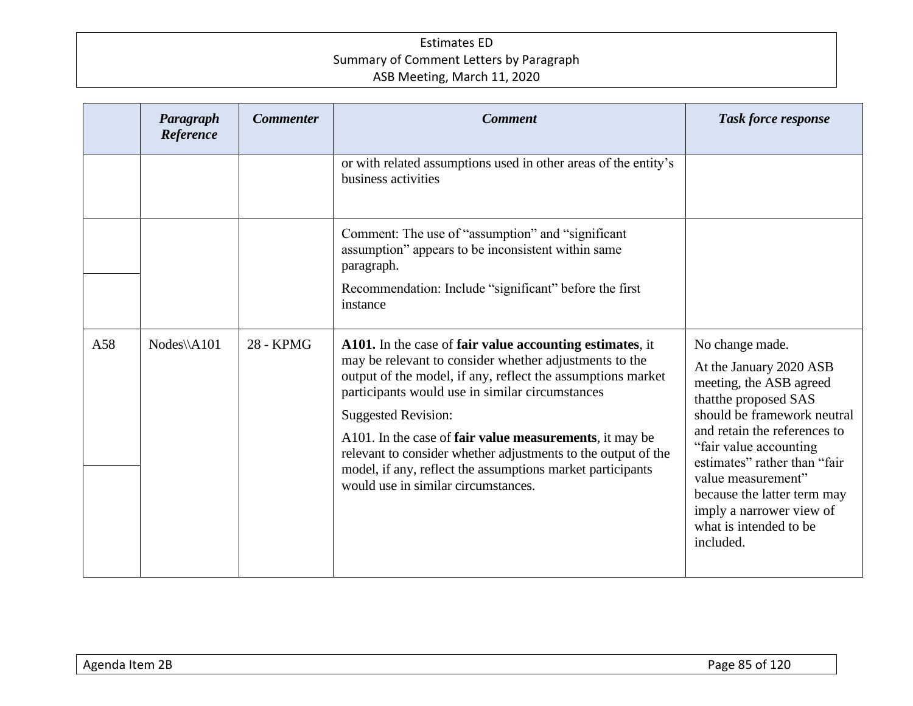|     | Paragraph<br>Reference | <b>Commenter</b> | <b>Comment</b>                                                                                                                                                                                                                                                                                                                                                                                                                                                                                      | <b>Task force response</b>                                                                                                                                                                                                                                                                                                                      |
|-----|------------------------|------------------|-----------------------------------------------------------------------------------------------------------------------------------------------------------------------------------------------------------------------------------------------------------------------------------------------------------------------------------------------------------------------------------------------------------------------------------------------------------------------------------------------------|-------------------------------------------------------------------------------------------------------------------------------------------------------------------------------------------------------------------------------------------------------------------------------------------------------------------------------------------------|
|     |                        |                  | or with related assumptions used in other areas of the entity's<br>business activities                                                                                                                                                                                                                                                                                                                                                                                                              |                                                                                                                                                                                                                                                                                                                                                 |
|     |                        |                  | Comment: The use of "assumption" and "significant<br>assumption" appears to be inconsistent within same<br>paragraph.<br>Recommendation: Include "significant" before the first<br>instance                                                                                                                                                                                                                                                                                                         |                                                                                                                                                                                                                                                                                                                                                 |
| A58 | $Nodes\A101$           | 28 - KPMG        | A101. In the case of fair value accounting estimates, it<br>may be relevant to consider whether adjustments to the<br>output of the model, if any, reflect the assumptions market<br>participants would use in similar circumstances<br><b>Suggested Revision:</b><br>A101. In the case of fair value measurements, it may be<br>relevant to consider whether adjustments to the output of the<br>model, if any, reflect the assumptions market participants<br>would use in similar circumstances. | No change made.<br>At the January 2020 ASB<br>meeting, the ASB agreed<br>that the proposed SAS<br>should be framework neutral<br>and retain the references to<br>"fair value accounting<br>estimates" rather than "fair<br>value measurement"<br>because the latter term may<br>imply a narrower view of<br>what is intended to be<br>included. |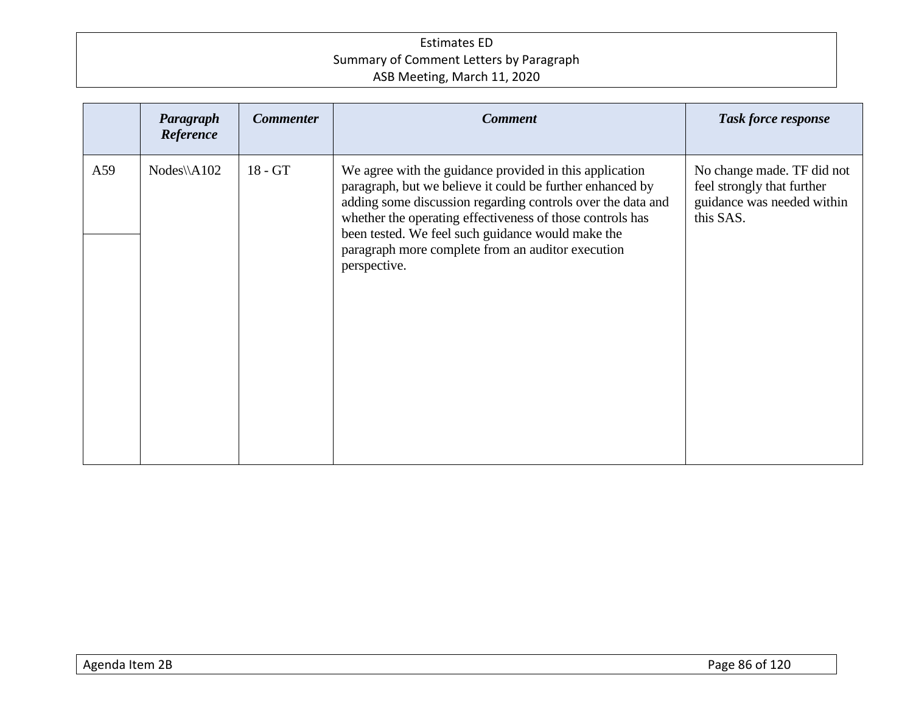|     | Paragraph<br>Reference | <b>Commenter</b> | <b>Comment</b>                                                                                                                                                                                                                                                                                                                                                             | <b>Task force response</b>                                                                          |
|-----|------------------------|------------------|----------------------------------------------------------------------------------------------------------------------------------------------------------------------------------------------------------------------------------------------------------------------------------------------------------------------------------------------------------------------------|-----------------------------------------------------------------------------------------------------|
| A59 | $Nodes\A102$           | $18 - GT$        | We agree with the guidance provided in this application<br>paragraph, but we believe it could be further enhanced by<br>adding some discussion regarding controls over the data and<br>whether the operating effectiveness of those controls has<br>been tested. We feel such guidance would make the<br>paragraph more complete from an auditor execution<br>perspective. | No change made. TF did not<br>feel strongly that further<br>guidance was needed within<br>this SAS. |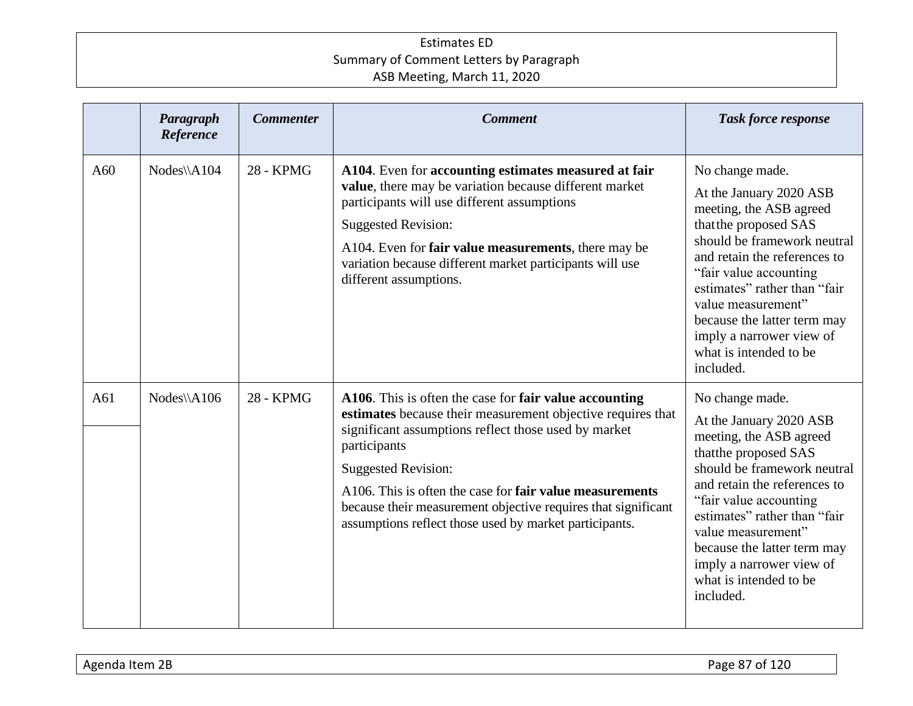|     | Paragraph<br>Reference | <b>Commenter</b> | <b>Comment</b>                                                                                                                                                                                                                                                                                                                                                                                                            | <b>Task force response</b>                                                                                                                                                                                                                                                                                                                       |
|-----|------------------------|------------------|---------------------------------------------------------------------------------------------------------------------------------------------------------------------------------------------------------------------------------------------------------------------------------------------------------------------------------------------------------------------------------------------------------------------------|--------------------------------------------------------------------------------------------------------------------------------------------------------------------------------------------------------------------------------------------------------------------------------------------------------------------------------------------------|
| A60 | Nodes\\A104            | 28 - KPMG        | A104. Even for accounting estimates measured at fair<br>value, there may be variation because different market<br>participants will use different assumptions<br><b>Suggested Revision:</b><br>A104. Even for <b>fair value measurements</b> , there may be<br>variation because different market participants will use<br>different assumptions.                                                                         | No change made.<br>At the January 2020 ASB<br>meeting, the ASB agreed<br>that the proposed SAS<br>should be framework neutral<br>and retain the references to<br>"fair value accounting"<br>estimates" rather than "fair<br>value measurement"<br>because the latter term may<br>imply a narrower view of<br>what is intended to be<br>included. |
| A61 | Nodes\\A106            | 28 - KPMG        | A106. This is often the case for fair value accounting<br>estimates because their measurement objective requires that<br>significant assumptions reflect those used by market<br>participants<br><b>Suggested Revision:</b><br>A106. This is often the case for <b>fair value measurements</b><br>because their measurement objective requires that significant<br>assumptions reflect those used by market participants. | No change made.<br>At the January 2020 ASB<br>meeting, the ASB agreed<br>that the proposed SAS<br>should be framework neutral<br>and retain the references to<br>"fair value accounting<br>estimates" rather than "fair<br>value measurement"<br>because the latter term may<br>imply a narrower view of<br>what is intended to be<br>included.  |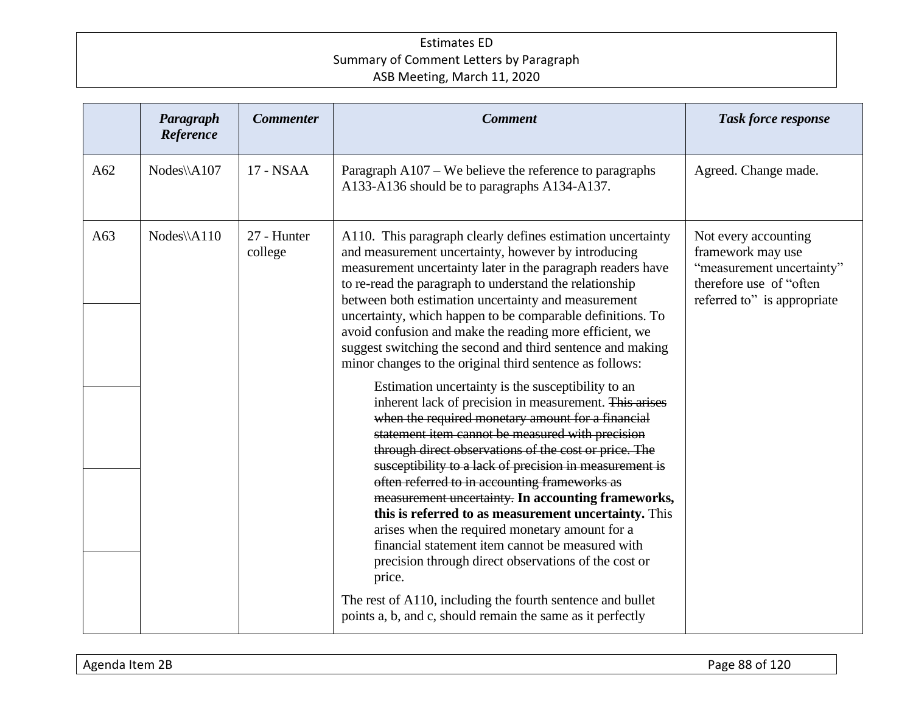|     | Paragraph<br>Reference | <b>Commenter</b>       | <b>Comment</b>                                                                                                                                                                                                                                                                                                                                                                                                                                                                                                                                                                                                                                                                                                                                                                                                                                                                                                                                                                                                                                                                                                                                                                                                                             | <b>Task force response</b>                                                                                                        |
|-----|------------------------|------------------------|--------------------------------------------------------------------------------------------------------------------------------------------------------------------------------------------------------------------------------------------------------------------------------------------------------------------------------------------------------------------------------------------------------------------------------------------------------------------------------------------------------------------------------------------------------------------------------------------------------------------------------------------------------------------------------------------------------------------------------------------------------------------------------------------------------------------------------------------------------------------------------------------------------------------------------------------------------------------------------------------------------------------------------------------------------------------------------------------------------------------------------------------------------------------------------------------------------------------------------------------|-----------------------------------------------------------------------------------------------------------------------------------|
| A62 | Nodes\\A107            | 17 - NSAA              | Paragraph A107 – We believe the reference to paragraphs<br>A133-A136 should be to paragraphs A134-A137.                                                                                                                                                                                                                                                                                                                                                                                                                                                                                                                                                                                                                                                                                                                                                                                                                                                                                                                                                                                                                                                                                                                                    | Agreed. Change made.                                                                                                              |
| A63 | $Nodes\A110$           | 27 - Hunter<br>college | A110. This paragraph clearly defines estimation uncertainty<br>and measurement uncertainty, however by introducing<br>measurement uncertainty later in the paragraph readers have<br>to re-read the paragraph to understand the relationship<br>between both estimation uncertainty and measurement<br>uncertainty, which happen to be comparable definitions. To<br>avoid confusion and make the reading more efficient, we<br>suggest switching the second and third sentence and making<br>minor changes to the original third sentence as follows:<br>Estimation uncertainty is the susceptibility to an<br>inherent lack of precision in measurement. This arises<br>when the required monetary amount for a financial<br>statement item cannot be measured with precision<br>through direct observations of the cost or price. The<br>susceptibility to a lack of precision in measurement is<br>often referred to in accounting frameworks as<br>measurement uncertainty. In accounting frameworks,<br>this is referred to as measurement uncertainty. This<br>arises when the required monetary amount for a<br>financial statement item cannot be measured with<br>precision through direct observations of the cost or<br>price. | Not every accounting<br>framework may use<br>"measurement uncertainty"<br>therefore use of "often"<br>referred to" is appropriate |
|     |                        |                        | The rest of A110, including the fourth sentence and bullet<br>points a, b, and c, should remain the same as it perfectly                                                                                                                                                                                                                                                                                                                                                                                                                                                                                                                                                                                                                                                                                                                                                                                                                                                                                                                                                                                                                                                                                                                   |                                                                                                                                   |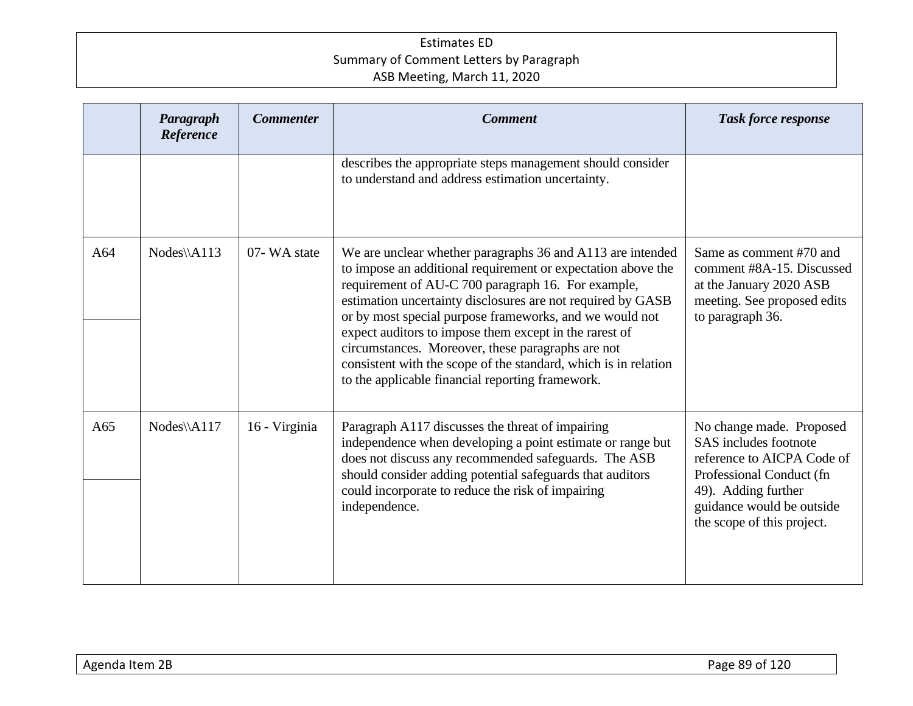|     | Paragraph<br>Reference | <b>Commenter</b> | <b>Comment</b>                                                                                                                                                                                                                                                                                                                                                                                                                                                                                                                                   | <b>Task force response</b>                                                                                                                                                                    |
|-----|------------------------|------------------|--------------------------------------------------------------------------------------------------------------------------------------------------------------------------------------------------------------------------------------------------------------------------------------------------------------------------------------------------------------------------------------------------------------------------------------------------------------------------------------------------------------------------------------------------|-----------------------------------------------------------------------------------------------------------------------------------------------------------------------------------------------|
|     |                        |                  | describes the appropriate steps management should consider<br>to understand and address estimation uncertainty.                                                                                                                                                                                                                                                                                                                                                                                                                                  |                                                                                                                                                                                               |
| A64 | Nodes\\A113            | 07-WA state      | We are unclear whether paragraphs 36 and A113 are intended<br>to impose an additional requirement or expectation above the<br>requirement of AU-C 700 paragraph 16. For example,<br>estimation uncertainty disclosures are not required by GASB<br>or by most special purpose frameworks, and we would not<br>expect auditors to impose them except in the rarest of<br>circumstances. Moreover, these paragraphs are not<br>consistent with the scope of the standard, which is in relation<br>to the applicable financial reporting framework. | Same as comment #70 and<br>comment #8A-15. Discussed<br>at the January 2020 ASB<br>meeting. See proposed edits<br>to paragraph 36.                                                            |
| A65 | Nodes\\A117            | 16 - Virginia    | Paragraph A117 discusses the threat of impairing<br>independence when developing a point estimate or range but<br>does not discuss any recommended safeguards. The ASB<br>should consider adding potential safeguards that auditors<br>could incorporate to reduce the risk of impairing<br>independence.                                                                                                                                                                                                                                        | No change made. Proposed<br>SAS includes footnote<br>reference to AICPA Code of<br>Professional Conduct (fn<br>49). Adding further<br>guidance would be outside<br>the scope of this project. |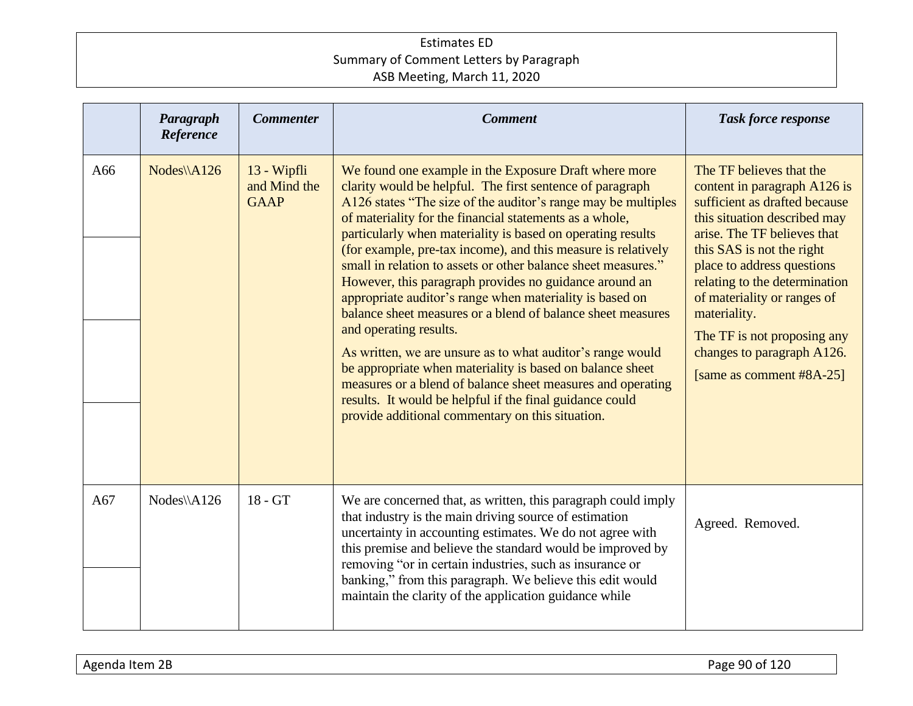|     | Paragraph<br>Reference | <b>Commenter</b>                           | <b>Comment</b>                                                                                                                                                                                                                                                                                                                                                                                                                                                                                                                                                                                                                                                                                                                                                                                                                                                                                                                                                           | <b>Task force response</b>                                                                                                                                                                                                                                                                                                                                                                   |
|-----|------------------------|--------------------------------------------|--------------------------------------------------------------------------------------------------------------------------------------------------------------------------------------------------------------------------------------------------------------------------------------------------------------------------------------------------------------------------------------------------------------------------------------------------------------------------------------------------------------------------------------------------------------------------------------------------------------------------------------------------------------------------------------------------------------------------------------------------------------------------------------------------------------------------------------------------------------------------------------------------------------------------------------------------------------------------|----------------------------------------------------------------------------------------------------------------------------------------------------------------------------------------------------------------------------------------------------------------------------------------------------------------------------------------------------------------------------------------------|
| A66 | $Nodes\A126$           | 13 - Wipfli<br>and Mind the<br><b>GAAP</b> | We found one example in the Exposure Draft where more<br>clarity would be helpful. The first sentence of paragraph<br>A126 states "The size of the auditor's range may be multiples<br>of materiality for the financial statements as a whole,<br>particularly when materiality is based on operating results<br>(for example, pre-tax income), and this measure is relatively<br>small in relation to assets or other balance sheet measures."<br>However, this paragraph provides no guidance around an<br>appropriate auditor's range when materiality is based on<br>balance sheet measures or a blend of balance sheet measures<br>and operating results.<br>As written, we are unsure as to what auditor's range would<br>be appropriate when materiality is based on balance sheet<br>measures or a blend of balance sheet measures and operating<br>results. It would be helpful if the final guidance could<br>provide additional commentary on this situation. | The TF believes that the<br>content in paragraph A126 is<br>sufficient as drafted because<br>this situation described may<br>arise. The TF believes that<br>this SAS is not the right<br>place to address questions<br>relating to the determination<br>of materiality or ranges of<br>materiality.<br>The TF is not proposing any<br>changes to paragraph A126.<br>[same as comment #8A-25] |
| A67 | $Nodes\A126$           | $18 - GT$                                  | We are concerned that, as written, this paragraph could imply<br>that industry is the main driving source of estimation<br>uncertainty in accounting estimates. We do not agree with<br>this premise and believe the standard would be improved by<br>removing "or in certain industries, such as insurance or<br>banking," from this paragraph. We believe this edit would<br>maintain the clarity of the application guidance while                                                                                                                                                                                                                                                                                                                                                                                                                                                                                                                                    | Agreed. Removed.                                                                                                                                                                                                                                                                                                                                                                             |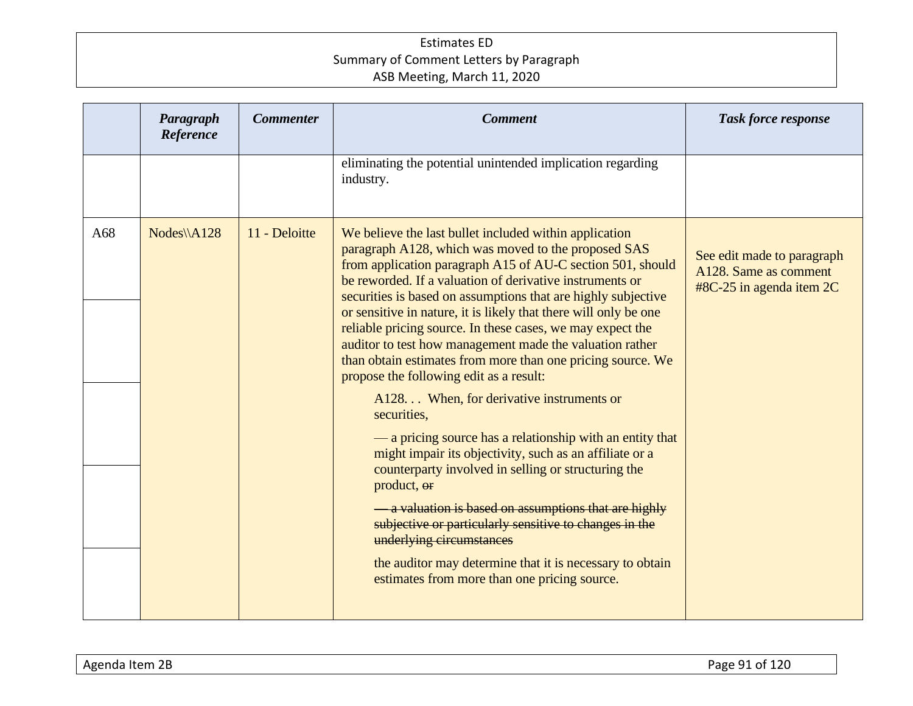|     | Paragraph<br>Reference | <b>Commenter</b> | <b>Comment</b>                                                                                                                                                                                                                                                                                                                                                                                                                                                                                                                                                                                                                                                                                                                                                                                                                                                                                                                                                                                                                                                                                                                              | <b>Task force response</b>                                                        |
|-----|------------------------|------------------|---------------------------------------------------------------------------------------------------------------------------------------------------------------------------------------------------------------------------------------------------------------------------------------------------------------------------------------------------------------------------------------------------------------------------------------------------------------------------------------------------------------------------------------------------------------------------------------------------------------------------------------------------------------------------------------------------------------------------------------------------------------------------------------------------------------------------------------------------------------------------------------------------------------------------------------------------------------------------------------------------------------------------------------------------------------------------------------------------------------------------------------------|-----------------------------------------------------------------------------------|
|     |                        |                  | eliminating the potential unintended implication regarding<br>industry.                                                                                                                                                                                                                                                                                                                                                                                                                                                                                                                                                                                                                                                                                                                                                                                                                                                                                                                                                                                                                                                                     |                                                                                   |
| A68 | $Nodes\A128$           | 11 - Deloitte    | We believe the last bullet included within application<br>paragraph A128, which was moved to the proposed SAS<br>from application paragraph A15 of AU-C section 501, should<br>be reworded. If a valuation of derivative instruments or<br>securities is based on assumptions that are highly subjective<br>or sensitive in nature, it is likely that there will only be one<br>reliable pricing source. In these cases, we may expect the<br>auditor to test how management made the valuation rather<br>than obtain estimates from more than one pricing source. We<br>propose the following edit as a result:<br>A128 When, for derivative instruments or<br>securities,<br>— a pricing source has a relationship with an entity that<br>might impair its objectivity, such as an affiliate or a<br>counterparty involved in selling or structuring the<br>product, or<br><b>- a valuation is based on assumptions that are highly</b><br>subjective or particularly sensitive to changes in the<br>underlying circumstances<br>the auditor may determine that it is necessary to obtain<br>estimates from more than one pricing source. | See edit made to paragraph<br>A128. Same as comment<br>$#8C-25$ in agenda item 2C |
|     |                        |                  |                                                                                                                                                                                                                                                                                                                                                                                                                                                                                                                                                                                                                                                                                                                                                                                                                                                                                                                                                                                                                                                                                                                                             |                                                                                   |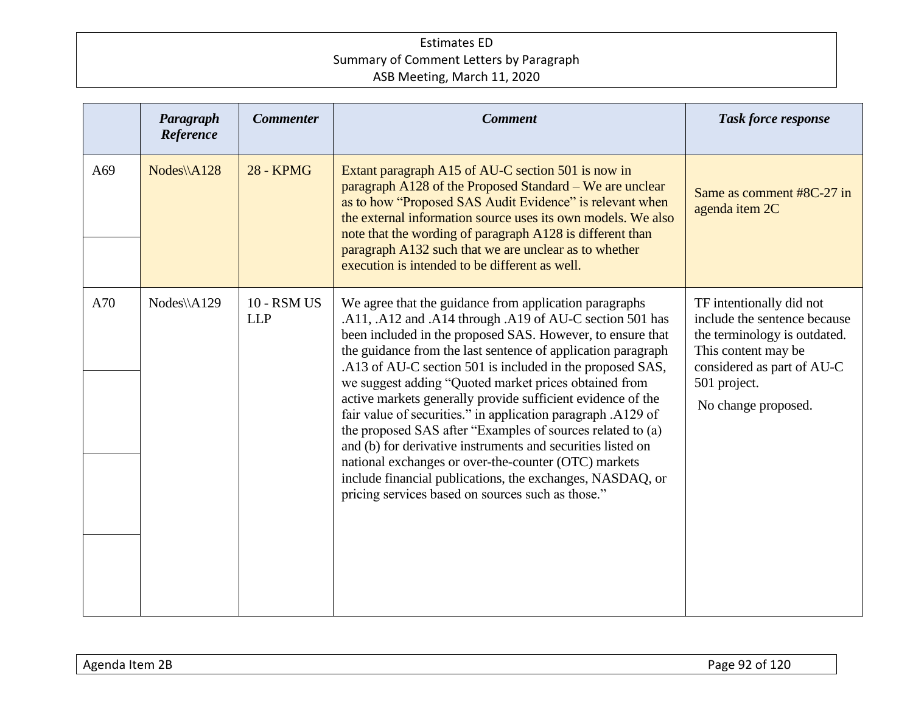|     | Paragraph<br>Reference | <b>Commenter</b>                 | <b>Comment</b>                                                                                                                                                                                                                                                                                                                                                                                                                                                                                                                                                                                                                                                                                                                                                                                               | <b>Task force response</b>                                                                                                                                                           |
|-----|------------------------|----------------------------------|--------------------------------------------------------------------------------------------------------------------------------------------------------------------------------------------------------------------------------------------------------------------------------------------------------------------------------------------------------------------------------------------------------------------------------------------------------------------------------------------------------------------------------------------------------------------------------------------------------------------------------------------------------------------------------------------------------------------------------------------------------------------------------------------------------------|--------------------------------------------------------------------------------------------------------------------------------------------------------------------------------------|
| A69 | Nodes\\A128            | <b>28 - KPMG</b>                 | Extant paragraph A15 of AU-C section 501 is now in<br>paragraph A128 of the Proposed Standard – We are unclear<br>as to how "Proposed SAS Audit Evidence" is relevant when<br>the external information source uses its own models. We also<br>note that the wording of paragraph A128 is different than<br>paragraph A132 such that we are unclear as to whether<br>execution is intended to be different as well.                                                                                                                                                                                                                                                                                                                                                                                           | Same as comment #8C-27 in<br>agenda item 2C                                                                                                                                          |
| A70 | Nodes\\A129            | <b>10 - RSM US</b><br><b>LLP</b> | We agree that the guidance from application paragraphs<br>.A11, .A12 and .A14 through .A19 of AU-C section 501 has<br>been included in the proposed SAS. However, to ensure that<br>the guidance from the last sentence of application paragraph<br>.A13 of AU-C section 501 is included in the proposed SAS,<br>we suggest adding "Quoted market prices obtained from<br>active markets generally provide sufficient evidence of the<br>fair value of securities." in application paragraph .A129 of<br>the proposed SAS after "Examples of sources related to (a)<br>and (b) for derivative instruments and securities listed on<br>national exchanges or over-the-counter (OTC) markets<br>include financial publications, the exchanges, NASDAQ, or<br>pricing services based on sources such as those." | TF intentionally did not<br>include the sentence because<br>the terminology is outdated.<br>This content may be<br>considered as part of AU-C<br>501 project.<br>No change proposed. |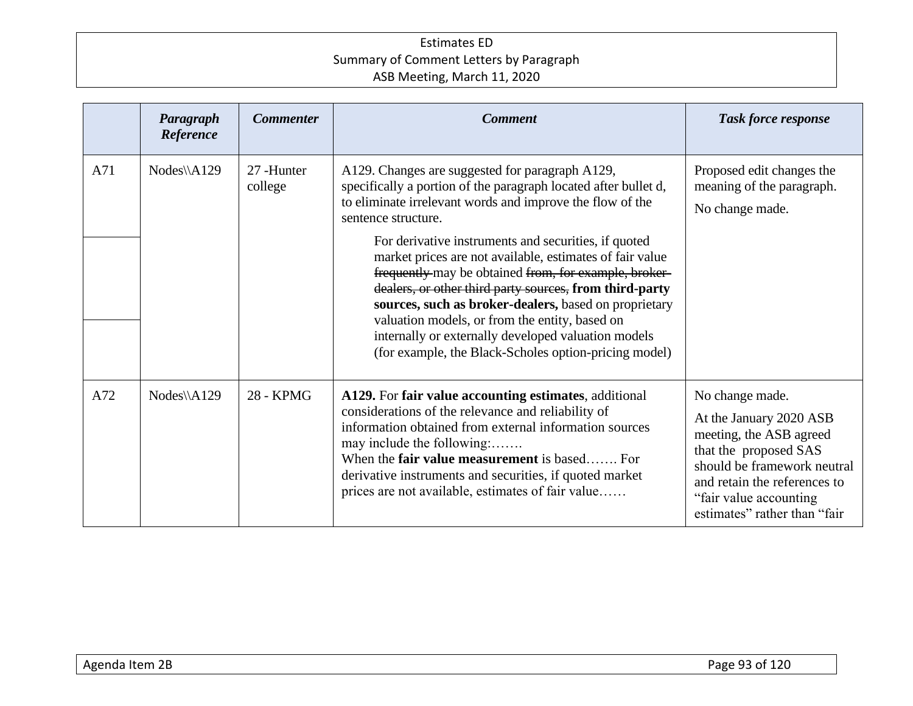|     | Paragraph<br>Reference | <b>Commenter</b>     | <b>Comment</b>                                                                                                                                                                                                                                                                                                                                                                                                                                                                                                                                                                                                                                                            | <b>Task force response</b>                                                                                                                                                                                               |
|-----|------------------------|----------------------|---------------------------------------------------------------------------------------------------------------------------------------------------------------------------------------------------------------------------------------------------------------------------------------------------------------------------------------------------------------------------------------------------------------------------------------------------------------------------------------------------------------------------------------------------------------------------------------------------------------------------------------------------------------------------|--------------------------------------------------------------------------------------------------------------------------------------------------------------------------------------------------------------------------|
| A71 | $Nodes\A129$           | 27-Hunter<br>college | A129. Changes are suggested for paragraph A129,<br>specifically a portion of the paragraph located after bullet d,<br>to eliminate irrelevant words and improve the flow of the<br>sentence structure.<br>For derivative instruments and securities, if quoted<br>market prices are not available, estimates of fair value<br>frequently may be obtained from, for example, broker-<br>dealers, or other third party sources, from third-party<br>sources, such as broker-dealers, based on proprietary<br>valuation models, or from the entity, based on<br>internally or externally developed valuation models<br>(for example, the Black-Scholes option-pricing model) | Proposed edit changes the<br>meaning of the paragraph.<br>No change made.                                                                                                                                                |
| A72 | $Nodes\A129$           | 28 - KPMG            | A129. For fair value accounting estimates, additional<br>considerations of the relevance and reliability of<br>information obtained from external information sources<br>may include the following:<br>When the <b>fair value measurement</b> is based For<br>derivative instruments and securities, if quoted market<br>prices are not available, estimates of fair value                                                                                                                                                                                                                                                                                                | No change made.<br>At the January 2020 ASB<br>meeting, the ASB agreed<br>that the proposed SAS<br>should be framework neutral<br>and retain the references to<br>"fair value accounting"<br>estimates" rather than "fair |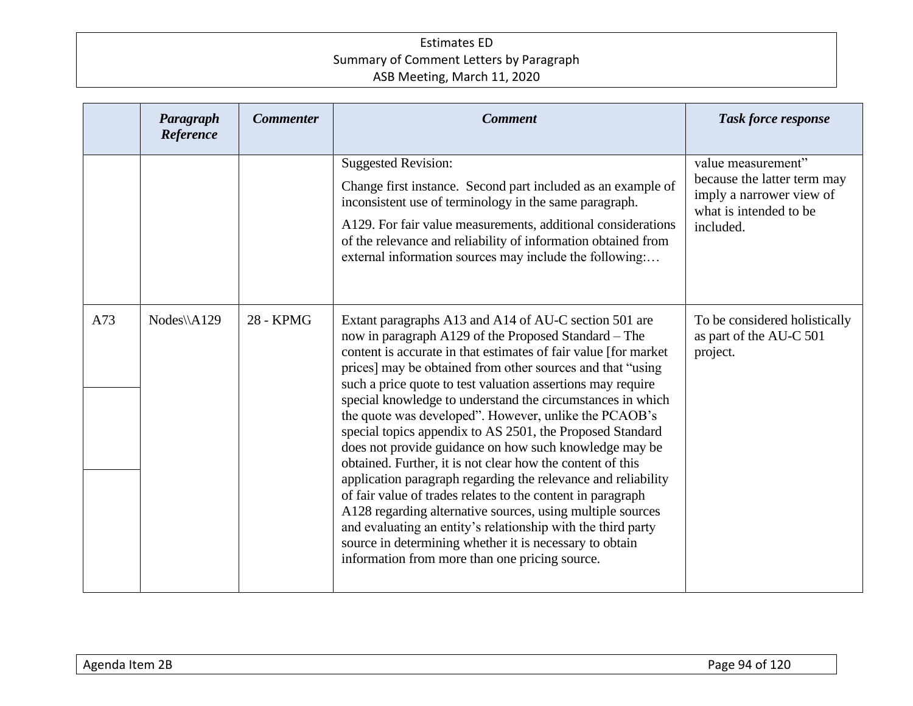|     | Paragraph<br>Reference | <b>Commenter</b> | <b>Comment</b>                                                                                                                                                                                                                                                                                                                                                                                                                                                                                                                                                                                                                                                                                                                                                                                                                                                                                                                                                                                       | <b>Task force response</b>                                                                                           |
|-----|------------------------|------------------|------------------------------------------------------------------------------------------------------------------------------------------------------------------------------------------------------------------------------------------------------------------------------------------------------------------------------------------------------------------------------------------------------------------------------------------------------------------------------------------------------------------------------------------------------------------------------------------------------------------------------------------------------------------------------------------------------------------------------------------------------------------------------------------------------------------------------------------------------------------------------------------------------------------------------------------------------------------------------------------------------|----------------------------------------------------------------------------------------------------------------------|
|     |                        |                  | <b>Suggested Revision:</b><br>Change first instance. Second part included as an example of<br>inconsistent use of terminology in the same paragraph.<br>A129. For fair value measurements, additional considerations<br>of the relevance and reliability of information obtained from<br>external information sources may include the following:                                                                                                                                                                                                                                                                                                                                                                                                                                                                                                                                                                                                                                                     | value measurement"<br>because the latter term may<br>imply a narrower view of<br>what is intended to be<br>included. |
| A73 | Nodes\\A129            | 28 - KPMG        | Extant paragraphs A13 and A14 of AU-C section 501 are<br>now in paragraph A129 of the Proposed Standard – The<br>content is accurate in that estimates of fair value [for market<br>prices] may be obtained from other sources and that "using<br>such a price quote to test valuation assertions may require<br>special knowledge to understand the circumstances in which<br>the quote was developed". However, unlike the PCAOB's<br>special topics appendix to AS 2501, the Proposed Standard<br>does not provide guidance on how such knowledge may be<br>obtained. Further, it is not clear how the content of this<br>application paragraph regarding the relevance and reliability<br>of fair value of trades relates to the content in paragraph<br>A128 regarding alternative sources, using multiple sources<br>and evaluating an entity's relationship with the third party<br>source in determining whether it is necessary to obtain<br>information from more than one pricing source. | To be considered holistically<br>as part of the AU-C 501<br>project.                                                 |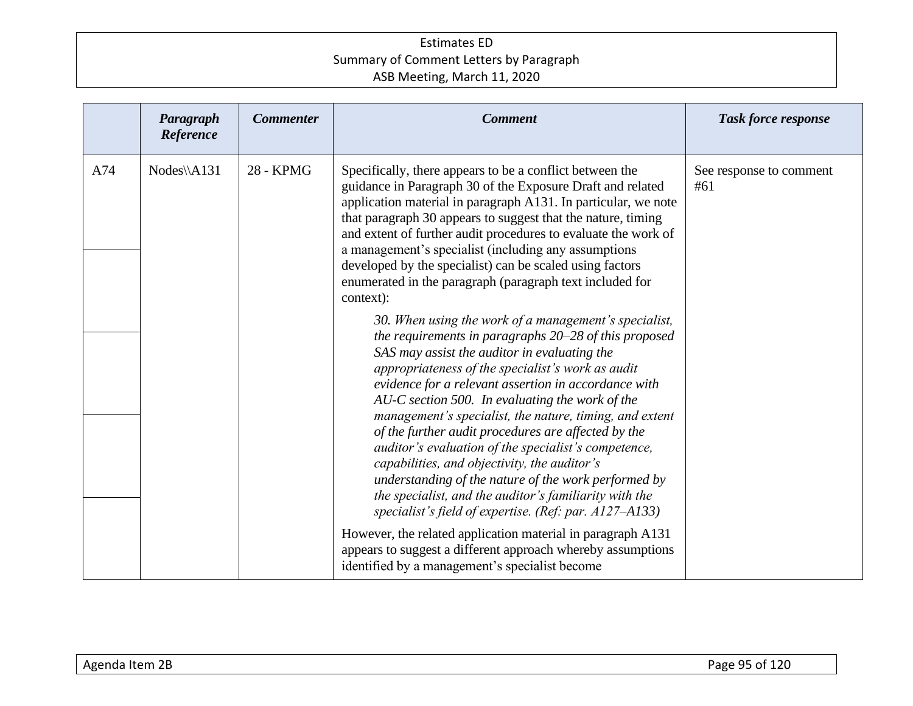|     | Paragraph<br>Reference | <b>Commenter</b> | <b>Comment</b>                                                                                                                                                                                                                                                                                                                                                                                                                                                                                                                                                                                                                                                                                                                                                                                                                                                                                                                                                                                                                                                                                                                                                                                                                                                      | <b>Task force response</b>     |
|-----|------------------------|------------------|---------------------------------------------------------------------------------------------------------------------------------------------------------------------------------------------------------------------------------------------------------------------------------------------------------------------------------------------------------------------------------------------------------------------------------------------------------------------------------------------------------------------------------------------------------------------------------------------------------------------------------------------------------------------------------------------------------------------------------------------------------------------------------------------------------------------------------------------------------------------------------------------------------------------------------------------------------------------------------------------------------------------------------------------------------------------------------------------------------------------------------------------------------------------------------------------------------------------------------------------------------------------|--------------------------------|
| A74 | $Nodes\A131$           | 28 - KPMG        | Specifically, there appears to be a conflict between the<br>guidance in Paragraph 30 of the Exposure Draft and related<br>application material in paragraph A131. In particular, we note<br>that paragraph 30 appears to suggest that the nature, timing<br>and extent of further audit procedures to evaluate the work of<br>a management's specialist (including any assumptions<br>developed by the specialist) can be scaled using factors<br>enumerated in the paragraph (paragraph text included for<br>context):<br>30. When using the work of a management's specialist,<br>the requirements in paragraphs 20-28 of this proposed<br>SAS may assist the auditor in evaluating the<br>appropriateness of the specialist's work as audit<br>evidence for a relevant assertion in accordance with<br>AU-C section 500. In evaluating the work of the<br>management's specialist, the nature, timing, and extent<br>of the further audit procedures are affected by the<br>auditor's evaluation of the specialist's competence,<br>capabilities, and objectivity, the auditor's<br>understanding of the nature of the work performed by<br>the specialist, and the auditor's familiarity with the<br>specialist's field of expertise. (Ref: par. $A127- A133$ ) | See response to comment<br>#61 |
|     |                        |                  | However, the related application material in paragraph A131<br>appears to suggest a different approach whereby assumptions<br>identified by a management's specialist become                                                                                                                                                                                                                                                                                                                                                                                                                                                                                                                                                                                                                                                                                                                                                                                                                                                                                                                                                                                                                                                                                        |                                |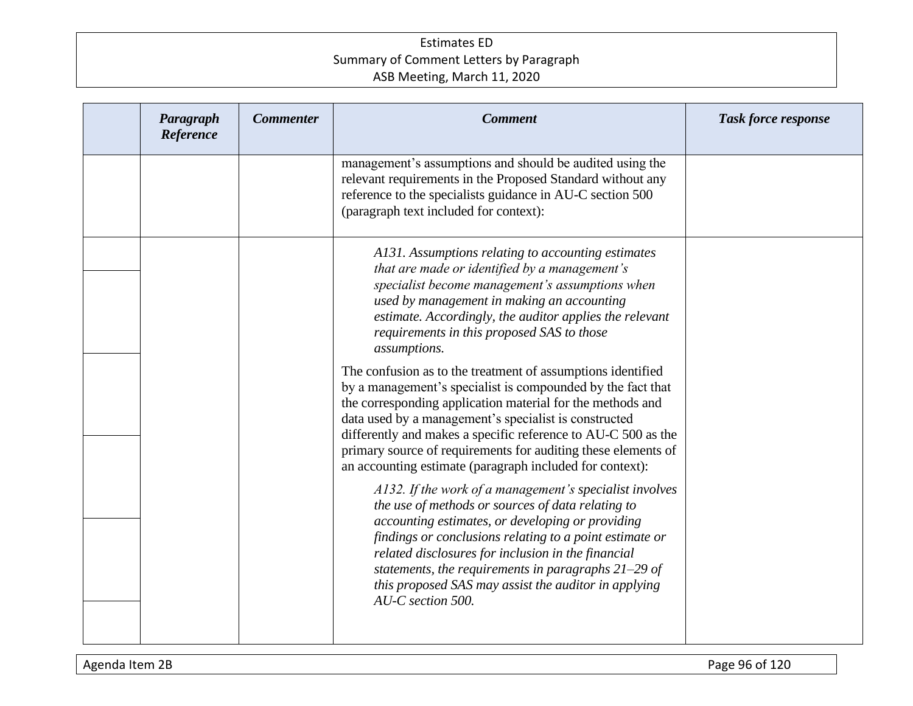| Paragraph<br>Reference | <b>Commenter</b> | <b>Comment</b>                                                                                                                                                                                                                                                                                                                                                                                                                                  | <b>Task force response</b> |
|------------------------|------------------|-------------------------------------------------------------------------------------------------------------------------------------------------------------------------------------------------------------------------------------------------------------------------------------------------------------------------------------------------------------------------------------------------------------------------------------------------|----------------------------|
|                        |                  | management's assumptions and should be audited using the<br>relevant requirements in the Proposed Standard without any<br>reference to the specialists guidance in AU-C section 500<br>(paragraph text included for context):                                                                                                                                                                                                                   |                            |
|                        |                  | A131. Assumptions relating to accounting estimates<br>that are made or identified by a management's<br>specialist become management's assumptions when<br>used by management in making an accounting<br>estimate. Accordingly, the auditor applies the relevant<br>requirements in this proposed SAS to those<br>assumptions.                                                                                                                   |                            |
|                        |                  | The confusion as to the treatment of assumptions identified<br>by a management's specialist is compounded by the fact that<br>the corresponding application material for the methods and<br>data used by a management's specialist is constructed<br>differently and makes a specific reference to AU-C 500 as the<br>primary source of requirements for auditing these elements of<br>an accounting estimate (paragraph included for context): |                            |
|                        |                  | A132. If the work of a management's specialist involves<br>the use of methods or sources of data relating to<br>accounting estimates, or developing or providing<br>findings or conclusions relating to a point estimate or<br>related disclosures for inclusion in the financial<br>statements, the requirements in paragraphs $21-29$ of<br>this proposed SAS may assist the auditor in applying<br>AU-C section 500.                         |                            |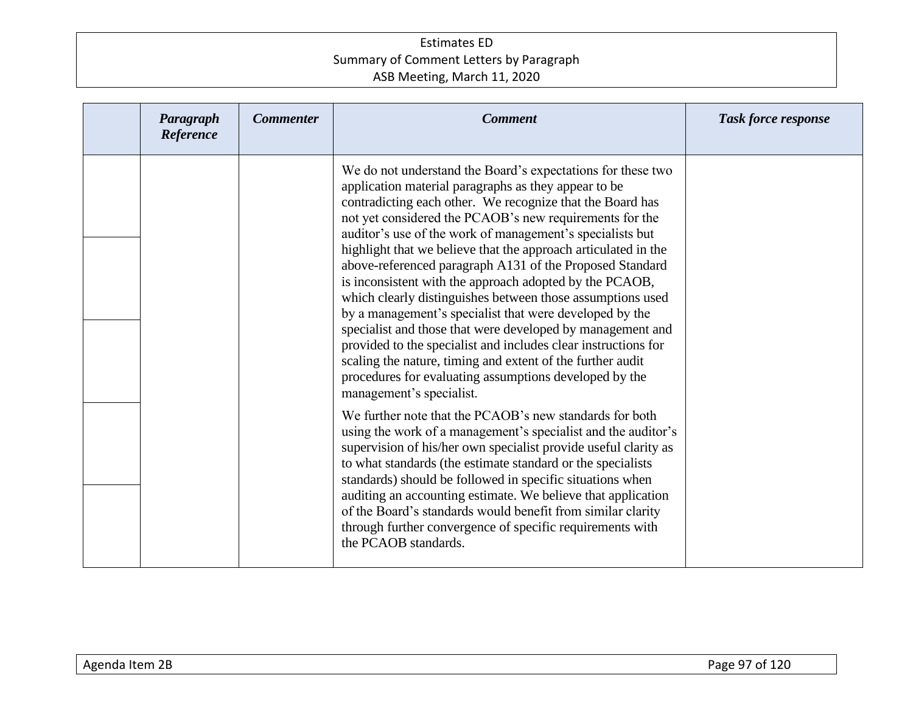| Paragraph<br>Reference | <b>Commenter</b> | <b>Comment</b>                                                                                                                                                                                                                                                                                                                                                                                                                                                                                                                                                                                                                                                                                                                                                                                                                                                                                                 | <b>Task force response</b> |
|------------------------|------------------|----------------------------------------------------------------------------------------------------------------------------------------------------------------------------------------------------------------------------------------------------------------------------------------------------------------------------------------------------------------------------------------------------------------------------------------------------------------------------------------------------------------------------------------------------------------------------------------------------------------------------------------------------------------------------------------------------------------------------------------------------------------------------------------------------------------------------------------------------------------------------------------------------------------|----------------------------|
|                        |                  | We do not understand the Board's expectations for these two<br>application material paragraphs as they appear to be<br>contradicting each other. We recognize that the Board has<br>not yet considered the PCAOB's new requirements for the<br>auditor's use of the work of management's specialists but<br>highlight that we believe that the approach articulated in the<br>above-referenced paragraph A131 of the Proposed Standard<br>is inconsistent with the approach adopted by the PCAOB,<br>which clearly distinguishes between those assumptions used<br>by a management's specialist that were developed by the<br>specialist and those that were developed by management and<br>provided to the specialist and includes clear instructions for<br>scaling the nature, timing and extent of the further audit<br>procedures for evaluating assumptions developed by the<br>management's specialist. |                            |
|                        |                  | We further note that the PCAOB's new standards for both<br>using the work of a management's specialist and the auditor's<br>supervision of his/her own specialist provide useful clarity as<br>to what standards (the estimate standard or the specialists<br>standards) should be followed in specific situations when<br>auditing an accounting estimate. We believe that application<br>of the Board's standards would benefit from similar clarity<br>through further convergence of specific requirements with<br>the PCAOB standards.                                                                                                                                                                                                                                                                                                                                                                    |                            |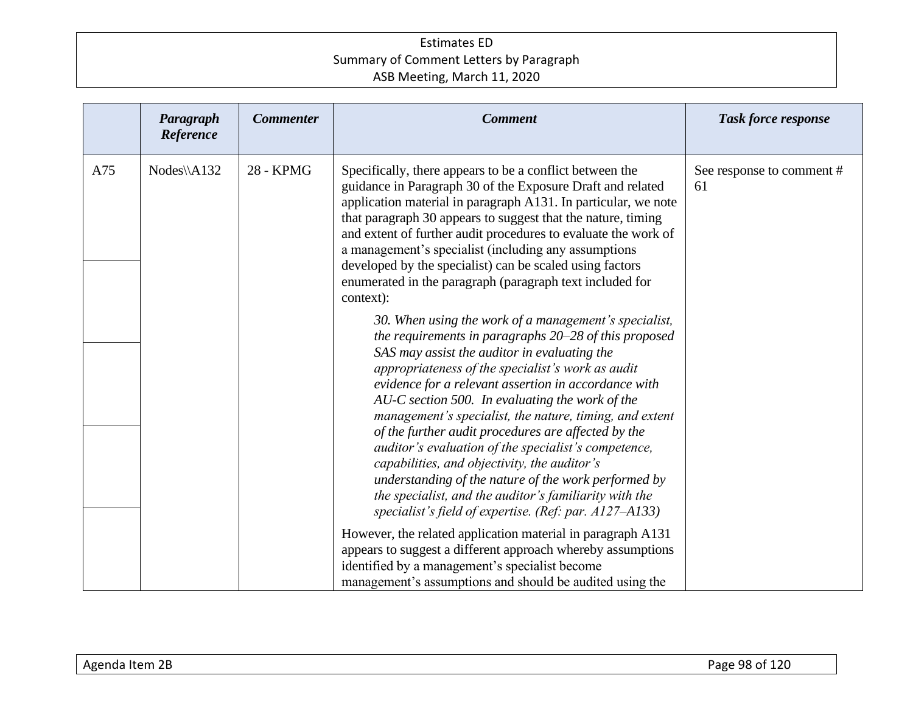|     | Paragraph<br>Reference | <b>Commenter</b> | <b>Comment</b>                                                                                                                                                                                                                                                                                                                                                                                                                                                                                                                                                                                                                                                                                                                                                                                                                                                                                                                                                                                                                                                                                                                                                                                                                                                       | <b>Task force response</b>      |
|-----|------------------------|------------------|----------------------------------------------------------------------------------------------------------------------------------------------------------------------------------------------------------------------------------------------------------------------------------------------------------------------------------------------------------------------------------------------------------------------------------------------------------------------------------------------------------------------------------------------------------------------------------------------------------------------------------------------------------------------------------------------------------------------------------------------------------------------------------------------------------------------------------------------------------------------------------------------------------------------------------------------------------------------------------------------------------------------------------------------------------------------------------------------------------------------------------------------------------------------------------------------------------------------------------------------------------------------|---------------------------------|
| A75 | $Nodes\A132$           | 28 - KPMG        | Specifically, there appears to be a conflict between the<br>guidance in Paragraph 30 of the Exposure Draft and related<br>application material in paragraph A131. In particular, we note<br>that paragraph 30 appears to suggest that the nature, timing<br>and extent of further audit procedures to evaluate the work of<br>a management's specialist (including any assumptions<br>developed by the specialist) can be scaled using factors<br>enumerated in the paragraph (paragraph text included for<br>context):<br>30. When using the work of a management's specialist,<br>the requirements in paragraphs 20–28 of this proposed<br>SAS may assist the auditor in evaluating the<br>appropriateness of the specialist's work as audit<br>evidence for a relevant assertion in accordance with<br>AU-C section 500. In evaluating the work of the<br>management's specialist, the nature, timing, and extent<br>of the further audit procedures are affected by the<br>auditor's evaluation of the specialist's competence,<br>capabilities, and objectivity, the auditor's<br>understanding of the nature of the work performed by<br>the specialist, and the auditor's familiarity with the<br>specialist's field of expertise. (Ref: par. $A127 - A133$ ) | See response to comment #<br>61 |
|     |                        |                  | However, the related application material in paragraph A131<br>appears to suggest a different approach whereby assumptions<br>identified by a management's specialist become<br>management's assumptions and should be audited using the                                                                                                                                                                                                                                                                                                                                                                                                                                                                                                                                                                                                                                                                                                                                                                                                                                                                                                                                                                                                                             |                                 |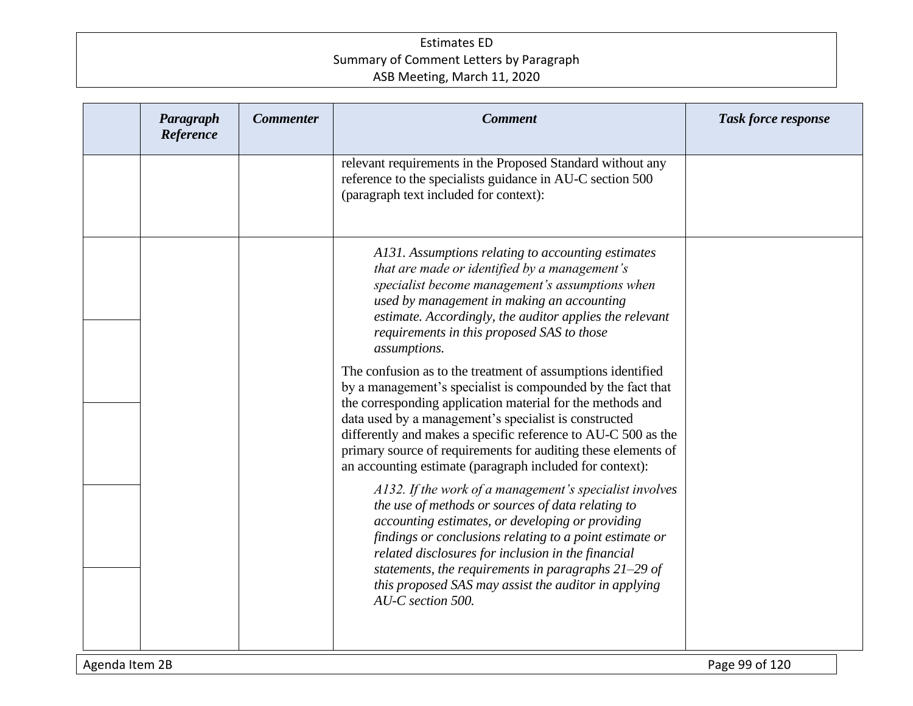| Paragraph<br>Reference | <b>Commenter</b> | <b>Comment</b>                                                                                                                                                                                                                                                                                                                                                                                                                                                                                                            | <b>Task force response</b> |
|------------------------|------------------|---------------------------------------------------------------------------------------------------------------------------------------------------------------------------------------------------------------------------------------------------------------------------------------------------------------------------------------------------------------------------------------------------------------------------------------------------------------------------------------------------------------------------|----------------------------|
|                        |                  | relevant requirements in the Proposed Standard without any<br>reference to the specialists guidance in AU-C section 500<br>(paragraph text included for context):                                                                                                                                                                                                                                                                                                                                                         |                            |
|                        |                  | A131. Assumptions relating to accounting estimates<br>that are made or identified by a management's<br>specialist become management's assumptions when<br>used by management in making an accounting<br>estimate. Accordingly, the auditor applies the relevant<br>requirements in this proposed SAS to those<br>assumptions.<br>The confusion as to the treatment of assumptions identified<br>by a management's specialist is compounded by the fact that<br>the corresponding application material for the methods and |                            |
|                        |                  | data used by a management's specialist is constructed<br>differently and makes a specific reference to AU-C 500 as the<br>primary source of requirements for auditing these elements of<br>an accounting estimate (paragraph included for context):<br>A132. If the work of a management's specialist involves<br>the use of methods or sources of data relating to<br>accounting estimates, or developing or providing<br>findings or conclusions relating to a point estimate or                                        |                            |
|                        |                  | related disclosures for inclusion in the financial<br>statements, the requirements in paragraphs $21-29$ of<br>this proposed SAS may assist the auditor in applying<br>AU-C section 500.                                                                                                                                                                                                                                                                                                                                  |                            |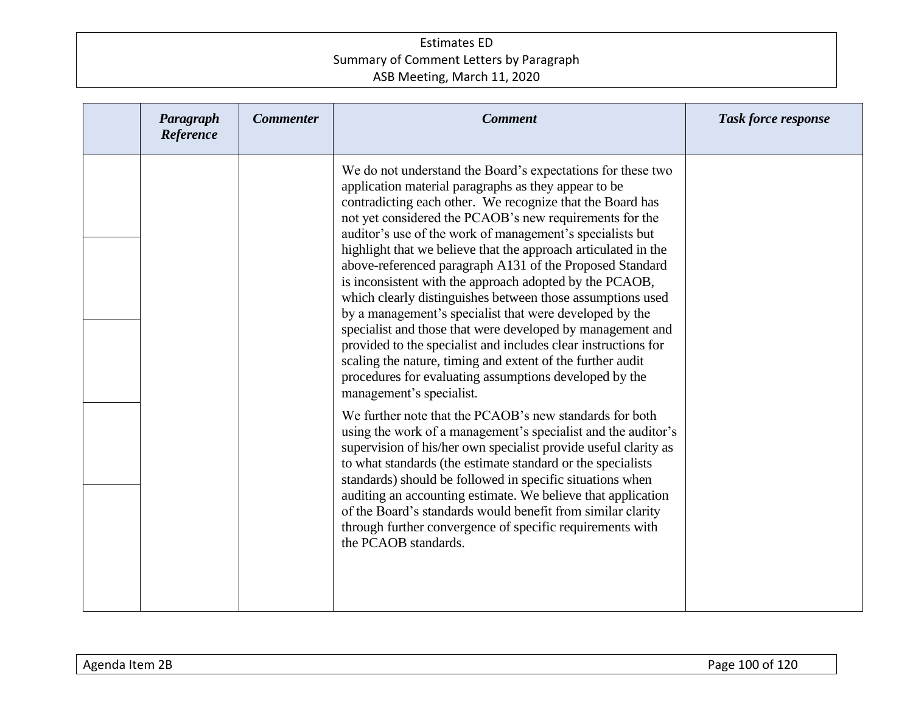| Paragraph<br>Reference | <b>Commenter</b> | <b>Comment</b>                                                                                                                                                                                                                                                                                                                                                                                                                                                                                                                                                                                                                                                                                                                                                                                                                                                                                                                                                                                                                                                                                                                                                               | <b>Task force response</b> |
|------------------------|------------------|------------------------------------------------------------------------------------------------------------------------------------------------------------------------------------------------------------------------------------------------------------------------------------------------------------------------------------------------------------------------------------------------------------------------------------------------------------------------------------------------------------------------------------------------------------------------------------------------------------------------------------------------------------------------------------------------------------------------------------------------------------------------------------------------------------------------------------------------------------------------------------------------------------------------------------------------------------------------------------------------------------------------------------------------------------------------------------------------------------------------------------------------------------------------------|----------------------------|
|                        |                  | We do not understand the Board's expectations for these two<br>application material paragraphs as they appear to be<br>contradicting each other. We recognize that the Board has<br>not yet considered the PCAOB's new requirements for the<br>auditor's use of the work of management's specialists but<br>highlight that we believe that the approach articulated in the<br>above-referenced paragraph A131 of the Proposed Standard<br>is inconsistent with the approach adopted by the PCAOB,<br>which clearly distinguishes between those assumptions used<br>by a management's specialist that were developed by the<br>specialist and those that were developed by management and<br>provided to the specialist and includes clear instructions for<br>scaling the nature, timing and extent of the further audit<br>procedures for evaluating assumptions developed by the<br>management's specialist.<br>We further note that the PCAOB's new standards for both<br>using the work of a management's specialist and the auditor's<br>supervision of his/her own specialist provide useful clarity as<br>to what standards (the estimate standard or the specialists |                            |
|                        |                  | standards) should be followed in specific situations when<br>auditing an accounting estimate. We believe that application<br>of the Board's standards would benefit from similar clarity<br>through further convergence of specific requirements with<br>the PCAOB standards.                                                                                                                                                                                                                                                                                                                                                                                                                                                                                                                                                                                                                                                                                                                                                                                                                                                                                                |                            |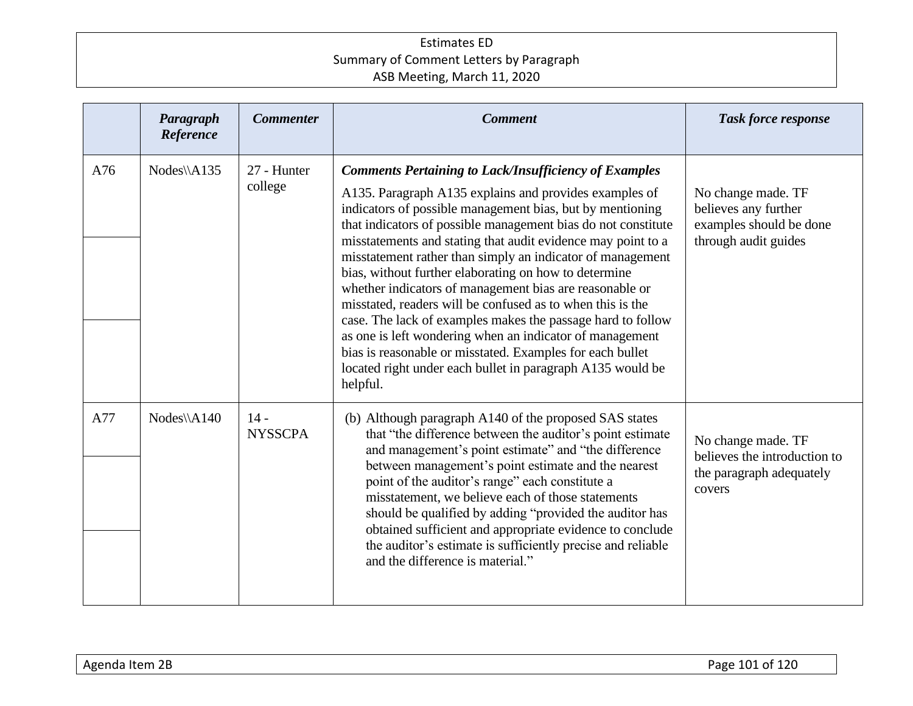|     | Paragraph<br>Reference | <b>Commenter</b>         | <b>Comment</b>                                                                                                                                                                                                                                                                                                                                                                                                                                                                                                                                                                                                                                                                                                                                                                                                                         | <b>Task force response</b>                                                                    |
|-----|------------------------|--------------------------|----------------------------------------------------------------------------------------------------------------------------------------------------------------------------------------------------------------------------------------------------------------------------------------------------------------------------------------------------------------------------------------------------------------------------------------------------------------------------------------------------------------------------------------------------------------------------------------------------------------------------------------------------------------------------------------------------------------------------------------------------------------------------------------------------------------------------------------|-----------------------------------------------------------------------------------------------|
| A76 | Nodes\\A135            | 27 - Hunter<br>college   | <b>Comments Pertaining to Lack/Insufficiency of Examples</b><br>A135. Paragraph A135 explains and provides examples of<br>indicators of possible management bias, but by mentioning<br>that indicators of possible management bias do not constitute<br>misstatements and stating that audit evidence may point to a<br>misstatement rather than simply an indicator of management<br>bias, without further elaborating on how to determine<br>whether indicators of management bias are reasonable or<br>misstated, readers will be confused as to when this is the<br>case. The lack of examples makes the passage hard to follow<br>as one is left wondering when an indicator of management<br>bias is reasonable or misstated. Examples for each bullet<br>located right under each bullet in paragraph A135 would be<br>helpful. | No change made. TF<br>believes any further<br>examples should be done<br>through audit guides |
| A77 | $Nodes\A140$           | $14 -$<br><b>NYSSCPA</b> | (b) Although paragraph A140 of the proposed SAS states<br>that "the difference between the auditor's point estimate<br>and management's point estimate" and "the difference<br>between management's point estimate and the nearest<br>point of the auditor's range" each constitute a<br>misstatement, we believe each of those statements<br>should be qualified by adding "provided the auditor has<br>obtained sufficient and appropriate evidence to conclude<br>the auditor's estimate is sufficiently precise and reliable<br>and the difference is material."                                                                                                                                                                                                                                                                   | No change made. TF<br>believes the introduction to<br>the paragraph adequately<br>covers      |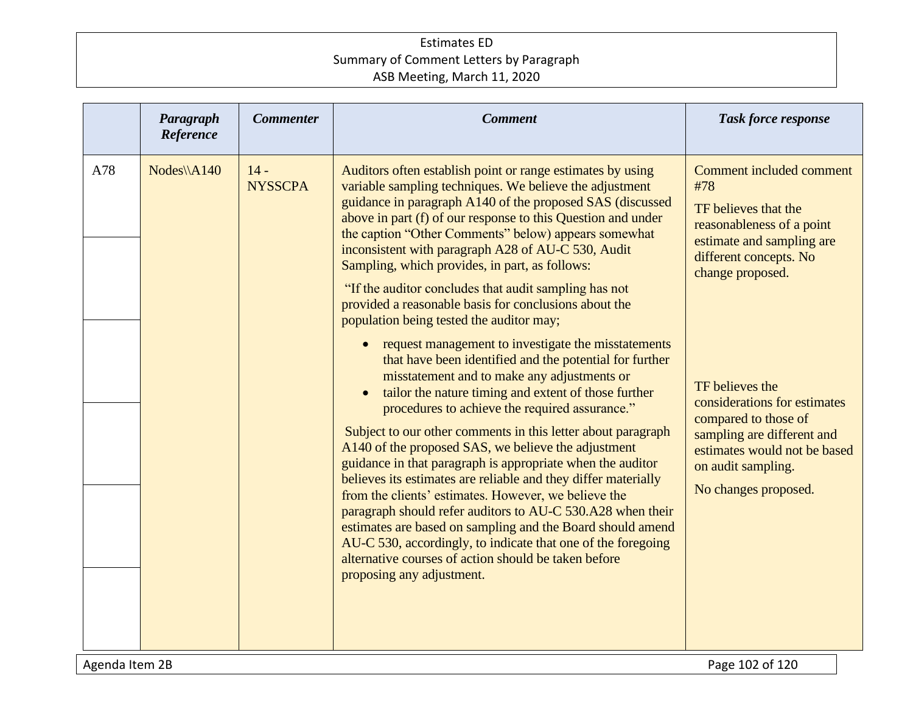|     | Paragraph<br>Reference | <b>Commenter</b>         | <b>Comment</b>                                                                                                                                                                                                                                                                                                                                                                                                                                                                                                                                                                                                                                                                                                                                                                                                                                                          | <b>Task force response</b>                                                                                                                                                          |
|-----|------------------------|--------------------------|-------------------------------------------------------------------------------------------------------------------------------------------------------------------------------------------------------------------------------------------------------------------------------------------------------------------------------------------------------------------------------------------------------------------------------------------------------------------------------------------------------------------------------------------------------------------------------------------------------------------------------------------------------------------------------------------------------------------------------------------------------------------------------------------------------------------------------------------------------------------------|-------------------------------------------------------------------------------------------------------------------------------------------------------------------------------------|
| A78 | Nodes\\A140            | $14 -$<br><b>NYSSCPA</b> | Auditors often establish point or range estimates by using<br>variable sampling techniques. We believe the adjustment<br>guidance in paragraph A140 of the proposed SAS (discussed<br>above in part (f) of our response to this Question and under<br>the caption "Other Comments" below) appears somewhat<br>inconsistent with paragraph A28 of AU-C 530, Audit<br>Sampling, which provides, in part, as follows:<br>"If the auditor concludes that audit sampling has not<br>provided a reasonable basis for conclusions about the<br>population being tested the auditor may;                                                                                                                                                                                                                                                                                        | Comment included comment<br>#78<br>TF believes that the<br>reasonableness of a point<br>estimate and sampling are<br>different concepts. No<br>change proposed.                     |
|     |                        |                          | request management to investigate the misstatements<br>that have been identified and the potential for further<br>misstatement and to make any adjustments or<br>tailor the nature timing and extent of those further<br>procedures to achieve the required assurance."<br>Subject to our other comments in this letter about paragraph<br>A140 of the proposed SAS, we believe the adjustment<br>guidance in that paragraph is appropriate when the auditor<br>believes its estimates are reliable and they differ materially<br>from the clients' estimates. However, we believe the<br>paragraph should refer auditors to AU-C 530.A28 when their<br>estimates are based on sampling and the Board should amend<br>AU-C 530, accordingly, to indicate that one of the foregoing<br>alternative courses of action should be taken before<br>proposing any adjustment. | TF believes the<br>considerations for estimates<br>compared to those of<br>sampling are different and<br>estimates would not be based<br>on audit sampling.<br>No changes proposed. |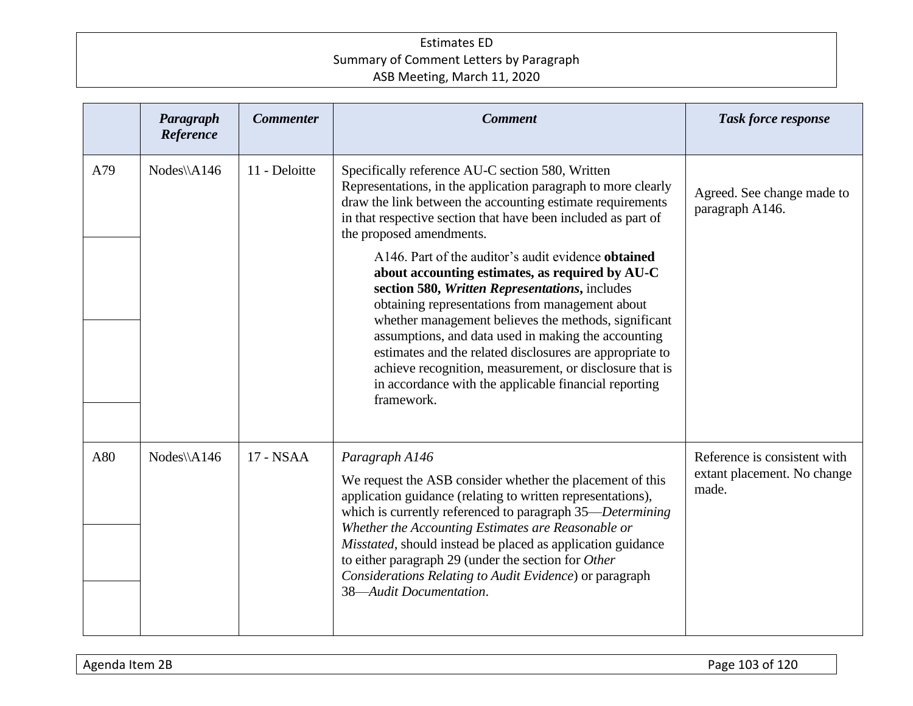|     | Paragraph<br>Reference | <b>Commenter</b> | <b>Comment</b>                                                                                                                                                                                                                                                                                                                                                                                                                                                                                                                                                                                                                                                                                                                                                                                           | <b>Task force response</b>                                           |
|-----|------------------------|------------------|----------------------------------------------------------------------------------------------------------------------------------------------------------------------------------------------------------------------------------------------------------------------------------------------------------------------------------------------------------------------------------------------------------------------------------------------------------------------------------------------------------------------------------------------------------------------------------------------------------------------------------------------------------------------------------------------------------------------------------------------------------------------------------------------------------|----------------------------------------------------------------------|
| A79 | Nodes\\A146            | 11 - Deloitte    | Specifically reference AU-C section 580, Written<br>Representations, in the application paragraph to more clearly<br>draw the link between the accounting estimate requirements<br>in that respective section that have been included as part of<br>the proposed amendments.<br>A146. Part of the auditor's audit evidence obtained<br>about accounting estimates, as required by AU-C<br>section 580, Written Representations, includes<br>obtaining representations from management about<br>whether management believes the methods, significant<br>assumptions, and data used in making the accounting<br>estimates and the related disclosures are appropriate to<br>achieve recognition, measurement, or disclosure that is<br>in accordance with the applicable financial reporting<br>framework. | Agreed. See change made to<br>paragraph A146.                        |
| A80 | Nodes\\A146            | 17 - NSAA        | Paragraph A146<br>We request the ASB consider whether the placement of this<br>application guidance (relating to written representations),<br>which is currently referenced to paragraph 35—Determining<br>Whether the Accounting Estimates are Reasonable or<br>Misstated, should instead be placed as application guidance<br>to either paragraph 29 (under the section for Other<br>Considerations Relating to Audit Evidence) or paragraph<br>38-Audit Documentation.                                                                                                                                                                                                                                                                                                                                | Reference is consistent with<br>extant placement. No change<br>made. |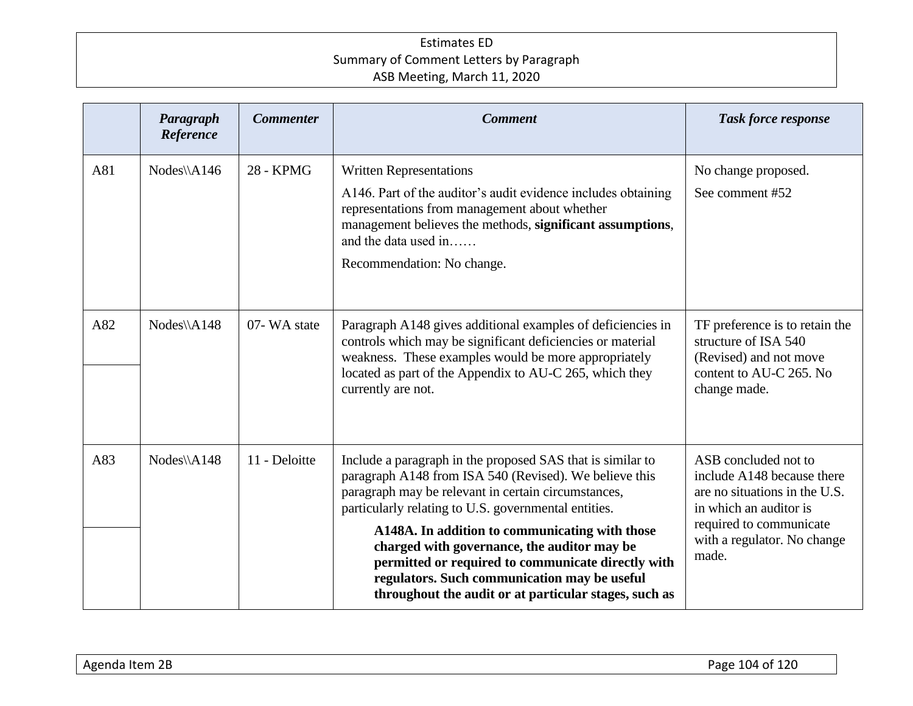|     | Paragraph<br>Reference | <b>Commenter</b> | <b>Comment</b>                                                                                                                                                                                                                                                                                                                                                                                                                                                                                      | <b>Task force response</b>                                                                                                                                                       |
|-----|------------------------|------------------|-----------------------------------------------------------------------------------------------------------------------------------------------------------------------------------------------------------------------------------------------------------------------------------------------------------------------------------------------------------------------------------------------------------------------------------------------------------------------------------------------------|----------------------------------------------------------------------------------------------------------------------------------------------------------------------------------|
| A81 | Nodes\\A146            | 28 - KPMG        | <b>Written Representations</b><br>A146. Part of the auditor's audit evidence includes obtaining<br>representations from management about whether<br>management believes the methods, significant assumptions,<br>and the data used in<br>Recommendation: No change.                                                                                                                                                                                                                                 | No change proposed.<br>See comment #52                                                                                                                                           |
| A82 | $Nodes\A148$           | 07-WA state      | Paragraph A148 gives additional examples of deficiencies in<br>controls which may be significant deficiencies or material<br>weakness. These examples would be more appropriately<br>located as part of the Appendix to AU-C 265, which they<br>currently are not.                                                                                                                                                                                                                                  | TF preference is to retain the<br>structure of ISA 540<br>(Revised) and not move<br>content to AU-C 265. No<br>change made.                                                      |
| A83 | Nodes\\A148            | 11 - Deloitte    | Include a paragraph in the proposed SAS that is similar to<br>paragraph A148 from ISA 540 (Revised). We believe this<br>paragraph may be relevant in certain circumstances,<br>particularly relating to U.S. governmental entities.<br>A148A. In addition to communicating with those<br>charged with governance, the auditor may be<br>permitted or required to communicate directly with<br>regulators. Such communication may be useful<br>throughout the audit or at particular stages, such as | ASB concluded not to<br>include A148 because there<br>are no situations in the U.S.<br>in which an auditor is<br>required to communicate<br>with a regulator. No change<br>made. |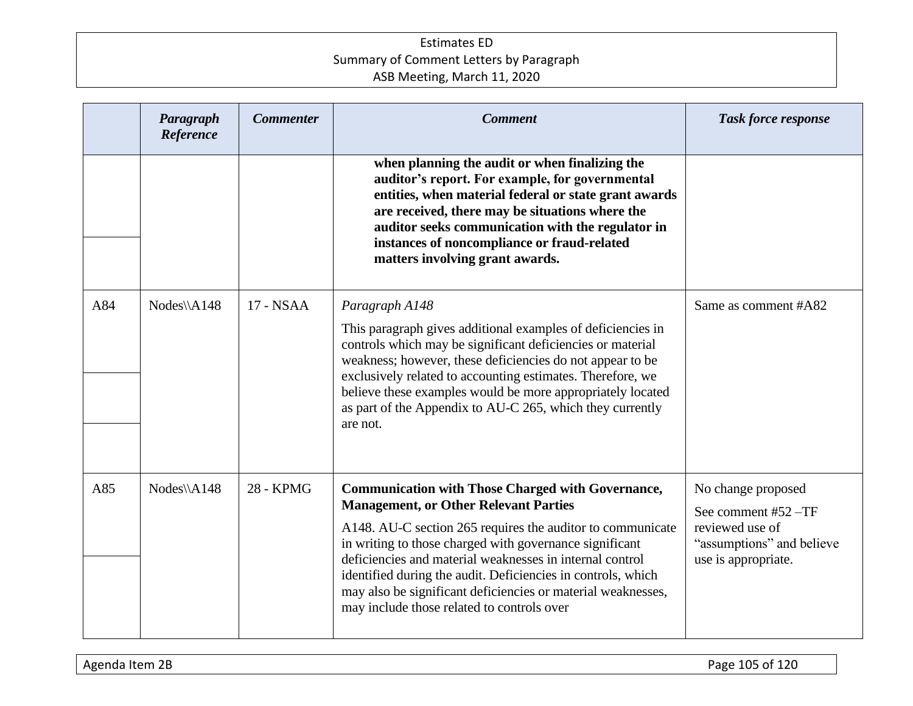|     | Paragraph<br>Reference | <b>Commenter</b> | <b>Comment</b>                                                                                                                                                                                                                                                                                                                                                                                                                                                              | <b>Task force response</b>                                                                                       |
|-----|------------------------|------------------|-----------------------------------------------------------------------------------------------------------------------------------------------------------------------------------------------------------------------------------------------------------------------------------------------------------------------------------------------------------------------------------------------------------------------------------------------------------------------------|------------------------------------------------------------------------------------------------------------------|
|     |                        |                  | when planning the audit or when finalizing the<br>auditor's report. For example, for governmental<br>entities, when material federal or state grant awards<br>are received, there may be situations where the<br>auditor seeks communication with the regulator in<br>instances of noncompliance or fraud-related<br>matters involving grant awards.                                                                                                                        |                                                                                                                  |
| A84 | Nodes\\A148            | 17 - NSAA        | Paragraph A148<br>This paragraph gives additional examples of deficiencies in<br>controls which may be significant deficiencies or material<br>weakness; however, these deficiencies do not appear to be<br>exclusively related to accounting estimates. Therefore, we<br>believe these examples would be more appropriately located<br>as part of the Appendix to AU-C 265, which they currently<br>are not.                                                               | Same as comment #A82                                                                                             |
| A85 | $Nodes\A148$           | 28 - KPMG        | <b>Communication with Those Charged with Governance,</b><br><b>Management, or Other Relevant Parties</b><br>A148. AU-C section 265 requires the auditor to communicate<br>in writing to those charged with governance significant<br>deficiencies and material weaknesses in internal control<br>identified during the audit. Deficiencies in controls, which<br>may also be significant deficiencies or material weaknesses,<br>may include those related to controls over | No change proposed<br>See comment #52 -TF<br>reviewed use of<br>"assumptions" and believe<br>use is appropriate. |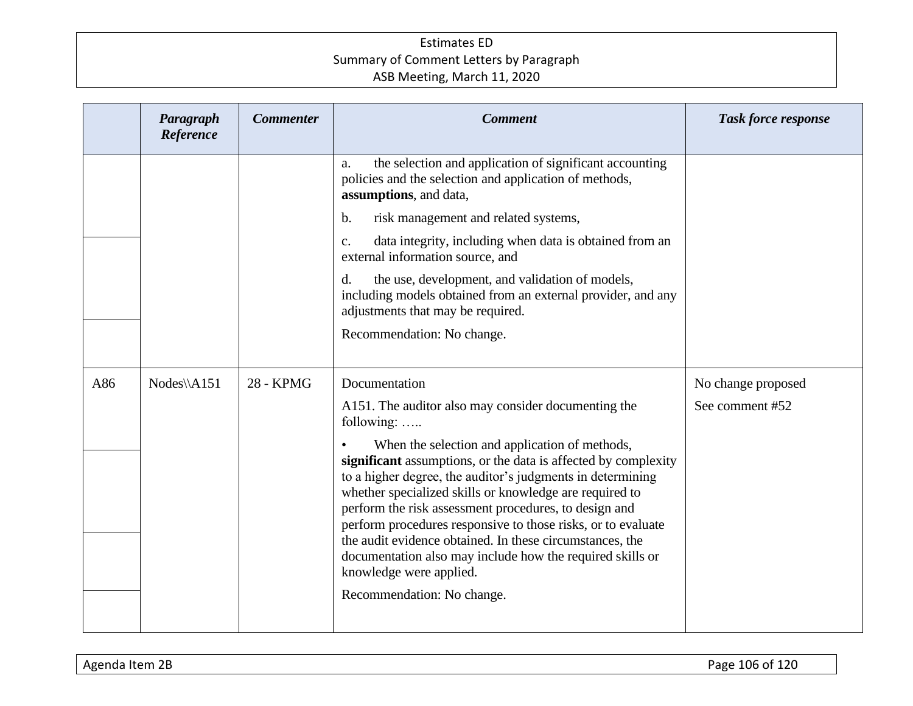|     | Paragraph<br>Reference | <b>Commenter</b> | <b>Comment</b>                                                                                                                                                                                                                                                                                                                                                                                                                                                                                                         | <b>Task force response</b> |
|-----|------------------------|------------------|------------------------------------------------------------------------------------------------------------------------------------------------------------------------------------------------------------------------------------------------------------------------------------------------------------------------------------------------------------------------------------------------------------------------------------------------------------------------------------------------------------------------|----------------------------|
|     |                        |                  | the selection and application of significant accounting<br>a.<br>policies and the selection and application of methods,<br>assumptions, and data,                                                                                                                                                                                                                                                                                                                                                                      |                            |
|     |                        |                  | risk management and related systems,<br>$\mathbf b$ .                                                                                                                                                                                                                                                                                                                                                                                                                                                                  |                            |
|     |                        |                  | data integrity, including when data is obtained from an<br>C <sub>1</sub><br>external information source, and                                                                                                                                                                                                                                                                                                                                                                                                          |                            |
|     |                        |                  | d.<br>the use, development, and validation of models,<br>including models obtained from an external provider, and any<br>adjustments that may be required.                                                                                                                                                                                                                                                                                                                                                             |                            |
|     |                        |                  | Recommendation: No change.                                                                                                                                                                                                                                                                                                                                                                                                                                                                                             |                            |
|     |                        |                  |                                                                                                                                                                                                                                                                                                                                                                                                                                                                                                                        |                            |
| A86 | Nodes\\A151            | <b>28 - KPMG</b> | Documentation                                                                                                                                                                                                                                                                                                                                                                                                                                                                                                          | No change proposed         |
|     |                        |                  | A151. The auditor also may consider documenting the<br>following:                                                                                                                                                                                                                                                                                                                                                                                                                                                      | See comment #52            |
|     |                        |                  | When the selection and application of methods,<br>significant assumptions, or the data is affected by complexity<br>to a higher degree, the auditor's judgments in determining<br>whether specialized skills or knowledge are required to<br>perform the risk assessment procedures, to design and<br>perform procedures responsive to those risks, or to evaluate<br>the audit evidence obtained. In these circumstances, the<br>documentation also may include how the required skills or<br>knowledge were applied. |                            |
|     |                        |                  | Recommendation: No change.                                                                                                                                                                                                                                                                                                                                                                                                                                                                                             |                            |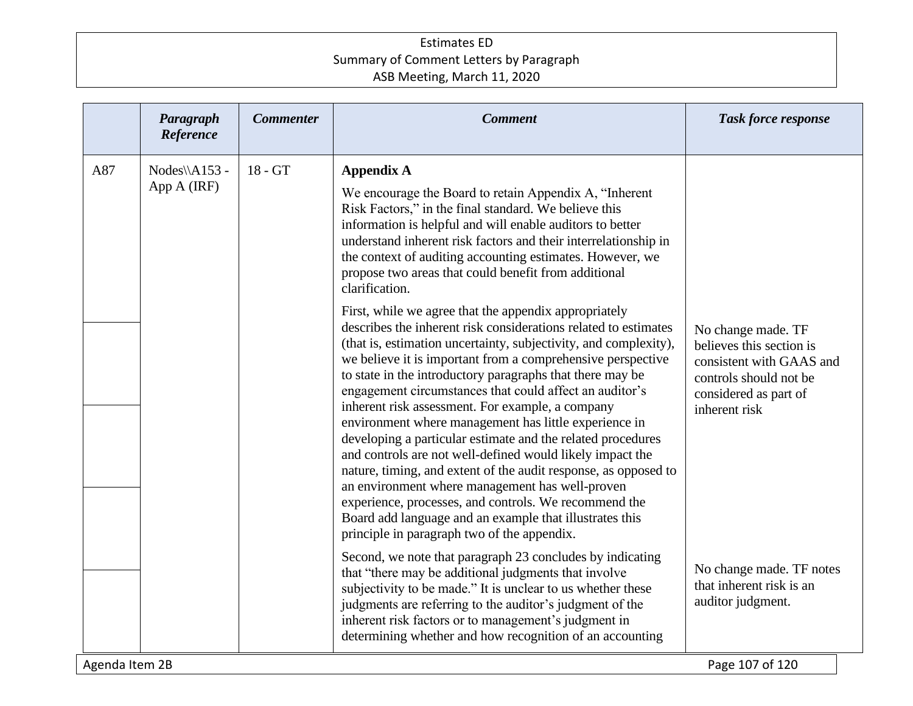|                | Paragraph<br>Reference        | <b>Commenter</b> | <b>Comment</b>                                                                                                                                                                                                                                                                                                                                                                                                                                                                                                                                                                                                                                                                                                                                                                                                                                                                                                        | <b>Task force response</b>                                                                                                                     |
|----------------|-------------------------------|------------------|-----------------------------------------------------------------------------------------------------------------------------------------------------------------------------------------------------------------------------------------------------------------------------------------------------------------------------------------------------------------------------------------------------------------------------------------------------------------------------------------------------------------------------------------------------------------------------------------------------------------------------------------------------------------------------------------------------------------------------------------------------------------------------------------------------------------------------------------------------------------------------------------------------------------------|------------------------------------------------------------------------------------------------------------------------------------------------|
| A87            | $Nodes\A153 -$<br>App A (IRF) | $18 - GT$        | <b>Appendix A</b><br>We encourage the Board to retain Appendix A, "Inherent<br>Risk Factors," in the final standard. We believe this<br>information is helpful and will enable auditors to better<br>understand inherent risk factors and their interrelationship in<br>the context of auditing accounting estimates. However, we<br>propose two areas that could benefit from additional<br>clarification.                                                                                                                                                                                                                                                                                                                                                                                                                                                                                                           |                                                                                                                                                |
|                |                               |                  | First, while we agree that the appendix appropriately<br>describes the inherent risk considerations related to estimates<br>(that is, estimation uncertainty, subjectivity, and complexity),<br>we believe it is important from a comprehensive perspective<br>to state in the introductory paragraphs that there may be<br>engagement circumstances that could affect an auditor's<br>inherent risk assessment. For example, a company<br>environment where management has little experience in<br>developing a particular estimate and the related procedures<br>and controls are not well-defined would likely impact the<br>nature, timing, and extent of the audit response, as opposed to<br>an environment where management has well-proven<br>experience, processes, and controls. We recommend the<br>Board add language and an example that illustrates this<br>principle in paragraph two of the appendix. | No change made. TF<br>believes this section is<br>consistent with GAAS and<br>controls should not be<br>considered as part of<br>inherent risk |
|                |                               |                  | Second, we note that paragraph 23 concludes by indicating<br>that "there may be additional judgments that involve<br>subjectivity to be made." It is unclear to us whether these<br>judgments are referring to the auditor's judgment of the<br>inherent risk factors or to management's judgment in<br>determining whether and how recognition of an accounting                                                                                                                                                                                                                                                                                                                                                                                                                                                                                                                                                      | No change made. TF notes<br>that inherent risk is an<br>auditor judgment.                                                                      |
| Agenda Item 2B |                               |                  |                                                                                                                                                                                                                                                                                                                                                                                                                                                                                                                                                                                                                                                                                                                                                                                                                                                                                                                       | Page 107 of 120                                                                                                                                |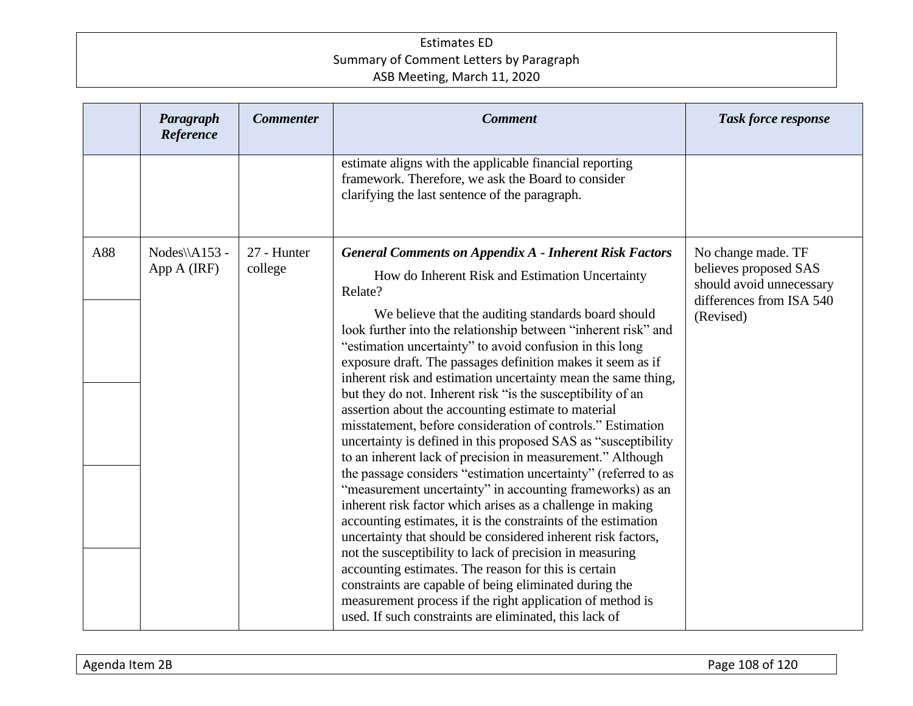|     | Paragraph<br>Reference       | <b>Commenter</b>       | <b>Comment</b>                                                                                                                                                                                                                                                                                                                                                                                                                                                                                                                                                                                                                                                                                                                                                                                                                                                                                                                                                                                                                                                                                                                                                                                                                                                                                                                                                                                            | Task force response                                                                                              |
|-----|------------------------------|------------------------|-----------------------------------------------------------------------------------------------------------------------------------------------------------------------------------------------------------------------------------------------------------------------------------------------------------------------------------------------------------------------------------------------------------------------------------------------------------------------------------------------------------------------------------------------------------------------------------------------------------------------------------------------------------------------------------------------------------------------------------------------------------------------------------------------------------------------------------------------------------------------------------------------------------------------------------------------------------------------------------------------------------------------------------------------------------------------------------------------------------------------------------------------------------------------------------------------------------------------------------------------------------------------------------------------------------------------------------------------------------------------------------------------------------|------------------------------------------------------------------------------------------------------------------|
|     |                              |                        | estimate aligns with the applicable financial reporting<br>framework. Therefore, we ask the Board to consider<br>clarifying the last sentence of the paragraph.                                                                                                                                                                                                                                                                                                                                                                                                                                                                                                                                                                                                                                                                                                                                                                                                                                                                                                                                                                                                                                                                                                                                                                                                                                           |                                                                                                                  |
| A88 | Nodes\\A153 -<br>App A (IRF) | 27 - Hunter<br>college | <b>General Comments on Appendix A - Inherent Risk Factors</b><br>How do Inherent Risk and Estimation Uncertainty<br>Relate?<br>We believe that the auditing standards board should<br>look further into the relationship between "inherent risk" and<br>"estimation uncertainty" to avoid confusion in this long<br>exposure draft. The passages definition makes it seem as if<br>inherent risk and estimation uncertainty mean the same thing,<br>but they do not. Inherent risk "is the susceptibility of an<br>assertion about the accounting estimate to material<br>misstatement, before consideration of controls." Estimation<br>uncertainty is defined in this proposed SAS as "susceptibility"<br>to an inherent lack of precision in measurement." Although<br>the passage considers "estimation uncertainty" (referred to as<br>"measurement uncertainty" in accounting frameworks) as an<br>inherent risk factor which arises as a challenge in making<br>accounting estimates, it is the constraints of the estimation<br>uncertainty that should be considered inherent risk factors,<br>not the susceptibility to lack of precision in measuring<br>accounting estimates. The reason for this is certain<br>constraints are capable of being eliminated during the<br>measurement process if the right application of method is<br>used. If such constraints are eliminated, this lack of | No change made. TF<br>believes proposed SAS<br>should avoid unnecessary<br>differences from ISA 540<br>(Revised) |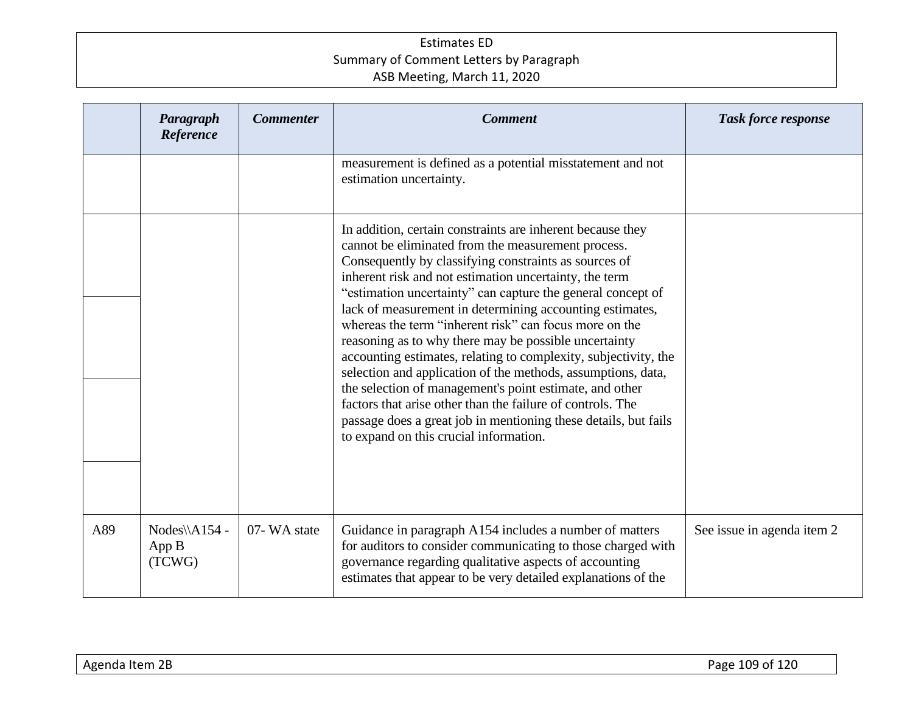|     | Paragraph<br>Reference           | <b>Commenter</b> | <b>Comment</b>                                                                                                                                                                                                                                                                                                                                                                                                                                                                                                                                                                                                                                                                                                                                                                                                                                             | <b>Task force response</b> |
|-----|----------------------------------|------------------|------------------------------------------------------------------------------------------------------------------------------------------------------------------------------------------------------------------------------------------------------------------------------------------------------------------------------------------------------------------------------------------------------------------------------------------------------------------------------------------------------------------------------------------------------------------------------------------------------------------------------------------------------------------------------------------------------------------------------------------------------------------------------------------------------------------------------------------------------------|----------------------------|
|     |                                  |                  | measurement is defined as a potential misstatement and not<br>estimation uncertainty.                                                                                                                                                                                                                                                                                                                                                                                                                                                                                                                                                                                                                                                                                                                                                                      |                            |
|     |                                  |                  | In addition, certain constraints are inherent because they<br>cannot be eliminated from the measurement process.<br>Consequently by classifying constraints as sources of<br>inherent risk and not estimation uncertainty, the term<br>"estimation uncertainty" can capture the general concept of<br>lack of measurement in determining accounting estimates,<br>whereas the term "inherent risk" can focus more on the<br>reasoning as to why there may be possible uncertainty<br>accounting estimates, relating to complexity, subjectivity, the<br>selection and application of the methods, assumptions, data,<br>the selection of management's point estimate, and other<br>factors that arise other than the failure of controls. The<br>passage does a great job in mentioning these details, but fails<br>to expand on this crucial information. |                            |
| A89 | Nodes\\A154 -<br>App B<br>(TCWG) | 07-WA state      | Guidance in paragraph A154 includes a number of matters<br>for auditors to consider communicating to those charged with<br>governance regarding qualitative aspects of accounting<br>estimates that appear to be very detailed explanations of the                                                                                                                                                                                                                                                                                                                                                                                                                                                                                                                                                                                                         | See issue in agenda item 2 |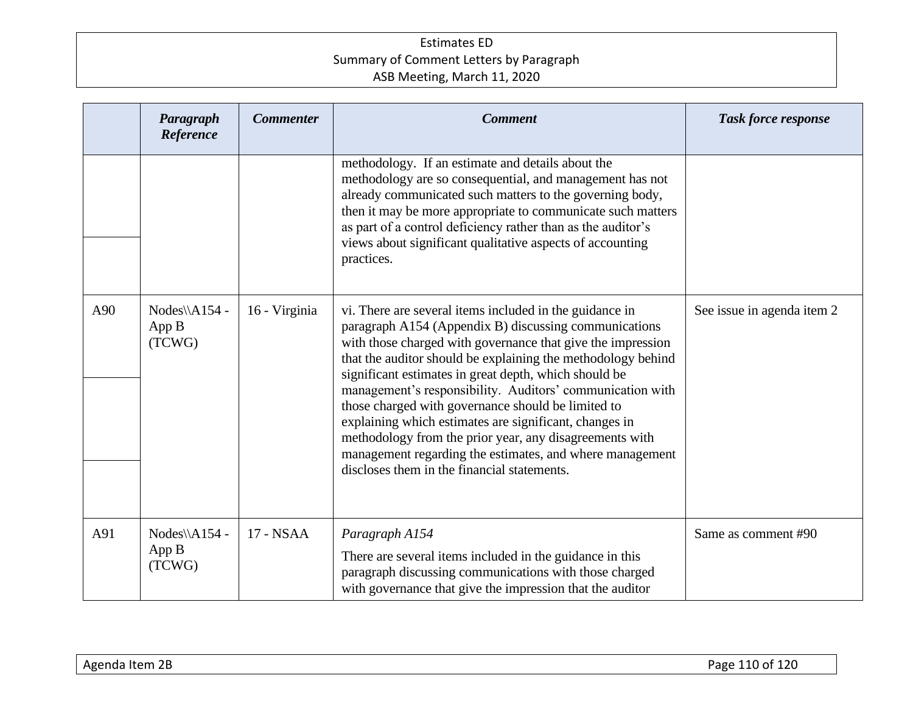|     | Paragraph<br>Reference           | <b>Commenter</b> | <b>Comment</b>                                                                                                                                                                                                                                                                                                                                                                                                                                                                                                                                                                                                                                              | <b>Task force response</b> |
|-----|----------------------------------|------------------|-------------------------------------------------------------------------------------------------------------------------------------------------------------------------------------------------------------------------------------------------------------------------------------------------------------------------------------------------------------------------------------------------------------------------------------------------------------------------------------------------------------------------------------------------------------------------------------------------------------------------------------------------------------|----------------------------|
|     |                                  |                  | methodology. If an estimate and details about the<br>methodology are so consequential, and management has not<br>already communicated such matters to the governing body,<br>then it may be more appropriate to communicate such matters<br>as part of a control deficiency rather than as the auditor's<br>views about significant qualitative aspects of accounting<br>practices.                                                                                                                                                                                                                                                                         |                            |
| A90 | Nodes\\A154 -<br>App B<br>(TCWG) | 16 - Virginia    | vi. There are several items included in the guidance in<br>paragraph A154 (Appendix B) discussing communications<br>with those charged with governance that give the impression<br>that the auditor should be explaining the methodology behind<br>significant estimates in great depth, which should be<br>management's responsibility. Auditors' communication with<br>those charged with governance should be limited to<br>explaining which estimates are significant, changes in<br>methodology from the prior year, any disagreements with<br>management regarding the estimates, and where management<br>discloses them in the financial statements. | See issue in agenda item 2 |
| A91 | Nodes\\A154 -<br>App B<br>(TCWG) | 17 - NSAA        | Paragraph A154<br>There are several items included in the guidance in this<br>paragraph discussing communications with those charged<br>with governance that give the impression that the auditor                                                                                                                                                                                                                                                                                                                                                                                                                                                           | Same as comment #90        |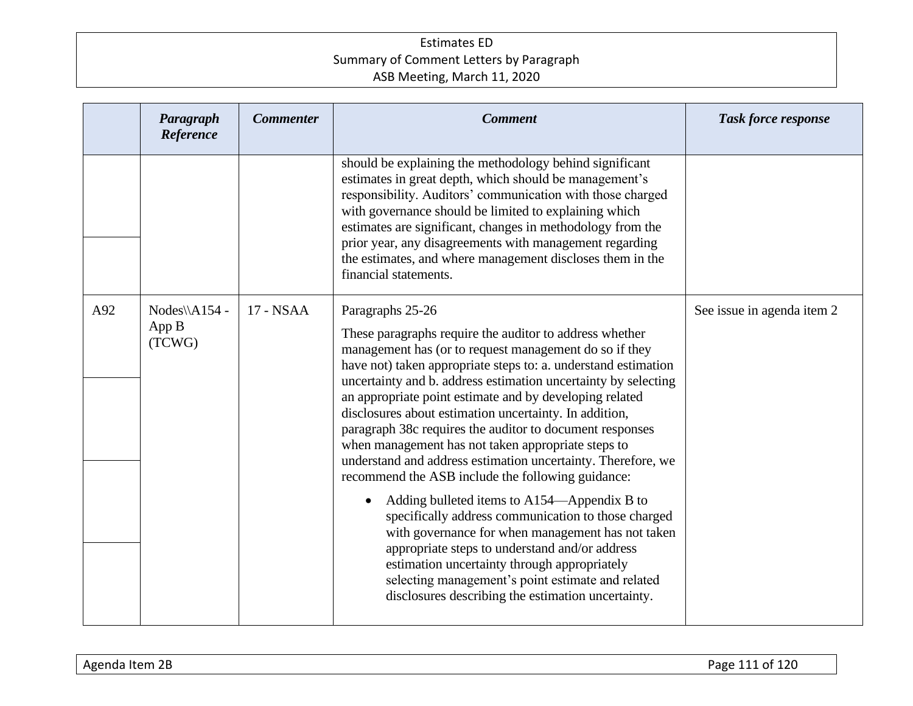|     | Paragraph<br>Reference           | <b>Commenter</b> | <b>Comment</b>                                                                                                                                                                                                                                                                                                                                                                                                                                                                                                                                                                                                                        | <b>Task force response</b> |
|-----|----------------------------------|------------------|---------------------------------------------------------------------------------------------------------------------------------------------------------------------------------------------------------------------------------------------------------------------------------------------------------------------------------------------------------------------------------------------------------------------------------------------------------------------------------------------------------------------------------------------------------------------------------------------------------------------------------------|----------------------------|
|     |                                  |                  | should be explaining the methodology behind significant<br>estimates in great depth, which should be management's<br>responsibility. Auditors' communication with those charged<br>with governance should be limited to explaining which<br>estimates are significant, changes in methodology from the<br>prior year, any disagreements with management regarding<br>the estimates, and where management discloses them in the<br>financial statements.                                                                                                                                                                               |                            |
| A92 | Nodes\\A154 -<br>App B<br>(TCWG) | 17 - NSAA        | Paragraphs 25-26<br>These paragraphs require the auditor to address whether<br>management has (or to request management do so if they<br>have not) taken appropriate steps to: a. understand estimation<br>uncertainty and b. address estimation uncertainty by selecting<br>an appropriate point estimate and by developing related<br>disclosures about estimation uncertainty. In addition,<br>paragraph 38c requires the auditor to document responses<br>when management has not taken appropriate steps to<br>understand and address estimation uncertainty. Therefore, we<br>recommend the ASB include the following guidance: | See issue in agenda item 2 |
|     |                                  |                  | Adding bulleted items to A154—Appendix B to<br>$\bullet$<br>specifically address communication to those charged<br>with governance for when management has not taken<br>appropriate steps to understand and/or address<br>estimation uncertainty through appropriately<br>selecting management's point estimate and related<br>disclosures describing the estimation uncertainty.                                                                                                                                                                                                                                                     |                            |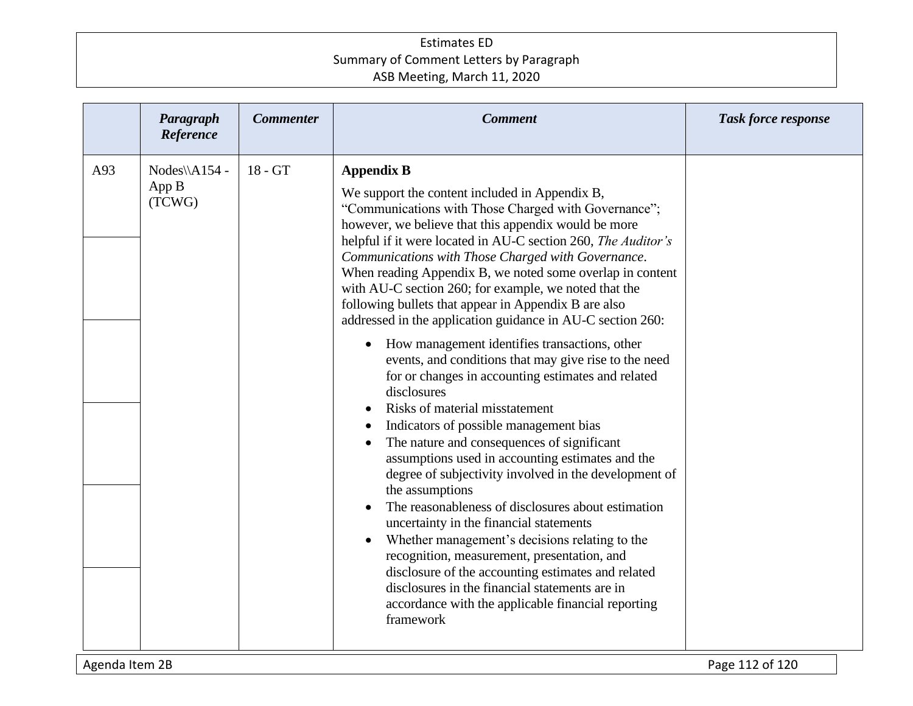| Paragraph<br>Reference                  | <b>Commenter</b> | <b>Comment</b>                                                                                                                                                                                                                                                                                                                                                                                                                                                                                                                                                                                                                                                                                                                                                                                                                                                                                                                                                                                                                                                                                                                                                                                                                                                                                                                                                                                         | <b>Task force response</b> |
|-----------------------------------------|------------------|--------------------------------------------------------------------------------------------------------------------------------------------------------------------------------------------------------------------------------------------------------------------------------------------------------------------------------------------------------------------------------------------------------------------------------------------------------------------------------------------------------------------------------------------------------------------------------------------------------------------------------------------------------------------------------------------------------------------------------------------------------------------------------------------------------------------------------------------------------------------------------------------------------------------------------------------------------------------------------------------------------------------------------------------------------------------------------------------------------------------------------------------------------------------------------------------------------------------------------------------------------------------------------------------------------------------------------------------------------------------------------------------------------|----------------------------|
| A93<br>Nodes\\A154 -<br>App B<br>(TCWG) | 18 - GT          | <b>Appendix B</b><br>We support the content included in Appendix B,<br>"Communications with Those Charged with Governance";<br>however, we believe that this appendix would be more<br>helpful if it were located in AU-C section 260, The Auditor's<br>Communications with Those Charged with Governance.<br>When reading Appendix B, we noted some overlap in content<br>with AU-C section 260; for example, we noted that the<br>following bullets that appear in Appendix B are also<br>addressed in the application guidance in AU-C section 260:<br>How management identifies transactions, other<br>$\bullet$<br>events, and conditions that may give rise to the need<br>for or changes in accounting estimates and related<br>disclosures<br>Risks of material misstatement<br>Indicators of possible management bias<br>The nature and consequences of significant<br>assumptions used in accounting estimates and the<br>degree of subjectivity involved in the development of<br>the assumptions<br>The reasonableness of disclosures about estimation<br>uncertainty in the financial statements<br>Whether management's decisions relating to the<br>$\bullet$<br>recognition, measurement, presentation, and<br>disclosure of the accounting estimates and related<br>disclosures in the financial statements are in<br>accordance with the applicable financial reporting<br>framework |                            |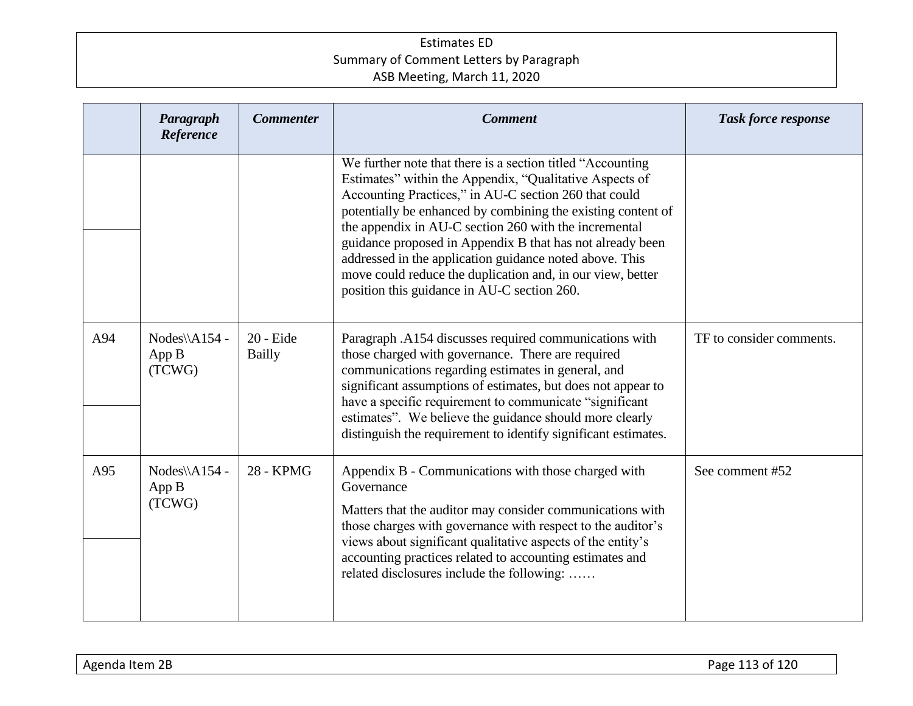|     | Paragraph<br>Reference           | <b>Commenter</b>           | <b>Comment</b>                                                                                                                                                                                                                                                                                                                                                                                                                                                                                                                                | <b>Task force response</b> |
|-----|----------------------------------|----------------------------|-----------------------------------------------------------------------------------------------------------------------------------------------------------------------------------------------------------------------------------------------------------------------------------------------------------------------------------------------------------------------------------------------------------------------------------------------------------------------------------------------------------------------------------------------|----------------------------|
|     |                                  |                            | We further note that there is a section titled "Accounting"<br>Estimates" within the Appendix, "Qualitative Aspects of<br>Accounting Practices," in AU-C section 260 that could<br>potentially be enhanced by combining the existing content of<br>the appendix in AU-C section 260 with the incremental<br>guidance proposed in Appendix B that has not already been<br>addressed in the application guidance noted above. This<br>move could reduce the duplication and, in our view, better<br>position this guidance in AU-C section 260. |                            |
| A94 | Nodes\\A154 -<br>App B<br>(TCWG) | 20 - Eide<br><b>Bailly</b> | Paragraph .A154 discusses required communications with<br>those charged with governance. There are required<br>communications regarding estimates in general, and<br>significant assumptions of estimates, but does not appear to<br>have a specific requirement to communicate "significant<br>estimates". We believe the guidance should more clearly<br>distinguish the requirement to identify significant estimates.                                                                                                                     | TF to consider comments.   |
| A95 | Nodes\\A154 -<br>App B<br>(TCWG) | <b>28 - KPMG</b>           | Appendix B - Communications with those charged with<br>Governance<br>Matters that the auditor may consider communications with<br>those charges with governance with respect to the auditor's<br>views about significant qualitative aspects of the entity's<br>accounting practices related to accounting estimates and<br>related disclosures include the following:                                                                                                                                                                        | See comment #52            |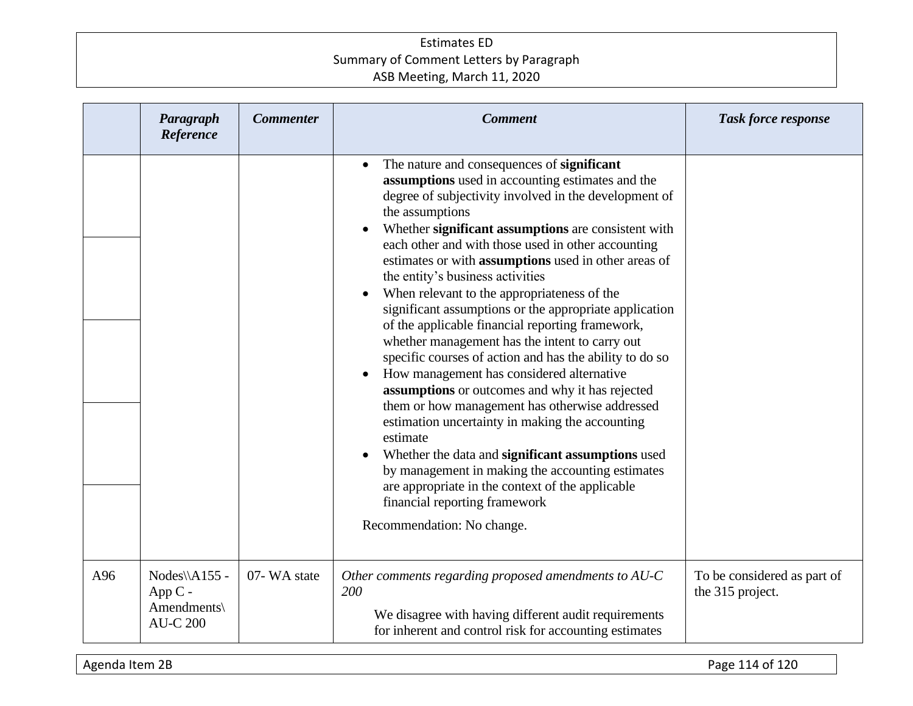|     | Paragraph<br>Reference                                      | <b>Commenter</b> | <b>Comment</b>                                                                                                                                                                                                                                                                                                                                                                                                                                                                                                                                                                                                                                                                                                                                                                                                                                                                                                                                                                                                                                                                                             | <b>Task force response</b>                      |
|-----|-------------------------------------------------------------|------------------|------------------------------------------------------------------------------------------------------------------------------------------------------------------------------------------------------------------------------------------------------------------------------------------------------------------------------------------------------------------------------------------------------------------------------------------------------------------------------------------------------------------------------------------------------------------------------------------------------------------------------------------------------------------------------------------------------------------------------------------------------------------------------------------------------------------------------------------------------------------------------------------------------------------------------------------------------------------------------------------------------------------------------------------------------------------------------------------------------------|-------------------------------------------------|
|     |                                                             |                  | The nature and consequences of significant<br>assumptions used in accounting estimates and the<br>degree of subjectivity involved in the development of<br>the assumptions<br>Whether significant assumptions are consistent with<br>each other and with those used in other accounting<br>estimates or with assumptions used in other areas of<br>the entity's business activities<br>When relevant to the appropriateness of the<br>significant assumptions or the appropriate application<br>of the applicable financial reporting framework,<br>whether management has the intent to carry out<br>specific courses of action and has the ability to do so<br>How management has considered alternative<br>assumptions or outcomes and why it has rejected<br>them or how management has otherwise addressed<br>estimation uncertainty in making the accounting<br>estimate<br>Whether the data and significant assumptions used<br>by management in making the accounting estimates<br>are appropriate in the context of the applicable<br>financial reporting framework<br>Recommendation: No change. |                                                 |
| A96 | Nodes\\A155 -<br>$AppC -$<br>Amendments\<br><b>AU-C 200</b> | 07-WA state      | Other comments regarding proposed amendments to AU-C<br>200<br>We disagree with having different audit requirements<br>for inherent and control risk for accounting estimates                                                                                                                                                                                                                                                                                                                                                                                                                                                                                                                                                                                                                                                                                                                                                                                                                                                                                                                              | To be considered as part of<br>the 315 project. |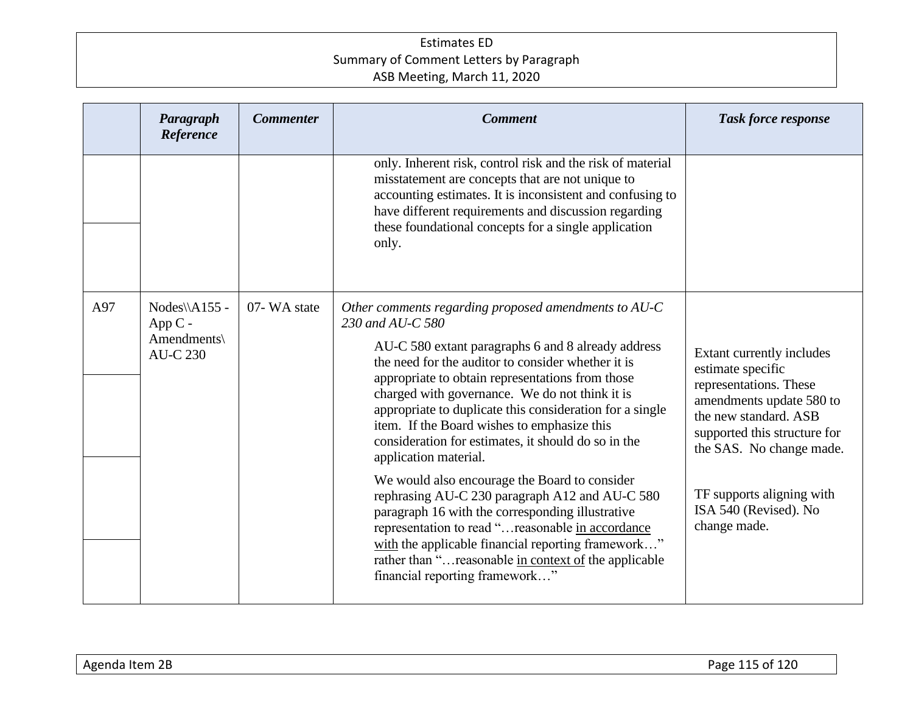|     | Paragraph<br>Reference                                       | <b>Commenter</b> | <b>Comment</b>                                                                                                                                                                                                                                                                                                                                                                                                                                                                                                                                                                                                                                                                                                                                                                                                                                      | <b>Task force response</b>                                                                                                                                                                                                                                      |
|-----|--------------------------------------------------------------|------------------|-----------------------------------------------------------------------------------------------------------------------------------------------------------------------------------------------------------------------------------------------------------------------------------------------------------------------------------------------------------------------------------------------------------------------------------------------------------------------------------------------------------------------------------------------------------------------------------------------------------------------------------------------------------------------------------------------------------------------------------------------------------------------------------------------------------------------------------------------------|-----------------------------------------------------------------------------------------------------------------------------------------------------------------------------------------------------------------------------------------------------------------|
|     |                                                              |                  | only. Inherent risk, control risk and the risk of material<br>misstatement are concepts that are not unique to<br>accounting estimates. It is inconsistent and confusing to<br>have different requirements and discussion regarding<br>these foundational concepts for a single application<br>only.                                                                                                                                                                                                                                                                                                                                                                                                                                                                                                                                                |                                                                                                                                                                                                                                                                 |
| A97 | Nodes\\A155 -<br>App $C -$<br>Amendments\<br><b>AU-C 230</b> | 07-WA state      | Other comments regarding proposed amendments to $AU-C$<br>230 and AU-C 580<br>AU-C 580 extant paragraphs 6 and 8 already address<br>the need for the auditor to consider whether it is<br>appropriate to obtain representations from those<br>charged with governance. We do not think it is<br>appropriate to duplicate this consideration for a single<br>item. If the Board wishes to emphasize this<br>consideration for estimates, it should do so in the<br>application material.<br>We would also encourage the Board to consider<br>rephrasing AU-C 230 paragraph A12 and AU-C 580<br>paragraph 16 with the corresponding illustrative<br>representation to read "reasonable in accordance<br>with the applicable financial reporting framework"<br>rather than " reasonable in context of the applicable<br>financial reporting framework" | Extant currently includes<br>estimate specific<br>representations. These<br>amendments update 580 to<br>the new standard. ASB<br>supported this structure for<br>the SAS. No change made.<br>TF supports aligning with<br>ISA 540 (Revised). No<br>change made. |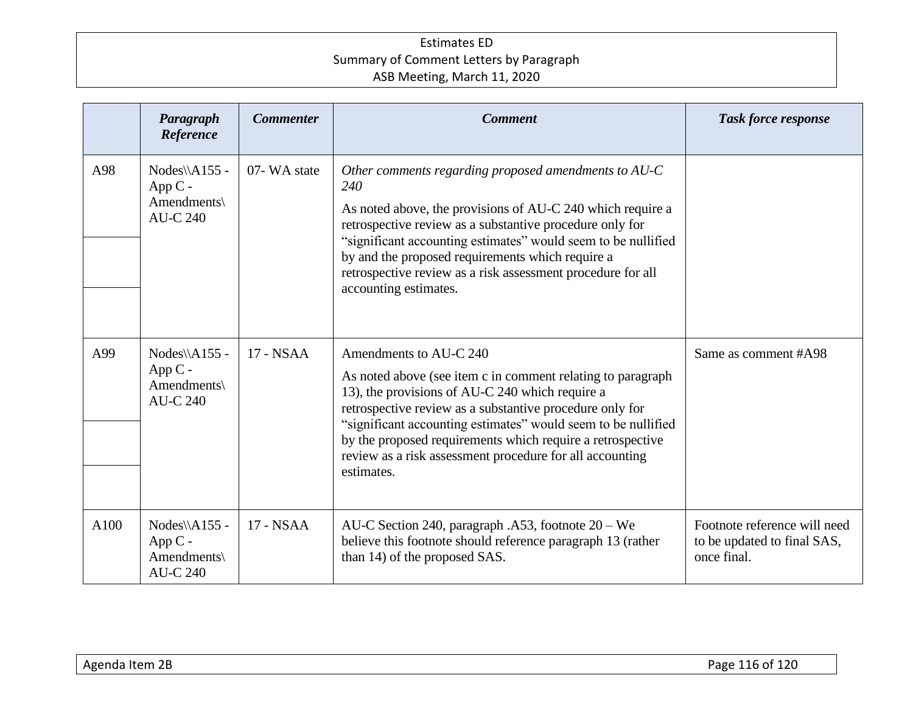|      | Paragraph<br>Reference                                       | <b>Commenter</b> | <b>Comment</b>                                                                                                                                                                                                                                                                                                                                                                                                | <b>Task force response</b>                                                 |
|------|--------------------------------------------------------------|------------------|---------------------------------------------------------------------------------------------------------------------------------------------------------------------------------------------------------------------------------------------------------------------------------------------------------------------------------------------------------------------------------------------------------------|----------------------------------------------------------------------------|
| A98  | Nodes\\A155 -<br>$App C -$<br>Amendments\<br><b>AU-C 240</b> | 07-WA state      | Other comments regarding proposed amendments to AU-C<br>240<br>As noted above, the provisions of AU-C 240 which require a<br>retrospective review as a substantive procedure only for<br>"significant accounting estimates" would seem to be nullified<br>by and the proposed requirements which require a<br>retrospective review as a risk assessment procedure for all<br>accounting estimates.            |                                                                            |
| A99  | Nodes\\A155 -<br>$App C -$<br>Amendments\<br><b>AU-C 240</b> | 17 - NSAA        | Amendments to AU-C 240<br>As noted above (see item c in comment relating to paragraph<br>13), the provisions of AU-C 240 which require a<br>retrospective review as a substantive procedure only for<br>"significant accounting estimates" would seem to be nullified<br>by the proposed requirements which require a retrospective<br>review as a risk assessment procedure for all accounting<br>estimates. | Same as comment #A98                                                       |
| A100 | Nodes\\A155 -<br>$App C -$<br>Amendments\<br><b>AU-C 240</b> | 17 - NSAA        | AU-C Section 240, paragraph .A53, footnote 20 – We<br>believe this footnote should reference paragraph 13 (rather<br>than 14) of the proposed SAS.                                                                                                                                                                                                                                                            | Footnote reference will need<br>to be updated to final SAS,<br>once final. |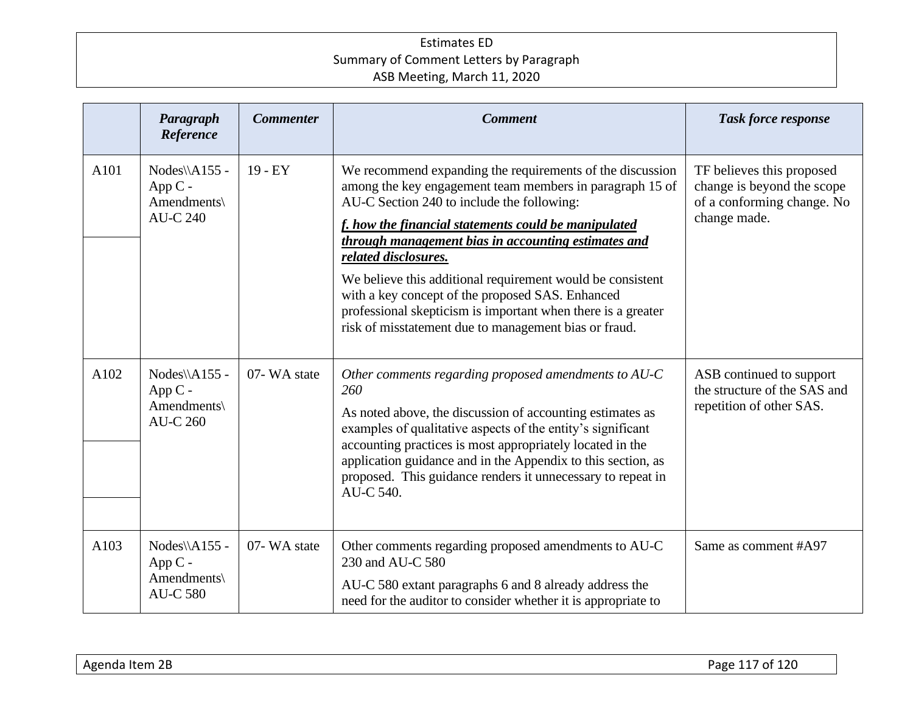|      | Paragraph<br>Reference                                       | <b>Commenter</b> | <b>Comment</b>                                                                                                                                                                                                                                                                                                                                                                                                                                                                                                                                        | <b>Task force response</b>                                                                            |
|------|--------------------------------------------------------------|------------------|-------------------------------------------------------------------------------------------------------------------------------------------------------------------------------------------------------------------------------------------------------------------------------------------------------------------------------------------------------------------------------------------------------------------------------------------------------------------------------------------------------------------------------------------------------|-------------------------------------------------------------------------------------------------------|
| A101 | Nodes\\A155 -<br>App C -<br>Amendments\<br><b>AU-C 240</b>   | $19 - EY$        | We recommend expanding the requirements of the discussion<br>among the key engagement team members in paragraph 15 of<br>AU-C Section 240 to include the following:<br>f. how the financial statements could be manipulated<br>through management bias in accounting estimates and<br>related disclosures.<br>We believe this additional requirement would be consistent<br>with a key concept of the proposed SAS. Enhanced<br>professional skepticism is important when there is a greater<br>risk of misstatement due to management bias or fraud. | TF believes this proposed<br>change is beyond the scope<br>of a conforming change. No<br>change made. |
| A102 | Nodes\\A155 -<br>$App C -$<br>Amendments\<br><b>AU-C 260</b> | 07-WA state      | Other comments regarding proposed amendments to AU-C<br>260<br>As noted above, the discussion of accounting estimates as<br>examples of qualitative aspects of the entity's significant<br>accounting practices is most appropriately located in the<br>application guidance and in the Appendix to this section, as<br>proposed. This guidance renders it unnecessary to repeat in<br>AU-C 540.                                                                                                                                                      | ASB continued to support<br>the structure of the SAS and<br>repetition of other SAS.                  |
| A103 | Nodes\\A155 -<br>App C -<br>Amendments\<br><b>AU-C 580</b>   | 07-WA state      | Other comments regarding proposed amendments to AU-C<br>230 and AU-C 580<br>AU-C 580 extant paragraphs 6 and 8 already address the<br>need for the auditor to consider whether it is appropriate to                                                                                                                                                                                                                                                                                                                                                   | Same as comment #A97                                                                                  |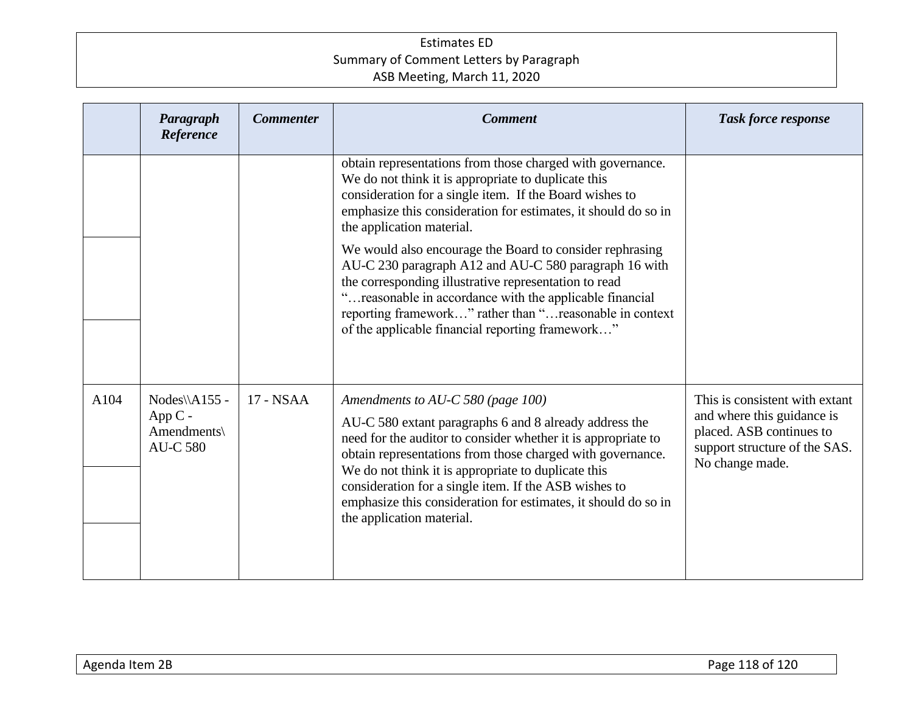|      | Paragraph<br>Reference                                        | <b>Commenter</b> | <b>Comment</b>                                                                                                                                                                                                                                                                                                                                                                                                                            | Task force response                                                                                                                          |
|------|---------------------------------------------------------------|------------------|-------------------------------------------------------------------------------------------------------------------------------------------------------------------------------------------------------------------------------------------------------------------------------------------------------------------------------------------------------------------------------------------------------------------------------------------|----------------------------------------------------------------------------------------------------------------------------------------------|
|      |                                                               |                  | obtain representations from those charged with governance.<br>We do not think it is appropriate to duplicate this<br>consideration for a single item. If the Board wishes to<br>emphasize this consideration for estimates, it should do so in<br>the application material.                                                                                                                                                               |                                                                                                                                              |
|      |                                                               |                  | We would also encourage the Board to consider rephrasing<br>AU-C 230 paragraph A12 and AU-C 580 paragraph 16 with<br>the corresponding illustrative representation to read<br>"reasonable in accordance with the applicable financial<br>reporting framework" rather than "reasonable in context<br>of the applicable financial reporting framework"                                                                                      |                                                                                                                                              |
| A104 | $Nodes\A155$ -<br>App $C -$<br>Amendments\<br><b>AU-C 580</b> | 17 - NSAA        | Amendments to AU-C 580 (page 100)<br>AU-C 580 extant paragraphs 6 and 8 already address the<br>need for the auditor to consider whether it is appropriate to<br>obtain representations from those charged with governance.<br>We do not think it is appropriate to duplicate this<br>consideration for a single item. If the ASB wishes to<br>emphasize this consideration for estimates, it should do so in<br>the application material. | This is consistent with extant<br>and where this guidance is<br>placed. ASB continues to<br>support structure of the SAS.<br>No change made. |